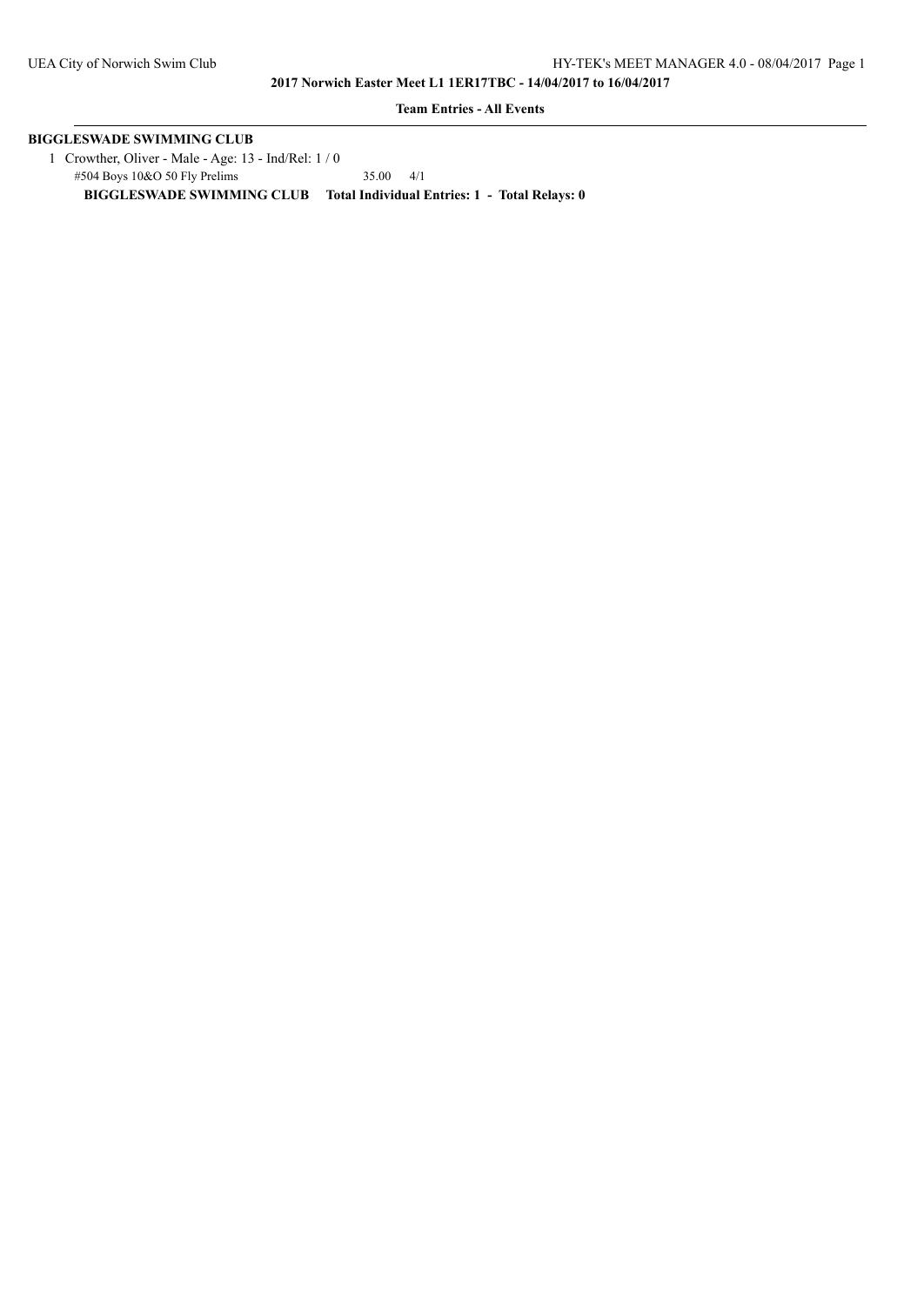**Team Entries - All Events**

# **BIGGLESWADE SWIMMING CLUB**

 1 Crowther, Oliver - Male - Age: 13 - Ind/Rel: 1 / 0 #504 Boys 10&O 50 Fly Prelims 35.00 4/1 **BIGGLESWADE SWIMMING CLUB Total Individual Entries: 1 - Total Relays: 0**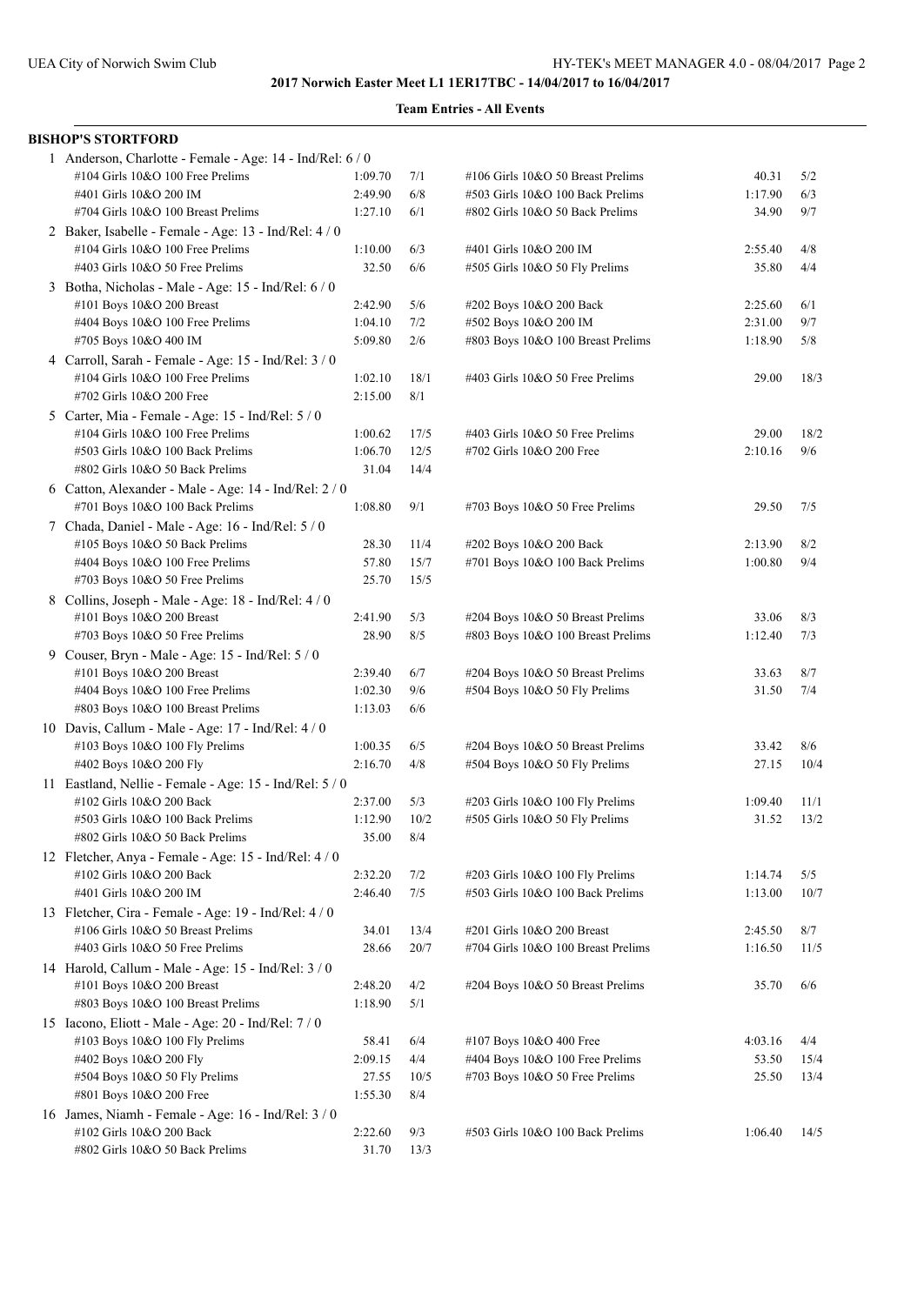| <b>BISHOP'S STORTFORD</b>                                 |         |      |                                    |         |      |
|-----------------------------------------------------------|---------|------|------------------------------------|---------|------|
| 1 Anderson, Charlotte - Female - Age: 14 - Ind/Rel: 6 / 0 |         |      |                                    |         |      |
| #104 Girls 10&O 100 Free Prelims                          | 1:09.70 | 7/1  | #106 Girls 10&O 50 Breast Prelims  | 40.31   | 5/2  |
| #401 Girls 10&O 200 IM                                    | 2:49.90 | 6/8  | #503 Girls 10&O 100 Back Prelims   | 1:17.90 | 6/3  |
| #704 Girls 10&O 100 Breast Prelims                        | 1:27.10 | 6/1  | #802 Girls 10&O 50 Back Prelims    | 34.90   | 9/7  |
| 2 Baker, Isabelle - Female - Age: 13 - Ind/Rel: 4 / 0     |         |      |                                    |         |      |
| #104 Girls 10&O 100 Free Prelims                          | 1:10.00 | 6/3  | #401 Girls 10&O 200 IM             | 2:55.40 | 4/8  |
| #403 Girls 10&O 50 Free Prelims                           | 32.50   | 6/6  | #505 Girls 10&O 50 Fly Prelims     | 35.80   | 4/4  |
| 3 Botha, Nicholas - Male - Age: 15 - Ind/Rel: 6 / 0       |         |      |                                    |         |      |
| #101 Boys 10&O 200 Breast                                 | 2:42.90 | 5/6  | #202 Boys 10&O 200 Back            | 2:25.60 | 6/1  |
| #404 Boys 10&O 100 Free Prelims                           | 1:04.10 | 7/2  | #502 Boys 10&O 200 IM              | 2:31.00 | 9/7  |
| #705 Boys 10&O 400 IM                                     | 5:09.80 | 2/6  | #803 Boys 10&O 100 Breast Prelims  | 1:18.90 | 5/8  |
| 4 Carroll, Sarah - Female - Age: 15 - Ind/Rel: 3 / 0      |         |      |                                    |         |      |
| #104 Girls 10&O 100 Free Prelims                          | 1:02.10 | 18/1 | #403 Girls 10&O 50 Free Prelims    | 29.00   | 18/3 |
| #702 Girls 10&O 200 Free                                  | 2:15.00 | 8/1  |                                    |         |      |
| 5 Carter, Mia - Female - Age: 15 - Ind/Rel: 5 / 0         |         |      |                                    |         |      |
| #104 Girls 10&O 100 Free Prelims                          | 1:00.62 | 17/5 | #403 Girls 10&O 50 Free Prelims    | 29.00   | 18/2 |
| #503 Girls 10&O 100 Back Prelims                          | 1:06.70 | 12/5 | #702 Girls 10&O 200 Free           | 2:10.16 | 9/6  |
| #802 Girls 10&O 50 Back Prelims                           | 31.04   | 14/4 |                                    |         |      |
| 6 Catton, Alexander - Male - Age: 14 - Ind/Rel: 2 / 0     |         |      |                                    |         |      |
| #701 Boys 10&O 100 Back Prelims                           | 1:08.80 | 9/1  | #703 Boys 10&O 50 Free Prelims     | 29.50   | 7/5  |
| 7 Chada, Daniel - Male - Age: 16 - Ind/Rel: 5 / 0         |         |      |                                    |         |      |
| #105 Boys 10&O 50 Back Prelims                            | 28.30   | 11/4 | #202 Boys 10&O 200 Back            | 2:13.90 | 8/2  |
| #404 Boys 10&O 100 Free Prelims                           | 57.80   | 15/7 | #701 Boys 10&O 100 Back Prelims    | 1:00.80 | 9/4  |
| $\#703$ Boys 10&O 50 Free Prelims                         | 25.70   | 15/5 |                                    |         |      |
| 8 Collins, Joseph - Male - Age: 18 - Ind/Rel: 4/0         |         |      |                                    |         |      |
| #101 Boys 10&O 200 Breast                                 | 2:41.90 | 5/3  | #204 Boys 10&O 50 Breast Prelims   | 33.06   | 8/3  |
| #703 Boys 10&O 50 Free Prelims                            | 28.90   | 8/5  | #803 Boys 10&O 100 Breast Prelims  | 1:12.40 | 7/3  |
| 9 Couser, Bryn - Male - Age: 15 - Ind/Rel: 5 / 0          |         |      |                                    |         |      |
| #101 Boys 10&O 200 Breast                                 | 2:39.40 | 6/7  | #204 Boys 10&O 50 Breast Prelims   | 33.63   | 8/7  |
| #404 Boys 10&O 100 Free Prelims                           | 1:02.30 | 9/6  | #504 Boys 10&O 50 Fly Prelims      | 31.50   | 7/4  |
| #803 Boys 10&O 100 Breast Prelims                         | 1:13.03 | 6/6  |                                    |         |      |
| 10 Davis, Callum - Male - Age: $17$ - Ind/Rel: $4/0$      |         |      |                                    |         |      |
| #103 Boys 10&O 100 Fly Prelims                            | 1:00.35 | 6/5  | #204 Boys 10&O 50 Breast Prelims   | 33.42   | 8/6  |
| #402 Boys 10&O 200 Fly                                    | 2:16.70 | 4/8  | #504 Boys 10&O 50 Fly Prelims      | 27.15   | 10/4 |
| 11 Eastland, Nellie - Female - Age: 15 - Ind/Rel: 5 / 0   |         |      |                                    |         |      |
| #102 Girls 10&O 200 Back                                  | 2:37.00 | 5/3  | #203 Girls 10&O 100 Fly Prelims    | 1:09.40 | 11/1 |
| #503 Girls 10&O 100 Back Prelims                          | 1:12.90 | 10/2 | #505 Girls 10&O 50 Fly Prelims     | 31.52   | 13/2 |
| #802 Girls 10&O 50 Back Prelims                           | 35.00   | 8/4  |                                    |         |      |
| 12 Fletcher, Anya - Female - Age: 15 - Ind/Rel: 4 / 0     |         |      |                                    |         |      |
| #102 Girls 10&O 200 Back                                  | 2:32.20 | 7/2  | #203 Girls 10&O 100 Fly Prelims    | 1:14.74 | 5/5  |
| #401 Girls 10&O 200 IM                                    | 2:46.40 | 7/5  | #503 Girls 10&O 100 Back Prelims   | 1:13.00 | 10/7 |
| 13 Fletcher, Cira - Female - Age: 19 - Ind/Rel: 4 / 0     |         |      |                                    |         |      |
| #106 Girls 10&O 50 Breast Prelims                         | 34.01   | 13/4 | #201 Girls 10&O 200 Breast         | 2:45.50 | 8/7  |
| #403 Girls 10&O 50 Free Prelims                           | 28.66   | 20/7 | #704 Girls 10&O 100 Breast Prelims | 1:16.50 | 11/5 |
| 14 Harold, Callum - Male - Age: 15 - Ind/Rel: 3 / 0       |         |      |                                    |         |      |
| #101 Boys 10&O 200 Breast                                 | 2:48.20 | 4/2  | #204 Boys 10&O 50 Breast Prelims   | 35.70   | 6/6  |
| #803 Boys 10&O 100 Breast Prelims                         | 1:18.90 | 5/1  |                                    |         |      |
| 15 Iacono, Eliott - Male - Age: 20 - Ind/Rel: 7 / 0       |         |      |                                    |         |      |
| #103 Boys 10&O 100 Fly Prelims                            | 58.41   | 6/4  | #107 Boys 10&O 400 Free            | 4:03.16 | 4/4  |
| #402 Boys 10&O 200 Fly                                    | 2:09.15 | 4/4  | #404 Boys 10&O 100 Free Prelims    | 53.50   | 15/4 |
| #504 Boys 10&O 50 Fly Prelims                             | 27.55   | 10/5 | #703 Boys 10&O 50 Free Prelims     | 25.50   | 13/4 |
| #801 Boys 10&O 200 Free                                   | 1:55.30 | 8/4  |                                    |         |      |
| 16 James, Niamh - Female - Age: 16 - Ind/Rel: 3 / 0       |         |      |                                    |         |      |
| #102 Girls 10&O 200 Back                                  | 2:22.60 | 9/3  | #503 Girls 10&O 100 Back Prelims   | 1:06.40 | 14/5 |
| #802 Girls 10&O 50 Back Prelims                           | 31.70   | 13/3 |                                    |         |      |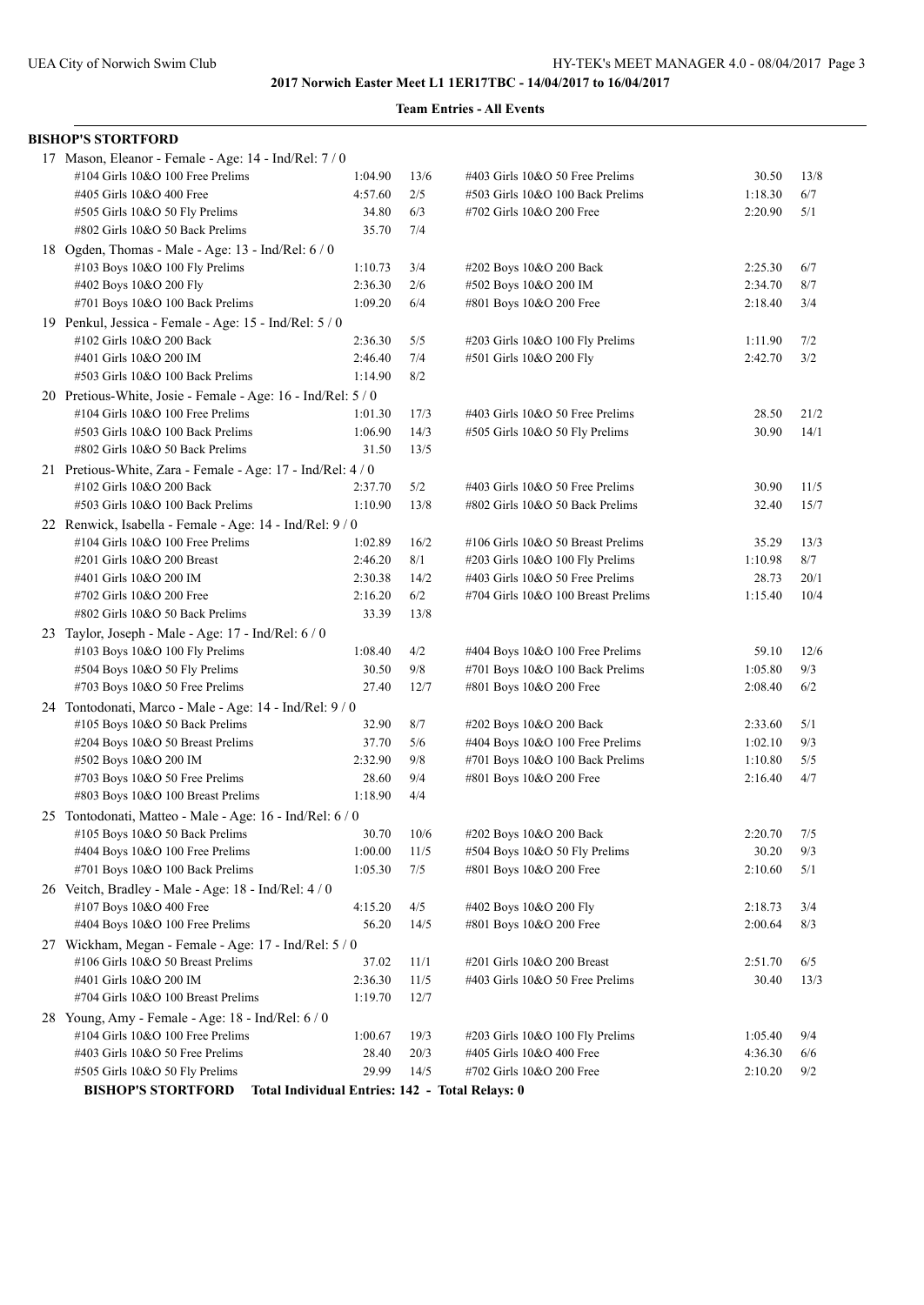| <b>BISHOP'S STORTFORD</b>                                    |                                                 |      |                                    |         |      |
|--------------------------------------------------------------|-------------------------------------------------|------|------------------------------------|---------|------|
| 17 Mason, Eleanor - Female - Age: 14 - Ind/Rel: 7 / 0        |                                                 |      |                                    |         |      |
| #104 Girls 10&O 100 Free Prelims                             | 1:04.90                                         | 13/6 | #403 Girls 10&O 50 Free Prelims    | 30.50   | 13/8 |
| #405 Girls 10&O 400 Free                                     | 4:57.60                                         | 2/5  | #503 Girls 10&O 100 Back Prelims   | 1:18.30 | 6/7  |
| #505 Girls 10&O 50 Fly Prelims                               | 34.80                                           | 6/3  | #702 Girls 10&O 200 Free           | 2:20.90 | 5/1  |
| #802 Girls 10&O 50 Back Prelims                              | 35.70                                           | 7/4  |                                    |         |      |
| 18 Ogden, Thomas - Male - Age: 13 - Ind/Rel: 6 / 0           |                                                 |      |                                    |         |      |
| #103 Boys 10&O 100 Fly Prelims                               | 1:10.73                                         | 3/4  | #202 Boys 10&O 200 Back            | 2:25.30 | 6/7  |
| #402 Boys 10&O 200 Fly                                       | 2:36.30                                         | 2/6  | #502 Boys 10&O 200 IM              | 2:34.70 | 8/7  |
| #701 Boys 10&O 100 Back Prelims                              | 1:09.20                                         | 6/4  | #801 Boys 10&O 200 Free            | 2:18.40 | 3/4  |
| 19 Penkul, Jessica - Female - Age: 15 - Ind/Rel: 5 / 0       |                                                 |      |                                    |         |      |
| #102 Girls 10&O 200 Back                                     | 2:36.30                                         | 5/5  | #203 Girls 10&O 100 Fly Prelims    | 1:11.90 | 7/2  |
| #401 Girls 10&O 200 IM                                       | 2:46.40                                         | 7/4  | #501 Girls 10&O 200 Fly            | 2:42.70 | 3/2  |
| #503 Girls 10&O 100 Back Prelims                             | 1:14.90                                         | 8/2  |                                    |         |      |
| 20 Pretious-White, Josie - Female - Age: 16 - Ind/Rel: 5 / 0 |                                                 |      |                                    |         |      |
| #104 Girls 10&O 100 Free Prelims                             | 1:01.30                                         | 17/3 | #403 Girls 10&O 50 Free Prelims    | 28.50   | 21/2 |
| #503 Girls 10&O 100 Back Prelims                             | 1:06.90                                         | 14/3 | #505 Girls 10&O 50 Fly Prelims     | 30.90   | 14/1 |
| #802 Girls 10&O 50 Back Prelims                              | 31.50                                           | 13/5 |                                    |         |      |
| 21 Pretious-White, Zara - Female - Age: 17 - Ind/Rel: 4 / 0  |                                                 |      |                                    |         |      |
| #102 Girls 10&O 200 Back                                     | 2:37.70                                         | 5/2  | #403 Girls 10&O 50 Free Prelims    | 30.90   | 11/5 |
| #503 Girls 10&O 100 Back Prelims                             | 1:10.90                                         | 13/8 | #802 Girls 10&O 50 Back Prelims    | 32.40   | 15/7 |
| 22 Renwick, Isabella - Female - Age: 14 - Ind/Rel: 9 / 0     |                                                 |      |                                    |         |      |
| #104 Girls 10&O 100 Free Prelims                             | 1:02.89                                         | 16/2 | #106 Girls 10&O 50 Breast Prelims  | 35.29   | 13/3 |
| #201 Girls 10&O 200 Breast                                   | 2:46.20                                         | 8/1  | #203 Girls 10&O 100 Fly Prelims    | 1:10.98 | 8/7  |
| #401 Girls 10&O 200 IM                                       | 2:30.38                                         | 14/2 | #403 Girls 10&O 50 Free Prelims    | 28.73   | 20/1 |
| #702 Girls 10&O 200 Free                                     | 2:16.20                                         | 6/2  | #704 Girls 10&O 100 Breast Prelims | 1:15.40 | 10/4 |
| #802 Girls 10&O 50 Back Prelims                              | 33.39                                           | 13/8 |                                    |         |      |
| 23 Taylor, Joseph - Male - Age: 17 - Ind/Rel: 6 / 0          |                                                 |      |                                    |         |      |
| #103 Boys 10&O 100 Fly Prelims                               | 1:08.40                                         | 4/2  | #404 Boys 10&O 100 Free Prelims    | 59.10   | 12/6 |
| #504 Boys 10&O 50 Fly Prelims                                | 30.50                                           | 9/8  | #701 Boys 10&O 100 Back Prelims    | 1:05.80 | 9/3  |
| #703 Boys 10&O 50 Free Prelims                               | 27.40                                           | 12/7 | #801 Boys 10&O 200 Free            | 2:08.40 | 6/2  |
| 24 Tontodonati, Marco - Male - Age: 14 - Ind/Rel: 9 / 0      |                                                 |      |                                    |         |      |
| #105 Boys 10&O 50 Back Prelims                               | 32.90                                           | 8/7  | #202 Boys 10&O 200 Back            | 2:33.60 | 5/1  |
| #204 Boys 10&O 50 Breast Prelims                             | 37.70                                           | 5/6  | #404 Boys 10&O 100 Free Prelims    | 1:02.10 | 9/3  |
| #502 Boys 10&O 200 IM                                        | 2:32.90                                         | 9/8  | #701 Boys 10&O 100 Back Prelims    | 1:10.80 | 5/5  |
| #703 Boys 10&O 50 Free Prelims                               | 28.60                                           | 9/4  | #801 Boys 10&O 200 Free            | 2:16.40 | 4/7  |
| #803 Boys 10&O 100 Breast Prelims                            | 1:18.90                                         | 4/4  |                                    |         |      |
| 25 Tontodonati, Matteo - Male - Age: 16 - Ind/Rel: 6 / 0     |                                                 |      |                                    |         |      |
| #105 Boys 10&O 50 Back Prelims                               | 30.70                                           | 10/6 | #202 Boys 10&O 200 Back            | 2:20.70 | 7/5  |
| #404 Boys 10&O 100 Free Prelims                              | 1:00.00                                         | 11/5 | #504 Boys 10&O 50 Fly Prelims      | 30.20   | 9/3  |
| #701 Boys 10&O 100 Back Prelims                              | 1:05.30                                         | 7/5  | #801 Boys 10&O 200 Free            | 2:10.60 | 5/1  |
| 26 Veitch, Bradley - Male - Age: 18 - Ind/Rel: 4 / 0         |                                                 |      |                                    |         |      |
| #107 Boys 10&O 400 Free                                      | 4:15.20                                         | 4/5  | #402 Boys 10&O 200 Fly             | 2:18.73 | 3/4  |
| #404 Boys 10&O 100 Free Prelims                              | 56.20                                           | 14/5 | #801 Boys 10&O 200 Free            | 2:00.64 | 8/3  |
| 27 Wickham, Megan - Female - Age: 17 - Ind/Rel: 5 / 0        |                                                 |      |                                    |         |      |
| #106 Girls 10&O 50 Breast Prelims                            | 37.02                                           | 11/1 | #201 Girls 10&O 200 Breast         | 2:51.70 | 6/5  |
| #401 Girls 10&O 200 IM                                       | 2:36.30                                         | 11/5 | #403 Girls 10&O 50 Free Prelims    | 30.40   | 13/3 |
| #704 Girls 10&O 100 Breast Prelims                           | 1:19.70                                         | 12/7 |                                    |         |      |
| 28 Young, Amy - Female - Age: 18 - Ind/Rel: 6 / 0            |                                                 |      |                                    |         |      |
| #104 Girls 10&O 100 Free Prelims                             | 1:00.67                                         | 19/3 | #203 Girls 10&O 100 Fly Prelims    | 1:05.40 | 9/4  |
| #403 Girls 10&O 50 Free Prelims                              | 28.40                                           | 20/3 | #405 Girls 10&O 400 Free           | 4:36.30 | 6/6  |
| #505 Girls 10&O 50 Fly Prelims                               | 29.99                                           | 14/5 | #702 Girls 10&O 200 Free           | 2:10.20 | 9/2  |
| <b>BISHOP'S STORTFORD</b>                                    | Total Individual Entries: 142 - Total Relays: 0 |      |                                    |         |      |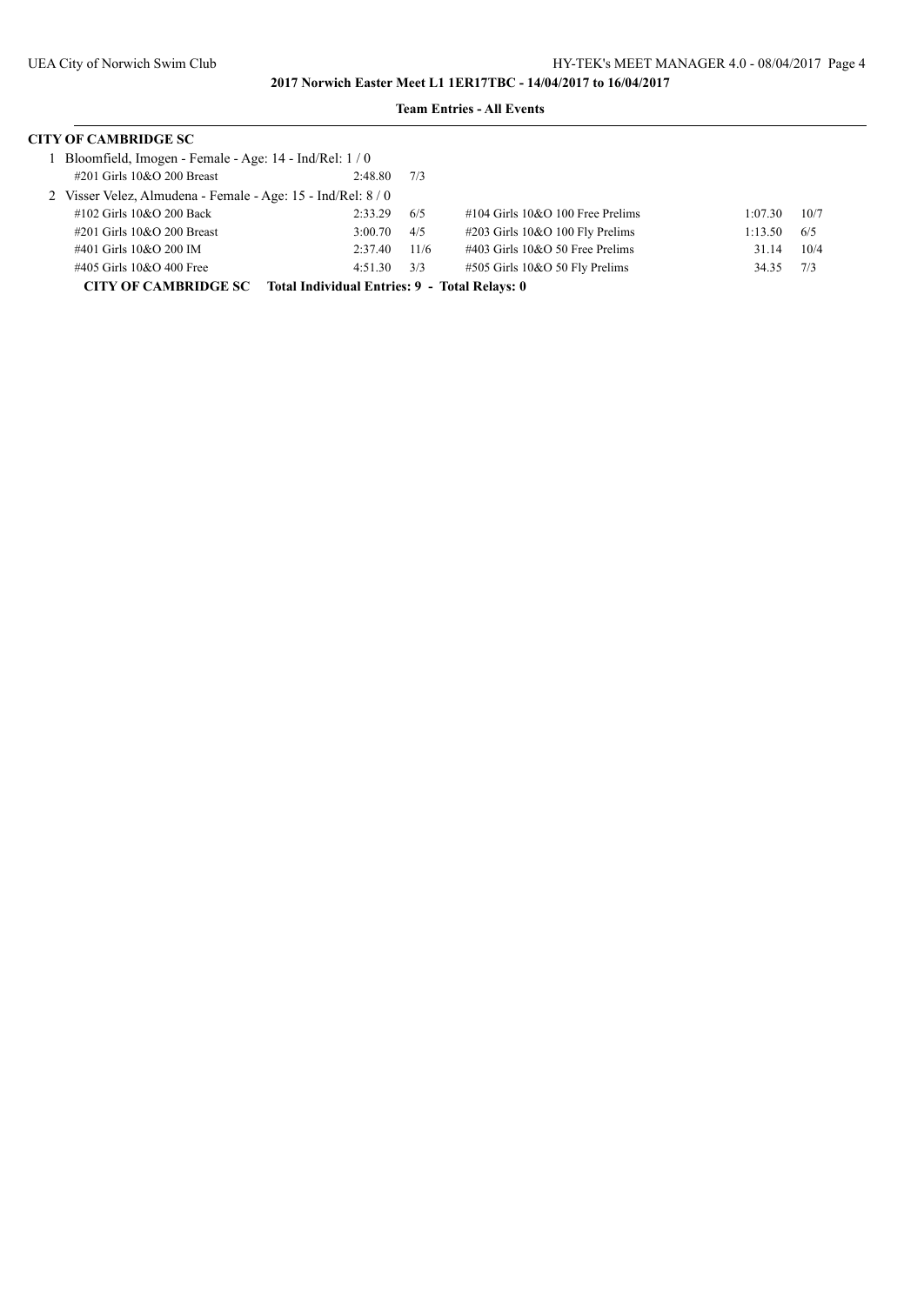| <b>CITY OF CAMBRIDGE SC</b>                                  |                                               |      |                                       |         |      |  |
|--------------------------------------------------------------|-----------------------------------------------|------|---------------------------------------|---------|------|--|
| Bloomfield, Imogen - Female - Age: 14 - Ind/Rel: 1/0         |                                               |      |                                       |         |      |  |
| $\#201$ Girls $10&O$ 200 Breast                              | 2:48.80                                       | 7/3  |                                       |         |      |  |
| 2 Visser Velez, Almudena - Female - Age: 15 - Ind/Rel: 8 / 0 |                                               |      |                                       |         |      |  |
| #102 Girls 10&O 200 Back                                     | 2:33.29                                       | 6/5  | $\#104$ Girls $10&O$ 100 Free Prelims | 1:07.30 | 10/7 |  |
| $\#201$ Girls $10&O$ 200 Breast                              | 3:00.70                                       | 4/5  | #203 Girls 10&O 100 Fly Prelims       | 1:13.50 | 6/5  |  |
| #401 Girls 10&O 200 IM                                       | 2:37.40                                       | 11/6 | $\#403$ Girls 10&O 50 Free Prelims    | 31.14   | 10/4 |  |
| #405 Girls 10&O 400 Free                                     | 4:51.30                                       | 3/3  | #505 Girls 10&O 50 Fly Prelims        | 34.35   | 7/3  |  |
| <b>CITY OF CAMBRIDGE SC</b>                                  | Total Individual Entries: 9 - Total Relays: 0 |      |                                       |         |      |  |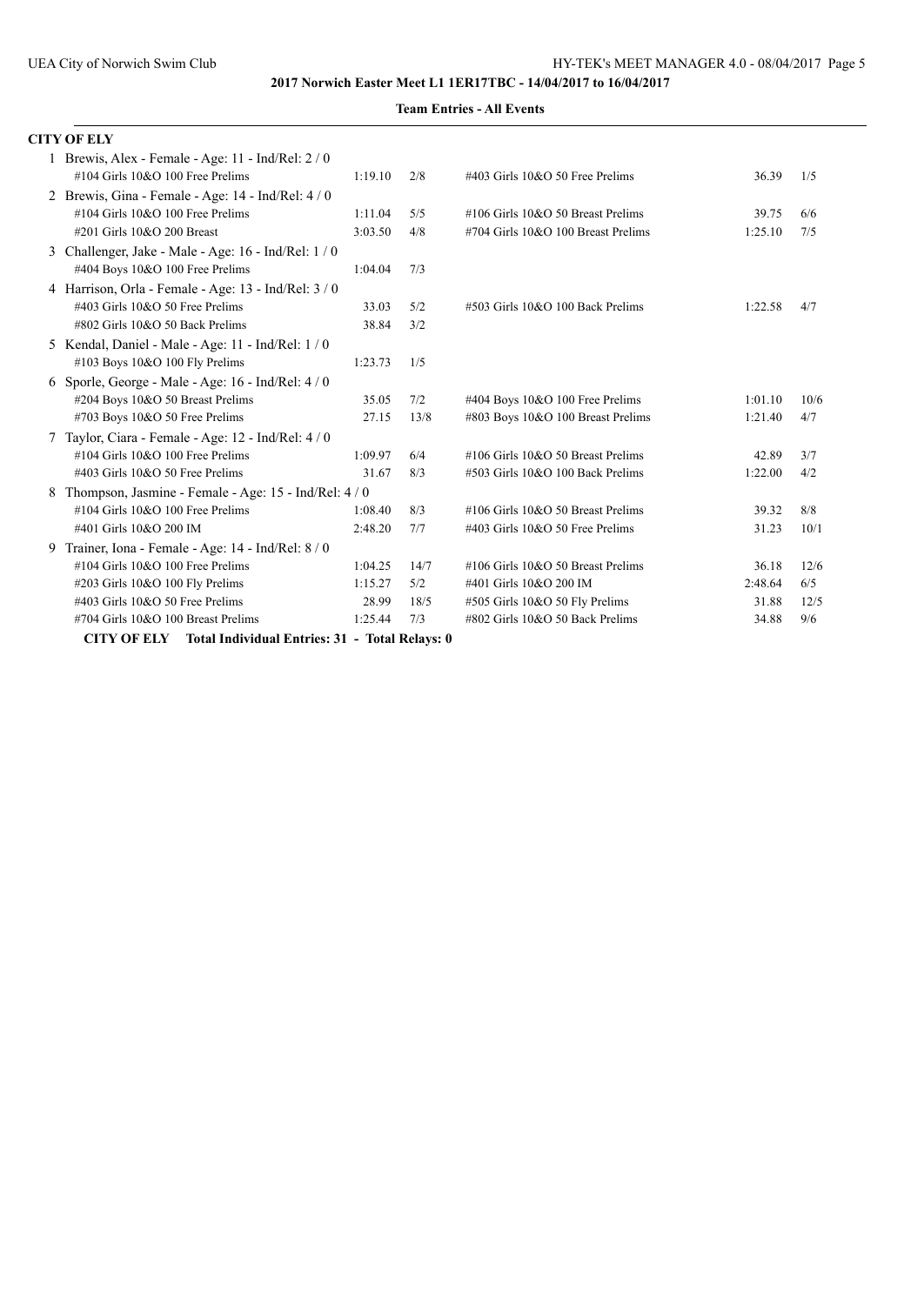|   | <b>CITY OF ELY</b>                                                                                                         |                    |             |                                                                              |                    |             |
|---|----------------------------------------------------------------------------------------------------------------------------|--------------------|-------------|------------------------------------------------------------------------------|--------------------|-------------|
|   | 1 Brewis, Alex - Female - Age: 11 - Ind/Rel: 2 / 0<br>$\#104$ Girls $10&O$ 100 Free Prelims                                | 1:19.10            | 2/8         | #403 Girls 10&O 50 Free Prelims                                              | 36.39              | 1/5         |
|   | 2 Brewis, Gina - Female - Age: $14$ - Ind/Rel: $4/0$<br>#104 Girls 10&O 100 Free Prelims<br>#201 Girls 10&O 200 Breast     | 1:11.04<br>3:03.50 | 5/5<br>4/8  | $\#106$ Girls $10&O$ 50 Breast Prelims<br>#704 Girls 10&O 100 Breast Prelims | 39.75<br>1:25.10   | 6/6<br>7/5  |
| 3 | Challenger, Jake - Male - Age: 16 - Ind/Rel: 1/0<br>#404 Boys 10&O 100 Free Prelims                                        | 1:04.04            | 7/3         |                                                                              |                    |             |
|   | 4 Harrison, Orla - Female - Age: 13 - Ind/Rel: $3/0$<br>#403 Girls 10&O 50 Free Prelims<br>#802 Girls 10&O 50 Back Prelims | 33.03<br>38.84     | 5/2<br>3/2  | #503 Girls 10&O 100 Back Prelims                                             | 1:22.58            | 4/7         |
|   | 5 Kendal, Daniel - Male - Age: 11 - Ind/Rel: 1/0<br>#103 Boys 10&O 100 Fly Prelims                                         | 1:23.73            | 1/5         |                                                                              |                    |             |
|   | 6 Sporle, George - Male - Age: $16$ - Ind/Rel: $4/0$<br>#204 Boys 10&O 50 Breast Prelims<br>#703 Boys 10&O 50 Free Prelims | 35.05<br>27.15     | 7/2<br>13/8 | #404 Boys 10&O 100 Free Prelims<br>#803 Boys 10&O 100 Breast Prelims         | 1:01.10<br>1:21.40 | 10/6<br>4/7 |
|   | 7 Taylor, Ciara - Female - Age: 12 - Ind/Rel: 4 / 0<br>#104 Girls 10&O 100 Free Prelims<br>#403 Girls 10&O 50 Free Prelims | 1:09.97<br>31.67   | 6/4<br>8/3  | #106 Girls 10&O 50 Breast Prelims<br>#503 Girls 10&O 100 Back Prelims        | 42.89<br>1:22.00   | 3/7<br>4/2  |
| 8 | Thompson, Jasmine - Female - Age: 15 - Ind/Rel: 4 / 0<br>#104 Girls 10&O 100 Free Prelims<br>#401 Girls 10&O 200 IM        | 1:08.40<br>2:48.20 | 8/3<br>7/7  | #106 Girls 10&O 50 Breast Prelims<br>#403 Girls 10&O 50 Free Prelims         | 39.32<br>31.23     | 8/8<br>10/1 |
| 9 | Trainer, Iona - Female - Age: 14 - Ind/Rel: 8 / 0<br>$\#104$ Girls $10&O$ 100 Free Prelims                                 | 1:04.25            | 14/7        | #106 Girls 10&O 50 Breast Prelims                                            | 36.18              | 12/6        |
|   | #203 Girls 10&O 100 Fly Prelims<br>#403 Girls 10&O 50 Free Prelims                                                         | 1:15.27<br>28.99   | 5/2<br>18/5 | #401 Girls 10&O 200 IM<br>#505 Girls 10&O 50 Fly Prelims                     | 2:48.64<br>31.88   | 6/5<br>12/5 |
|   | #704 Girls 10&O 100 Breast Prelims<br><b>CITY OF ELY</b> Total Individual Entries: 31 - Total Relays: 0                    | 1:25.44            | 7/3         | #802 Girls 10&O 50 Back Prelims                                              | 34.88              | 9/6         |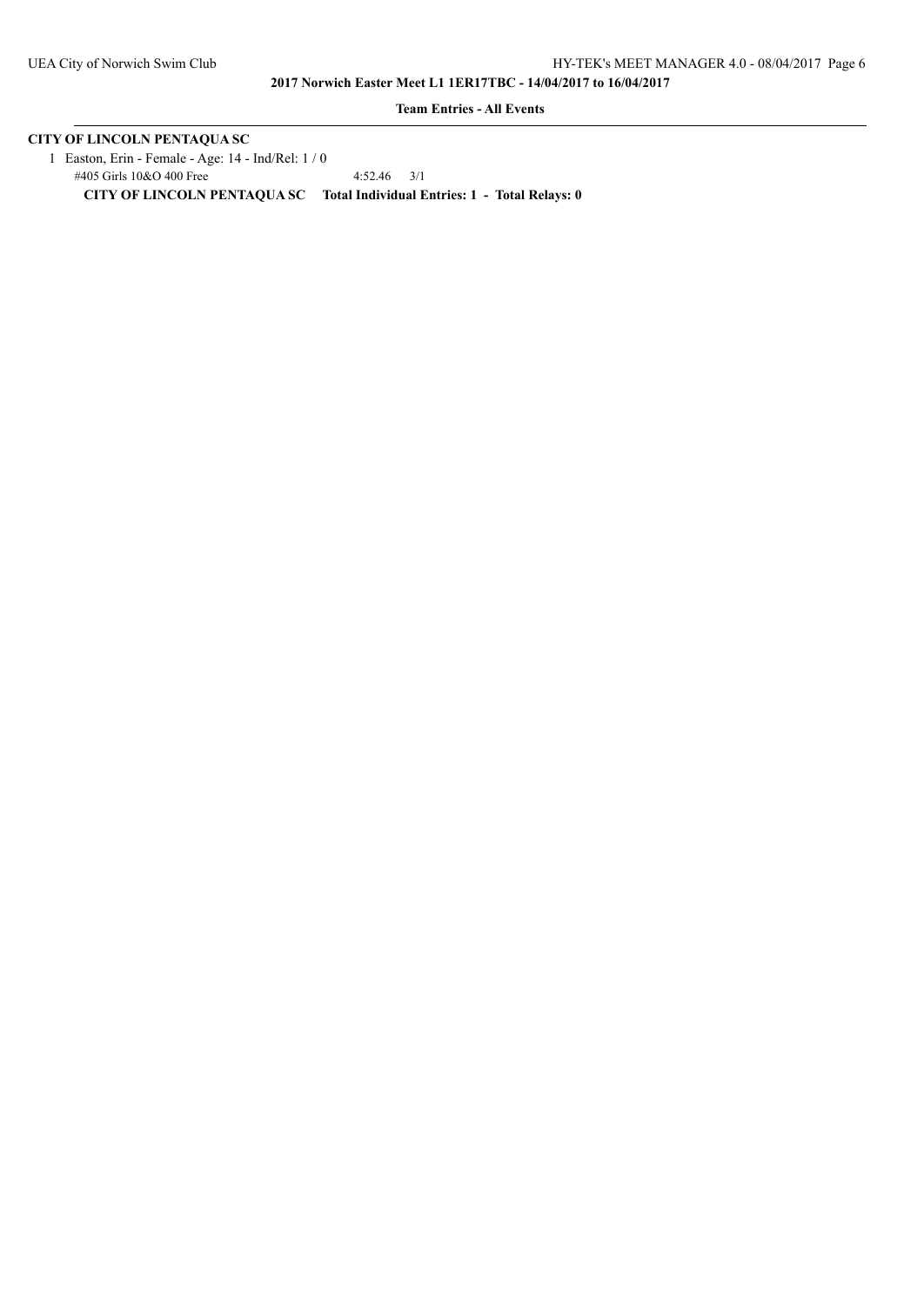**Team Entries - All Events**

# **CITY OF LINCOLN PENTAQUA SC**

 1 Easton, Erin - Female - Age: 14 - Ind/Rel: 1 / 0 #405 Girls 10&O 400 Free 4:52.46 3/1 **CITY OF LINCOLN PENTAQUA SC Total Individual Entries: 1 - Total Relays: 0**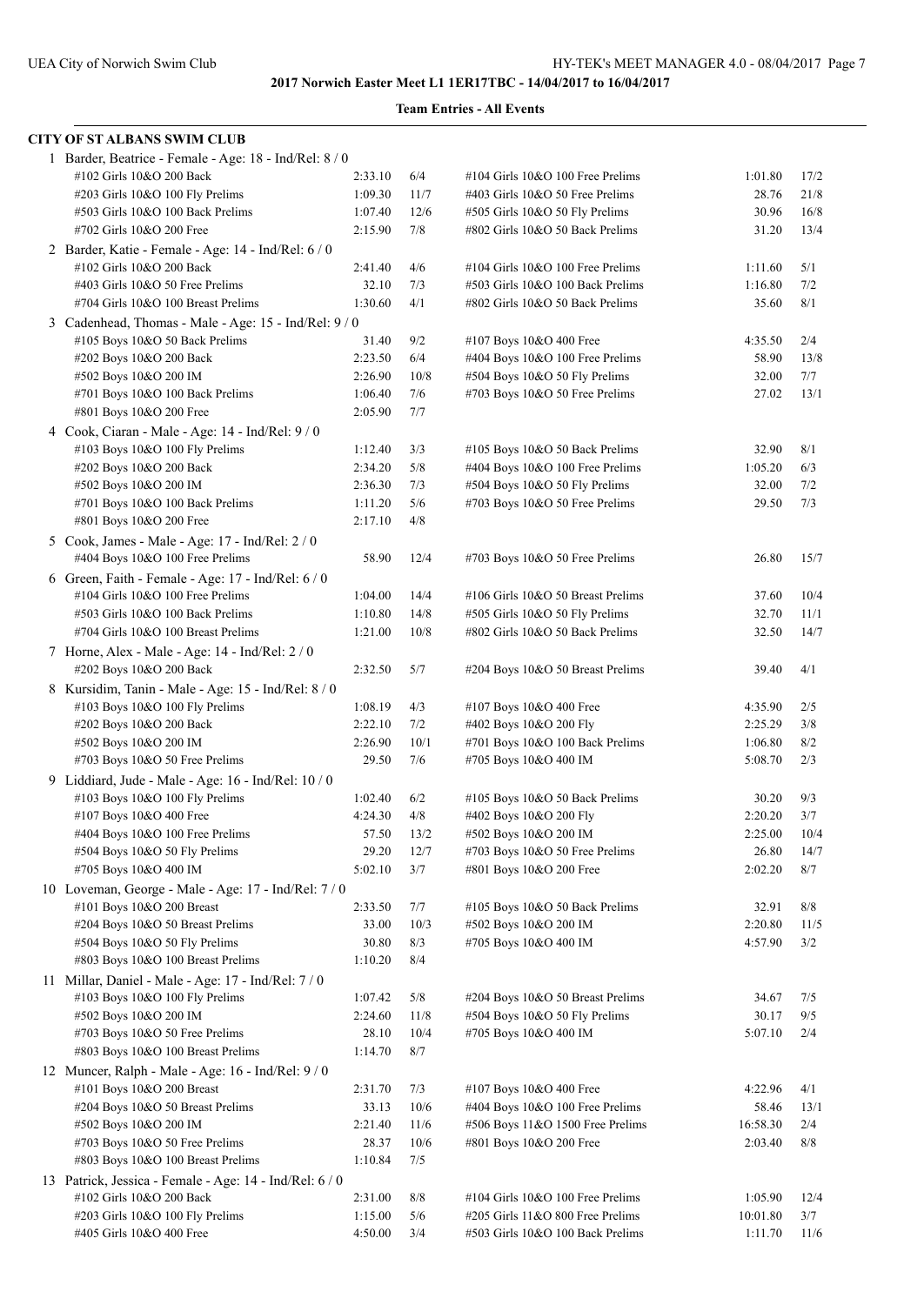| <b>CITY OF ST ALBANS SWIM CLUB</b>                                                    |                  |             |                                                          |                    |            |
|---------------------------------------------------------------------------------------|------------------|-------------|----------------------------------------------------------|--------------------|------------|
| 1 Barder, Beatrice - Female - Age: 18 - Ind/Rel: 8 / 0                                |                  |             |                                                          |                    |            |
| #102 Girls 10&O 200 Back                                                              | 2:33.10          | 6/4         | #104 Girls 10&O 100 Free Prelims                         | 1:01.80            | 17/2       |
| #203 Girls 10&O 100 Fly Prelims                                                       | 1:09.30          | 11/7        | #403 Girls 10&O 50 Free Prelims                          | 28.76              | 21/8       |
| #503 Girls 10&O 100 Back Prelims                                                      | 1:07.40          | 12/6        | #505 Girls 10&O 50 Fly Prelims                           | 30.96              | 16/8       |
| #702 Girls 10&O 200 Free                                                              | 2:15.90          | 7/8         | #802 Girls 10&O 50 Back Prelims                          | 31.20              | 13/4       |
| 2 Barder, Katie - Female - Age: 14 - Ind/Rel: 6 / 0                                   |                  |             |                                                          |                    |            |
| #102 Girls 10&O 200 Back                                                              | 2:41.40          | 4/6         | #104 Girls 10&O 100 Free Prelims                         | 1:11.60            | 5/1        |
| #403 Girls 10&O 50 Free Prelims                                                       | 32.10            | 7/3         | #503 Girls 10&O 100 Back Prelims                         | 1:16.80            | 7/2        |
| #704 Girls 10&O 100 Breast Prelims                                                    | 1:30.60          | 4/1         | #802 Girls 10&O 50 Back Prelims                          | 35.60              | 8/1        |
| 3 Cadenhead, Thomas - Male - Age: 15 - Ind/Rel: 9/0                                   |                  |             |                                                          |                    |            |
| #105 Boys 10&O 50 Back Prelims                                                        | 31.40            | 9/2         | #107 Boys 10&O 400 Free                                  | 4:35.50            | 2/4        |
| #202 Boys 10&O 200 Back                                                               | 2:23.50          | 6/4         | #404 Boys 10&O 100 Free Prelims                          | 58.90              | 13/8       |
| #502 Boys 10&O 200 IM                                                                 | 2:26.90          | 10/8        | #504 Boys 10&O 50 Fly Prelims                            | 32.00              | 7/7        |
| #701 Boys 10&O 100 Back Prelims                                                       | 1:06.40          | 7/6         | #703 Boys 10&O 50 Free Prelims                           | 27.02              | 13/1       |
| #801 Boys 10&O 200 Free                                                               | 2:05.90          | 7/7         |                                                          |                    |            |
| 4 Cook, Ciaran - Male - Age: 14 - Ind/Rel: 9 / 0                                      |                  |             |                                                          |                    |            |
| #103 Boys 10&O 100 Fly Prelims                                                        | 1:12.40          | 3/3         | #105 Boys 10&O 50 Back Prelims                           | 32.90              | 8/1        |
| #202 Boys 10&O 200 Back                                                               | 2:34.20          | 5/8         | #404 Boys 10&O 100 Free Prelims                          | 1:05.20            | 6/3        |
| #502 Boys 10&O 200 IM                                                                 | 2:36.30          | 7/3         | #504 Boys 10&O 50 Fly Prelims                            | 32.00              | 7/2        |
| #701 Boys 10&O 100 Back Prelims                                                       | 1:11.20          | 5/6         | #703 Boys 10&O 50 Free Prelims                           | 29.50              | 7/3        |
| #801 Boys 10&O 200 Free                                                               | 2:17.10          | 4/8         |                                                          |                    |            |
| 5 Cook, James - Male - Age: 17 - Ind/Rel: 2 / 0                                       |                  |             |                                                          |                    |            |
| #404 Boys 10&O 100 Free Prelims                                                       | 58.90            | 12/4        | #703 Boys 10&O 50 Free Prelims                           | 26.80              | 15/7       |
| 6 Green, Faith - Female - Age: 17 - Ind/Rel: 6 / 0                                    |                  |             |                                                          |                    |            |
| #104 Girls 10&O 100 Free Prelims                                                      | 1:04.00          | 14/4        | #106 Girls 10&O 50 Breast Prelims                        | 37.60              | 10/4       |
| #503 Girls 10&O 100 Back Prelims                                                      | 1:10.80          | 14/8        | #505 Girls 10&O 50 Fly Prelims                           | 32.70              | 11/1       |
| #704 Girls 10&O 100 Breast Prelims                                                    | 1:21.00          | 10/8        | #802 Girls 10&O 50 Back Prelims                          | 32.50              | 14/7       |
| 7 Horne, Alex - Male - Age: 14 - Ind/Rel: 2 / 0                                       |                  |             |                                                          |                    |            |
| #202 Boys 10&O 200 Back                                                               | 2:32.50          | 5/7         | #204 Boys 10&O 50 Breast Prelims                         | 39.40              | 4/1        |
| 8 Kursidim, Tanin - Male - Age: 15 - Ind/Rel: 8 / 0                                   |                  |             |                                                          |                    |            |
| #103 Boys 10&O 100 Fly Prelims                                                        | 1:08.19          | 4/3         | #107 Boys 10&O 400 Free                                  | 4:35.90            | 2/5        |
| #202 Boys 10&O 200 Back                                                               | 2:22.10          | 7/2         | #402 Boys 10&O 200 Fly                                   | 2:25.29            | 3/8        |
| #502 Boys 10&O 200 IM<br>#703 Boys 10&O 50 Free Prelims                               | 2:26.90<br>29.50 | 10/1<br>7/6 | #701 Boys 10&O 100 Back Prelims<br>#705 Boys 10&O 400 IM | 1:06.80<br>5:08.70 | 8/2<br>2/3 |
|                                                                                       |                  |             |                                                          |                    |            |
| 9 Liddiard, Jude - Male - Age: 16 - Ind/Rel: 10 / 0<br>#103 Boys 10&O 100 Fly Prelims | 1:02.40          | 6/2         | #105 Boys 10&O 50 Back Prelims                           | 30.20              | 9/3        |
| #107 Boys 10&O 400 Free                                                               | 4:24.30          | 4/8         | #402 Boys 10&O 200 Fly                                   | 2:20.20            | 3/7        |
| #404 Boys 10&O 100 Free Prelims                                                       | 57.50            | 13/2        | #502 Boys 10&O 200 IM                                    | 2:25.00            | 10/4       |
| #504 Boys 10&O 50 Fly Prelims                                                         | 29.20            | 12/7        | #703 Boys 10&O 50 Free Prelims                           | 26.80              | 14/7       |
| #705 Boys 10&O 400 IM                                                                 | 5:02.10          | 3/7         | #801 Boys 10&O 200 Free                                  | 2:02.20            | 8/7        |
| 10 Loveman, George - Male - Age: 17 - Ind/Rel: 7/0                                    |                  |             |                                                          |                    |            |
| #101 Boys 10&O 200 Breast                                                             | 2:33.50          | 7/7         | #105 Boys 10&O 50 Back Prelims                           | 32.91              | $8/8$      |
| #204 Boys 10&O 50 Breast Prelims                                                      | 33.00            | 10/3        | #502 Boys 10&O 200 IM                                    | 2:20.80            | 11/5       |
| #504 Boys 10&O 50 Fly Prelims                                                         | 30.80            | 8/3         | #705 Boys 10&O 400 IM                                    | 4:57.90            | 3/2        |
| #803 Boys 10&O 100 Breast Prelims                                                     | 1:10.20          | 8/4         |                                                          |                    |            |
| 11 Millar, Daniel - Male - Age: 17 - Ind/Rel: 7 / 0                                   |                  |             |                                                          |                    |            |
| #103 Boys 10&O 100 Fly Prelims                                                        | 1:07.42          | 5/8         | #204 Boys 10&O 50 Breast Prelims                         | 34.67              | 7/5        |
| #502 Boys 10&O 200 IM                                                                 | 2:24.60          | 11/8        | #504 Boys 10&O 50 Fly Prelims                            | 30.17              | 9/5        |
| $\#703$ Boys 10&O 50 Free Prelims                                                     | 28.10            | 10/4        | #705 Boys 10&O 400 IM                                    | 5:07.10            | 2/4        |
| #803 Boys 10&O 100 Breast Prelims                                                     | 1:14.70          | 8/7         |                                                          |                    |            |
| 12 Muncer, Ralph - Male - Age: 16 - Ind/Rel: 9 / 0                                    |                  |             |                                                          |                    |            |
| #101 Boys 10&O 200 Breast                                                             | 2:31.70          | 7/3         | #107 Boys 10&O 400 Free                                  | 4:22.96            | 4/1        |
| #204 Boys 10&O 50 Breast Prelims                                                      | 33.13            | 10/6        | #404 Boys 10&O 100 Free Prelims                          | 58.46              | 13/1       |
| #502 Boys 10&O 200 IM                                                                 | 2:21.40          | 11/6        | #506 Boys 11&O 1500 Free Prelims                         | 16:58.30           | 2/4        |
| #703 Boys 10&O 50 Free Prelims                                                        | 28.37            | 10/6        | #801 Boys 10&O 200 Free                                  | 2:03.40            | 8/8        |
| #803 Boys 10&O 100 Breast Prelims                                                     | 1:10.84          | 7/5         |                                                          |                    |            |
| 13 Patrick, Jessica - Female - Age: 14 - Ind/Rel: 6 / 0                               |                  |             |                                                          |                    |            |
| #102 Girls 10&O 200 Back                                                              | 2:31.00          | 8/8         | #104 Girls 10&O 100 Free Prelims                         | 1:05.90            | 12/4       |
| #203 Girls 10&O 100 Fly Prelims                                                       | 1:15.00          | 5/6         | #205 Girls 11&O 800 Free Prelims                         | 10:01.80           | 3/7        |
| #405 Girls 10&O 400 Free                                                              | 4:50.00          | 3/4         | #503 Girls 10&O 100 Back Prelims                         | 1:11.70            | 11/6       |
|                                                                                       |                  |             |                                                          |                    |            |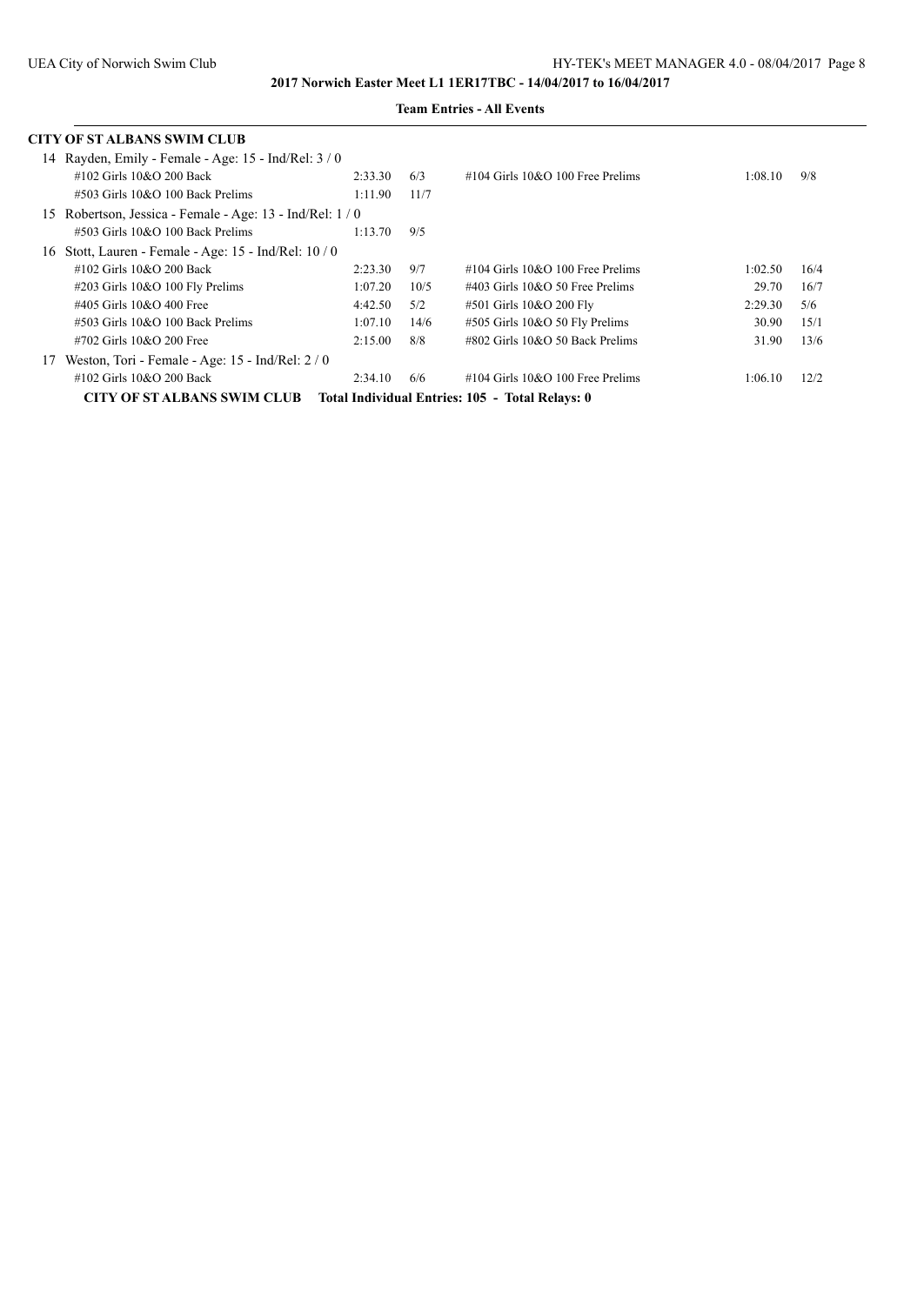|    | CITY OF ST ALBANS SWIM CLUB                            |         |      |                                                 |         |      |
|----|--------------------------------------------------------|---------|------|-------------------------------------------------|---------|------|
|    | 14 Rayden, Emily - Female - Age: $15$ - Ind/Rel: $3/0$ |         |      |                                                 |         |      |
|    | $\#102$ Girls $10&O$ 200 Back                          | 2:33.30 | 6/3  | $\#104$ Girls $10&O$ 100 Free Prelims           | 1:08.10 | 9/8  |
|    | #503 Girls 10&O 100 Back Prelims                       | 1:11.90 | 11/7 |                                                 |         |      |
| 15 | Robertson, Jessica - Female - Age: 13 - Ind/Rel: 1/0   |         |      |                                                 |         |      |
|    | $\#503$ Girls 10&O 100 Back Prelims                    | 1:13.70 | 9/5  |                                                 |         |      |
| 16 | Stott, Lauren - Female - Age: $15$ - Ind/Rel: $10/0$   |         |      |                                                 |         |      |
|    | #102 Girls 10&O 200 Back                               | 2:23.30 | 9/7  | $\#104$ Girls $10&O$ 100 Free Prelims           | 1:02.50 | 16/4 |
|    | #203 Girls 10&O 100 Fly Prelims                        | 1:07.20 | 10/5 | $\#403$ Girls $10&O$ 50 Free Prelims            | 29.70   | 16/7 |
|    | #405 Girls 10&O 400 Free                               | 4:42.50 | 5/2  | #501 Girls 10&O 200 Fly                         | 2:29.30 | 5/6  |
|    | $\#503$ Girls 10&O 100 Back Prelims                    | 1:07.10 | 14/6 | #505 Girls 10&O 50 Fly Prelims                  | 30.90   | 15/1 |
|    | #702 Girls 10&O 200 Free                               | 2:15.00 | 8/8  | $\#802$ Girls 10&O 50 Back Prelims              | 31.90   | 13/6 |
| 17 | Weston, Tori - Female - Age: 15 - Ind/Rel: $2/0$       |         |      |                                                 |         |      |
|    | #102 Girls 10&O 200 Back                               | 2:34.10 | 6/6  | $\#104$ Girls 10&O 100 Free Prelims             | 1:06.10 | 12/2 |
|    | <b>CITY OF ST ALBANS SWIM CLUB</b>                     |         |      | Total Individual Entries: 105 - Total Relays: 0 |         |      |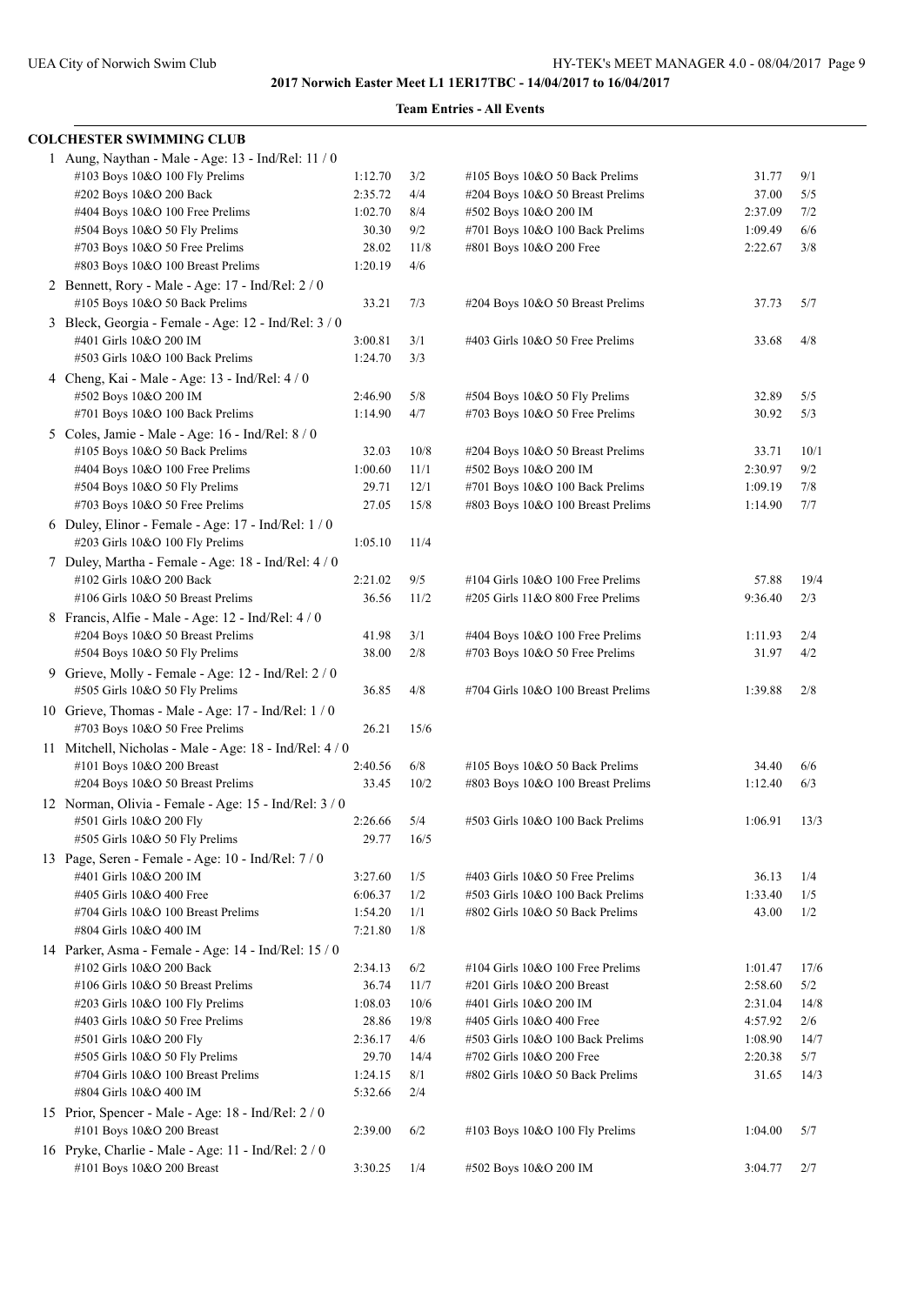| <b>COLCHESTER SWIMMING CLUB</b>                       |         |      |                                    |         |      |
|-------------------------------------------------------|---------|------|------------------------------------|---------|------|
| 1 Aung, Naythan - Male - Age: 13 - Ind/Rel: 11 / 0    |         |      |                                    |         |      |
| #103 Boys 10&O 100 Fly Prelims                        | 1:12.70 | 3/2  | #105 Boys 10&O 50 Back Prelims     | 31.77   | 9/1  |
| #202 Boys 10&O 200 Back                               | 2:35.72 | 4/4  | #204 Boys 10&O 50 Breast Prelims   | 37.00   | 5/5  |
| #404 Boys 10&O 100 Free Prelims                       | 1:02.70 | 8/4  | #502 Boys 10&O 200 IM              | 2:37.09 | 7/2  |
| #504 Boys 10&O 50 Fly Prelims                         | 30.30   | 9/2  | #701 Boys 10&O 100 Back Prelims    | 1:09.49 | 6/6  |
| #703 Boys 10&O 50 Free Prelims                        | 28.02   | 11/8 | #801 Boys 10&O 200 Free            | 2:22.67 | 3/8  |
| #803 Boys 10&O 100 Breast Prelims                     | 1:20.19 | 4/6  |                                    |         |      |
| 2 Bennett, Rory - Male - Age: 17 - Ind/Rel: 2 / 0     |         |      |                                    |         |      |
| #105 Boys 10&O 50 Back Prelims                        | 33.21   | 7/3  | #204 Boys 10&O 50 Breast Prelims   | 37.73   | 5/7  |
| 3 Bleck, Georgia - Female - Age: 12 - Ind/Rel: 3 / 0  |         |      |                                    |         |      |
| #401 Girls 10&O 200 IM                                | 3:00.81 | 3/1  | #403 Girls 10&O 50 Free Prelims    | 33.68   | 4/8  |
| #503 Girls 10&O 100 Back Prelims                      | 1:24.70 | 3/3  |                                    |         |      |
| 4 Cheng, Kai - Male - Age: 13 - Ind/Rel: 4 / 0        |         |      |                                    |         |      |
| #502 Boys 10&O 200 IM                                 | 2:46.90 | 5/8  | #504 Boys 10&O 50 Fly Prelims      | 32.89   | 5/5  |
| #701 Boys 10&O 100 Back Prelims                       | 1:14.90 | 4/7  | #703 Boys 10&O 50 Free Prelims     | 30.92   | 5/3  |
| 5 Coles, Jamie - Male - Age: 16 - Ind/Rel: 8 / 0      |         |      |                                    |         |      |
| #105 Boys 10&O 50 Back Prelims                        | 32.03   | 10/8 | #204 Boys 10&O 50 Breast Prelims   | 33.71   | 10/1 |
| #404 Boys 10&O 100 Free Prelims                       | 1:00.60 | 11/1 | #502 Boys 10&O 200 IM              | 2:30.97 | 9/2  |
| $\#504$ Boys 10&O 50 Fly Prelims                      | 29.71   | 12/1 | #701 Boys 10&O 100 Back Prelims    | 1:09.19 | 7/8  |
| $\#703$ Boys 10&O 50 Free Prelims                     | 27.05   | 15/8 | #803 Boys 10&O 100 Breast Prelims  | 1:14.90 | 7/7  |
| 6 Duley, Elinor - Female - Age: $17$ - Ind/Rel: $1/0$ |         |      |                                    |         |      |
| #203 Girls 10&O 100 Fly Prelims                       | 1:05.10 | 11/4 |                                    |         |      |
| 7 Duley, Martha - Female - Age: 18 - Ind/Rel: 4 / 0   |         |      |                                    |         |      |
| #102 Girls 10&O 200 Back                              | 2:21.02 | 9/5  | #104 Girls 10&O 100 Free Prelims   | 57.88   | 19/4 |
| #106 Girls 10&O 50 Breast Prelims                     | 36.56   | 11/2 | #205 Girls 11&O 800 Free Prelims   | 9:36.40 | 2/3  |
| 8 Francis, Alfie - Male - Age: 12 - Ind/Rel: 4 / 0    |         |      |                                    |         |      |
| #204 Boys 10&O 50 Breast Prelims                      | 41.98   | 3/1  | #404 Boys 10&O 100 Free Prelims    | 1:11.93 | 2/4  |
| $#504$ Boys 10&O 50 Fly Prelims                       | 38.00   | 2/8  | #703 Boys 10&O 50 Free Prelims     | 31.97   | 4/2  |
| 9 Grieve, Molly - Female - Age: $12$ - Ind/Rel: $2/0$ |         |      |                                    |         |      |
| #505 Girls 10&O 50 Fly Prelims                        | 36.85   | 4/8  | #704 Girls 10&O 100 Breast Prelims | 1:39.88 | 2/8  |
|                                                       |         |      |                                    |         |      |
| 10 Grieve, Thomas - Male - Age: 17 - Ind/Rel: 1 / 0   | 26.21   |      |                                    |         |      |
| $\#703$ Boys 10&O 50 Free Prelims                     |         | 15/6 |                                    |         |      |
| 11 Mitchell, Nicholas - Male - Age: 18 - Ind/Rel: 4/0 |         |      |                                    |         |      |
| #101 Boys 10&O 200 Breast                             | 2:40.56 | 6/8  | #105 Boys 10&O 50 Back Prelims     | 34.40   | 6/6  |
| #204 Boys 10&O 50 Breast Prelims                      | 33.45   | 10/2 | #803 Boys 10&O 100 Breast Prelims  | 1:12.40 | 6/3  |
| 12 Norman, Olivia - Female - Age: 15 - Ind/Rel: 3 / 0 |         |      |                                    |         |      |
| #501 Girls 10&O 200 Fly                               | 2:26.66 | 5/4  | #503 Girls 10&O 100 Back Prelims   | 1:06.91 | 13/3 |
| #505 Girls 10&O 50 Fly Prelims                        | 29.77   | 16/5 |                                    |         |      |
| 13 Page, Seren - Female - Age: 10 - Ind/Rel: 7 / 0    |         |      |                                    |         |      |
| #401 Girls 10&O 200 IM                                | 3:27.60 | 1/5  | #403 Girls 10&O 50 Free Prelims    | 36.13   | 1/4  |
| #405 Girls 10&O 400 Free                              | 6:06.37 | 1/2  | #503 Girls 10&O 100 Back Prelims   | 1:33.40 | 1/5  |
| #704 Girls 10&O 100 Breast Prelims                    | 1:54.20 | 1/1  | #802 Girls 10&O 50 Back Prelims    | 43.00   | 1/2  |
| #804 Girls 10&O 400 IM                                | 7:21.80 | 1/8  |                                    |         |      |
| 14 Parker, Asma - Female - Age: 14 - Ind/Rel: 15 / 0  |         |      |                                    |         |      |
| #102 Girls 10&O 200 Back                              | 2:34.13 | 6/2  | #104 Girls 10&O 100 Free Prelims   | 1:01.47 | 17/6 |
| #106 Girls 10&O 50 Breast Prelims                     | 36.74   | 11/7 | #201 Girls 10&O 200 Breast         | 2:58.60 | 5/2  |
| #203 Girls 10&O 100 Fly Prelims                       | 1:08.03 | 10/6 | #401 Girls 10&O 200 IM             | 2:31.04 | 14/8 |
| #403 Girls 10&O 50 Free Prelims                       | 28.86   | 19/8 | #405 Girls 10&O 400 Free           | 4:57.92 | 2/6  |
| #501 Girls 10&O 200 Fly                               | 2:36.17 | 4/6  | #503 Girls 10&O 100 Back Prelims   | 1:08.90 | 14/7 |
| #505 Girls 10&O 50 Fly Prelims                        | 29.70   | 14/4 | #702 Girls 10&O 200 Free           | 2:20.38 | 5/7  |
| #704 Girls 10&O 100 Breast Prelims                    | 1:24.15 | 8/1  | #802 Girls 10&O 50 Back Prelims    | 31.65   | 14/3 |
| #804 Girls 10&O 400 IM                                | 5:32.66 | 2/4  |                                    |         |      |
| 15 Prior, Spencer - Male - Age: 18 - Ind/Rel: 2 / 0   |         |      |                                    |         |      |
| #101 Boys 10&O 200 Breast                             | 2:39.00 | 6/2  | #103 Boys 10&O 100 Fly Prelims     | 1:04.00 | 5/7  |
| 16 Pryke, Charlie - Male - Age: 11 - Ind/Rel: 2 / 0   |         |      |                                    |         |      |
| #101 Boys 10&O 200 Breast                             | 3:30.25 | 1/4  | #502 Boys 10&O 200 IM              | 3:04.77 | 2/7  |
|                                                       |         |      |                                    |         |      |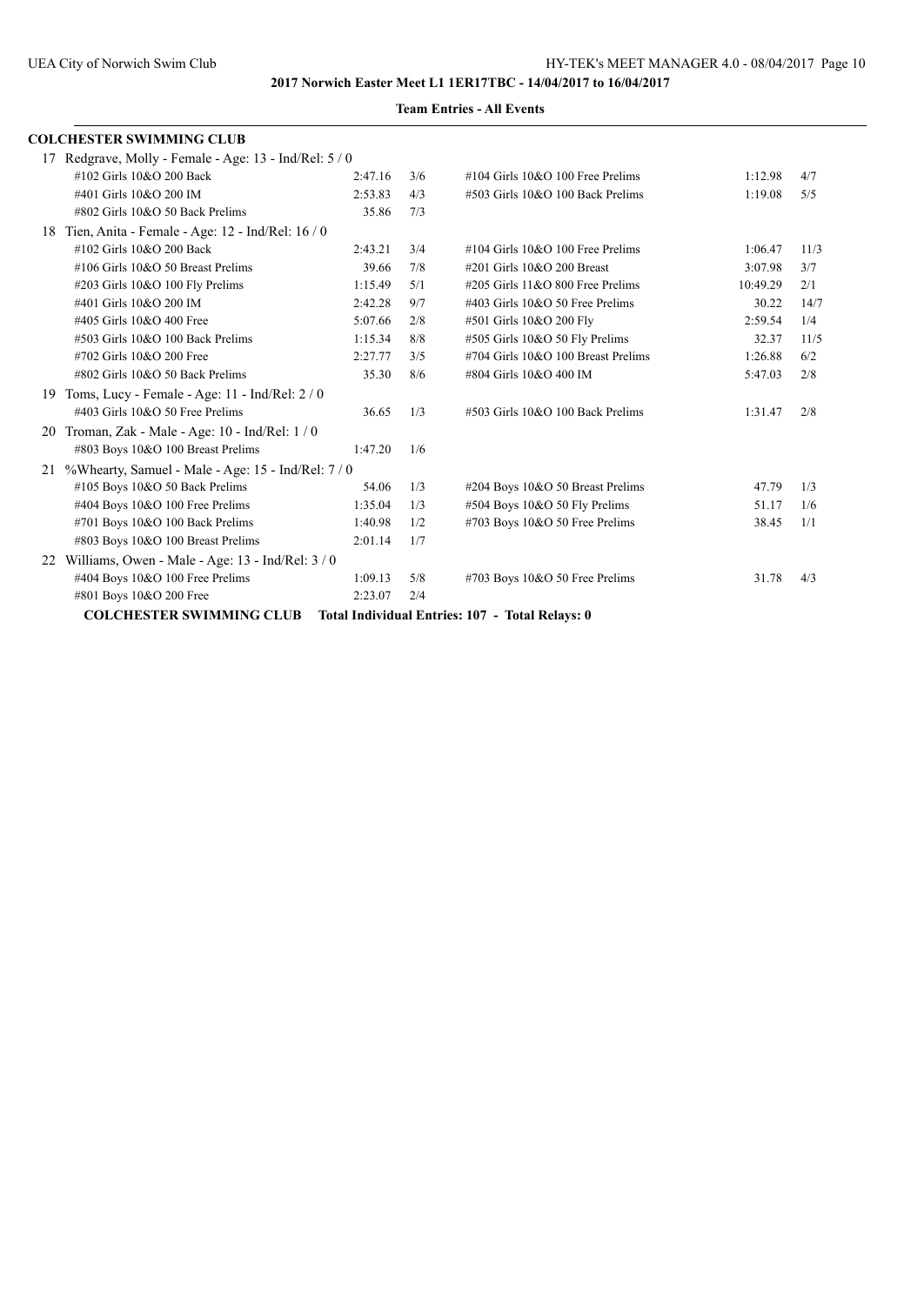|    | <b>COLCHESTER SWIMMING CLUB</b>                        |         |     |                                       |          |      |
|----|--------------------------------------------------------|---------|-----|---------------------------------------|----------|------|
|    | 17 Redgrave, Molly - Female - Age: 13 - Ind/Rel: 5 / 0 |         |     |                                       |          |      |
|    | #102 Girls 10&O 200 Back                               | 2:47.16 | 3/6 | $\#104$ Girls 10&O 100 Free Prelims   | 1:12.98  | 4/7  |
|    | #401 Girls 10&O 200 IM                                 | 2:53.83 | 4/3 | #503 Girls 10&O 100 Back Prelims      | 1:19.08  | 5/5  |
|    | #802 Girls 10&O 50 Back Prelims                        | 35.86   | 7/3 |                                       |          |      |
| 18 | Tien, Anita - Female - Age: 12 - Ind/Rel: 16 / 0       |         |     |                                       |          |      |
|    | #102 Girls 10&O 200 Back                               | 2:43.21 | 3/4 | $\#104$ Girls $10&O$ 100 Free Prelims | 1:06.47  | 11/3 |
|    | $\#106$ Girls $10&O$ 50 Breast Prelims                 | 39.66   | 7/8 | #201 Girls 10&O 200 Breast            | 3:07.98  | 3/7  |
|    | #203 Girls 10&O 100 Fly Prelims                        | 1:15.49 | 5/1 | $\#205$ Girls 11&O 800 Free Prelims   | 10:49.29 | 2/1  |
|    | #401 Girls 10&O 200 IM                                 | 2:42.28 | 9/7 | #403 Girls 10&O 50 Free Prelims       | 30.22    | 14/7 |
|    | #405 Girls 10&O 400 Free                               | 5:07.66 | 2/8 | #501 Girls 10&O 200 Fly               | 2:59.54  | 1/4  |
|    | $\#503$ Girls 10&O 100 Back Prelims                    | 1:15.34 | 8/8 | #505 Girls 10&O 50 Fly Prelims        | 32.37    | 11/5 |
|    | #702 Girls 10&O 200 Free                               | 2:27.77 | 3/5 | #704 Girls 10&O 100 Breast Prelims    | 1:26.88  | 6/2  |
|    | #802 Girls 10&O 50 Back Prelims                        | 35.30   | 8/6 | #804 Girls 10&O 400 IM                | 5:47.03  | 2/8  |
| 19 | Toms, Lucy - Female - Age: 11 - Ind/Rel: 2 / 0         |         |     |                                       |          |      |
|    | #403 Girls 10&O 50 Free Prelims                        | 36.65   | 1/3 | #503 Girls 10&O 100 Back Prelims      | 1:31.47  | 2/8  |
| 20 | Troman, Zak - Male - Age: 10 - Ind/Rel: 1 / 0          |         |     |                                       |          |      |
|    | #803 Boys 10&O 100 Breast Prelims                      | 1:47.20 | 1/6 |                                       |          |      |
| 21 | %Whearty, Samuel - Male - Age: 15 - Ind/Rel: 7 / 0     |         |     |                                       |          |      |
|    | #105 Boys 10&O 50 Back Prelims                         | 54.06   | 1/3 | #204 Boys 10&O 50 Breast Prelims      | 47.79    | 1/3  |
|    | #404 Boys 10&O 100 Free Prelims                        | 1:35.04 | 1/3 | #504 Boys 10&O 50 Fly Prelims         | 51.17    | 1/6  |
|    | #701 Boys 10&O 100 Back Prelims                        | 1:40.98 | 1/2 | #703 Boys 10&O 50 Free Prelims        | 38.45    | 1/1  |
|    | #803 Boys 10&O 100 Breast Prelims                      | 2:01.14 | 1/7 |                                       |          |      |
| 22 | Williams, Owen - Male - Age: 13 - Ind/Rel: 3 / 0       |         |     |                                       |          |      |
|    | #404 Boys 10&O 100 Free Prelims                        | 1:09.13 | 5/8 | $\#703$ Boys 10&O 50 Free Prelims     | 31.78    | 4/3  |
|    | #801 Boys 10&O 200 Free                                | 2:23.07 | 2/4 |                                       |          |      |
|    |                                                        |         |     |                                       |          |      |

**COLCHESTER SWIMMING CLUB Total Individual Entries: 107 - Total Relays: 0**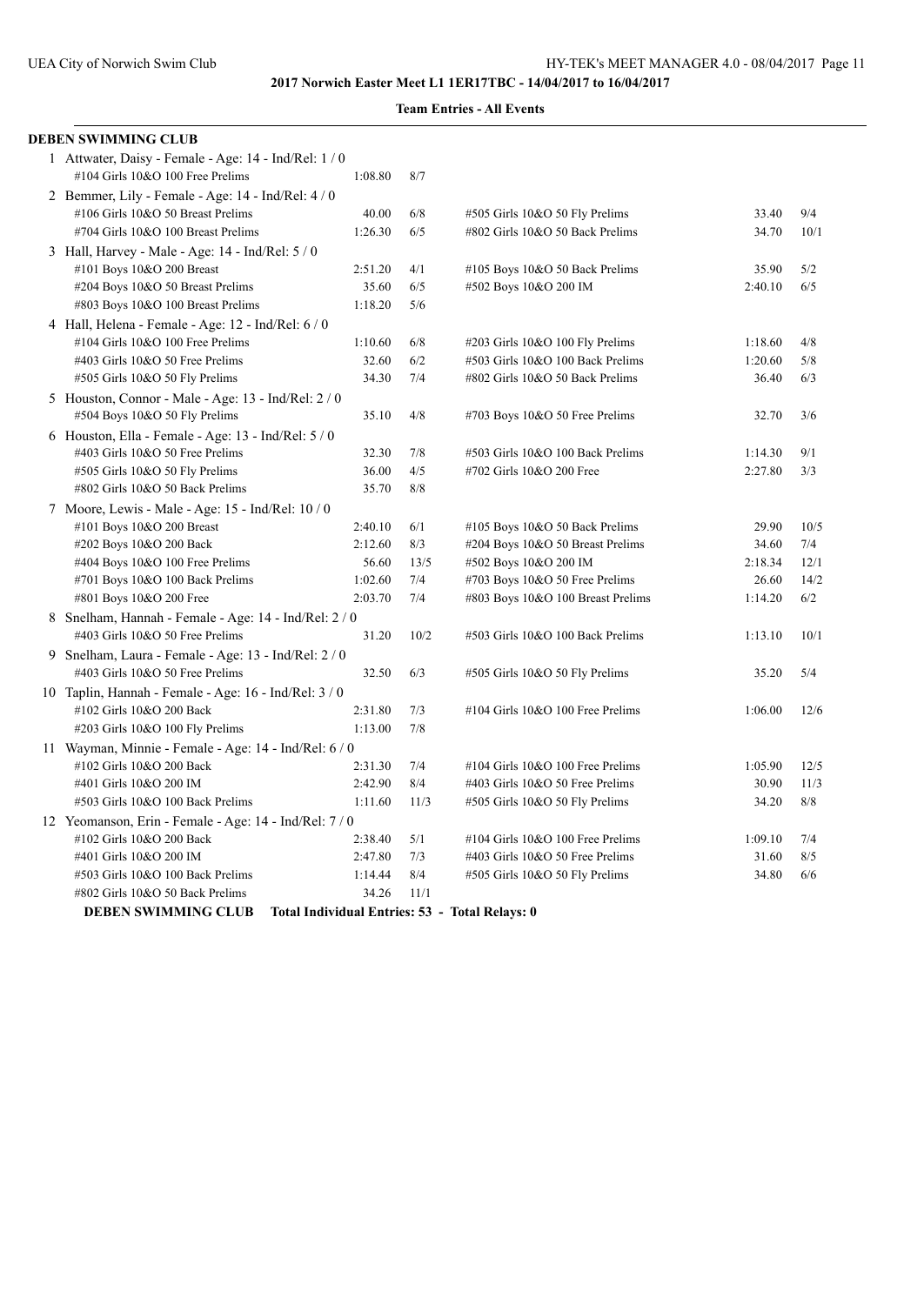#### **Team Entries - All Events**

| <b>DEBEN SWIMMING CLUB</b>                              |         |      |                                   |         |      |
|---------------------------------------------------------|---------|------|-----------------------------------|---------|------|
| 1 Attwater, Daisy - Female - Age: 14 - Ind/Rel: 1 / 0   |         |      |                                   |         |      |
| #104 Girls 10&O 100 Free Prelims                        | 1:08.80 | 8/7  |                                   |         |      |
| 2 Bemmer, Lily - Female - Age: 14 - Ind/Rel: 4 / 0      |         |      |                                   |         |      |
| #106 Girls 10&O 50 Breast Prelims                       | 40.00   | 6/8  | #505 Girls 10&O 50 Fly Prelims    | 33.40   | 9/4  |
| #704 Girls 10&O 100 Breast Prelims                      | 1:26.30 | 6/5  | #802 Girls 10&O 50 Back Prelims   | 34.70   | 10/1 |
| 3 Hall, Harvey - Male - Age: 14 - Ind/Rel: 5 / 0        |         |      |                                   |         |      |
| #101 Boys 10&O 200 Breast                               | 2:51.20 | 4/1  | #105 Boys 10&O 50 Back Prelims    | 35.90   | 5/2  |
| #204 Boys 10&O 50 Breast Prelims                        | 35.60   | 6/5  | #502 Boys 10&O 200 IM             | 2:40.10 | 6/5  |
| #803 Boys 10&O 100 Breast Prelims                       | 1:18.20 | 5/6  |                                   |         |      |
| 4 Hall, Helena - Female - Age: 12 - Ind/Rel: 6 / 0      |         |      |                                   |         |      |
| #104 Girls 10&O 100 Free Prelims                        | 1:10.60 | 6/8  | #203 Girls 10&O 100 Fly Prelims   | 1:18.60 | 4/8  |
| #403 Girls 10&O 50 Free Prelims                         | 32.60   | 6/2  | #503 Girls 10&O 100 Back Prelims  | 1:20.60 | 5/8  |
| #505 Girls 10&O 50 Fly Prelims                          | 34.30   | 7/4  | #802 Girls 10&O 50 Back Prelims   | 36.40   | 6/3  |
| 5 Houston, Connor - Male - Age: 13 - Ind/Rel: 2 / 0     |         |      |                                   |         |      |
| #504 Boys 10&O 50 Fly Prelims                           | 35.10   | 4/8  | #703 Boys 10&O 50 Free Prelims    | 32.70   | 3/6  |
| 6 Houston, Ella - Female - Age: 13 - Ind/Rel: $5/0$     |         |      |                                   |         |      |
| #403 Girls 10&O 50 Free Prelims                         | 32.30   | 7/8  | #503 Girls 10&O 100 Back Prelims  | 1:14.30 | 9/1  |
| #505 Girls 10&O 50 Fly Prelims                          | 36.00   | 4/5  | #702 Girls 10&O 200 Free          | 2:27.80 | 3/3  |
| #802 Girls 10&O 50 Back Prelims                         | 35.70   | 8/8  |                                   |         |      |
| 7 Moore, Lewis - Male - Age: 15 - Ind/Rel: 10/0         |         |      |                                   |         |      |
| #101 Boys 10&O 200 Breast                               | 2:40.10 | 6/1  | #105 Boys 10&O 50 Back Prelims    | 29.90   | 10/5 |
| #202 Boys 10&O 200 Back                                 | 2:12.60 | 8/3  | #204 Boys 10&O 50 Breast Prelims  | 34.60   | 7/4  |
| #404 Boys 10&O 100 Free Prelims                         | 56.60   | 13/5 | #502 Boys 10&O 200 IM             | 2:18.34 | 12/1 |
| #701 Boys 10&O 100 Back Prelims                         | 1:02.60 | 7/4  | #703 Boys 10&O 50 Free Prelims    | 26.60   | 14/2 |
| #801 Boys 10&O 200 Free                                 | 2:03.70 | 7/4  | #803 Boys 10&O 100 Breast Prelims | 1:14.20 | 6/2  |
| 8 Snelham, Hannah - Female - Age: 14 - Ind/Rel: 2/0     |         |      |                                   |         |      |
| #403 Girls 10&O 50 Free Prelims                         | 31.20   | 10/2 | #503 Girls 10&O 100 Back Prelims  | 1:13.10 | 10/1 |
| 9 Snelham, Laura - Female - Age: 13 - Ind/Rel: 2 / 0    |         |      |                                   |         |      |
| #403 Girls 10&O 50 Free Prelims                         | 32.50   | 6/3  | #505 Girls 10&O 50 Fly Prelims    | 35.20   | 5/4  |
| 10 Taplin, Hannah - Female - Age: $16$ - Ind/Rel: $3/0$ |         |      |                                   |         |      |
| #102 Girls 10&O 200 Back                                | 2:31.80 | 7/3  | #104 Girls 10&O 100 Free Prelims  | 1:06.00 | 12/6 |
| #203 Girls 10&O 100 Fly Prelims                         | 1:13.00 | 7/8  |                                   |         |      |
| 11 Wayman, Minnie - Female - Age: 14 - Ind/Rel: 6 / 0   |         |      |                                   |         |      |
| #102 Girls 10&O 200 Back                                | 2:31.30 | 7/4  | #104 Girls 10&O 100 Free Prelims  | 1:05.90 | 12/5 |
| #401 Girls 10&O 200 IM                                  | 2:42.90 | 8/4  | #403 Girls 10&O 50 Free Prelims   | 30.90   | 11/3 |
| #503 Girls 10&O 100 Back Prelims                        | 1:11.60 | 11/3 | #505 Girls 10&O 50 Fly Prelims    | 34.20   | 8/8  |
| 12 Yeomanson, Erin - Female - Age: 14 - Ind/Rel: 7 / 0  |         |      |                                   |         |      |
| #102 Girls 10&O 200 Back                                | 2:38.40 | 5/1  | #104 Girls 10&O 100 Free Prelims  | 1:09.10 | 7/4  |
| #401 Girls 10&O 200 IM                                  | 2:47.80 | 7/3  | #403 Girls 10&O 50 Free Prelims   | 31.60   | 8/5  |
| #503 Girls 10&O 100 Back Prelims                        | 1:14.44 | 8/4  | #505 Girls 10&O 50 Fly Prelims    | 34.80   | 6/6  |
| #802 Girls 10&O 50 Back Prelims                         | 34.26   | 11/1 |                                   |         |      |

**DEBEN SWIMMING CLUB Total Individual Entries: 53 - Total Relays: 0**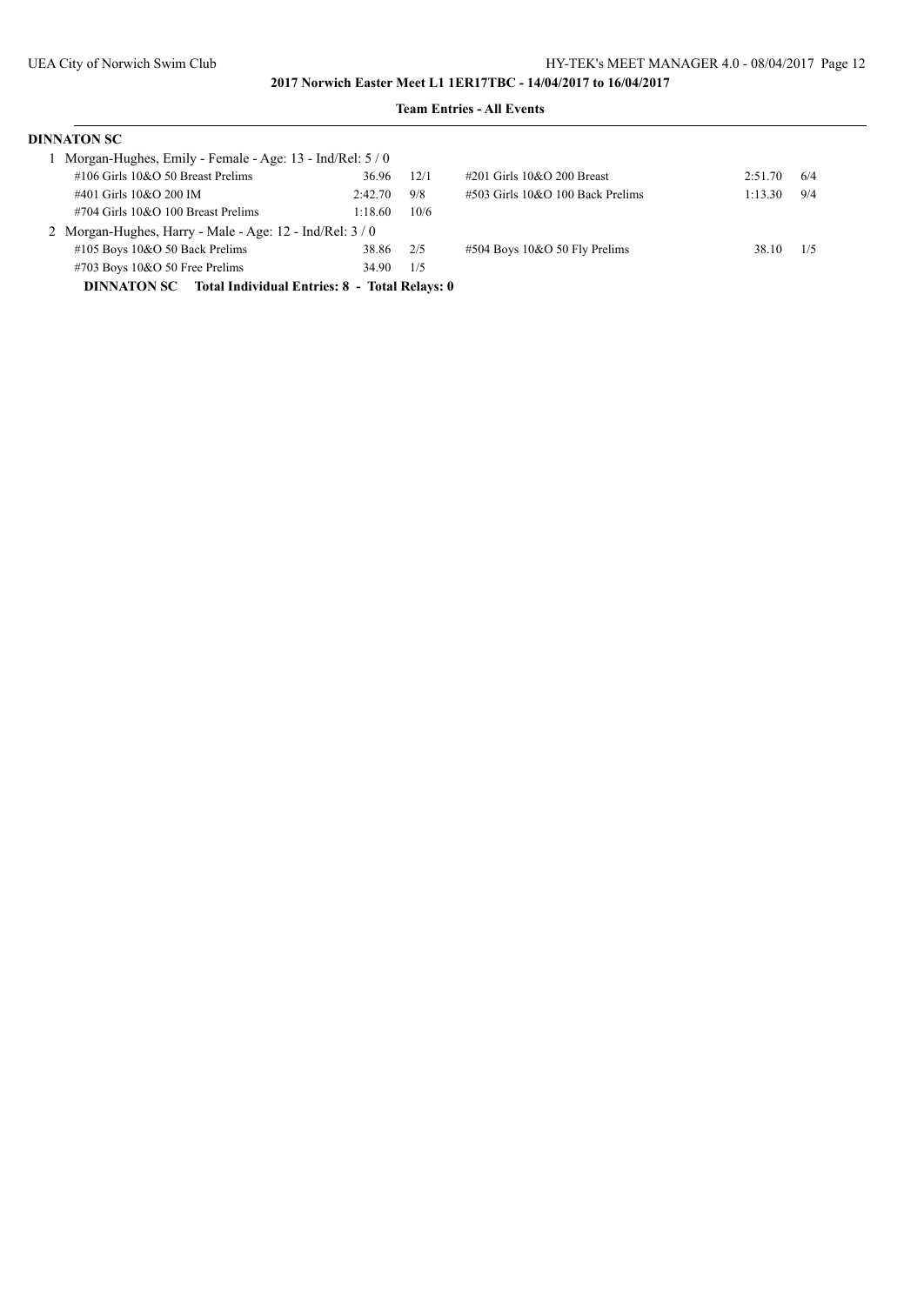| <b>DINNATON SC</b>                                               |         |      |                                     |         |     |
|------------------------------------------------------------------|---------|------|-------------------------------------|---------|-----|
| Morgan-Hughes, Emily - Female - Age: 13 - Ind/Rel: 5 / 0         |         |      |                                     |         |     |
| $\#106$ Girls $10&O$ 50 Breast Prelims                           | 36.96   | 12/1 | $\#201$ Girls $10&O$ 200 Breast     | 2:51.70 | 6/4 |
| #401 Girls 10&O 200 IM                                           | 2:42.70 | 9/8  | $\#503$ Girls 10&O 100 Back Prelims | 1:13.30 | 9/4 |
| $\#704$ Girls 10&O 100 Breast Prelims                            | 1:18.60 | 10/6 |                                     |         |     |
| 2 Morgan-Hughes, Harry - Male - Age: 12 - Ind/Rel: 3/0           |         |      |                                     |         |     |
| $\#105$ Boys 10&O 50 Back Prelims                                | 38.86   | 2/5  | $\#504$ Boys 10&O 50 Fly Prelims    | 38.10   | 1/5 |
| $\#703$ Boys 10&O 50 Free Prelims                                | 34.90   | 1/5  |                                     |         |     |
| <b>DINNATON SC</b> Total Individual Entries: 8 - Total Relays: 0 |         |      |                                     |         |     |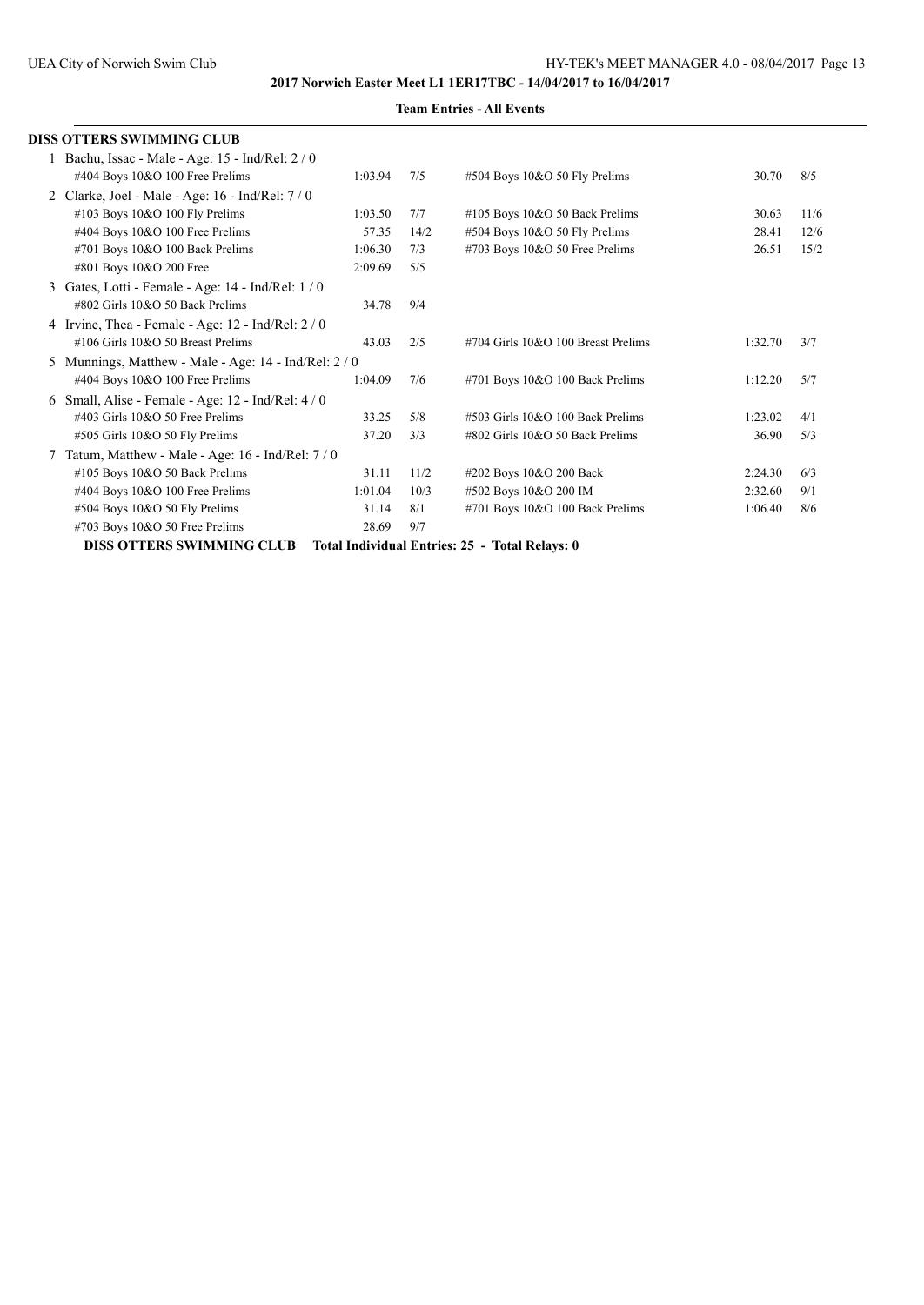|   | DISS OTTERS SWIMMING CLUB                               |         |      |                                                |         |      |
|---|---------------------------------------------------------|---------|------|------------------------------------------------|---------|------|
|   | 1 Bachu, Issac - Male - Age: 15 - Ind/Rel: 2 / 0        |         |      |                                                |         |      |
|   | #404 Boys 10&O 100 Free Prelims                         | 1:03.94 | 7/5  | #504 Boys 10&O 50 Fly Prelims                  | 30.70   | 8/5  |
|   | 2 Clarke, Joel - Male - Age: 16 - Ind/Rel: 7 / 0        |         |      |                                                |         |      |
|   | #103 Boys 10&O 100 Fly Prelims                          | 1:03.50 | 7/7  | $\#105$ Boys 10&O 50 Back Prelims              | 30.63   | 11/6 |
|   | #404 Boys 10&O 100 Free Prelims                         | 57.35   | 14/2 | #504 Boys 10&O 50 Fly Prelims                  | 28.41   | 12/6 |
|   | #701 Boys 10&O 100 Back Prelims                         | 1:06.30 | 7/3  | #703 Boys 10&O 50 Free Prelims                 | 26.51   | 15/2 |
|   | #801 Boys 10&O 200 Free                                 | 2:09.69 | 5/5  |                                                |         |      |
| 3 | Gates, Lotti - Female - Age: 14 - Ind/Rel: 1 / 0        |         |      |                                                |         |      |
|   | #802 Girls 10&O 50 Back Prelims                         | 34.78   | 9/4  |                                                |         |      |
|   | 4 Irvine, Thea - Female - Age: $12$ - Ind/Rel: $2/0$    |         |      |                                                |         |      |
|   | #106 Girls 10&O 50 Breast Prelims                       | 43.03   | 2/5  | #704 Girls 10&O 100 Breast Prelims             | 1:32.70 | 3/7  |
|   | 5 Munnings, Matthew - Male - Age: $14$ - Ind/Rel: $2/0$ |         |      |                                                |         |      |
|   | #404 Boys 10&O 100 Free Prelims                         | 1:04.09 | 7/6  | #701 Boys 10&O 100 Back Prelims                | 1:12.20 | 5/7  |
| 6 | Small, Alise - Female - Age: 12 - Ind/Rel: 4/0          |         |      |                                                |         |      |
|   | $\#403$ Girls 10&O 50 Free Prelims                      | 33.25   | 5/8  | #503 Girls 10&O 100 Back Prelims               | 1:23.02 | 4/1  |
|   | #505 Girls 10&O 50 Fly Prelims                          | 37.20   | 3/3  | #802 Girls 10&O 50 Back Prelims                | 36.90   | 5/3  |
|   | Tatum, Matthew - Male - Age: 16 - Ind/Rel: 7 / 0        |         |      |                                                |         |      |
|   | #105 Boys 10&O 50 Back Prelims                          | 31.11   | 11/2 | #202 Boys 10&O 200 Back                        | 2:24.30 | 6/3  |
|   | #404 Boys 10&O 100 Free Prelims                         | 1:01.04 | 10/3 | #502 Boys 10&O 200 IM                          | 2:32.60 | 9/1  |
|   | #504 Boys 10&O 50 Fly Prelims                           | 31.14   | 8/1  | #701 Boys 10&O 100 Back Prelims                | 1:06.40 | 8/6  |
|   | #703 Boys 10&O 50 Free Prelims                          | 28.69   | 9/7  |                                                |         |      |
|   | <b>DISS OTTERS SWIMMING CLUB</b>                        |         |      | Total Individual Entries: 25 - Total Relays: 0 |         |      |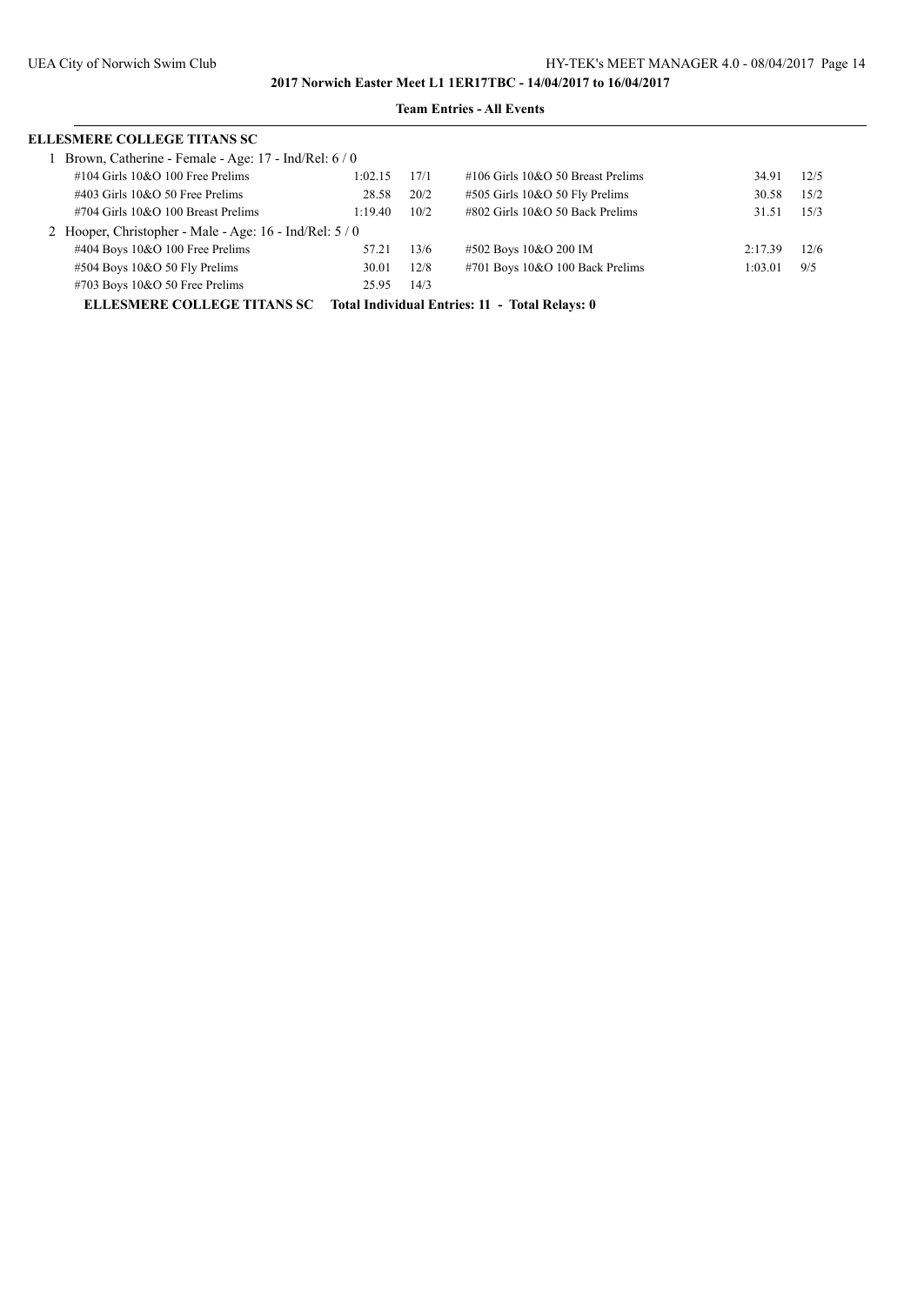| <b>ELLESMERE COLLEGE TITANS SC</b>                      |         |      |                                                |         |      |
|---------------------------------------------------------|---------|------|------------------------------------------------|---------|------|
| Brown, Catherine - Female - Age: 17 - Ind/Rel: 6 / 0    |         |      |                                                |         |      |
| $\#104$ Girls 10&O 100 Free Prelims                     | 1:02.15 | 17/1 | $\#106$ Girls 10&O 50 Breast Prelims           | 34.91   | 12/5 |
| $\#403$ Girls $10&O$ 50 Free Prelims                    | 28.58   | 20/2 | #505 Girls 10&O 50 Fly Prelims                 | 30.58   | 15/2 |
| $\#704$ Girls 10&O 100 Breast Prelims                   | 1:19.40 | 10/2 | $\#802$ Girls 10&O 50 Back Prelims             | 31.51   | 15/3 |
| 2 Hooper, Christopher - Male - Age: 16 - Ind/Rel: 5 / 0 |         |      |                                                |         |      |
| $\#404$ Boys 10&O 100 Free Prelims                      | 57.21   | 13/6 | #502 Boys 10&O 200 IM                          | 2:17.39 | 12/6 |
| $\#504$ Boys 10&O 50 Fly Prelims                        | 30.01   | 12/8 | #701 Boys 10&O 100 Back Prelims                | 1:03.01 | 9/5  |
| $\#703$ Boys 10&O 50 Free Prelims                       | 25.95   | 14/3 |                                                |         |      |
| <b>ELLESMERE COLLEGE TITANS SC</b>                      |         |      | Total Individual Entries: 11 - Total Relays: 0 |         |      |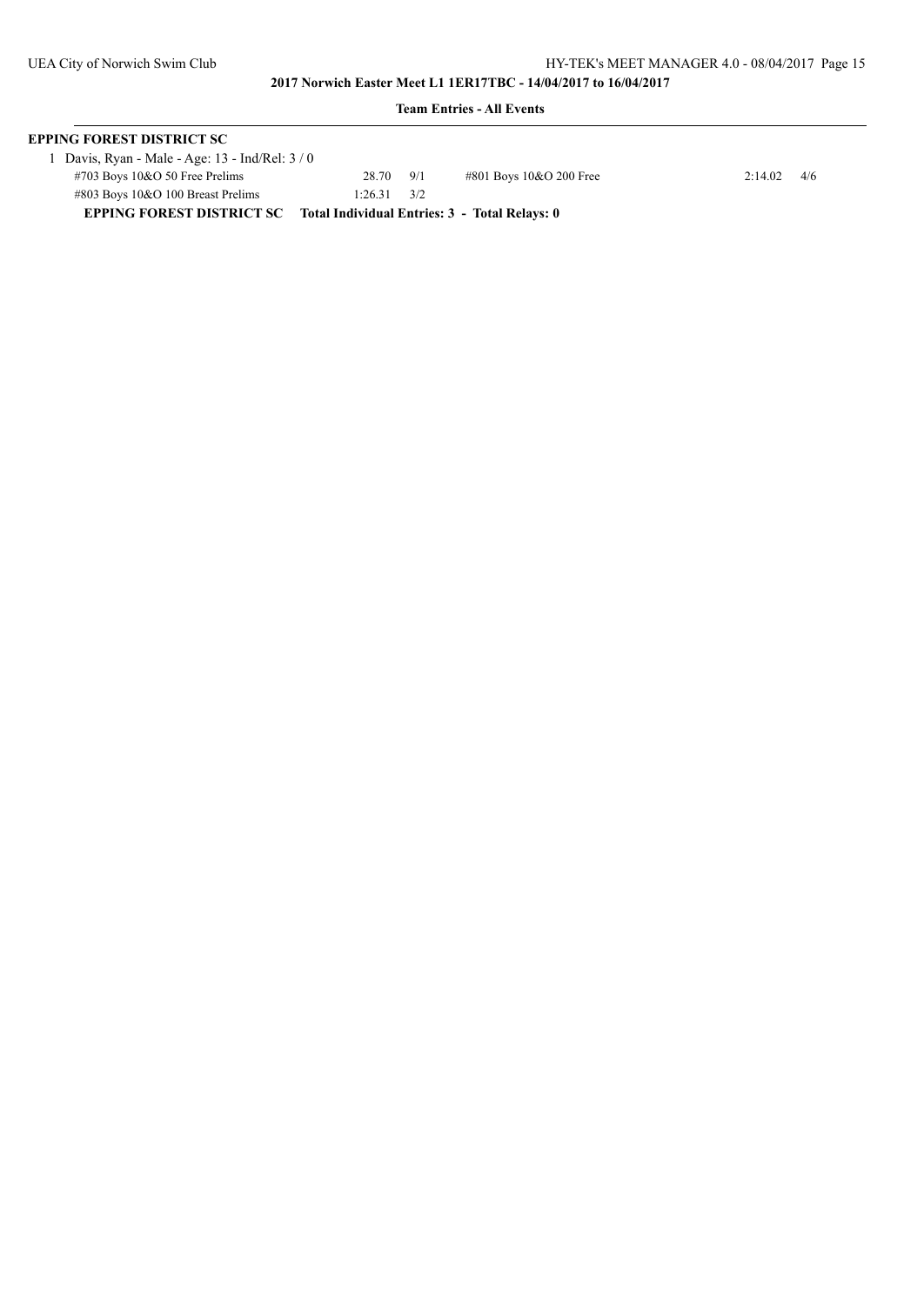| <b>EPPING FOREST DISTRICT SC</b>                                           |                      |  |                         |               |  |  |
|----------------------------------------------------------------------------|----------------------|--|-------------------------|---------------|--|--|
| 1 Davis, Ryan - Male - Age: 13 - Ind/Rel: 3 / 0                            |                      |  |                         |               |  |  |
| $\#703$ Boys 10&O 50 Free Prelims                                          | 28.70 9/1            |  | #801 Boys 10&O 200 Free | $2:14.02$ 4/6 |  |  |
| $\#803$ Boys 10&O 100 Breast Prelims                                       | $1:26.31 \qquad 3/2$ |  |                         |               |  |  |
| EPPING FOREST DISTRICT SC<br>Total Individual Entries: 3 - Total Relays: 0 |                      |  |                         |               |  |  |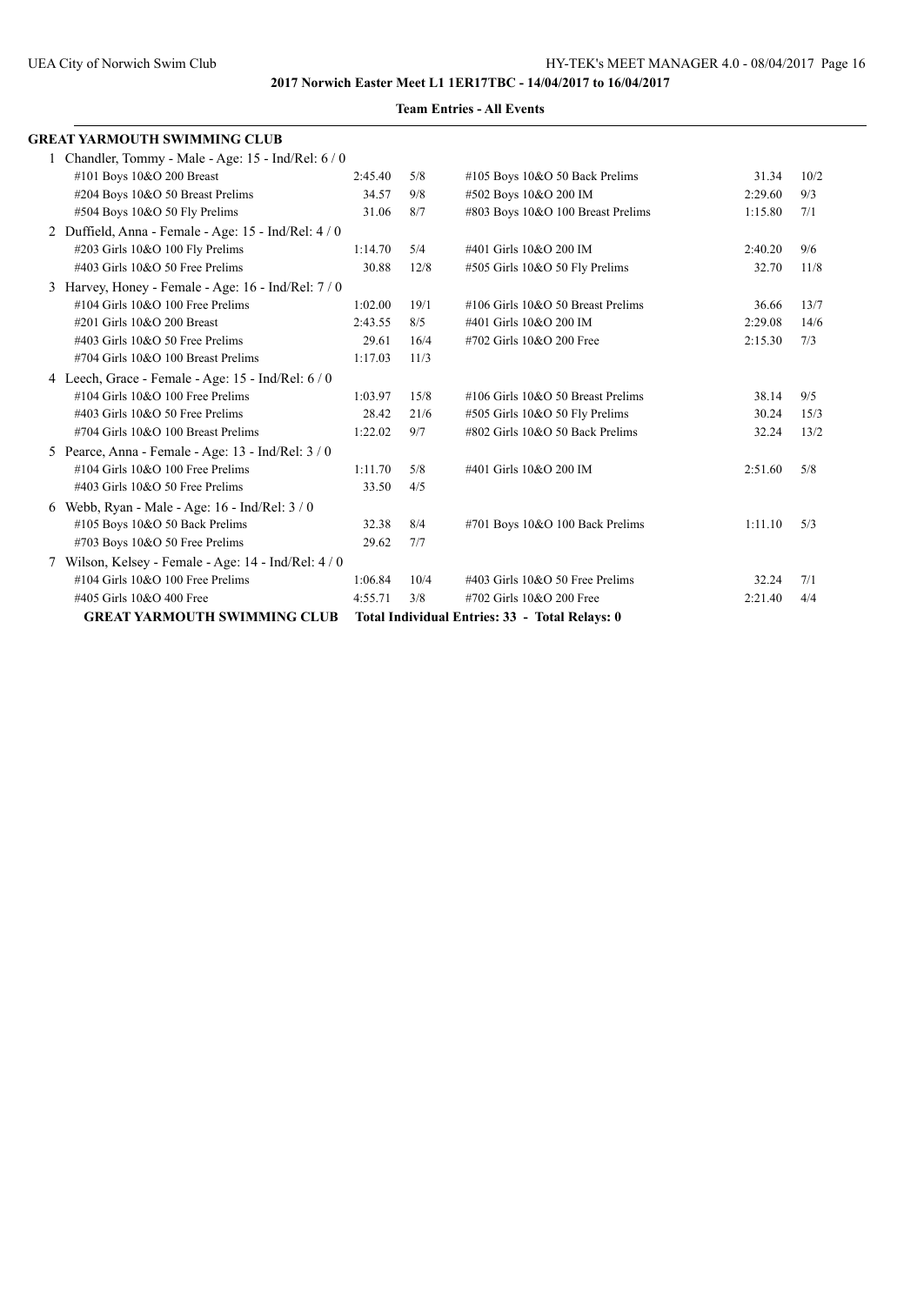|   | <b>GREAT YARMOUTH SWIMMING CLUB</b>                 |         |      |                                                |         |      |
|---|-----------------------------------------------------|---------|------|------------------------------------------------|---------|------|
|   | 1 Chandler, Tommy - Male - Age: 15 - Ind/Rel: 6 / 0 |         |      |                                                |         |      |
|   | #101 Boys 10&O 200 Breast                           | 2:45.40 | 5/8  | $\#105$ Boys 10&O 50 Back Prelims              | 31.34   | 10/2 |
|   | #204 Boys 10&O 50 Breast Prelims                    | 34.57   | 9/8  | #502 Boys 10&O 200 IM                          | 2:29.60 | 9/3  |
|   | #504 Boys 10&O 50 Fly Prelims                       | 31.06   | 8/7  | #803 Boys 10&O 100 Breast Prelims              | 1:15.80 | 7/1  |
|   | 2 Duffield, Anna - Female - Age: 15 - Ind/Rel: 4/0  |         |      |                                                |         |      |
|   | #203 Girls 10&O 100 Fly Prelims                     | 1:14.70 | 5/4  | #401 Girls 10&O 200 IM                         | 2:40.20 | 9/6  |
|   | #403 Girls 10&O 50 Free Prelims                     | 30.88   | 12/8 | #505 Girls 10&O 50 Fly Prelims                 | 32.70   | 11/8 |
|   | 3 Harvey, Honey - Female - Age: 16 - Ind/Rel: 7 / 0 |         |      |                                                |         |      |
|   | $\#104$ Girls $10&O$ 100 Free Prelims               | 1:02.00 | 19/1 | #106 Girls 10&O 50 Breast Prelims              | 36.66   | 13/7 |
|   | #201 Girls 10&O 200 Breast                          | 2:43.55 | 8/5  | #401 Girls 10&O 200 IM                         | 2:29.08 | 14/6 |
|   | #403 Girls 10&O 50 Free Prelims                     | 29.61   | 16/4 | #702 Girls 10&O 200 Free                       | 2:15.30 | 7/3  |
|   | #704 Girls 10&O 100 Breast Prelims                  | 1:17.03 | 11/3 |                                                |         |      |
|   | 4 Leech, Grace - Female - Age: 15 - Ind/Rel: 6 / 0  |         |      |                                                |         |      |
|   | $\#104$ Girls $10&O$ 100 Free Prelims               | 1:03.97 | 15/8 | #106 Girls 10&O 50 Breast Prelims              | 38.14   | 9/5  |
|   | #403 Girls 10&O 50 Free Prelims                     | 28.42   | 21/6 | #505 Girls 10&O 50 Fly Prelims                 | 30.24   | 15/3 |
|   | #704 Girls 10&O 100 Breast Prelims                  | 1:22.02 | 9/7  | #802 Girls 10&O 50 Back Prelims                | 32.24   | 13/2 |
|   | 5 Pearce, Anna - Female - Age: 13 - Ind/Rel: 3 / 0  |         |      |                                                |         |      |
|   | #104 Girls 10&O 100 Free Prelims                    | 1:11.70 | 5/8  | #401 Girls 10&O 200 IM                         | 2:51.60 | 5/8  |
|   | $\#403$ Girls 10&O 50 Free Prelims                  | 33.50   | 4/5  |                                                |         |      |
| 6 | Webb, Ryan - Male - Age: $16$ - Ind/Rel: $3/0$      |         |      |                                                |         |      |
|   | #105 Boys 10&O 50 Back Prelims                      | 32.38   | 8/4  | #701 Boys 10&O 100 Back Prelims                | 1:11.10 | 5/3  |
|   | #703 Boys 10&O 50 Free Prelims                      | 29.62   | 7/7  |                                                |         |      |
|   | 7 Wilson, Kelsey - Female - Age: 14 - Ind/Rel: 4/0  |         |      |                                                |         |      |
|   | #104 Girls 10&O 100 Free Prelims                    | 1:06.84 | 10/4 | #403 Girls 10&O 50 Free Prelims                | 32.24   | 7/1  |
|   | #405 Girls 10&O 400 Free                            | 4:55.71 | 3/8  | #702 Girls 10&O 200 Free                       | 2:21.40 | 4/4  |
|   | <b>GREAT YARMOUTH SWIMMING CLUB</b>                 |         |      | Total Individual Entries: 33 - Total Relays: 0 |         |      |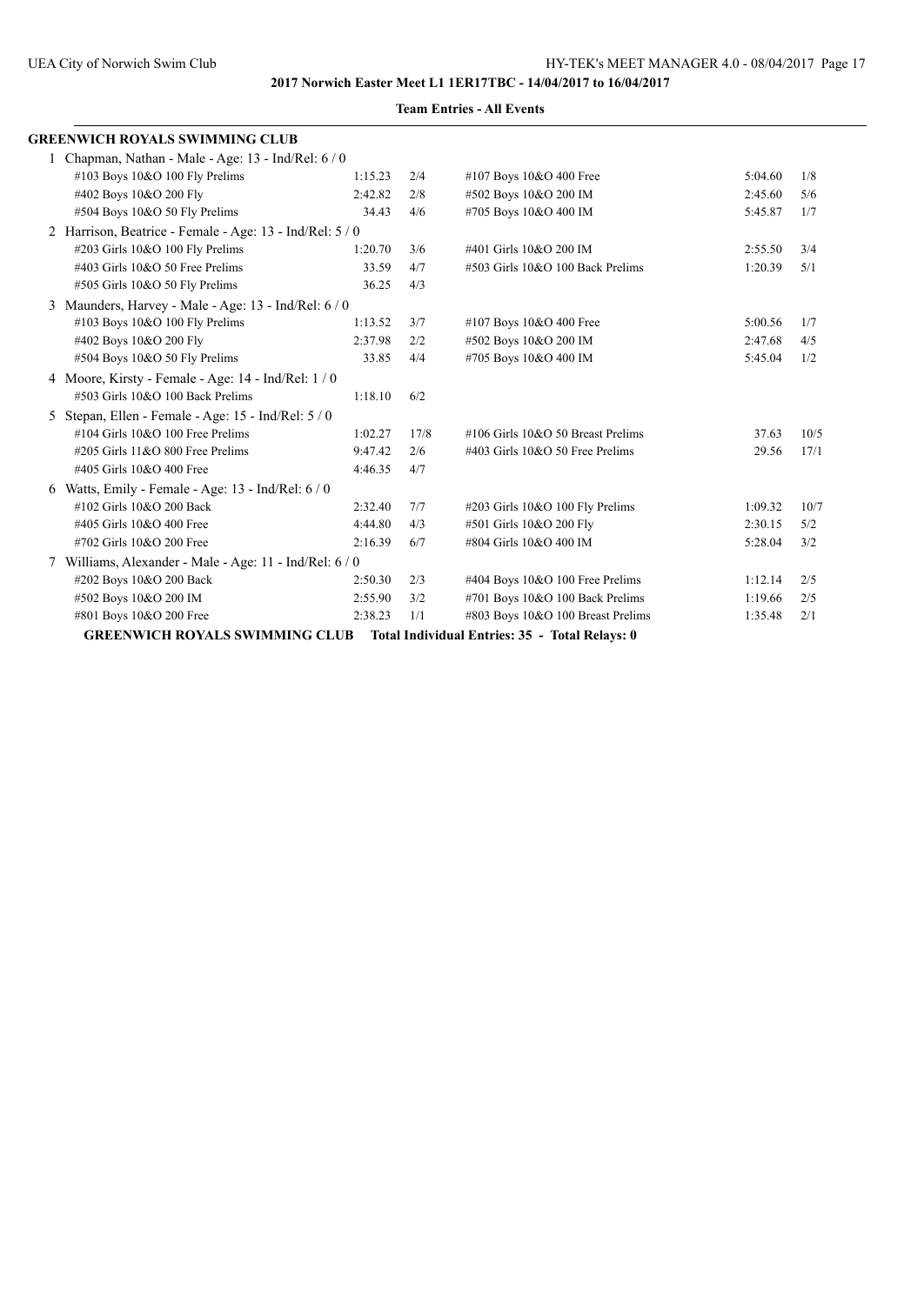|    | <b>GREENWICH ROYALS SWIMMING CLUB</b>                    |         |      |                                                |         |      |
|----|----------------------------------------------------------|---------|------|------------------------------------------------|---------|------|
|    | 1 Chapman, Nathan - Male - Age: 13 - Ind/Rel: 6 / 0      |         |      |                                                |         |      |
|    | #103 Boys 10&O 100 Fly Prelims                           | 1:15.23 | 2/4  | #107 Boys 10&O 400 Free                        | 5:04.60 | 1/8  |
|    | #402 Boys 10&O 200 Fly                                   | 2:42.82 | 2/8  | #502 Boys 10&O 200 IM                          | 2:45.60 | 5/6  |
|    | #504 Boys 10&O 50 Fly Prelims                            | 34.43   | 4/6  | #705 Boys 10&O 400 IM                          | 5:45.87 | 1/7  |
|    | 2 Harrison, Beatrice - Female - Age: 13 - Ind/Rel: 5 / 0 |         |      |                                                |         |      |
|    | #203 Girls 10&O 100 Fly Prelims                          | 1:20.70 | 3/6  | #401 Girls 10&O 200 IM                         | 2:55.50 | 3/4  |
|    | #403 Girls 10&O 50 Free Prelims                          | 33.59   | 4/7  | #503 Girls 10&O 100 Back Prelims               | 1:20.39 | 5/1  |
|    | #505 Girls 10&O 50 Fly Prelims                           | 36.25   | 4/3  |                                                |         |      |
|    | 3 Maunders, Harvey - Male - Age: $13$ - Ind/Rel: $6/0$   |         |      |                                                |         |      |
|    | #103 Boys 10&O 100 Fly Prelims                           | 1:13.52 | 3/7  | #107 Boys 10&O 400 Free                        | 5:00.56 | 1/7  |
|    | #402 Boys 10&O 200 Fly                                   | 2:37.98 | 2/2  | #502 Boys 10&O 200 IM                          | 2:47.68 | 4/5  |
|    | #504 Boys 10&O 50 Fly Prelims                            | 33.85   | 4/4  | #705 Boys 10&O 400 IM                          | 5:45.04 | 1/2  |
|    | 4 Moore, Kirsty - Female - Age: 14 - Ind/Rel: 1 / 0      |         |      |                                                |         |      |
|    | #503 Girls 10&O 100 Back Prelims                         | 1:18.10 | 6/2  |                                                |         |      |
| 5. | Stepan, Ellen - Female - Age: 15 - Ind/Rel: 5 / 0        |         |      |                                                |         |      |
|    | #104 Girls 10&O 100 Free Prelims                         | 1:02.27 | 17/8 | #106 Girls 10&O 50 Breast Prelims              | 37.63   | 10/5 |
|    | #205 Girls 11&O 800 Free Prelims                         | 9:47.42 | 2/6  | #403 Girls 10&O 50 Free Prelims                | 29.56   | 17/1 |
|    | #405 Girls 10&O 400 Free                                 | 4:46.35 | 4/7  |                                                |         |      |
|    | 6 Watts, Emily - Female - Age: $13$ - Ind/Rel: $6/0$     |         |      |                                                |         |      |
|    | #102 Girls 10&O 200 Back                                 | 2:32.40 | 7/7  | #203 Girls 10&O 100 Fly Prelims                | 1:09.32 | 10/7 |
|    | #405 Girls 10&O 400 Free                                 | 4:44.80 | 4/3  | #501 Girls 10&O 200 Fly                        | 2:30.15 | 5/2  |
|    | #702 Girls 10&O 200 Free                                 | 2:16.39 | 6/7  | #804 Girls 10&O 400 IM                         | 5:28.04 | 3/2  |
|    | 7 Williams, Alexander - Male - Age: 11 - Ind/Rel: 6/0    |         |      |                                                |         |      |
|    | #202 Boys 10&O 200 Back                                  | 2:50.30 | 2/3  | #404 Boys 10&O 100 Free Prelims                | 1:12.14 | 2/5  |
|    | #502 Boys 10&O 200 IM                                    | 2:55.90 | 3/2  | #701 Boys 10&O 100 Back Prelims                | 1:19.66 | 2/5  |
|    | #801 Boys 10&O 200 Free                                  | 2:38.23 | 1/1  | #803 Boys 10&O 100 Breast Prelims              | 1:35.48 | 2/1  |
|    | <b>GREENWICH ROYALS SWIMMING CLUB</b>                    |         |      | Total Individual Entries: 35 - Total Relays: 0 |         |      |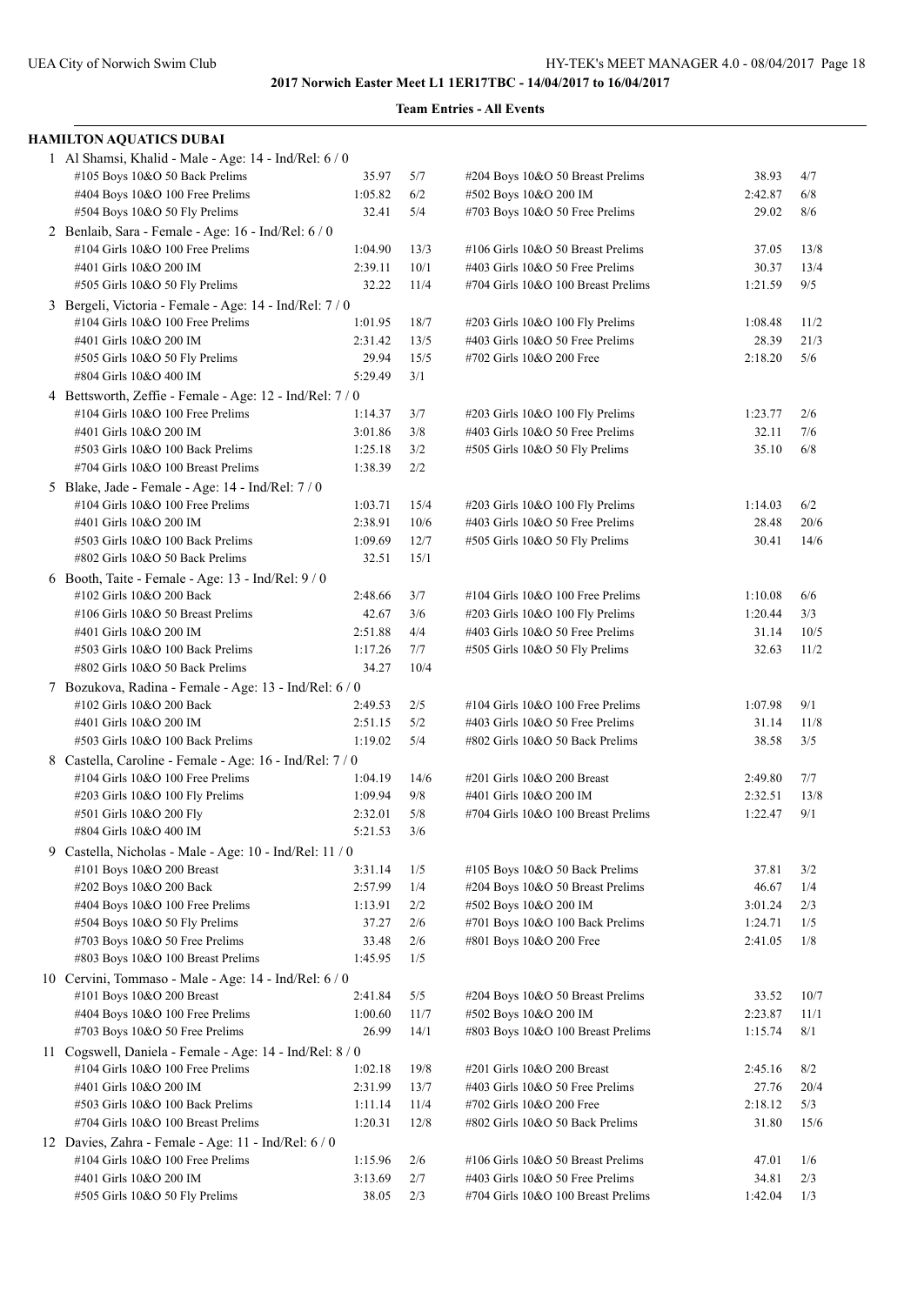|    | <b>HAMILTON AQUATICS DUBAI</b>                                                     |         |      |                                    |         |      |
|----|------------------------------------------------------------------------------------|---------|------|------------------------------------|---------|------|
|    | 1 Al Shamsi, Khalid - Male - Age: 14 - Ind/Rel: 6 / 0                              |         |      |                                    |         |      |
|    | #105 Boys 10&O 50 Back Prelims                                                     | 35.97   | 5/7  | #204 Boys 10&O 50 Breast Prelims   | 38.93   | 4/7  |
|    | #404 Boys 10&O 100 Free Prelims                                                    | 1:05.82 | 6/2  | #502 Boys 10&O 200 IM              | 2:42.87 | 6/8  |
|    | #504 Boys 10&O 50 Fly Prelims                                                      | 32.41   | 5/4  | #703 Boys 10&O 50 Free Prelims     | 29.02   | 8/6  |
|    | 2 Benlaib, Sara - Female - Age: 16 - Ind/Rel: 6 / 0                                |         |      |                                    |         |      |
|    | #104 Girls 10&O 100 Free Prelims                                                   | 1:04.90 | 13/3 | #106 Girls 10&O 50 Breast Prelims  | 37.05   | 13/8 |
|    | #401 Girls 10&O 200 IM                                                             | 2:39.11 | 10/1 | #403 Girls 10&O 50 Free Prelims    | 30.37   | 13/4 |
|    | #505 Girls 10&O 50 Fly Prelims                                                     | 32.22   | 11/4 | #704 Girls 10&O 100 Breast Prelims | 1:21.59 | 9/5  |
|    | 3 Bergeli, Victoria - Female - Age: 14 - Ind/Rel: 7 / 0                            |         |      |                                    |         |      |
|    | #104 Girls 10&O 100 Free Prelims                                                   | 1:01.95 | 18/7 | #203 Girls 10&O 100 Fly Prelims    | 1:08.48 | 11/2 |
|    | #401 Girls 10&O 200 IM                                                             | 2:31.42 | 13/5 | #403 Girls 10&O 50 Free Prelims    | 28.39   | 21/3 |
|    | #505 Girls 10&O 50 Fly Prelims                                                     | 29.94   | 15/5 | #702 Girls 10&O 200 Free           | 2:18.20 | 5/6  |
|    | #804 Girls 10&O 400 IM                                                             | 5:29.49 | 3/1  |                                    |         |      |
|    | 4 Bettsworth, Zeffie - Female - Age: 12 - Ind/Rel: 7 / 0                           |         |      |                                    |         |      |
|    | #104 Girls 10&O 100 Free Prelims                                                   | 1:14.37 | 3/7  | #203 Girls 10&O 100 Fly Prelims    | 1:23.77 | 2/6  |
|    | #401 Girls 10&O 200 IM                                                             | 3:01.86 | 3/8  | #403 Girls 10&O 50 Free Prelims    | 32.11   | 7/6  |
|    | #503 Girls 10&O 100 Back Prelims                                                   | 1:25.18 | 3/2  | #505 Girls 10&O 50 Fly Prelims     | 35.10   | 6/8  |
|    | #704 Girls 10&O 100 Breast Prelims                                                 | 1:38.39 | 2/2  |                                    |         |      |
|    | 5 Blake, Jade - Female - Age: 14 - Ind/Rel: 7 / 0                                  |         |      |                                    |         |      |
|    | #104 Girls 10&O 100 Free Prelims                                                   | 1:03.71 | 15/4 | #203 Girls 10&O 100 Fly Prelims    | 1:14.03 | 6/2  |
|    | #401 Girls 10&O 200 IM                                                             | 2:38.91 | 10/6 | #403 Girls 10&O 50 Free Prelims    | 28.48   | 20/6 |
|    | #503 Girls 10&O 100 Back Prelims                                                   | 1:09.69 | 12/7 | #505 Girls 10&O 50 Fly Prelims     | 30.41   | 14/6 |
|    | #802 Girls 10&O 50 Back Prelims                                                    | 32.51   | 15/1 |                                    |         |      |
|    | 6 Booth, Taite - Female - Age: 13 - Ind/Rel: 9 / 0                                 |         |      |                                    |         |      |
|    | #102 Girls 10&O 200 Back                                                           | 2:48.66 | 3/7  | #104 Girls 10&O 100 Free Prelims   | 1:10.08 | 6/6  |
|    | #106 Girls 10&O 50 Breast Prelims                                                  | 42.67   | 3/6  | #203 Girls 10&O 100 Fly Prelims    | 1:20.44 | 3/3  |
|    | #401 Girls 10&O 200 IM                                                             | 2:51.88 | 4/4  | #403 Girls 10&O 50 Free Prelims    | 31.14   | 10/5 |
|    | #503 Girls 10&O 100 Back Prelims                                                   | 1:17.26 | 7/7  | #505 Girls 10&O 50 Fly Prelims     | 32.63   | 11/2 |
|    | #802 Girls 10&O 50 Back Prelims                                                    | 34.27   | 10/4 |                                    |         |      |
|    |                                                                                    |         |      |                                    |         |      |
|    | 7 Bozukova, Radina - Female - Age: 13 - Ind/Rel: 6 / 0<br>#102 Girls 10&O 200 Back | 2:49.53 | 2/5  | #104 Girls 10&O 100 Free Prelims   | 1:07.98 | 9/1  |
|    | #401 Girls 10&O 200 IM                                                             | 2:51.15 | 5/2  | #403 Girls 10&O 50 Free Prelims    | 31.14   | 11/8 |
|    | #503 Girls 10&O 100 Back Prelims                                                   | 1:19.02 | 5/4  | #802 Girls 10&O 50 Back Prelims    | 38.58   | 3/5  |
|    |                                                                                    |         |      |                                    |         |      |
|    | 8 Castella, Caroline - Female - Age: 16 - Ind/Rel: 7 / 0                           |         |      |                                    |         |      |
|    | #104 Girls 10&O 100 Free Prelims                                                   | 1:04.19 | 14/6 | #201 Girls 10&O 200 Breast         | 2:49.80 | 7/7  |
|    | #203 Girls 10&O 100 Fly Prelims                                                    | 1:09.94 | 9/8  | #401 Girls 10&O 200 IM             | 2:32.51 | 13/8 |
|    | #501 Girls 10&O 200 Fly                                                            | 2:32.01 | 5/8  | #704 Girls 10&O 100 Breast Prelims | 1:22.47 | 9/1  |
|    | #804 Girls 10&O 400 IM                                                             | 5:21.53 | 3/6  |                                    |         |      |
| 9. | Castella, Nicholas - Male - Age: 10 - Ind/Rel: 11 / 0                              |         |      |                                    |         |      |
|    | #101 Boys 10&O 200 Breast                                                          | 3:31.14 | 1/5  | #105 Boys 10&O 50 Back Prelims     | 37.81   | 3/2  |
|    | #202 Boys 10&O 200 Back                                                            | 2:57.99 | 1/4  | #204 Boys 10&O 50 Breast Prelims   | 46.67   | 1/4  |
|    | #404 Boys 10&O 100 Free Prelims                                                    | 1:13.91 | 2/2  | #502 Boys 10&O 200 IM              | 3:01.24 | 2/3  |
|    | #504 Boys 10&O 50 Fly Prelims                                                      | 37.27   | 2/6  | #701 Boys 10&O 100 Back Prelims    | 1:24.71 | 1/5  |
|    | $\#703$ Boys 10&O 50 Free Prelims                                                  | 33.48   | 2/6  | #801 Boys 10&O 200 Free            | 2:41.05 | 1/8  |
|    | #803 Boys 10&O 100 Breast Prelims                                                  | 1:45.95 | 1/5  |                                    |         |      |
|    | 10 Cervini, Tommaso - Male - Age: 14 - Ind/Rel: 6 / 0                              |         |      |                                    |         |      |
|    | #101 Boys 10&O 200 Breast                                                          | 2:41.84 | 5/5  | #204 Boys 10&O 50 Breast Prelims   | 33.52   | 10/7 |
|    | #404 Boys 10&O 100 Free Prelims                                                    | 1:00.60 | 11/7 | #502 Boys 10&O 200 IM              | 2:23.87 | 11/1 |
|    | #703 Boys 10&O 50 Free Prelims                                                     | 26.99   | 14/1 | #803 Boys 10&O 100 Breast Prelims  | 1:15.74 | 8/1  |
|    | 11 Cogswell, Daniela - Female - Age: 14 - Ind/Rel: 8 / 0                           |         |      |                                    |         |      |
|    | #104 Girls 10&O 100 Free Prelims                                                   | 1:02.18 | 19/8 | #201 Girls 10&O 200 Breast         | 2:45.16 | 8/2  |
|    | #401 Girls 10&O 200 IM                                                             | 2:31.99 | 13/7 | #403 Girls 10&O 50 Free Prelims    | 27.76   | 20/4 |
|    | #503 Girls 10&O 100 Back Prelims                                                   | 1:11.14 | 11/4 | #702 Girls 10&O 200 Free           | 2:18.12 | 5/3  |
|    | #704 Girls 10&O 100 Breast Prelims                                                 | 1:20.31 | 12/8 | #802 Girls 10&O 50 Back Prelims    | 31.80   | 15/6 |
|    | 12 Davies, Zahra - Female - Age: 11 - Ind/Rel: 6 / 0                               |         |      |                                    |         |      |
|    | #104 Girls 10&O 100 Free Prelims                                                   | 1:15.96 | 2/6  | #106 Girls 10&O 50 Breast Prelims  | 47.01   | 1/6  |
|    | #401 Girls 10&O 200 IM                                                             | 3:13.69 | 2/7  | #403 Girls 10&O 50 Free Prelims    | 34.81   | 2/3  |
|    | #505 Girls 10&O 50 Fly Prelims                                                     | 38.05   | 2/3  | #704 Girls 10&O 100 Breast Prelims | 1:42.04 | 1/3  |
|    |                                                                                    |         |      |                                    |         |      |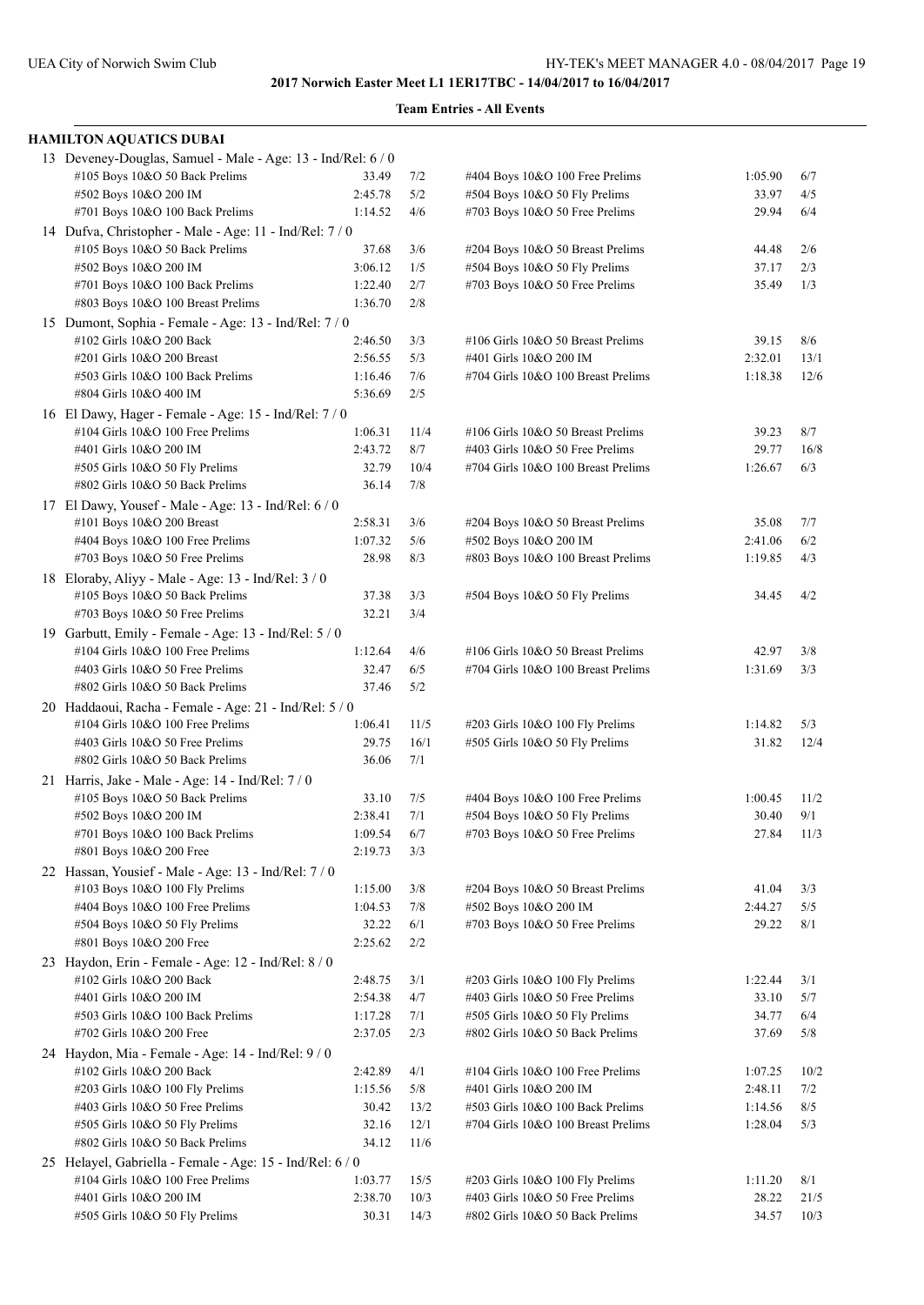| HAMILTON AQUATICS DUBAI                                                                   |                    |             |                                                                      |                  |             |
|-------------------------------------------------------------------------------------------|--------------------|-------------|----------------------------------------------------------------------|------------------|-------------|
| 13 Deveney-Douglas, Samuel - Male - Age: 13 - Ind/Rel: 6 / 0                              |                    |             |                                                                      |                  |             |
| #105 Boys 10&O 50 Back Prelims                                                            | 33.49              | 7/2         | #404 Boys 10&O 100 Free Prelims                                      | 1:05.90          | 6/7         |
| #502 Boys 10&O 200 IM                                                                     | 2:45.78            | 5/2         | #504 Boys 10&O 50 Fly Prelims                                        | 33.97            | 4/5         |
| #701 Boys 10&O 100 Back Prelims                                                           | 1:14.52            | 4/6         | #703 Boys 10&O 50 Free Prelims                                       | 29.94            | 6/4         |
| 14 Dufva, Christopher - Male - Age: 11 - Ind/Rel: 7 / 0                                   |                    |             |                                                                      |                  |             |
| #105 Boys 10&O 50 Back Prelims                                                            | 37.68              | 3/6         | #204 Boys 10&O 50 Breast Prelims                                     | 44.48            | 2/6         |
| #502 Boys 10&O 200 IM                                                                     | 3:06.12            | 1/5         | #504 Boys 10&O 50 Fly Prelims                                        | 37.17            | 2/3         |
| #701 Boys 10&O 100 Back Prelims                                                           | 1:22.40            | 2/7         | #703 Boys 10&O 50 Free Prelims                                       | 35.49            | 1/3         |
| #803 Boys 10&O 100 Breast Prelims                                                         | 1:36.70            | 2/8         |                                                                      |                  |             |
| 15 Dumont, Sophia - Female - Age: 13 - Ind/Rel: 7/0                                       |                    |             |                                                                      |                  |             |
| #102 Girls 10&O 200 Back                                                                  | 2:46.50            | 3/3         | #106 Girls 10&O 50 Breast Prelims                                    | 39.15            | 8/6         |
| #201 Girls 10&O 200 Breast                                                                | 2:56.55            | 5/3         | #401 Girls 10&O 200 IM                                               | 2:32.01          | 13/1        |
| #503 Girls 10&O 100 Back Prelims                                                          | 1:16.46            | 7/6         | #704 Girls 10&O 100 Breast Prelims                                   | 1:18.38          | 12/6        |
| #804 Girls 10&O 400 IM                                                                    | 5:36.69            | 2/5         |                                                                      |                  |             |
| 16 El Dawy, Hager - Female - Age: 15 - Ind/Rel: 7 / 0                                     |                    |             |                                                                      |                  |             |
| #104 Girls 10&O 100 Free Prelims<br>#401 Girls 10&O 200 IM                                | 1:06.31<br>2:43.72 | 11/4<br>8/7 | #106 Girls 10&O 50 Breast Prelims<br>#403 Girls 10&O 50 Free Prelims | 39.23            | 8/7         |
|                                                                                           | 32.79              | 10/4        |                                                                      | 29.77<br>1:26.67 | 16/8<br>6/3 |
| #505 Girls 10&O 50 Fly Prelims<br>#802 Girls 10&O 50 Back Prelims                         | 36.14              | 7/8         | #704 Girls 10&O 100 Breast Prelims                                   |                  |             |
|                                                                                           |                    |             |                                                                      |                  |             |
| 17 El Dawy, Yousef - Male - Age: 13 - Ind/Rel: 6 / 0                                      | 2:58.31            | 3/6         |                                                                      |                  |             |
| #101 Boys 10&O 200 Breast<br>#404 Boys 10&O 100 Free Prelims                              | 1:07.32            | 5/6         | #204 Boys 10&O 50 Breast Prelims<br>#502 Boys 10&O 200 IM            | 35.08<br>2:41.06 | 7/7<br>6/2  |
| #703 Boys 10&O 50 Free Prelims                                                            | 28.98              | 8/3         | #803 Boys 10&O 100 Breast Prelims                                    | 1:19.85          | 4/3         |
|                                                                                           |                    |             |                                                                      |                  |             |
| 18 Eloraby, Aliyy - Male - Age: 13 - Ind/Rel: 3 / 0<br>#105 Boys 10&O 50 Back Prelims     | 37.38              | 3/3         | #504 Boys 10&O 50 Fly Prelims                                        |                  | 4/2         |
| #703 Boys 10&O 50 Free Prelims                                                            | 32.21              | 3/4         |                                                                      | 34.45            |             |
|                                                                                           |                    |             |                                                                      |                  |             |
| 19 Garbutt, Emily - Female - Age: 13 - Ind/Rel: 5 / 0<br>#104 Girls 10&O 100 Free Prelims | 1:12.64            | 4/6         | #106 Girls 10&O 50 Breast Prelims                                    | 42.97            | 3/8         |
| #403 Girls 10&O 50 Free Prelims                                                           | 32.47              | 6/5         | #704 Girls 10&O 100 Breast Prelims                                   | 1:31.69          | 3/3         |
| #802 Girls 10&O 50 Back Prelims                                                           | 37.46              | 5/2         |                                                                      |                  |             |
| 20 Haddaoui, Racha - Female - Age: 21 - Ind/Rel: 5 / 0                                    |                    |             |                                                                      |                  |             |
| #104 Girls 10&O 100 Free Prelims                                                          | 1:06.41            | 11/5        | #203 Girls 10&O 100 Fly Prelims                                      | 1:14.82          | 5/3         |
| #403 Girls 10&O 50 Free Prelims                                                           | 29.75              | 16/1        | #505 Girls 10&O 50 Fly Prelims                                       | 31.82            | 12/4        |
| #802 Girls 10&O 50 Back Prelims                                                           | 36.06              | 7/1         |                                                                      |                  |             |
| 21 Harris, Jake - Male - Age: 14 - Ind/Rel: 7 / 0                                         |                    |             |                                                                      |                  |             |
| #105 Boys 10&O 50 Back Prelims                                                            | 33.10              | 7/5         | #404 Boys 10&O 100 Free Prelims                                      | 1:00.45          | 11/2        |
| #502 Boys 10&O 200 IM                                                                     | 2:38.41            | 7/1         | #504 Boys 10&O 50 Fly Prelims                                        | 30.40            | 9/1         |
| #701 Boys 10&O 100 Back Prelims                                                           | 1:09.54            | 6/7         | #703 Boys 10&O 50 Free Prelims                                       | 27.84            | 11/3        |
| #801 Boys 10&O 200 Free                                                                   | 2:19.73            | 3/3         |                                                                      |                  |             |
| 22 Hassan, Yousief - Male - Age: 13 - Ind/Rel: 7 / 0                                      |                    |             |                                                                      |                  |             |
| #103 Boys 10&O 100 Fly Prelims                                                            | 1:15.00            | 3/8         | #204 Boys 10&O 50 Breast Prelims                                     | 41.04            | 3/3         |
| #404 Boys 10&O 100 Free Prelims                                                           | 1:04.53            | 7/8         | #502 Boys 10&O 200 IM                                                | 2:44.27          | 5/5         |
| #504 Boys 10&O 50 Fly Prelims                                                             | 32.22              | 6/1         | #703 Boys 10&O 50 Free Prelims                                       | 29.22            | 8/1         |
| #801 Boys 10&O 200 Free                                                                   | 2:25.62            | 2/2         |                                                                      |                  |             |
| 23 Haydon, Erin - Female - Age: 12 - Ind/Rel: 8 / 0                                       |                    |             |                                                                      |                  |             |
| #102 Girls 10&O 200 Back                                                                  | 2:48.75            | 3/1         | #203 Girls 10&O 100 Fly Prelims                                      | 1:22.44          | 3/1         |
| #401 Girls 10&O 200 IM                                                                    | 2:54.38            | 4/7         | #403 Girls 10&O 50 Free Prelims                                      | 33.10            | 5/7         |
| #503 Girls 10&O 100 Back Prelims                                                          | 1:17.28            | 7/1         | #505 Girls 10&O 50 Fly Prelims                                       | 34.77            | 6/4         |
| #702 Girls 10&O 200 Free                                                                  | 2:37.05            | 2/3         | #802 Girls 10&O 50 Back Prelims                                      | 37.69            | 5/8         |
| 24 Haydon, Mia - Female - Age: 14 - Ind/Rel: 9 / 0                                        |                    |             |                                                                      |                  |             |
| #102 Girls 10&O 200 Back                                                                  | 2:42.89            | 4/1         | #104 Girls 10&O 100 Free Prelims                                     | 1:07.25          | 10/2        |
| #203 Girls 10&O 100 Fly Prelims                                                           | 1:15.56            | 5/8         | #401 Girls 10&O 200 IM                                               | 2:48.11          | 7/2         |
| #403 Girls 10&O 50 Free Prelims                                                           | 30.42              | 13/2        | #503 Girls 10&O 100 Back Prelims                                     | 1:14.56          | 8/5         |
| #505 Girls 10&O 50 Fly Prelims                                                            | 32.16              | 12/1        | #704 Girls 10&O 100 Breast Prelims                                   | 1:28.04          | 5/3         |
| #802 Girls 10&O 50 Back Prelims                                                           | 34.12              | 11/6        |                                                                      |                  |             |
| 25 Helayel, Gabriella - Female - Age: 15 - Ind/Rel: 6 / 0                                 |                    |             |                                                                      |                  |             |
| #104 Girls 10&O 100 Free Prelims                                                          | 1:03.77            | 15/5        | #203 Girls 10&O 100 Fly Prelims                                      | 1:11.20          | 8/1         |
| #401 Girls 10&O 200 IM                                                                    | 2:38.70            | 10/3        | #403 Girls 10&O 50 Free Prelims                                      | 28.22            | 21/5        |
| #505 Girls 10&O 50 Fly Prelims                                                            | 30.31              | 14/3        | #802 Girls 10&O 50 Back Prelims                                      | 34.57            | 10/3        |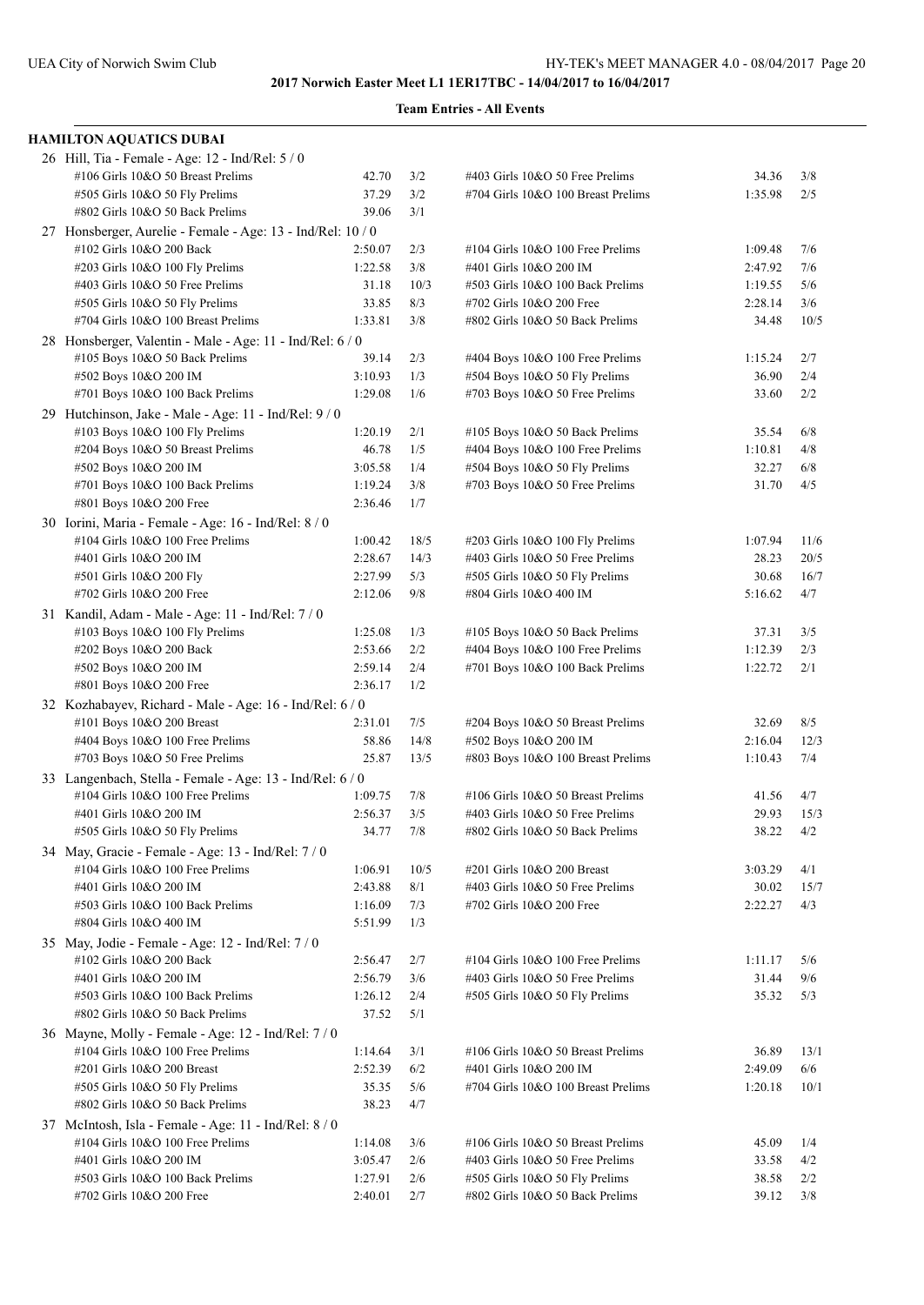| <b>HAMILTON AQUATICS DUBAI</b>                                                                |                    |            |                                                                 |                  |            |
|-----------------------------------------------------------------------------------------------|--------------------|------------|-----------------------------------------------------------------|------------------|------------|
| 26 Hill, Tia - Female - Age: 12 - Ind/Rel: 5 / 0                                              |                    |            |                                                                 |                  |            |
| #106 Girls 10&O 50 Breast Prelims                                                             | 42.70              | 3/2        | #403 Girls 10&O 50 Free Prelims                                 | 34.36            | 3/8        |
| #505 Girls 10&O 50 Fly Prelims                                                                | 37.29              | 3/2        | #704 Girls 10&O 100 Breast Prelims                              | 1:35.98          | 2/5        |
| #802 Girls 10&O 50 Back Prelims                                                               | 39.06              | 3/1        |                                                                 |                  |            |
| 27 Honsberger, Aurelie - Female - Age: 13 - Ind/Rel: 10 / 0                                   |                    |            |                                                                 |                  |            |
| #102 Girls 10&O 200 Back                                                                      | 2:50.07            | 2/3        | #104 Girls 10&O 100 Free Prelims                                | 1:09.48          | 7/6        |
| #203 Girls 10&O 100 Fly Prelims                                                               | 1:22.58            | 3/8        | #401 Girls 10&O 200 IM                                          | 2:47.92          | 7/6        |
| #403 Girls 10&O 50 Free Prelims                                                               | 31.18              | 10/3       | #503 Girls 10&O 100 Back Prelims                                | 1:19.55          | 5/6        |
| #505 Girls 10&O 50 Fly Prelims                                                                | 33.85              | 8/3        | #702 Girls 10&O 200 Free                                        | 2:28.14          | 3/6        |
| #704 Girls 10&O 100 Breast Prelims                                                            | 1:33.81            | 3/8        | #802 Girls 10&O 50 Back Prelims                                 | 34.48            | 10/5       |
| 28 Honsberger, Valentin - Male - Age: 11 - Ind/Rel: 6 / 0                                     |                    |            |                                                                 |                  |            |
| #105 Boys 10&O 50 Back Prelims                                                                | 39.14              | 2/3        | #404 Boys 10&O 100 Free Prelims                                 | 1:15.24          | 2/7        |
| #502 Boys 10&O 200 IM                                                                         | 3:10.93            | 1/3        | #504 Boys 10&O 50 Fly Prelims                                   | 36.90            | 2/4        |
| #701 Boys 10&O 100 Back Prelims                                                               | 1:29.08            | 1/6        | #703 Boys 10&O 50 Free Prelims                                  | 33.60            | 2/2        |
| 29 Hutchinson, Jake - Male - Age: 11 - Ind/Rel: 9 / 0                                         |                    |            |                                                                 |                  |            |
| #103 Boys 10&O 100 Fly Prelims                                                                | 1:20.19            | 2/1        | #105 Boys 10&O 50 Back Prelims                                  | 35.54            | 6/8        |
| #204 Boys 10&O 50 Breast Prelims                                                              | 46.78              | 1/5        | $\#404$ Boys 10&O 100 Free Prelims                              | 1:10.81<br>32.27 | 4/8        |
| #502 Boys 10&O 200 IM<br>#701 Boys 10&O 100 Back Prelims                                      | 3:05.58<br>1:19.24 | 1/4<br>3/8 | #504 Boys 10&O 50 Fly Prelims<br>#703 Boys 10&O 50 Free Prelims | 31.70            | 6/8<br>4/5 |
| #801 Boys 10&O 200 Free                                                                       | 2:36.46            | 1/7        |                                                                 |                  |            |
|                                                                                               |                    |            |                                                                 |                  |            |
| 30 Iorini, Maria - Female - Age: 16 - Ind/Rel: 8 / 0<br>$\#104$ Girls $10&O$ 100 Free Prelims | 1:00.42            | 18/5       | #203 Girls 10&O 100 Fly Prelims                                 | 1:07.94          | 11/6       |
| #401 Girls 10&O 200 IM                                                                        | 2:28.67            | 14/3       | #403 Girls 10&O 50 Free Prelims                                 | 28.23            | 20/5       |
| #501 Girls 10&O 200 Fly                                                                       | 2:27.99            | 5/3        | #505 Girls 10&O 50 Fly Prelims                                  | 30.68            | 16/7       |
| #702 Girls 10&O 200 Free                                                                      | 2:12.06            | 9/8        | #804 Girls 10&O 400 IM                                          | 5:16.62          | 4/7        |
| 31 Kandil, Adam - Male - Age: 11 - Ind/Rel: 7 / 0                                             |                    |            |                                                                 |                  |            |
| #103 Boys 10&O 100 Fly Prelims                                                                | 1:25.08            | 1/3        | #105 Boys 10&O 50 Back Prelims                                  | 37.31            | 3/5        |
| #202 Boys 10&O 200 Back                                                                       | 2:53.66            | 2/2        | #404 Boys 10&O 100 Free Prelims                                 | 1:12.39          | 2/3        |
| #502 Boys 10&O 200 IM                                                                         | 2:59.14            | 2/4        | #701 Boys 10&O 100 Back Prelims                                 | 1:22.72          | 2/1        |
| #801 Boys 10&O 200 Free                                                                       | 2:36.17            | 1/2        |                                                                 |                  |            |
| 32 Kozhabayev, Richard - Male - Age: 16 - Ind/Rel: 6 / 0                                      |                    |            |                                                                 |                  |            |
| #101 Boys 10&O 200 Breast                                                                     | 2:31.01            | 7/5        | #204 Boys 10&O 50 Breast Prelims                                | 32.69            | 8/5        |
| #404 Boys 10&O 100 Free Prelims                                                               | 58.86              | 14/8       | #502 Boys 10&O 200 IM                                           | 2:16.04          | 12/3       |
| #703 Boys 10&O 50 Free Prelims                                                                | 25.87              | 13/5       | #803 Boys 10&O 100 Breast Prelims                               | 1:10.43          | 7/4        |
| 33 Langenbach, Stella - Female - Age: 13 - Ind/Rel: 6 / 0                                     |                    |            |                                                                 |                  |            |
| #104 Girls 10&O 100 Free Prelims                                                              | 1:09.75            | 7/8        | #106 Girls 10&O 50 Breast Prelims                               | 41.56            | 4/7        |
| #401 Girls 10&O 200 IM                                                                        | 2:56.37            | 3/5        | #403 Girls 10&O 50 Free Prelims                                 | 29.93            | 15/3       |
| #505 Girls 10&O 50 Fly Prelims                                                                | 34.77              | $7/8$      | #802 Girls 10&O 50 Back Prelims                                 | 38.22            | 4/2        |
| 34 May, Gracie - Female - Age: 13 - Ind/Rel: 7 / 0                                            |                    |            |                                                                 |                  |            |
| #104 Girls 10&O 100 Free Prelims                                                              | 1:06.91            | 10/5       | #201 Girls 10&O 200 Breast                                      | 3:03.29          | 4/1        |
| #401 Girls 10&O 200 IM                                                                        | 2:43.88            | 8/1        | #403 Girls 10&O 50 Free Prelims                                 | 30.02            | 15/7       |
| #503 Girls 10&O 100 Back Prelims                                                              | 1:16.09            | 7/3        | #702 Girls 10&O 200 Free                                        | 2:22.27          | 4/3        |
| #804 Girls 10&O 400 IM                                                                        | 5:51.99            | 1/3        |                                                                 |                  |            |
| 35 May, Jodie - Female - Age: 12 - Ind/Rel: 7 / 0                                             |                    |            |                                                                 |                  |            |
| #102 Girls 10&O 200 Back                                                                      | 2:56.47            | 2/7        | #104 Girls 10&O 100 Free Prelims                                | 1:11.17          | 5/6        |
| #401 Girls 10&O 200 IM                                                                        | 2:56.79            | 3/6        | #403 Girls 10&O 50 Free Prelims                                 | 31.44            | 9/6        |
| #503 Girls 10&O 100 Back Prelims                                                              | 1:26.12            | 2/4        | #505 Girls 10&O 50 Fly Prelims                                  | 35.32            | 5/3        |
| #802 Girls 10&O 50 Back Prelims                                                               | 37.52              | 5/1        |                                                                 |                  |            |
| 36 Mayne, Molly - Female - Age: 12 - Ind/Rel: 7/0                                             |                    |            |                                                                 |                  |            |
| #104 Girls 10&O 100 Free Prelims                                                              | 1:14.64            | 3/1        | #106 Girls 10&O 50 Breast Prelims                               | 36.89            | 13/1       |
| #201 Girls 10&O 200 Breast                                                                    | 2:52.39            | 6/2        | #401 Girls 10&O 200 IM                                          | 2:49.09          | 6/6        |
| #505 Girls 10&O 50 Fly Prelims                                                                | 35.35              | 5/6        | #704 Girls 10&O 100 Breast Prelims                              | 1:20.18          | 10/1       |
| #802 Girls 10&O 50 Back Prelims                                                               | 38.23              | 4/7        |                                                                 |                  |            |
| 37 McIntosh, Isla - Female - Age: 11 - Ind/Rel: 8 / 0                                         |                    |            |                                                                 |                  |            |
| #104 Girls 10&O 100 Free Prelims                                                              | 1:14.08            | 3/6        | #106 Girls 10&O 50 Breast Prelims                               | 45.09            | 1/4        |
| #401 Girls 10&O 200 IM                                                                        | 3:05.47            | 2/6        | #403 Girls 10&O 50 Free Prelims                                 | 33.58            | 4/2        |
| #503 Girls 10&O 100 Back Prelims                                                              | 1:27.91            | 2/6        | #505 Girls 10&O 50 Fly Prelims                                  | 38.58            | 2/2        |
| #702 Girls 10&O 200 Free                                                                      | 2:40.01            | 2/7        | #802 Girls 10&O 50 Back Prelims                                 | 39.12            | 3/8        |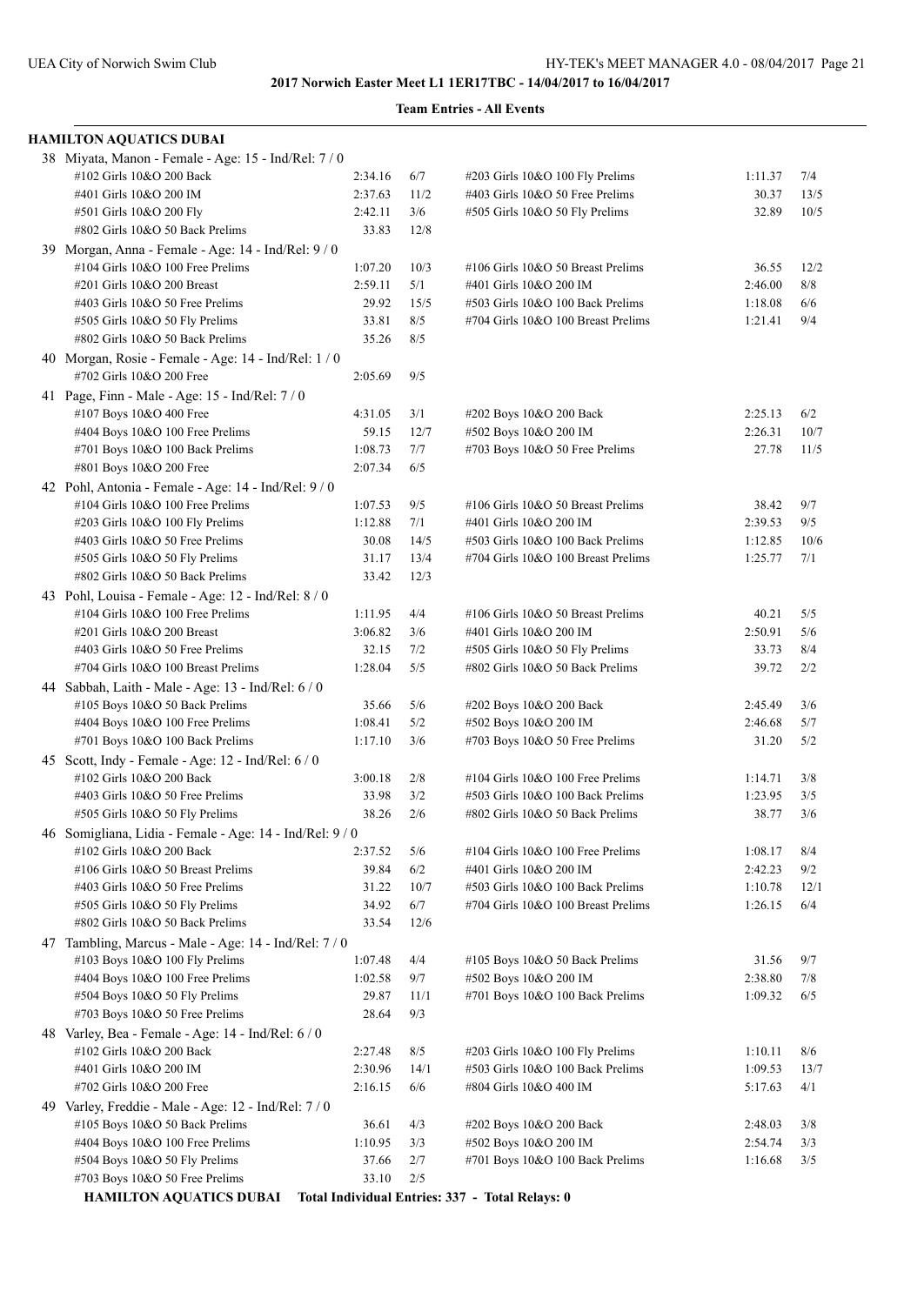| <b>HAMILTON AQUATICS DUBAI</b>                                                   |                    |             |                                                                        |                    |             |
|----------------------------------------------------------------------------------|--------------------|-------------|------------------------------------------------------------------------|--------------------|-------------|
| 38 Miyata, Manon - Female - Age: 15 - Ind/Rel: 7 / 0<br>#102 Girls 10&O 200 Back |                    |             |                                                                        |                    |             |
| #401 Girls 10&O 200 IM                                                           | 2:34.16<br>2:37.63 | 6/7<br>11/2 | #203 Girls 10&O 100 Fly Prelims<br>#403 Girls 10&O 50 Free Prelims     | 1:11.37<br>30.37   | 7/4<br>13/5 |
| #501 Girls 10&O 200 Fly                                                          | 2:42.11            | 3/6         | #505 Girls 10&O 50 Fly Prelims                                         | 32.89              | 10/5        |
| #802 Girls 10&O 50 Back Prelims                                                  | 33.83              | 12/8        |                                                                        |                    |             |
|                                                                                  |                    |             |                                                                        |                    |             |
| 39 Morgan, Anna - Female - Age: 14 - Ind/Rel: 9 / 0                              |                    |             |                                                                        |                    |             |
| #104 Girls 10&O 100 Free Prelims                                                 | 1:07.20            | 10/3        | #106 Girls 10&O 50 Breast Prelims                                      | 36.55              | 12/2        |
| #201 Girls 10&O 200 Breast                                                       | 2:59.11            | 5/1         | #401 Girls 10&O 200 IM                                                 | 2:46.00            | 8/8         |
| #403 Girls 10&O 50 Free Prelims                                                  | 29.92              | 15/5<br>8/5 | #503 Girls 10&O 100 Back Prelims                                       | 1:18.08            | 6/6<br>9/4  |
| #505 Girls 10&O 50 Fly Prelims<br>#802 Girls 10&O 50 Back Prelims                | 33.81<br>35.26     | 8/5         | #704 Girls 10&O 100 Breast Prelims                                     | 1:21.41            |             |
|                                                                                  |                    |             |                                                                        |                    |             |
| 40 Morgan, Rosie - Female - Age: 14 - Ind/Rel: 1 / 0<br>#702 Girls 10&O 200 Free |                    | 9/5         |                                                                        |                    |             |
|                                                                                  | 2:05.69            |             |                                                                        |                    |             |
| 41 Page, Finn - Male - Age: 15 - Ind/Rel: 7 / 0                                  |                    |             |                                                                        |                    |             |
| #107 Boys 10&O 400 Free                                                          | 4:31.05            | 3/1         | #202 Boys 10&O 200 Back                                                | 2:25.13            | 6/2         |
| #404 Boys 10&O 100 Free Prelims                                                  | 59.15              | 12/7        | #502 Boys 10&O 200 IM                                                  | 2:26.31            | 10/7        |
| #701 Boys 10&O 100 Back Prelims                                                  | 1:08.73            | 7/7         | #703 Boys 10&O 50 Free Prelims                                         | 27.78              | 11/5        |
| #801 Boys 10&O 200 Free                                                          | 2:07.34            | 6/5         |                                                                        |                    |             |
| 42 Pohl, Antonia - Female - Age: 14 - Ind/Rel: 9 / 0                             |                    |             |                                                                        |                    |             |
| #104 Girls 10&O 100 Free Prelims                                                 | 1:07.53            | 9/5         | #106 Girls 10&O 50 Breast Prelims                                      | 38.42              | 9/7         |
| #203 Girls 10&O 100 Fly Prelims                                                  | 1:12.88            | 7/1         | #401 Girls 10&O 200 IM                                                 | 2:39.53            | 9/5         |
| #403 Girls 10&O 50 Free Prelims                                                  | 30.08              | 14/5        | #503 Girls 10&O 100 Back Prelims                                       | 1:12.85            | 10/6        |
| #505 Girls 10&O 50 Fly Prelims                                                   | 31.17              | 13/4        | #704 Girls 10&O 100 Breast Prelims                                     | 1:25.77            | 7/1         |
| #802 Girls 10&O 50 Back Prelims                                                  | 33.42              | 12/3        |                                                                        |                    |             |
| 43 Pohl, Louisa - Female - Age: 12 - Ind/Rel: 8 / 0                              |                    |             |                                                                        |                    |             |
| #104 Girls 10&O 100 Free Prelims                                                 | 1:11.95            | 4/4         | #106 Girls 10&O 50 Breast Prelims                                      | 40.21              | 5/5         |
| #201 Girls 10&O 200 Breast                                                       | 3:06.82            | 3/6         | #401 Girls 10&O 200 IM                                                 | 2:50.91            | 5/6         |
| #403 Girls 10&O 50 Free Prelims                                                  | 32.15<br>1:28.04   | 7/2<br>5/5  | #505 Girls 10&O 50 Fly Prelims<br>#802 Girls 10&O 50 Back Prelims      | 33.73<br>39.72     | 8/4         |
| #704 Girls 10&O 100 Breast Prelims                                               |                    |             |                                                                        |                    | 2/2         |
| 44 Sabbah, Laith - Male - Age: 13 - Ind/Rel: 6 / 0                               |                    |             |                                                                        |                    |             |
| #105 Boys 10&O 50 Back Prelims                                                   | 35.66              | 5/6         | #202 Boys 10&O 200 Back                                                | 2:45.49            | 3/6         |
| #404 Boys 10&O 100 Free Prelims<br>#701 Boys 10&O 100 Back Prelims               | 1:08.41<br>1:17.10 | 5/2<br>3/6  | #502 Boys 10&O 200 IM                                                  | 2:46.68<br>31.20   | 5/7<br>5/2  |
|                                                                                  |                    |             | #703 Boys 10&O 50 Free Prelims                                         |                    |             |
| 45 Scott, Indy - Female - Age: 12 - Ind/Rel: 6 / 0                               |                    |             |                                                                        |                    |             |
| #102 Girls 10&O 200 Back                                                         | 3:00.18            | 2/8         | $\#104$ Girls 10&O 100 Free Prelims                                    | 1:14.71            | 3/8         |
| #403 Girls 10&O 50 Free Prelims                                                  | 33.98<br>38.26     | 3/2<br>2/6  | #503 Girls 10&O 100 Back Prelims                                       | 1:23.95<br>38.77   | 3/5<br>3/6  |
| #505 Girls 10&O 50 Fly Prelims                                                   |                    |             | #802 Girls 10&O 50 Back Prelims                                        |                    |             |
| 46 Somigliana, Lidia - Female - Age: 14 - Ind/Rel: 9 / 0                         |                    |             |                                                                        |                    |             |
| #102 Girls 10&O 200 Back                                                         | 2:37.52<br>39.84   | 5/6<br>6/2  | #104 Girls 10&O 100 Free Prelims                                       | 1:08.17            | 8/4         |
| #106 Girls 10&O 50 Breast Prelims                                                |                    |             | #401 Girls 10&O 200 IM                                                 | 2:42.23            | 9/2         |
| #403 Girls 10&O 50 Free Prelims<br>#505 Girls 10&O 50 Fly Prelims                | 31.22<br>34.92     | 10/7<br>6/7 | #503 Girls 10&O 100 Back Prelims<br>#704 Girls 10&O 100 Breast Prelims | 1:10.78<br>1:26.15 | 12/1<br>6/4 |
| #802 Girls 10&O 50 Back Prelims                                                  | 33.54              | 12/6        |                                                                        |                    |             |
|                                                                                  |                    |             |                                                                        |                    |             |
| 47 Tambling, Marcus - Male - Age: 14 - Ind/Rel: 7 / 0                            |                    |             |                                                                        |                    |             |
| #103 Boys 10&O 100 Fly Prelims                                                   | 1:07.48            | 4/4         | #105 Boys 10&O 50 Back Prelims                                         | 31.56              | 9/7         |
| #404 Boys 10&O 100 Free Prelims<br>#504 Boys 10&O 50 Fly Prelims                 | 1:02.58<br>29.87   | 9/7<br>11/1 | #502 Boys 10&O 200 IM<br>#701 Boys 10&O 100 Back Prelims               | 2:38.80<br>1:09.32 | 7/8<br>6/5  |
| #703 Boys 10&O 50 Free Prelims                                                   | 28.64              | 9/3         |                                                                        |                    |             |
|                                                                                  |                    |             |                                                                        |                    |             |
| 48 Varley, Bea - Female - Age: 14 - Ind/Rel: 6 / 0                               |                    |             |                                                                        |                    |             |
| #102 Girls 10&O 200 Back                                                         | 2:27.48            | 8/5         | #203 Girls 10&O 100 Fly Prelims                                        | 1:10.11            | 8/6         |
| #401 Girls 10&O 200 IM<br>#702 Girls 10&O 200 Free                               | 2:30.96            | 14/1        | #503 Girls 10&O 100 Back Prelims                                       | 1:09.53            | 13/7        |
|                                                                                  | 2:16.15            | 6/6         | #804 Girls 10&O 400 IM                                                 | 5:17.63            | 4/1         |
| 49 Varley, Freddie - Male - Age: 12 - Ind/Rel: 7 / 0                             |                    |             |                                                                        |                    |             |
| #105 Boys 10&O 50 Back Prelims                                                   | 36.61              | 4/3         | #202 Boys 10&O 200 Back                                                | 2:48.03            | 3/8         |
| #404 Boys 10&O 100 Free Prelims                                                  | 1:10.95            | 3/3         | #502 Boys 10&O 200 IM                                                  | 2:54.74            | 3/3         |
| #504 Boys 10&O 50 Fly Prelims                                                    | 37.66              | 2/7         | #701 Boys 10&O 100 Back Prelims                                        | 1:16.68            | 3/5         |
| #703 Boys 10&O 50 Free Prelims                                                   | 33.10              | 2/5         |                                                                        |                    |             |
| <b>HAMILTON AQUATICS DUBAI</b>                                                   |                    |             | Total Individual Entries: 337 - Total Relays: 0                        |                    |             |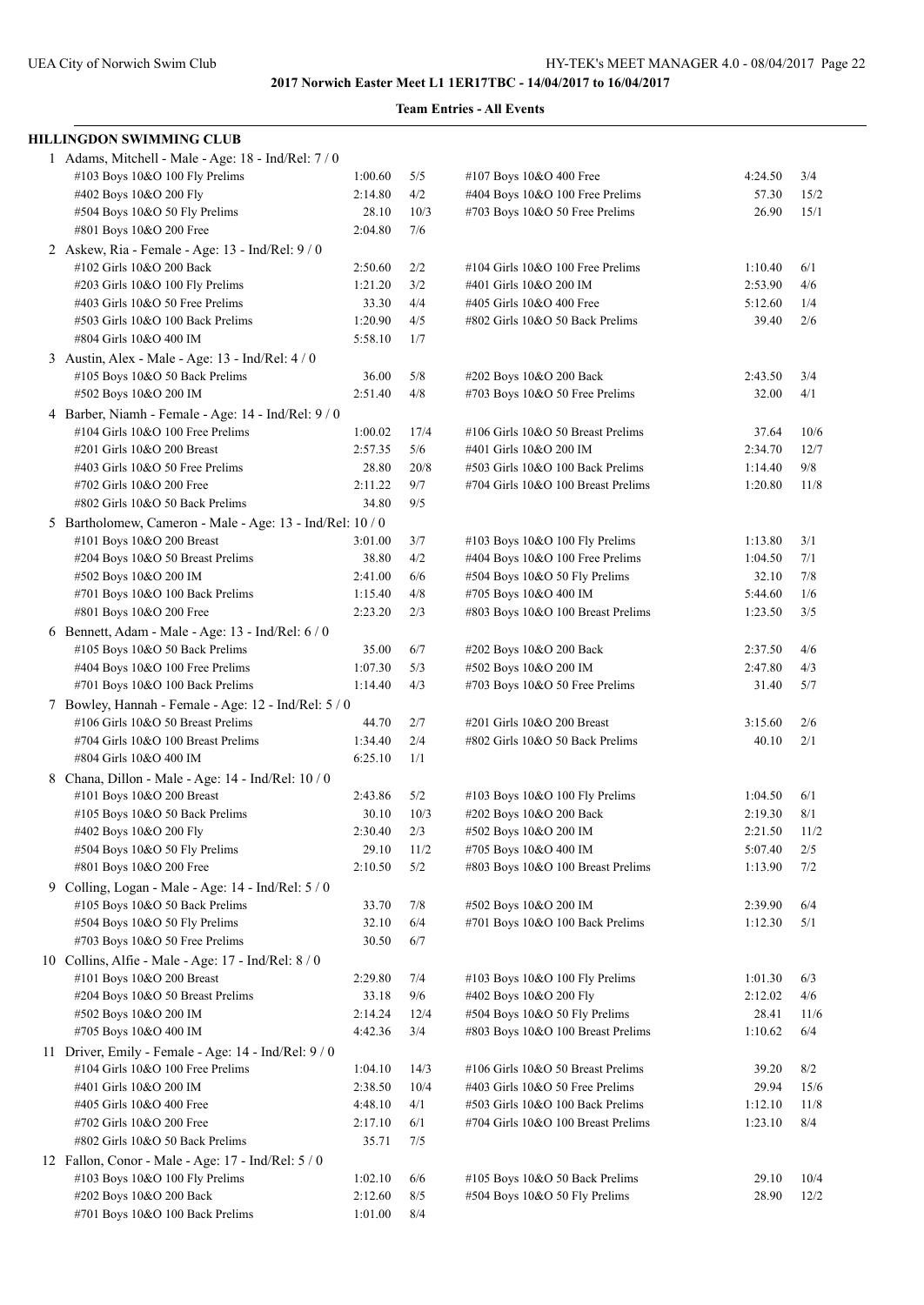| <b>HILLINGDON SWIMMING CLUB</b>                           |                 |      |                                    |         |      |
|-----------------------------------------------------------|-----------------|------|------------------------------------|---------|------|
| 1 Adams, Mitchell - Male - Age: 18 - Ind/Rel: 7 / 0       |                 |      |                                    |         |      |
| #103 Boys 10&O 100 Fly Prelims                            | 1:00.60         | 5/5  | #107 Boys 10&O 400 Free            | 4:24.50 | 3/4  |
| #402 Boys 10&O 200 Fly                                    | 2:14.80         | 4/2  | #404 Boys 10&O 100 Free Prelims    | 57.30   | 15/2 |
| #504 Boys 10&O 50 Fly Prelims                             | 28.10           | 10/3 | #703 Boys 10&O 50 Free Prelims     | 26.90   | 15/1 |
| #801 Boys 10&O 200 Free                                   | 2:04.80         | 7/6  |                                    |         |      |
| 2 Askew, Ria - Female - Age: 13 - Ind/Rel: 9 / 0          |                 |      |                                    |         |      |
| #102 Girls 10&O 200 Back                                  | 2:50.60         | 2/2  | #104 Girls 10&O 100 Free Prelims   | 1:10.40 | 6/1  |
| #203 Girls 10&O 100 Fly Prelims                           | 1:21.20         | 3/2  | #401 Girls 10&O 200 IM             | 2:53.90 | 4/6  |
| #403 Girls 10&O 50 Free Prelims                           | 33.30           | 4/4  | #405 Girls 10&O 400 Free           | 5:12.60 | 1/4  |
| #503 Girls 10&O 100 Back Prelims                          | 1:20.90         | 4/5  | #802 Girls 10&O 50 Back Prelims    | 39.40   | 2/6  |
| #804 Girls 10&O 400 IM                                    | 5:58.10         | 1/7  |                                    |         |      |
| 3 Austin, Alex - Male - Age: 13 - Ind/Rel: 4 / 0          |                 |      |                                    |         |      |
| #105 Boys 10&O 50 Back Prelims                            | 36.00           | 5/8  | #202 Boys 10&O 200 Back            | 2:43.50 | 3/4  |
| #502 Boys 10&O 200 IM                                     | 2:51.40         | 4/8  | #703 Boys 10&O 50 Free Prelims     | 32.00   | 4/1  |
| 4 Barber, Niamh - Female - Age: 14 - Ind/Rel: 9 / 0       |                 |      |                                    |         |      |
| #104 Girls 10&O 100 Free Prelims                          | 1:00.02         | 17/4 | #106 Girls 10&O 50 Breast Prelims  | 37.64   | 10/6 |
| #201 Girls 10&O 200 Breast                                | 2:57.35         | 5/6  | #401 Girls 10&O 200 IM             | 2:34.70 | 12/7 |
| #403 Girls 10&O 50 Free Prelims                           | 28.80           | 20/8 | #503 Girls 10&O 100 Back Prelims   | 1:14.40 | 9/8  |
| #702 Girls 10&O 200 Free                                  | 2:11.22         | 9/7  | #704 Girls 10&O 100 Breast Prelims | 1:20.80 | 11/8 |
| #802 Girls 10&O 50 Back Prelims                           | 34.80           | 9/5  |                                    |         |      |
| 5 Bartholomew, Cameron - Male - Age: 13 - Ind/Rel: 10 / 0 |                 |      |                                    |         |      |
| #101 Boys 10&O 200 Breast                                 | 3:01.00         | 3/7  | #103 Boys 10&O 100 Fly Prelims     | 1:13.80 | 3/1  |
| #204 Boys 10&O 50 Breast Prelims                          | 38.80           | 4/2  | #404 Boys 10&O 100 Free Prelims    | 1:04.50 | 7/1  |
| #502 Boys 10&O 200 IM                                     | 2:41.00         | 6/6  | #504 Boys 10&O 50 Fly Prelims      | 32.10   | 7/8  |
| #701 Boys 10&O 100 Back Prelims                           | 1:15.40         | 4/8  | #705 Boys 10&O 400 IM              | 5:44.60 | 1/6  |
| #801 Boys 10&O 200 Free                                   | 2:23.20         | 2/3  | #803 Boys 10&O 100 Breast Prelims  | 1:23.50 | 3/5  |
| 6 Bennett, Adam - Male - Age: $13$ - Ind/Rel: $6/0$       |                 |      |                                    |         |      |
| #105 Boys 10&O 50 Back Prelims                            | 35.00           | 6/7  | #202 Boys 10&O 200 Back            | 2:37.50 | 4/6  |
| #404 Boys 10&O 100 Free Prelims                           | 1:07.30         | 5/3  | #502 Boys 10&O 200 IM              | 2:47.80 | 4/3  |
| #701 Boys 10&O 100 Back Prelims                           | 1:14.40         | 4/3  | #703 Boys 10&O 50 Free Prelims     | 31.40   | 5/7  |
| 7 Bowley, Hannah - Female - Age: 12 - Ind/Rel: 5 / 0      |                 |      |                                    |         |      |
| #106 Girls 10&O 50 Breast Prelims                         | 44.70           | 2/7  | #201 Girls 10&O 200 Breast         | 3:15.60 | 2/6  |
| #704 Girls 10&O 100 Breast Prelims                        | 1:34.40         | 2/4  | #802 Girls 10&O 50 Back Prelims    | 40.10   | 2/1  |
| #804 Girls 10&O 400 IM                                    | 6:25.10         | 1/1  |                                    |         |      |
| 8 Chana, Dillon - Male - Age: 14 - Ind/Rel: 10 / 0        |                 |      |                                    |         |      |
| #101 Boys 10&O 200 Breast                                 | 2:43.86         | 5/2  | #103 Boys 10&O 100 Fly Prelims     | 1:04.50 | 6/1  |
| #105 Boys 10&O 50 Back Prelims                            | 30.10           | 10/3 | #202 Boys 10&O 200 Back            | 2:19.30 | 8/1  |
| #402 Boys 10&O 200 Fly                                    | $2:30.40$ $2/3$ |      | #502 Boys 10&O 200 IM              | 2:21.50 | 11/2 |
| #504 Boys 10&O 50 Fly Prelims                             | 29.10           | 11/2 | #705 Boys 10&O 400 IM              | 5:07.40 | 2/5  |
| #801 Boys 10&O 200 Free                                   | 2:10.50         | 5/2  | #803 Boys 10&O 100 Breast Prelims  | 1:13.90 | 7/2  |
| 9 Colling, Logan - Male - Age: 14 - Ind/Rel: 5 / 0        |                 |      |                                    |         |      |
| #105 Boys 10&O 50 Back Prelims                            | 33.70           | 7/8  | #502 Boys 10&O 200 IM              | 2:39.90 | 6/4  |
| #504 Boys 10&O 50 Fly Prelims                             | 32.10           | 6/4  | #701 Boys 10&O 100 Back Prelims    | 1:12.30 | 5/1  |
| #703 Boys 10&O 50 Free Prelims                            | 30.50           | 6/7  |                                    |         |      |
| 10 Collins, Alfie - Male - Age: $17$ - Ind/Rel: $8/0$     |                 |      |                                    |         |      |
| #101 Boys 10&O 200 Breast                                 | 2:29.80         | 7/4  | #103 Boys 10&O 100 Fly Prelims     | 1:01.30 | 6/3  |
| #204 Boys 10&O 50 Breast Prelims                          | 33.18           | 9/6  | #402 Boys 10&O 200 Fly             | 2:12.02 | 4/6  |
| #502 Boys 10&O 200 IM                                     | 2:14.24         | 12/4 | #504 Boys 10&O 50 Fly Prelims      | 28.41   | 11/6 |
| #705 Boys 10&O 400 IM                                     | 4:42.36         | 3/4  | #803 Boys 10&O 100 Breast Prelims  | 1:10.62 | 6/4  |
|                                                           |                 |      |                                    |         |      |
| 11 Driver, Emily - Female - Age: 14 - Ind/Rel: 9 / 0      |                 |      |                                    |         |      |
| #104 Girls 10&O 100 Free Prelims                          | 1:04.10         | 14/3 | #106 Girls 10&O 50 Breast Prelims  | 39.20   | 8/2  |
| #401 Girls 10&O 200 IM                                    | 2:38.50         | 10/4 | #403 Girls 10&O 50 Free Prelims    | 29.94   | 15/6 |
| #405 Girls 10&O 400 Free                                  | 4:48.10         | 4/1  | #503 Girls 10&O 100 Back Prelims   | 1:12.10 | 11/8 |
| #702 Girls 10&O 200 Free                                  | 2:17.10         | 6/1  | #704 Girls 10&O 100 Breast Prelims | 1:23.10 | 8/4  |
| #802 Girls 10&O 50 Back Prelims                           | 35.71           | 7/5  |                                    |         |      |
| 12 Fallon, Conor - Male - Age: 17 - Ind/Rel: 5 / 0        |                 |      |                                    |         |      |
| #103 Boys 10&O 100 Fly Prelims                            | 1:02.10         | 6/6  | #105 Boys 10&O 50 Back Prelims     | 29.10   | 10/4 |
| #202 Boys 10&O 200 Back                                   | 2:12.60         | 8/5  | #504 Boys 10&O 50 Fly Prelims      | 28.90   | 12/2 |
| #701 Boys 10&O 100 Back Prelims                           | 1:01.00         | 8/4  |                                    |         |      |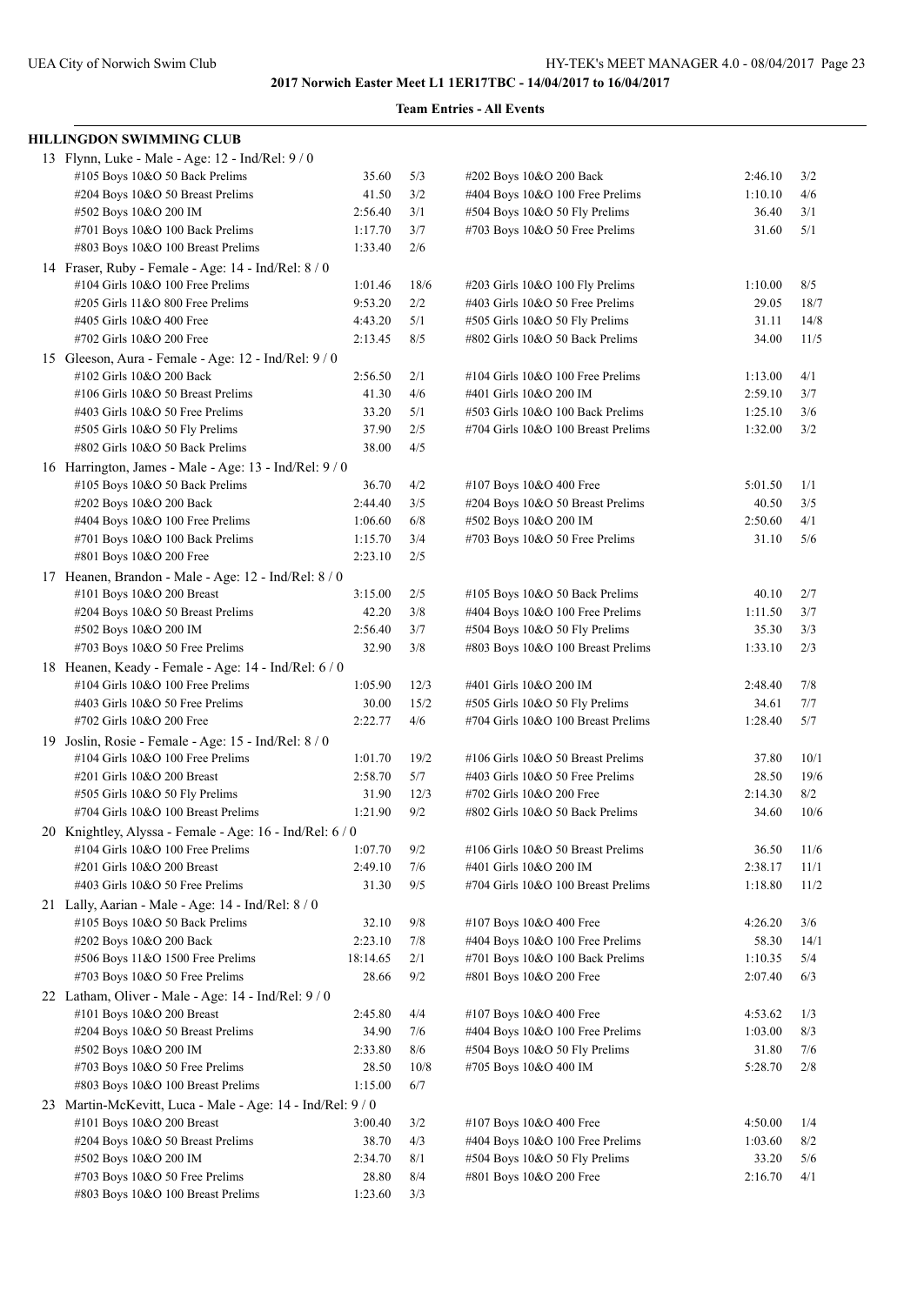| HILLINGDON SWIMMING CLUB                                   |          |      |                                    |         |      |
|------------------------------------------------------------|----------|------|------------------------------------|---------|------|
| 13 Flynn, Luke - Male - Age: 12 - Ind/Rel: 9 / 0           |          |      |                                    |         |      |
| #105 Boys 10&O 50 Back Prelims                             | 35.60    | 5/3  | #202 Boys 10&O 200 Back            | 2:46.10 | 3/2  |
| #204 Boys 10&O 50 Breast Prelims                           | 41.50    | 3/2  | #404 Boys 10&O 100 Free Prelims    | 1:10.10 | 4/6  |
| #502 Boys 10&O 200 IM                                      | 2:56.40  | 3/1  | #504 Boys 10&O 50 Fly Prelims      | 36.40   | 3/1  |
| #701 Boys 10&O 100 Back Prelims                            | 1:17.70  | 3/7  | #703 Boys 10&O 50 Free Prelims     | 31.60   | 5/1  |
| #803 Boys 10&O 100 Breast Prelims                          | 1:33.40  | 2/6  |                                    |         |      |
| 14 Fraser, Ruby - Female - Age: 14 - Ind/Rel: 8 / 0        |          |      |                                    |         |      |
| #104 Girls 10&O 100 Free Prelims                           | 1:01.46  | 18/6 | #203 Girls 10&O 100 Fly Prelims    | 1:10.00 | 8/5  |
| #205 Girls 11&O 800 Free Prelims                           | 9:53.20  | 2/2  | #403 Girls 10&O 50 Free Prelims    | 29.05   | 18/7 |
| #405 Girls 10&O 400 Free                                   | 4:43.20  | 5/1  | #505 Girls 10&O 50 Fly Prelims     | 31.11   | 14/8 |
| #702 Girls 10&O 200 Free                                   | 2:13.45  | 8/5  | #802 Girls 10&O 50 Back Prelims    | 34.00   | 11/5 |
| 15 Gleeson, Aura - Female - Age: 12 - Ind/Rel: 9 / 0       |          |      |                                    |         |      |
| #102 Girls 10&O 200 Back                                   | 2:56.50  | 2/1  | #104 Girls 10&O 100 Free Prelims   | 1:13.00 | 4/1  |
| #106 Girls 10&O 50 Breast Prelims                          | 41.30    | 4/6  | #401 Girls 10&O 200 IM             | 2:59.10 | 3/7  |
| #403 Girls 10&O 50 Free Prelims                            | 33.20    | 5/1  | #503 Girls 10&O 100 Back Prelims   | 1:25.10 | 3/6  |
|                                                            | 37.90    | 2/5  | #704 Girls 10&O 100 Breast Prelims | 1:32.00 | 3/2  |
| #505 Girls 10&O 50 Fly Prelims                             |          |      |                                    |         |      |
| #802 Girls 10&O 50 Back Prelims                            | 38.00    | 4/5  |                                    |         |      |
| 16 Harrington, James - Male - Age: 13 - Ind/Rel: 9 / 0     |          |      |                                    |         |      |
| #105 Boys 10&O 50 Back Prelims                             | 36.70    | 4/2  | #107 Boys 10&O 400 Free            | 5:01.50 | 1/1  |
| #202 Boys 10&O 200 Back                                    | 2:44.40  | 3/5  | #204 Boys 10&O 50 Breast Prelims   | 40.50   | 3/5  |
| #404 Boys 10&O 100 Free Prelims                            | 1:06.60  | 6/8  | #502 Boys 10&O 200 IM              | 2:50.60 | 4/1  |
| #701 Boys 10&O 100 Back Prelims                            | 1:15.70  | 3/4  | $\#703$ Boys 10&O 50 Free Prelims  | 31.10   | 5/6  |
| #801 Boys 10&O 200 Free                                    | 2:23.10  | 2/5  |                                    |         |      |
| 17 Heanen, Brandon - Male - Age: 12 - Ind/Rel: 8 / 0       |          |      |                                    |         |      |
| #101 Boys 10&O 200 Breast                                  | 3:15.00  | 2/5  | #105 Boys 10&O 50 Back Prelims     | 40.10   | 2/7  |
| #204 Boys 10&O 50 Breast Prelims                           | 42.20    | 3/8  | #404 Boys 10&O 100 Free Prelims    | 1:11.50 | 3/7  |
| #502 Boys 10&O 200 IM                                      | 2:56.40  | 3/7  | #504 Boys 10&O 50 Fly Prelims      | 35.30   | 3/3  |
| #703 Boys 10&O 50 Free Prelims                             | 32.90    | 3/8  | #803 Boys 10&O 100 Breast Prelims  | 1:33.10 | 2/3  |
| 18 Heanen, Keady - Female - Age: 14 - Ind/Rel: 6 / 0       |          |      |                                    |         |      |
| #104 Girls 10&O 100 Free Prelims                           | 1:05.90  | 12/3 | #401 Girls 10&O 200 IM             | 2:48.40 | 7/8  |
| #403 Girls 10&O 50 Free Prelims                            | 30.00    | 15/2 | #505 Girls 10&O 50 Fly Prelims     | 34.61   | 7/7  |
| #702 Girls 10&O 200 Free                                   | 2:22.77  | 4/6  | #704 Girls 10&O 100 Breast Prelims | 1:28.40 | 5/7  |
| 19 Joslin, Rosie - Female - Age: 15 - Ind/Rel: 8 / 0       |          |      |                                    |         |      |
| #104 Girls 10&O 100 Free Prelims                           | 1:01.70  | 19/2 | #106 Girls 10&O 50 Breast Prelims  | 37.80   | 10/1 |
| #201 Girls 10&O 200 Breast                                 | 2:58.70  | 5/7  | #403 Girls 10&O 50 Free Prelims    | 28.50   | 19/6 |
| #505 Girls 10&O 50 Fly Prelims                             | 31.90    | 12/3 | #702 Girls 10&O 200 Free           | 2:14.30 | 8/2  |
| #704 Girls 10&O 100 Breast Prelims                         | 1:21.90  | 9/2  | #802 Girls 10&O 50 Back Prelims    | 34.60   | 10/6 |
|                                                            |          |      |                                    |         |      |
| 20 Knightley, Alyssa - Female - Age: 16 - Ind/Rel: 6 / 0   |          |      |                                    |         |      |
| #104 Girls 10&O 100 Free Prelims                           | 1:07.70  | 9/2  | #106 Girls 10&O 50 Breast Prelims  | 36.50   | 11/6 |
| #201 Girls 10&O 200 Breast                                 | 2:49.10  | 7/6  | #401 Girls 10&O 200 IM             | 2:38.17 | 11/1 |
| #403 Girls 10&O 50 Free Prelims                            | 31.30    | 9/5  | #704 Girls 10&O 100 Breast Prelims | 1:18.80 | 11/2 |
| 21 Lally, Aarian - Male - Age: $14$ - Ind/Rel: $8/0$       |          |      |                                    |         |      |
| #105 Boys 10&O 50 Back Prelims                             | 32.10    | 9/8  | #107 Boys 10&O 400 Free            | 4:26.20 | 3/6  |
| #202 Boys 10&O 200 Back                                    | 2:23.10  | 7/8  | #404 Boys 10&O 100 Free Prelims    | 58.30   | 14/1 |
| #506 Boys 11&O 1500 Free Prelims                           | 18:14.65 | 2/1  | #701 Boys 10&O 100 Back Prelims    | 1:10.35 | 5/4  |
| #703 Boys 10&O 50 Free Prelims                             | 28.66    | 9/2  | #801 Boys 10&O 200 Free            | 2:07.40 | 6/3  |
| 22 Latham, Oliver - Male - Age: 14 - Ind/Rel: 9 / 0        |          |      |                                    |         |      |
| #101 Boys 10&O 200 Breast                                  | 2:45.80  | 4/4  | #107 Boys 10&O 400 Free            | 4:53.62 | 1/3  |
| #204 Boys 10&O 50 Breast Prelims                           | 34.90    | 7/6  | #404 Boys 10&O 100 Free Prelims    | 1:03.00 | 8/3  |
| #502 Boys 10&O 200 IM                                      | 2:33.80  | 8/6  | #504 Boys 10&O 50 Fly Prelims      | 31.80   | 7/6  |
| #703 Boys 10&O 50 Free Prelims                             | 28.50    | 10/8 | #705 Boys 10&O 400 IM              | 5:28.70 | 2/8  |
| #803 Boys 10&O 100 Breast Prelims                          | 1:15.00  | 6/7  |                                    |         |      |
| 23 Martin-McKevitt, Luca - Male - Age: 14 - Ind/Rel: 9 / 0 |          |      |                                    |         |      |
| #101 Boys 10&O 200 Breast                                  | 3:00.40  | 3/2  | #107 Boys 10&O 400 Free            | 4:50.00 | 1/4  |
| #204 Boys 10&O 50 Breast Prelims                           | 38.70    | 4/3  | #404 Boys 10&O 100 Free Prelims    | 1:03.60 | 8/2  |
| #502 Boys 10&O 200 IM                                      | 2:34.70  | 8/1  | #504 Boys 10&O 50 Fly Prelims      | 33.20   | 5/6  |
| #703 Boys 10&O 50 Free Prelims                             | 28.80    | 8/4  | #801 Boys 10&O 200 Free            | 2:16.70 | 4/1  |
| #803 Boys 10&O 100 Breast Prelims                          | 1:23.60  | 3/3  |                                    |         |      |
|                                                            |          |      |                                    |         |      |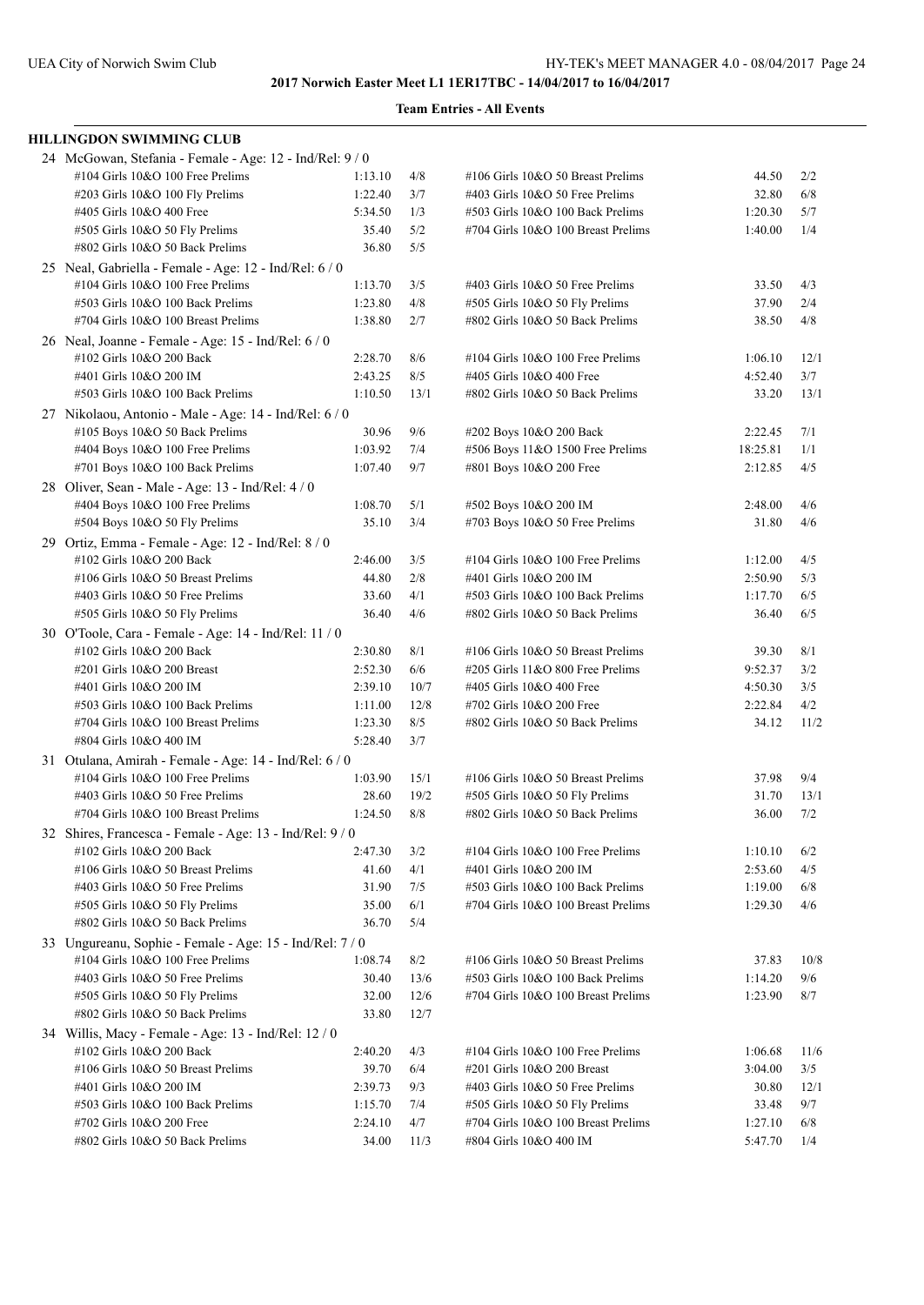| <b>HILLINGDON SWIMMING CLUB</b>                          |         |       |                                    |          |      |
|----------------------------------------------------------|---------|-------|------------------------------------|----------|------|
| 24 McGowan, Stefania - Female - Age: 12 - Ind/Rel: 9 / 0 |         |       |                                    |          |      |
| #104 Girls 10&O 100 Free Prelims                         | 1:13.10 | 4/8   | #106 Girls 10&O 50 Breast Prelims  | 44.50    | 2/2  |
| #203 Girls 10&O 100 Fly Prelims                          | 1:22.40 | 3/7   | #403 Girls 10&O 50 Free Prelims    | 32.80    | 6/8  |
| #405 Girls 10&O 400 Free                                 | 5:34.50 | 1/3   | #503 Girls 10&O 100 Back Prelims   | 1:20.30  | 5/7  |
| #505 Girls 10&O 50 Fly Prelims                           | 35.40   | 5/2   | #704 Girls 10&O 100 Breast Prelims | 1:40.00  | 1/4  |
| #802 Girls 10&O 50 Back Prelims                          | 36.80   | 5/5   |                                    |          |      |
| 25 Neal, Gabriella - Female - Age: 12 - Ind/Rel: 6 / 0   |         |       |                                    |          |      |
| #104 Girls 10&O 100 Free Prelims                         | 1:13.70 | 3/5   | #403 Girls 10&O 50 Free Prelims    | 33.50    | 4/3  |
| #503 Girls 10&O 100 Back Prelims                         | 1:23.80 | 4/8   | #505 Girls 10&O 50 Fly Prelims     | 37.90    | 2/4  |
| #704 Girls 10&O 100 Breast Prelims                       | 1:38.80 | 2/7   | #802 Girls 10&O 50 Back Prelims    | 38.50    | 4/8  |
| 26 Neal, Joanne - Female - Age: 15 - Ind/Rel: 6 / 0      |         |       |                                    |          |      |
| #102 Girls 10&O 200 Back                                 | 2:28.70 | 8/6   | #104 Girls 10&O 100 Free Prelims   | 1:06.10  | 12/1 |
| #401 Girls 10&O 200 IM                                   | 2:43.25 | 8/5   | #405 Girls 10&O 400 Free           | 4:52.40  | 3/7  |
| #503 Girls 10&O 100 Back Prelims                         | 1:10.50 | 13/1  | #802 Girls 10&O 50 Back Prelims    | 33.20    | 13/1 |
| 27 Nikolaou, Antonio - Male - Age: 14 - Ind/Rel: 6 / 0   |         |       |                                    |          |      |
| #105 Boys 10&O 50 Back Prelims                           | 30.96   | 9/6   | #202 Boys 10&O 200 Back            | 2:22.45  | 7/1  |
| #404 Boys 10&O 100 Free Prelims                          | 1:03.92 | 7/4   | #506 Boys 11&O 1500 Free Prelims   | 18:25.81 | 1/1  |
| #701 Boys 10&O 100 Back Prelims                          | 1:07.40 | 9/7   | #801 Boys 10&O 200 Free            | 2:12.85  | 4/5  |
| 28 Oliver, Sean - Male - Age: 13 - Ind/Rel: 4 / 0        |         |       |                                    |          |      |
| #404 Boys 10&O 100 Free Prelims                          | 1:08.70 | 5/1   | #502 Boys 10&O 200 IM              | 2:48.00  | 4/6  |
| #504 Boys 10&O 50 Fly Prelims                            | 35.10   | 3/4   | #703 Boys 10&O 50 Free Prelims     | 31.80    | 4/6  |
| 29 Ortiz, Emma - Female - Age: 12 - Ind/Rel: 8 / 0       |         |       |                                    |          |      |
| #102 Girls 10&O 200 Back                                 | 2:46.00 | 3/5   | #104 Girls 10&O 100 Free Prelims   | 1:12.00  | 4/5  |
| #106 Girls 10&O 50 Breast Prelims                        | 44.80   | $2/8$ | #401 Girls 10&O 200 IM             | 2:50.90  | 5/3  |
| #403 Girls 10&O 50 Free Prelims                          | 33.60   | 4/1   | #503 Girls 10&O 100 Back Prelims   | 1:17.70  | 6/5  |
| #505 Girls 10&O 50 Fly Prelims                           | 36.40   | 4/6   | #802 Girls 10&O 50 Back Prelims    | 36.40    | 6/5  |
| 30 O'Toole, Cara - Female - Age: 14 - Ind/Rel: 11 / 0    |         |       |                                    |          |      |
| #102 Girls 10&O 200 Back                                 | 2:30.80 | 8/1   | #106 Girls 10&O 50 Breast Prelims  | 39.30    | 8/1  |
| #201 Girls 10&O 200 Breast                               | 2:52.30 | 6/6   | #205 Girls 11&O 800 Free Prelims   | 9:52.37  | 3/2  |
| #401 Girls 10&O 200 IM                                   | 2:39.10 | 10/7  | #405 Girls 10&O 400 Free           | 4:50.30  | 3/5  |
| #503 Girls 10&O 100 Back Prelims                         | 1:11.00 | 12/8  | #702 Girls 10&O 200 Free           | 2:22.84  | 4/2  |
| #704 Girls 10&O 100 Breast Prelims                       | 1:23.30 | 8/5   | #802 Girls 10&O 50 Back Prelims    | 34.12    | 11/2 |
| #804 Girls 10&O 400 IM                                   | 5:28.40 | 3/7   |                                    |          |      |
| 31 Otulana, Amirah - Female - Age: 14 - Ind/Rel: 6 / 0   |         |       |                                    |          |      |
| $\#104$ Girls 10&O 100 Free Prelims                      | 1:03.90 | 15/1  | #106 Girls 10&O 50 Breast Prelims  | 37.98    | 9/4  |
| #403 Girls 10&O 50 Free Prelims                          | 28.60   | 19/2  | #505 Girls 10&O 50 Fly Prelims     | 31.70    | 13/1 |
| #704 Girls 10&O 100 Breast Prelims                       | 1:24.50 | 8/8   | #802 Girls 10&O 50 Back Prelims    | 36.00    | 7/2  |
| 32 Shires, Francesca - Female - Age: 13 - Ind/Rel: 9 / 0 |         |       |                                    |          |      |
| #102 Girls 10&O 200 Back                                 | 2:47.30 | 3/2   | #104 Girls 10&O 100 Free Prelims   | 1:10.10  | 6/2  |
| #106 Girls 10&O 50 Breast Prelims                        | 41.60   | 4/1   | #401 Girls 10&O 200 IM             | 2:53.60  | 4/5  |
| #403 Girls 10&O 50 Free Prelims                          | 31.90   | 7/5   | #503 Girls 10&O 100 Back Prelims   | 1:19.00  | 6/8  |
| #505 Girls 10&O 50 Fly Prelims                           | 35.00   | 6/1   | #704 Girls 10&O 100 Breast Prelims | 1:29.30  | 4/6  |
| #802 Girls 10&O 50 Back Prelims                          | 36.70   | 5/4   |                                    |          |      |
| 33 Ungureanu, Sophie - Female - Age: 15 - Ind/Rel: 7 / 0 |         |       |                                    |          |      |
| #104 Girls 10&O 100 Free Prelims                         | 1:08.74 | 8/2   | #106 Girls 10&O 50 Breast Prelims  | 37.83    | 10/8 |
| $\#403$ Girls 10&O 50 Free Prelims                       | 30.40   | 13/6  | #503 Girls 10&O 100 Back Prelims   | 1:14.20  | 9/6  |
| #505 Girls 10&O 50 Fly Prelims                           | 32.00   | 12/6  | #704 Girls 10&O 100 Breast Prelims | 1:23.90  | 8/7  |
| #802 Girls 10&O 50 Back Prelims                          | 33.80   | 12/7  |                                    |          |      |
| 34 Willis, Macy - Female - Age: 13 - Ind/Rel: 12 / 0     |         |       |                                    |          |      |
| #102 Girls 10&O 200 Back                                 | 2:40.20 | 4/3   | #104 Girls 10&O 100 Free Prelims   | 1:06.68  | 11/6 |
| #106 Girls 10&O 50 Breast Prelims                        | 39.70   | 6/4   | #201 Girls 10&O 200 Breast         | 3:04.00  | 3/5  |
| #401 Girls 10&O 200 IM                                   | 2:39.73 | 9/3   | #403 Girls 10&O 50 Free Prelims    | 30.80    | 12/1 |
| #503 Girls 10&O 100 Back Prelims                         | 1:15.70 | 7/4   | #505 Girls 10&O 50 Fly Prelims     | 33.48    | 9/7  |
| #702 Girls 10&O 200 Free                                 | 2:24.10 | 4/7   | #704 Girls 10&O 100 Breast Prelims | 1:27.10  | 6/8  |
| #802 Girls 10&O 50 Back Prelims                          | 34.00   | 11/3  | #804 Girls 10&O 400 IM             | 5:47.70  | 1/4  |
|                                                          |         |       |                                    |          |      |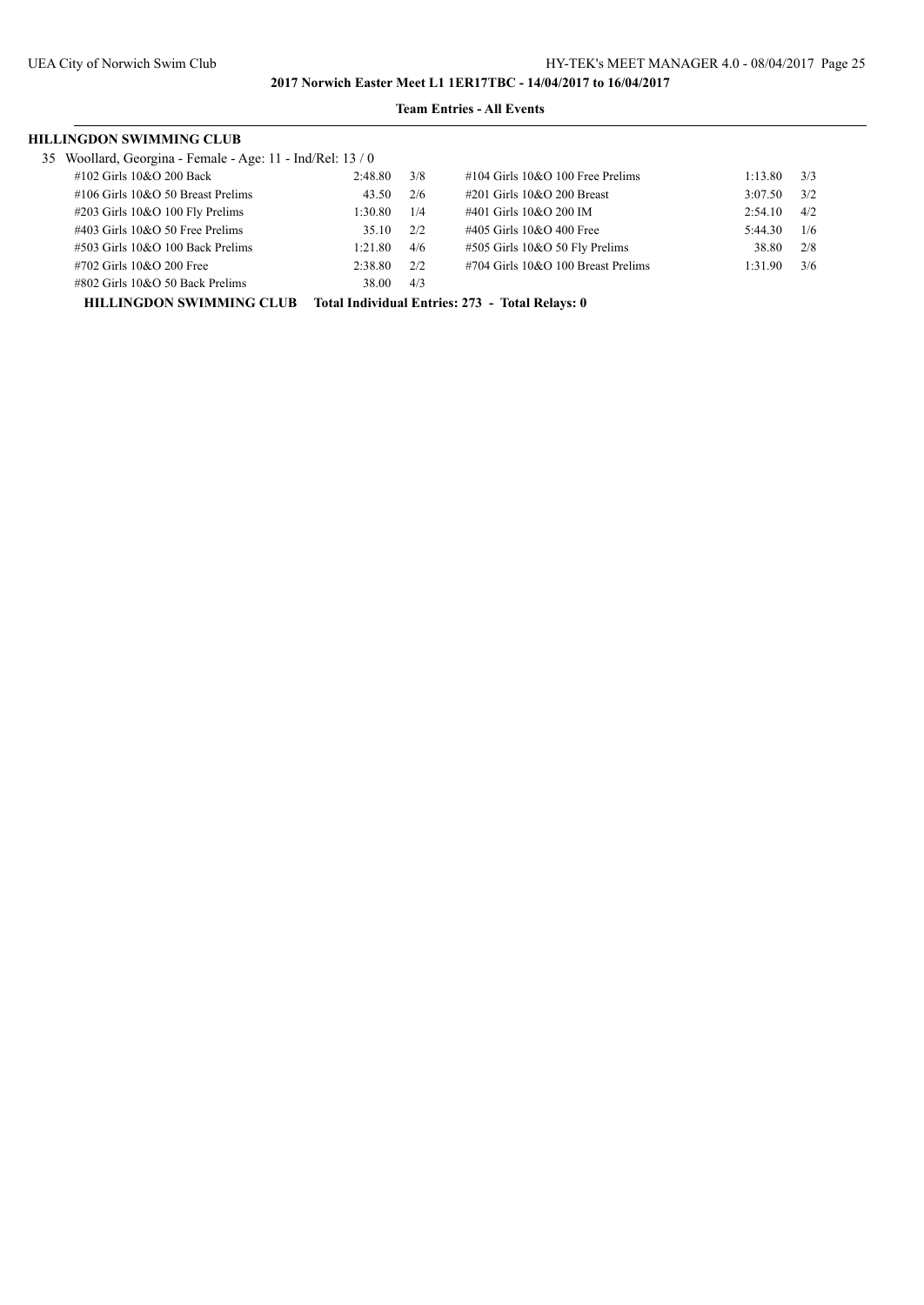## **Team Entries - All Events**

| HILLINGDON SWIMMING CLUB |  |
|--------------------------|--|
|--------------------------|--|

| 35 Woollard, Georgina - Female - Age: 11 - Ind/Rel: 13 / 0 |  |  |  |
|------------------------------------------------------------|--|--|--|
|                                                            |  |  |  |

| $55$ rooman, see gain remare $1.5$ . If the next $1570$ |         |     |                                     |         |     |
|---------------------------------------------------------|---------|-----|-------------------------------------|---------|-----|
| $\#102$ Girls $10&O$ 200 Back                           | 2:48.80 | 3/8 | $\#104$ Girls 10&O 100 Free Prelims | 1:13.80 | 3/3 |
| $\#106$ Girls $10&O$ 50 Breast Prelims                  | 43.50   | 2/6 | #201 Girls 10&O 200 Breast          | 3:07.50 | 3/2 |
| #203 Girls 10&O 100 Fly Prelims                         | 1:30.80 | 1/4 | #401 Girls 10&O 200 IM              | 2:54.10 | 4/2 |
| $\#403$ Girls 10&O 50 Free Prelims                      | 35.10   | 2/2 | #405 Girls $10&O$ 400 Free          | 5:44.30 | 1/6 |
| $\#503$ Girls 10&O 100 Back Prelims                     | 1:21.80 | 4/6 | $\#505$ Girls 10&O 50 Fly Prelims   | 38.80   | 2/8 |
| #702 Girls 10&O 200 Free                                | 2:38.80 | 2/2 | #704 Girls 10&O 100 Breast Prelims  | 1:31.90 | 3/6 |
| $\#802$ Girls 10&O 50 Back Prelims                      | 38.00   | 4/3 |                                     |         |     |
|                                                         |         |     |                                     |         |     |

**HILLINGDON SWIMMING CLUB Total Individual Entries: 273 - Total Relays: 0**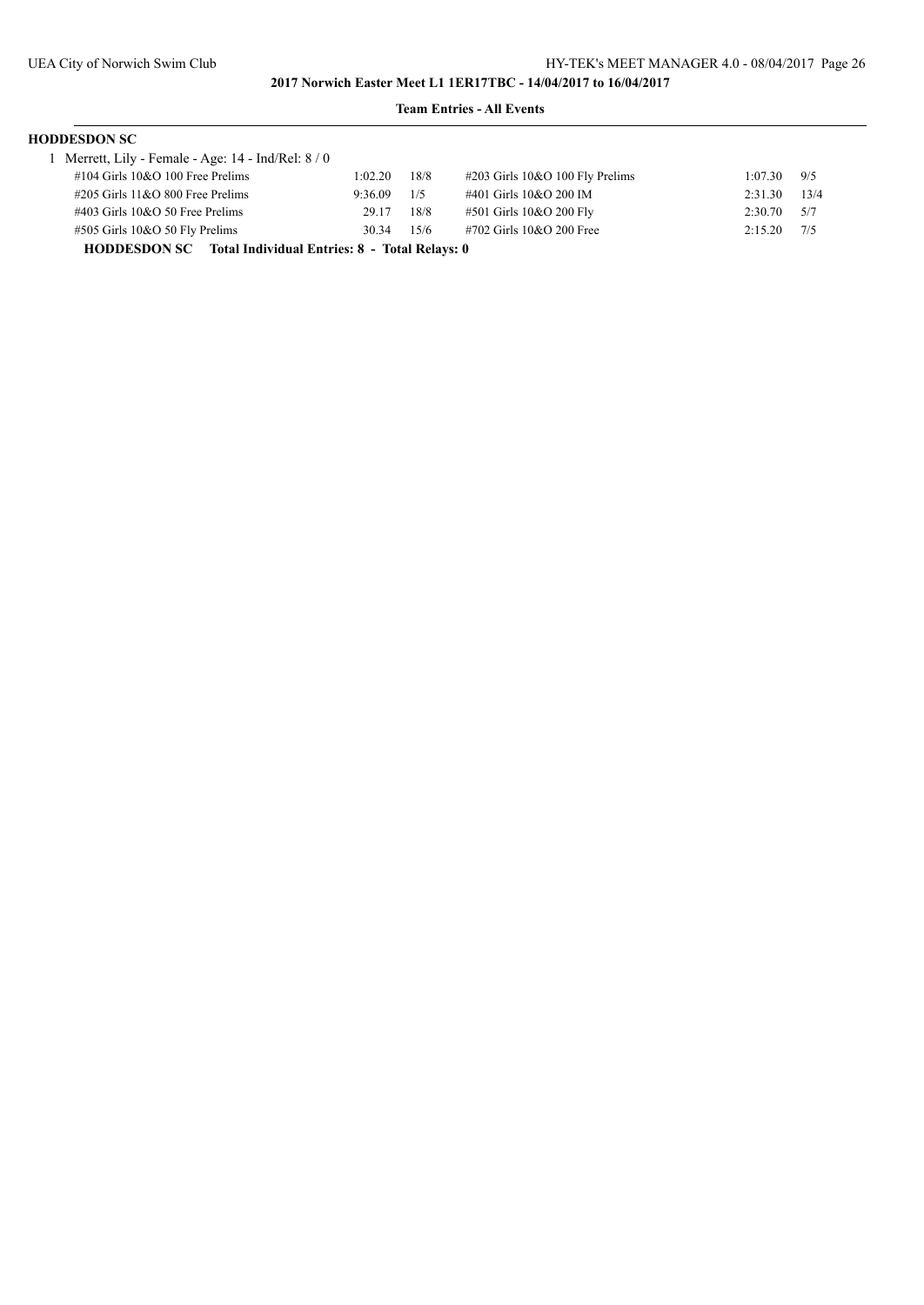## **Team Entries - All Events**

| <b>HODDESDON SC</b>                               |         |      |                                    |                 |      |  |  |  |  |  |  |
|---------------------------------------------------|---------|------|------------------------------------|-----------------|------|--|--|--|--|--|--|
| Merrett, Lily - Female - Age: 14 - Ind/Rel: 8 / 0 |         |      |                                    |                 |      |  |  |  |  |  |  |
| $\#104$ Girls 10&O 100 Free Prelims               | 1:02.20 | 18/8 | $\#203$ Girls 10&O 100 Fly Prelims | 1:07.30         | 9/5  |  |  |  |  |  |  |
| $\#205$ Girls 11&O 800 Free Prelims               | 9:36.09 | 1/5  | #401 Girls 10&O 200 IM             | 2:31.30         | 13/4 |  |  |  |  |  |  |
| $\#403$ Girls 10&O 50 Free Prelims                | 29.17   | 18/8 | #501 Girls 10&O 200 Fly            | $2:30.70$ $5/7$ |      |  |  |  |  |  |  |
| #505 Girls 10&O 50 Fly Prelims                    | 30.34   | 15/6 | #702 Girls 10&O 200 Free           | 2:15.20         | 7/5  |  |  |  |  |  |  |

**HODDESDON SC Total Individual Entries: 8 - Total Relays: 0**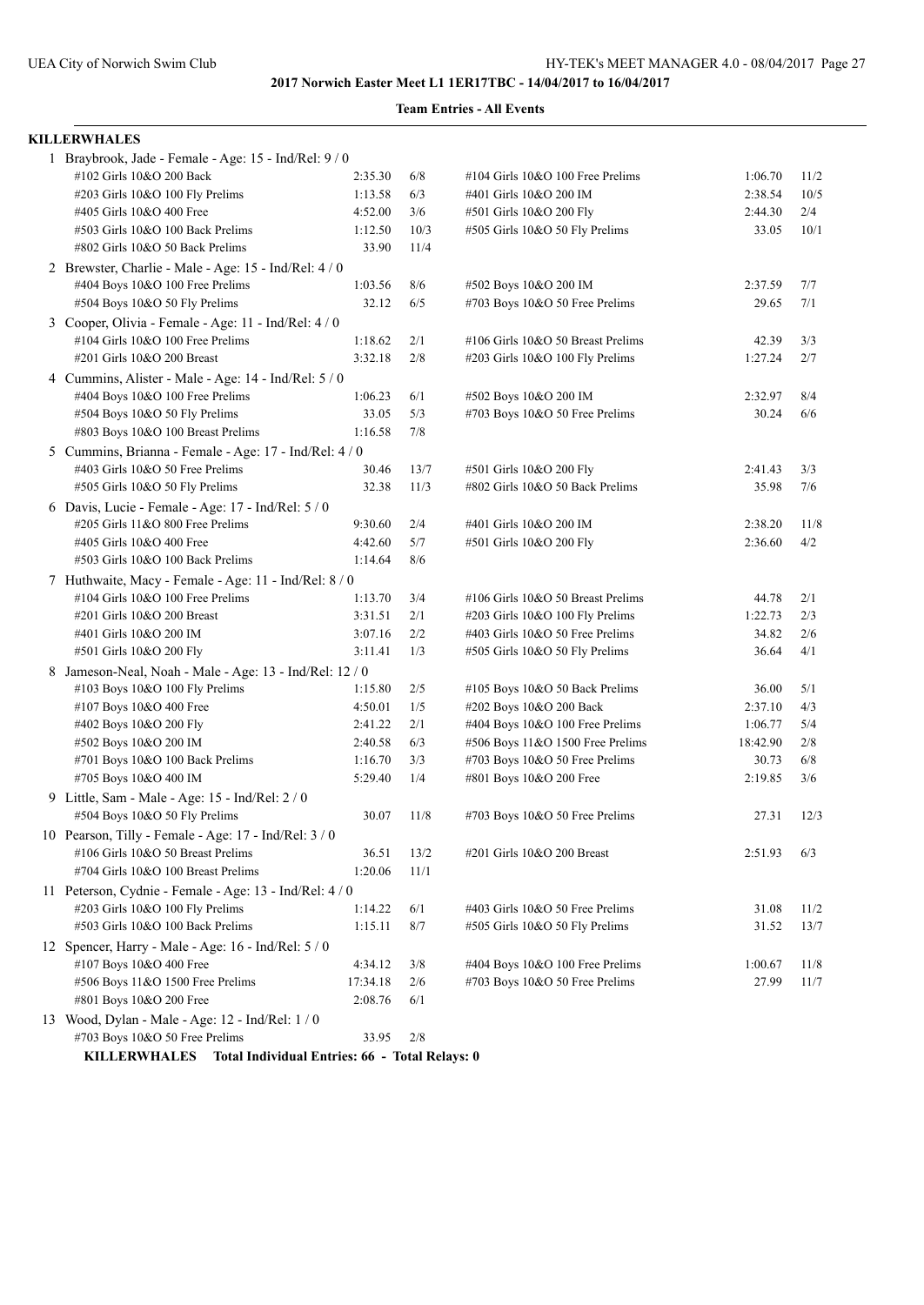### **Team Entries - All Events**

#### **KILLERWHALES**

| 1 Braybrook, Jade - Female - Age: 15 - Ind/Rel: 9 / 0   |          |       |                                   |          |      |
|---------------------------------------------------------|----------|-------|-----------------------------------|----------|------|
| #102 Girls 10&O 200 Back                                | 2:35.30  | $6/8$ | #104 Girls 10&O 100 Free Prelims  | 1:06.70  | 11/2 |
| #203 Girls 10&O 100 Fly Prelims                         | 1:13.58  | 6/3   | #401 Girls 10&O 200 IM            | 2:38.54  | 10/5 |
| #405 Girls 10&O 400 Free                                | 4:52.00  | 3/6   | #501 Girls 10&O 200 Fly           | 2:44.30  | 2/4  |
| #503 Girls 10&O 100 Back Prelims                        | 1:12.50  | 10/3  | #505 Girls 10&O 50 Fly Prelims    | 33.05    | 10/1 |
| #802 Girls 10&O 50 Back Prelims                         | 33.90    | 11/4  |                                   |          |      |
| 2 Brewster, Charlie - Male - Age: 15 - Ind/Rel: 4 / 0   |          |       |                                   |          |      |
| #404 Boys 10&O 100 Free Prelims                         | 1:03.56  | 8/6   | #502 Boys 10&O 200 IM             | 2:37.59  | 7/7  |
| #504 Boys 10&O 50 Fly Prelims                           | 32.12    | 6/5   | #703 Boys 10&O 50 Free Prelims    | 29.65    | 7/1  |
| 3 Cooper, Olivia - Female - Age: 11 - Ind/Rel: 4 / 0    |          |       |                                   |          |      |
| #104 Girls 10&O 100 Free Prelims                        | 1:18.62  | 2/1   | #106 Girls 10&O 50 Breast Prelims | 42.39    | 3/3  |
| #201 Girls 10&O 200 Breast                              | 3:32.18  | 2/8   | #203 Girls 10&O 100 Fly Prelims   | 1:27.24  | 2/7  |
| 4 Cummins, Alister - Male - Age: 14 - Ind/Rel: 5 / 0    |          |       |                                   |          |      |
| #404 Boys 10&O 100 Free Prelims                         | 1:06.23  | 6/1   | #502 Boys 10&O 200 IM             | 2:32.97  | 8/4  |
| #504 Boys 10&O 50 Fly Prelims                           | 33.05    | 5/3   | #703 Boys 10&O 50 Free Prelims    | 30.24    | 6/6  |
| #803 Boys 10&O 100 Breast Prelims                       | 1:16.58  | 7/8   |                                   |          |      |
| 5 Cummins, Brianna - Female - Age: 17 - Ind/Rel: 4/0    |          |       |                                   |          |      |
| #403 Girls 10&O 50 Free Prelims                         | 30.46    | 13/7  | #501 Girls 10&O 200 Fly           | 2:41.43  | 3/3  |
| #505 Girls 10&O 50 Fly Prelims                          | 32.38    | 11/3  | #802 Girls 10&O 50 Back Prelims   | 35.98    | 7/6  |
| 6 Davis, Lucie - Female - Age: 17 - Ind/Rel: 5 / 0      |          |       |                                   |          |      |
| #205 Girls 11&O 800 Free Prelims                        | 9:30.60  | 2/4   | #401 Girls 10&O 200 IM            | 2:38.20  | 11/8 |
| #405 Girls 10&O 400 Free                                | 4:42.60  | 5/7   | #501 Girls 10&O 200 Fly           | 2:36.60  | 4/2  |
| #503 Girls 10&O 100 Back Prelims                        | 1:14.64  | 8/6   |                                   |          |      |
| 7 Huthwaite, Macy - Female - Age: 11 - Ind/Rel: 8 / 0   |          |       |                                   |          |      |
| #104 Girls 10&O 100 Free Prelims                        | 1:13.70  | 3/4   | #106 Girls 10&O 50 Breast Prelims | 44.78    | 2/1  |
| #201 Girls 10&O 200 Breast                              | 3:31.51  | 2/1   | #203 Girls 10&O 100 Fly Prelims   | 1:22.73  | 2/3  |
| #401 Girls 10&O 200 IM                                  | 3:07.16  | 2/2   | #403 Girls 10&O 50 Free Prelims   | 34.82    | 2/6  |
| #501 Girls 10&O 200 Fly                                 | 3:11.41  | 1/3   | #505 Girls 10&O 50 Fly Prelims    | 36.64    | 4/1  |
| 8 Jameson-Neal, Noah - Male - Age: 13 - Ind/Rel: 12 / 0 |          |       |                                   |          |      |
| #103 Boys 10&O 100 Fly Prelims                          | 1:15.80  | 2/5   | #105 Boys 10&O 50 Back Prelims    | 36.00    | 5/1  |
| #107 Boys 10&O 400 Free                                 | 4:50.01  | 1/5   | #202 Boys 10&O 200 Back           | 2:37.10  | 4/3  |
| #402 Boys 10&O 200 Fly                                  | 2:41.22  | $2/1$ | #404 Boys 10&O 100 Free Prelims   | 1:06.77  | 5/4  |
| #502 Boys 10&O 200 IM                                   | 2:40.58  | 6/3   | #506 Boys 11&O 1500 Free Prelims  | 18:42.90 | 2/8  |
| #701 Boys 10&O 100 Back Prelims                         | 1:16.70  | 3/3   | #703 Boys 10&O 50 Free Prelims    | 30.73    | 6/8  |
| #705 Boys 10&O 400 IM                                   | 5:29.40  | 1/4   | #801 Boys 10&O 200 Free           | 2:19.85  | 3/6  |
| 9 Little, Sam - Male - Age: 15 - Ind/Rel: 2 / 0         |          |       |                                   |          |      |
| #504 Boys 10&O 50 Fly Prelims                           | 30.07    | 11/8  | #703 Boys 10&O 50 Free Prelims    | 27.31    | 12/3 |
| 10 Pearson, Tilly - Female - Age: 17 - Ind/Rel: 3 / 0   |          |       |                                   |          |      |
| #106 Girls 10&O 50 Breast Prelims                       | 36.51    | 13/2  | #201 Girls 10&O 200 Breast        | 2:51.93  | 6/3  |
| #704 Girls 10&O 100 Breast Prelims                      | 1:20.06  | 11/1  |                                   |          |      |
| 11 Peterson, Cydnie - Female - Age: 13 - Ind/Rel: 4 / 0 |          |       |                                   |          |      |
| #203 Girls 10&O 100 Fly Prelims                         | 1:14.22  | 6/1   | #403 Girls 10&O 50 Free Prelims   | 31.08    | 11/2 |
| #503 Girls 10&O 100 Back Prelims                        | 1:15.11  | 8/7   | #505 Girls 10&O 50 Fly Prelims    | 31.52    | 13/7 |
| 12 Spencer, Harry - Male - Age: $16$ - Ind/Rel: $5/0$   |          |       |                                   |          |      |
| #107 Boys 10&O 400 Free                                 | 4:34.12  | 3/8   | #404 Boys 10&O 100 Free Prelims   | 1:00.67  | 11/8 |
| #506 Boys 11&O 1500 Free Prelims                        | 17:34.18 | 2/6   | #703 Boys 10&O 50 Free Prelims    | 27.99    | 11/7 |
| #801 Boys 10&O 200 Free                                 | 2:08.76  | 6/1   |                                   |          |      |
| 13 Wood, Dylan - Male - Age: 12 - Ind/Rel: 1 / 0        |          |       |                                   |          |      |
| #703 Boys 10&O 50 Free Prelims                          | 33.95    | 2/8   |                                   |          |      |

**KILLERWHALES Total Individual Entries: 66 - Total Relays: 0**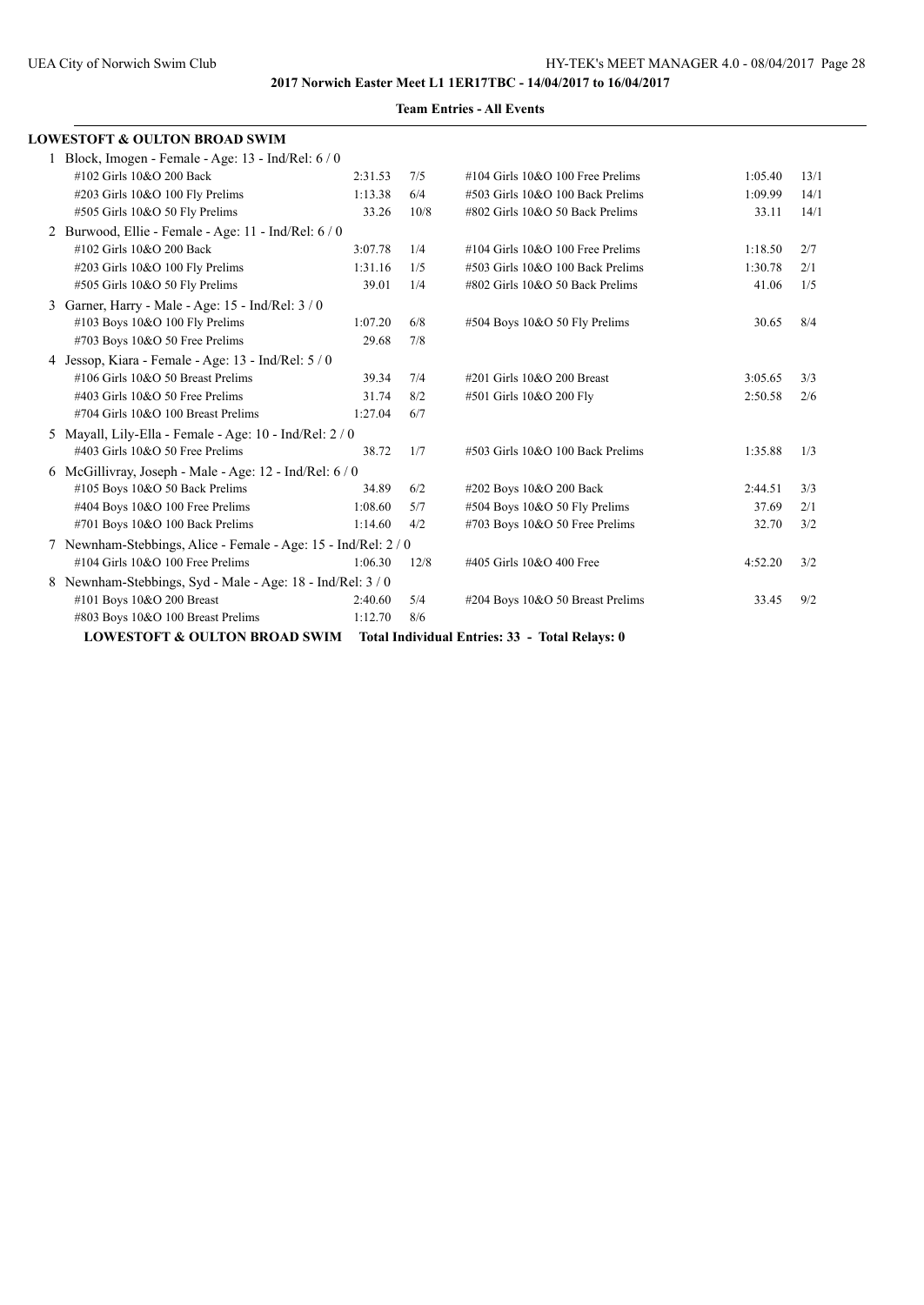| <b>LOWESTOFT &amp; OULTON BROAD SWIM</b>                       |         |      |                                                |         |      |
|----------------------------------------------------------------|---------|------|------------------------------------------------|---------|------|
| 1 Block, Imogen - Female - Age: 13 - Ind/Rel: 6 / 0            |         |      |                                                |         |      |
| #102 Girls 10&O 200 Back                                       | 2:31.53 | 7/5  | $\#104$ Girls 10&O 100 Free Prelims            | 1:05.40 | 13/1 |
| #203 Girls 10&O 100 Fly Prelims                                | 1:13.38 | 6/4  | #503 Girls 10&O 100 Back Prelims               | 1:09.99 | 14/1 |
| #505 Girls 10&O 50 Fly Prelims                                 | 33.26   | 10/8 | #802 Girls 10&O 50 Back Prelims                | 33.11   | 14/1 |
| 2 Burwood, Ellie - Female - Age: 11 - Ind/Rel: 6 / 0           |         |      |                                                |         |      |
| #102 Girls 10&O 200 Back                                       | 3:07.78 | 1/4  | $\#104$ Girls 10&O 100 Free Prelims            | 1:18.50 | 2/7  |
| #203 Girls 10&O 100 Fly Prelims                                | 1:31.16 | 1/5  | #503 Girls 10&O 100 Back Prelims               | 1:30.78 | 2/1  |
| #505 Girls 10&O 50 Fly Prelims                                 | 39.01   | 1/4  | #802 Girls 10&O 50 Back Prelims                | 41.06   | 1/5  |
| 3 Garner, Harry - Male - Age: 15 - Ind/Rel: 3 / 0              |         |      |                                                |         |      |
| #103 Boys 10&O 100 Fly Prelims                                 | 1:07.20 | 6/8  | #504 Boys 10&O 50 Fly Prelims                  | 30.65   | 8/4  |
| #703 Boys 10&O 50 Free Prelims                                 | 29.68   | 7/8  |                                                |         |      |
| 4 Jessop, Kiara - Female - Age: 13 - Ind/Rel: 5 / 0            |         |      |                                                |         |      |
| #106 Girls 10&O 50 Breast Prelims                              | 39.34   | 7/4  | #201 Girls 10&O 200 Breast                     | 3:05.65 | 3/3  |
| $\#403$ Girls 10&O 50 Free Prelims                             | 31.74   | 8/2  | #501 Girls 10&O 200 Fly                        | 2:50.58 | 2/6  |
| #704 Girls 10&O 100 Breast Prelims                             | 1:27.04 | 6/7  |                                                |         |      |
| 5 Mayall, Lily-Ella - Female - Age: 10 - Ind/Rel: 2 / 0        |         |      |                                                |         |      |
| $\#403$ Girls 10&O 50 Free Prelims                             | 38.72   | 1/7  | #503 Girls 10&O 100 Back Prelims               | 1:35.88 | 1/3  |
| 6 McGillivray, Joseph - Male - Age: 12 - Ind/Rel: $6/0$        |         |      |                                                |         |      |
| #105 Boys 10&O 50 Back Prelims                                 | 34.89   | 6/2  | #202 Boys 10&O 200 Back                        | 2:44.51 | 3/3  |
| #404 Boys 10&O 100 Free Prelims                                | 1:08.60 | 5/7  | #504 Boys 10&O 50 Fly Prelims                  | 37.69   | 2/1  |
| #701 Boys 10&O 100 Back Prelims                                | 1:14.60 | 4/2  | #703 Boys 10&O 50 Free Prelims                 | 32.70   | 3/2  |
| 7 Newnham-Stebbings, Alice - Female - Age: 15 - Ind/Rel: 2 / 0 |         |      |                                                |         |      |
| #104 Girls 10&O 100 Free Prelims                               | 1:06.30 | 12/8 | #405 Girls 10&O 400 Free                       | 4:52.20 | 3/2  |
| 8 Newnham-Stebbings, Syd - Male - Age: 18 - Ind/Rel: 3/0       |         |      |                                                |         |      |
| #101 Boys 10&O 200 Breast                                      | 2:40.60 | 5/4  | #204 Boys 10&O 50 Breast Prelims               | 33.45   | 9/2  |
| #803 Boys 10&O 100 Breast Prelims                              | 1:12.70 | 8/6  |                                                |         |      |
| <b>LOWESTOFT &amp; OULTON BROAD SWIM</b>                       |         |      | Total Individual Entries: 33 - Total Relays: 0 |         |      |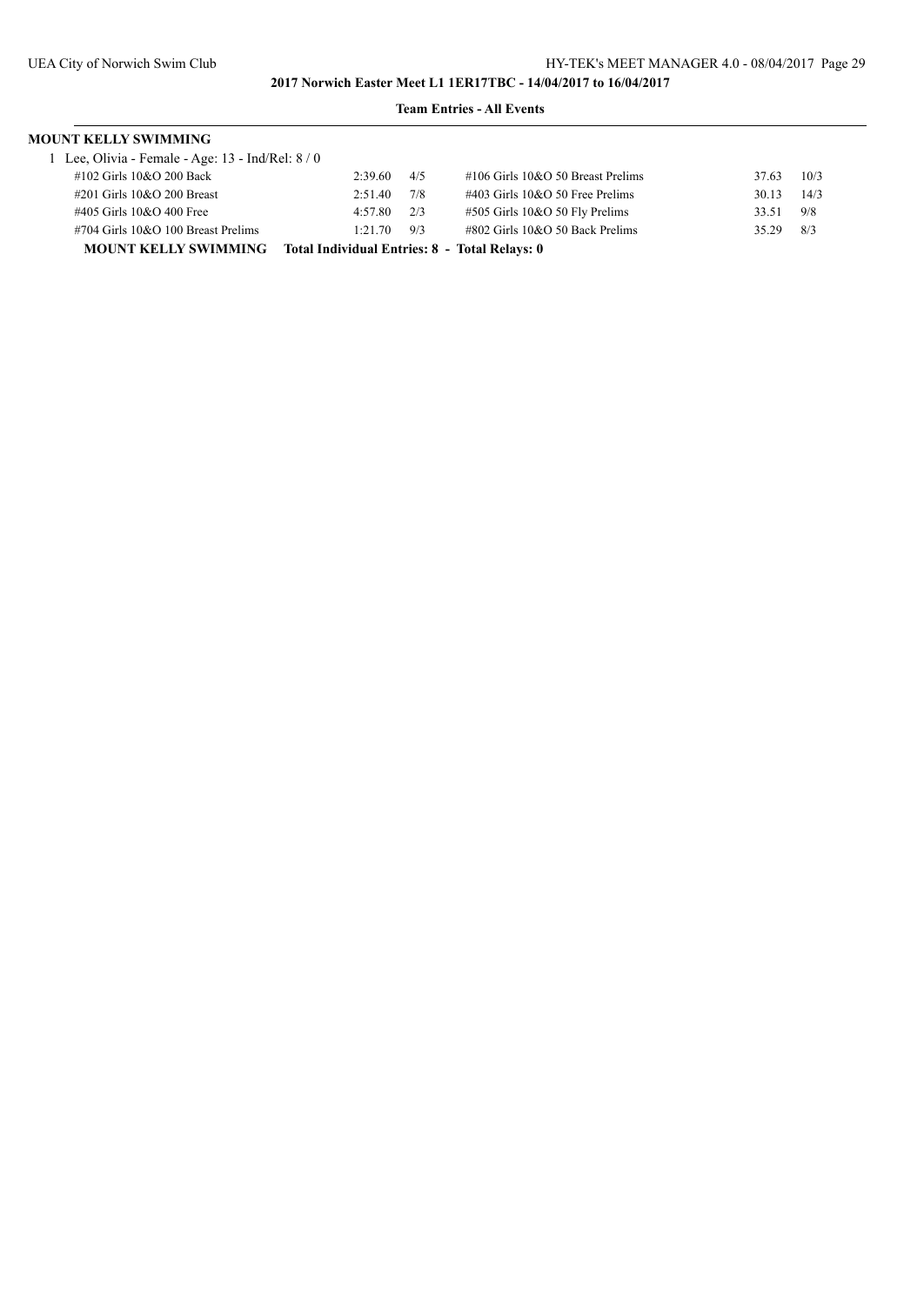| <b>MOUNT KELLY SWIMMING</b>                                               |         |     |                                      |       |      |  |  |  |
|---------------------------------------------------------------------------|---------|-----|--------------------------------------|-------|------|--|--|--|
| 1 Lee, Olivia - Female - Age: 13 - Ind/Rel: 8 / 0                         |         |     |                                      |       |      |  |  |  |
| #102 Girls 10&O 200 Back                                                  | 2:39.60 | 4/5 | $\#106$ Girls 10&O 50 Breast Prelims | 37.63 | 10/3 |  |  |  |
| #201 Girls 10&O 200 Breast                                                | 2:51.40 | 7/8 | $\#403$ Girls 10&O 50 Free Prelims   | 30.13 | 14/3 |  |  |  |
| #405 Girls 10&O 400 Free                                                  | 4:57.80 | 2/3 | $\#505$ Girls 10&O 50 Fly Prelims    | 33.51 | 9/8  |  |  |  |
| #704 Girls 10&O 100 Breast Prelims                                        | 1:21.70 | 9/3 | #802 Girls 10&O 50 Back Prelims      | 35.29 | 8/3  |  |  |  |
| <b>MOUNT KELLY SWIMMING</b> Total Individual Entries: 8 - Total Relays: 0 |         |     |                                      |       |      |  |  |  |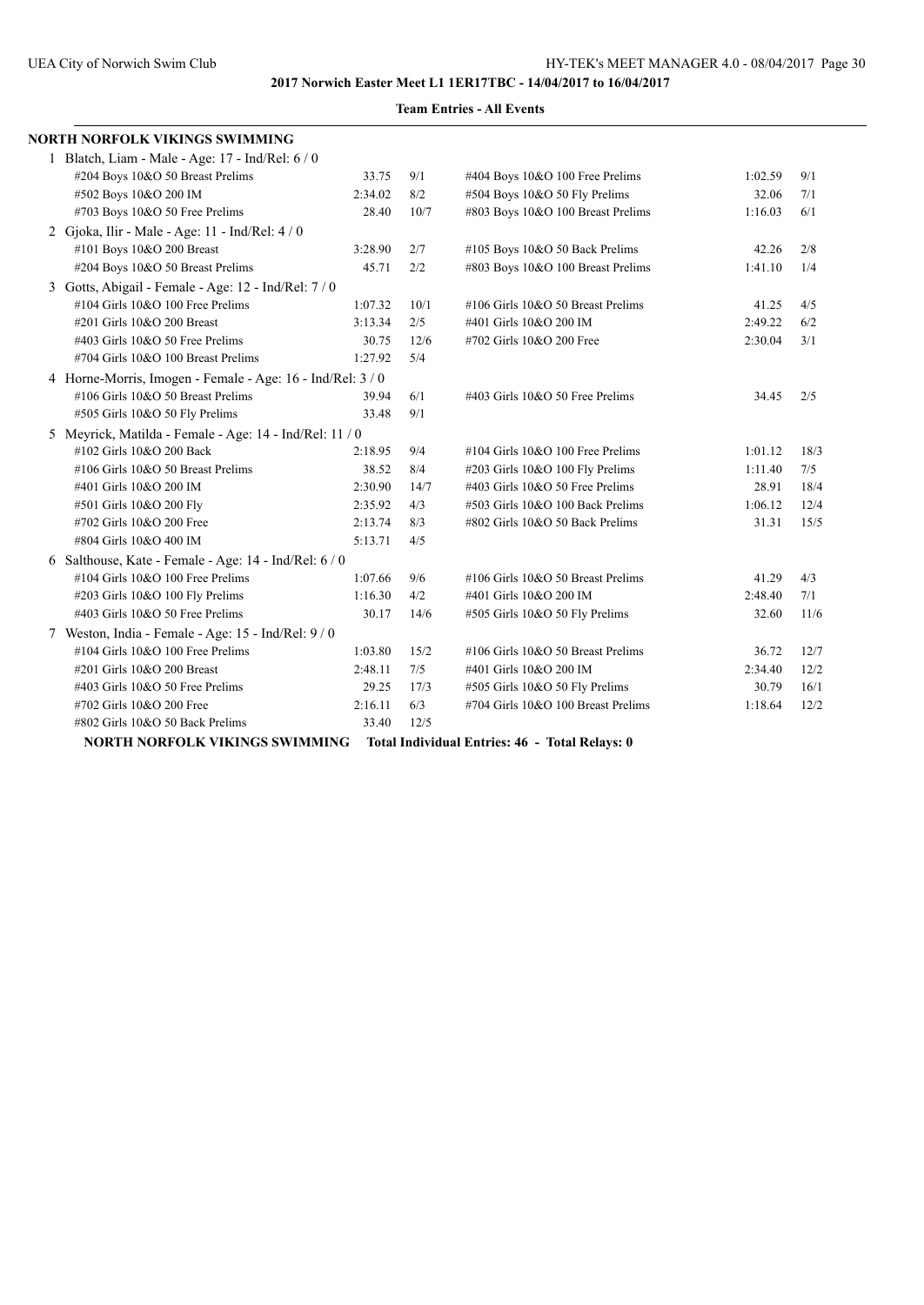| NORTH NORFOLK VIKINGS SWIMMING                             |         |      |                                    |         |      |  |  |  |  |  |
|------------------------------------------------------------|---------|------|------------------------------------|---------|------|--|--|--|--|--|
| 1 Blatch, Liam - Male - Age: 17 - Ind/Rel: 6 / 0           |         |      |                                    |         |      |  |  |  |  |  |
| #204 Boys 10&O 50 Breast Prelims                           | 33.75   | 9/1  | #404 Boys 10&O 100 Free Prelims    | 1:02.59 | 9/1  |  |  |  |  |  |
| #502 Boys 10&O 200 IM                                      | 2:34.02 | 8/2  | #504 Boys 10&O 50 Fly Prelims      | 32.06   | 7/1  |  |  |  |  |  |
| #703 Boys 10&O 50 Free Prelims                             | 28.40   | 10/7 | #803 Boys 10&O 100 Breast Prelims  | 1:16.03 | 6/1  |  |  |  |  |  |
| 2 Gjoka, Ilir - Male - Age: 11 - Ind/Rel: $4/0$            |         |      |                                    |         |      |  |  |  |  |  |
| #101 Boys 10&O 200 Breast                                  | 3:28.90 | 2/7  | #105 Boys 10&O 50 Back Prelims     | 42.26   | 2/8  |  |  |  |  |  |
| #204 Boys 10&O 50 Breast Prelims                           | 45.71   | 2/2  | #803 Boys 10&O 100 Breast Prelims  | 1:41.10 | 1/4  |  |  |  |  |  |
| 3 Gotts, Abigail - Female - Age: 12 - Ind/Rel: 7 / 0       |         |      |                                    |         |      |  |  |  |  |  |
| #104 Girls 10&O 100 Free Prelims                           | 1:07.32 | 10/1 | #106 Girls 10&O 50 Breast Prelims  | 41.25   | 4/5  |  |  |  |  |  |
| #201 Girls 10&O 200 Breast                                 | 3:13.34 | 2/5  | #401 Girls 10&O 200 IM             | 2:49.22 | 6/2  |  |  |  |  |  |
| #403 Girls 10&O 50 Free Prelims                            | 30.75   | 12/6 | #702 Girls 10&O 200 Free           | 2:30.04 | 3/1  |  |  |  |  |  |
| #704 Girls 10&O 100 Breast Prelims                         | 1:27.92 | 5/4  |                                    |         |      |  |  |  |  |  |
| 4 Horne-Morris, Imogen - Female - Age: 16 - Ind/Rel: 3 / 0 |         |      |                                    |         |      |  |  |  |  |  |
| #106 Girls 10&O 50 Breast Prelims                          | 39.94   | 6/1  | #403 Girls 10&O 50 Free Prelims    | 34.45   | 2/5  |  |  |  |  |  |
| #505 Girls 10&O 50 Fly Prelims                             | 33.48   | 9/1  |                                    |         |      |  |  |  |  |  |
| 5 Meyrick, Matilda - Female - Age: 14 - Ind/Rel: 11 / 0    |         |      |                                    |         |      |  |  |  |  |  |
| #102 Girls 10&O 200 Back                                   | 2:18.95 | 9/4  | #104 Girls 10&O 100 Free Prelims   | 1:01.12 | 18/3 |  |  |  |  |  |
| #106 Girls 10&O 50 Breast Prelims                          | 38.52   | 8/4  | #203 Girls 10&O 100 Fly Prelims    | 1:11.40 | 7/5  |  |  |  |  |  |
| #401 Girls 10&O 200 IM                                     | 2:30.90 | 14/7 | #403 Girls 10&O 50 Free Prelims    | 28.91   | 18/4 |  |  |  |  |  |
| #501 Girls 10&O 200 Fly                                    | 2:35.92 | 4/3  | #503 Girls 10&O 100 Back Prelims   | 1:06.12 | 12/4 |  |  |  |  |  |
| #702 Girls 10&O 200 Free                                   | 2:13.74 | 8/3  | #802 Girls 10&O 50 Back Prelims    | 31.31   | 15/5 |  |  |  |  |  |
| #804 Girls 10&O 400 IM                                     | 5:13.71 | 4/5  |                                    |         |      |  |  |  |  |  |
| 6 Salthouse, Kate - Female - Age: 14 - Ind/Rel: 6 / 0      |         |      |                                    |         |      |  |  |  |  |  |
| #104 Girls 10&O 100 Free Prelims                           | 1:07.66 | 9/6  | #106 Girls 10&O 50 Breast Prelims  | 41.29   | 4/3  |  |  |  |  |  |
| #203 Girls 10&O 100 Fly Prelims                            | 1:16.30 | 4/2  | #401 Girls 10&O 200 IM             | 2:48.40 | 7/1  |  |  |  |  |  |
| #403 Girls 10&O 50 Free Prelims                            | 30.17   | 14/6 | #505 Girls 10&O 50 Fly Prelims     | 32.60   | 11/6 |  |  |  |  |  |
| 7 Weston, India - Female - Age: 15 - Ind/Rel: 9/0          |         |      |                                    |         |      |  |  |  |  |  |
| #104 Girls 10&O 100 Free Prelims                           | 1:03.80 | 15/2 | #106 Girls 10&O 50 Breast Prelims  | 36.72   | 12/7 |  |  |  |  |  |
| #201 Girls 10&O 200 Breast                                 | 2:48.11 | 7/5  | #401 Girls 10&O 200 IM             | 2:34.40 | 12/2 |  |  |  |  |  |
| $\#403$ Girls 10&O 50 Free Prelims                         | 29.25   | 17/3 | #505 Girls 10&O 50 Fly Prelims     | 30.79   | 16/1 |  |  |  |  |  |
| #702 Girls 10&O 200 Free                                   | 2:16.11 | 6/3  | #704 Girls 10&O 100 Breast Prelims | 1:18.64 | 12/2 |  |  |  |  |  |
| #802 Girls 10&O 50 Back Prelims                            | 33.40   | 12/5 |                                    |         |      |  |  |  |  |  |

### **Team Entries - All Events**

**NORTH NORFOLK VIKINGS SWIMMING Total Individual Entries: 46 - Total Relays: 0**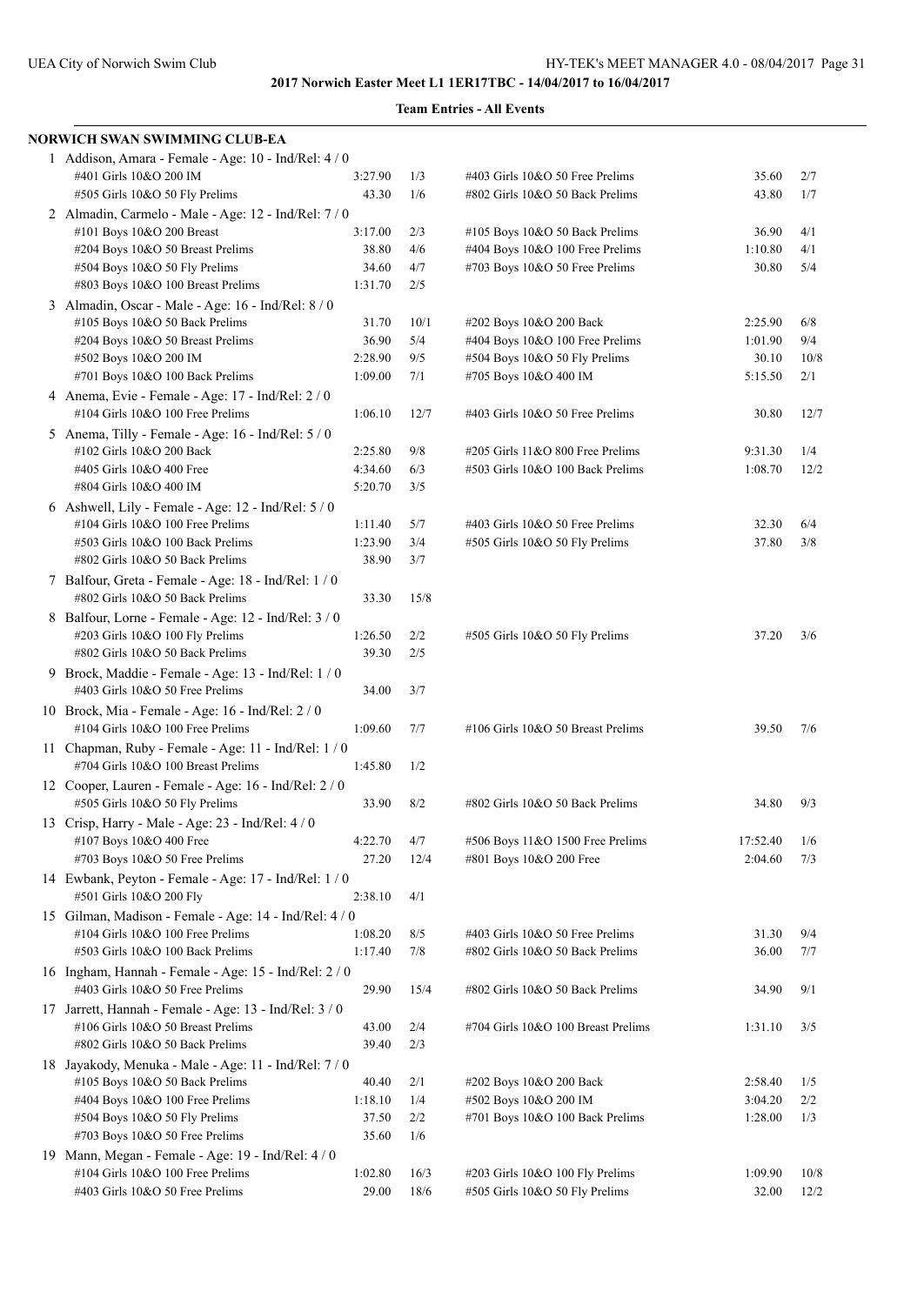| NORWICH SWAN SWIMMING CLUB-EA                                                           |                  |      |                                    |          |      |
|-----------------------------------------------------------------------------------------|------------------|------|------------------------------------|----------|------|
| 1 Addison, Amara - Female - Age: 10 - Ind/Rel: 4 / 0                                    |                  |      |                                    |          |      |
| #401 Girls 10&O 200 IM                                                                  | 3:27.90          | 1/3  | $\#403$ Girls 10&O 50 Free Prelims | 35.60    | 2/7  |
| #505 Girls 10&O 50 Fly Prelims                                                          | 43.30            | 1/6  | #802 Girls 10&O 50 Back Prelims    | 43.80    | 1/7  |
| 2 Almadin, Carmelo - Male - Age: 12 - Ind/Rel: 7 / 0                                    |                  |      |                                    |          |      |
| #101 Boys 10&O 200 Breast                                                               | 3:17.00          | 2/3  | #105 Boys 10&O 50 Back Prelims     | 36.90    | 4/1  |
| #204 Boys 10&O 50 Breast Prelims                                                        | 38.80            | 4/6  | #404 Boys 10&O 100 Free Prelims    | 1:10.80  | 4/1  |
| #504 Boys 10&O 50 Fly Prelims                                                           | 34.60            | 4/7  | #703 Boys 10&O 50 Free Prelims     | 30.80    | 5/4  |
| #803 Boys 10&O 100 Breast Prelims                                                       | 1:31.70          | 2/5  |                                    |          |      |
| 3 Almadin, Oscar - Male - Age: 16 - Ind/Rel: 8 / 0                                      |                  |      |                                    |          |      |
| #105 Boys 10&O 50 Back Prelims                                                          | 31.70            | 10/1 | #202 Boys 10&O 200 Back            | 2:25.90  | 6/8  |
| #204 Boys 10&O 50 Breast Prelims                                                        | 36.90            | 5/4  | #404 Boys 10&O 100 Free Prelims    | 1:01.90  | 9/4  |
| #502 Boys 10&O 200 IM                                                                   | 2:28.90          | 9/5  | #504 Boys 10&O 50 Fly Prelims      | 30.10    | 10/8 |
| #701 Boys 10&O 100 Back Prelims                                                         | 1:09.00          | 7/1  | #705 Boys 10&O 400 IM              | 5:15.50  | 2/1  |
| 4 Anema, Evie - Female - Age: 17 - Ind/Rel: 2 / 0                                       |                  |      |                                    |          |      |
| #104 Girls 10&O 100 Free Prelims                                                        | 1:06.10          | 12/7 | #403 Girls 10&O 50 Free Prelims    | 30.80    | 12/7 |
| 5 Anema, Tilly - Female - Age: 16 - Ind/Rel: 5 / 0                                      |                  |      |                                    |          |      |
| #102 Girls 10&O 200 Back                                                                | 2:25.80          | 9/8  | #205 Girls 11&O 800 Free Prelims   | 9:31.30  | 1/4  |
| #405 Girls 10&O 400 Free                                                                | 4:34.60          | 6/3  | #503 Girls 10&O 100 Back Prelims   | 1:08.70  | 12/2 |
| #804 Girls 10&O 400 IM                                                                  | 5:20.70          | 3/5  |                                    |          |      |
| 6 Ashwell, Lily - Female - Age: $12$ - Ind/Rel: $5/0$                                   |                  |      |                                    |          |      |
| #104 Girls 10&O 100 Free Prelims                                                        | 1:11.40          | 5/7  | #403 Girls 10&O 50 Free Prelims    | 32.30    | 6/4  |
| #503 Girls 10&O 100 Back Prelims                                                        | 1:23.90          | 3/4  | #505 Girls 10&O 50 Fly Prelims     | 37.80    | 3/8  |
| #802 Girls 10&O 50 Back Prelims                                                         | 38.90            | 3/7  |                                    |          |      |
| 7 Balfour, Greta - Female - Age: 18 - Ind/Rel: 1 / 0                                    |                  |      |                                    |          |      |
| #802 Girls 10&O 50 Back Prelims                                                         | 33.30            | 15/8 |                                    |          |      |
|                                                                                         |                  |      |                                    |          |      |
| 8 Balfour, Lorne - Female - Age: 12 - Ind/Rel: 3 / 0                                    |                  |      |                                    |          |      |
| #203 Girls 10&O 100 Fly Prelims                                                         | 1:26.50<br>39.30 | 2/2  | #505 Girls 10&O 50 Fly Prelims     | 37.20    | 3/6  |
| #802 Girls 10&O 50 Back Prelims                                                         |                  | 2/5  |                                    |          |      |
| 9 Brock, Maddie - Female - Age: 13 - Ind/Rel: 1 / 0                                     |                  |      |                                    |          |      |
| #403 Girls 10&O 50 Free Prelims                                                         | 34.00            | 3/7  |                                    |          |      |
| 10 Brock, Mia - Female - Age: 16 - Ind/Rel: $2/0$                                       |                  |      |                                    |          |      |
| #104 Girls 10&O 100 Free Prelims                                                        | 1:09.60          | 7/7  | #106 Girls 10&O 50 Breast Prelims  | 39.50    | 7/6  |
| 11 Chapman, Ruby - Female - Age: $11$ - Ind/Rel: $1/0$                                  |                  |      |                                    |          |      |
| #704 Girls 10&O 100 Breast Prelims                                                      | 1:45.80          | 1/2  |                                    |          |      |
| 12 Cooper, Lauren - Female - Age: 16 - Ind/Rel: 2 / 0                                   |                  |      |                                    |          |      |
| #505 Girls 10&O 50 Fly Prelims                                                          | 33.90            | 8/2  | #802 Girls 10&O 50 Back Prelims    | 34.80    | 9/3  |
| 13 Crisp, Harry - Male - Age: 23 - Ind/Rel: 4 / 0                                       |                  |      |                                    |          |      |
| #107 Boys 10&O 400 Free                                                                 | 4:22.70          | 4/7  | #506 Boys 11&O 1500 Free Prelims   | 17:52.40 | 1/6  |
| #703 Boys 10&O 50 Free Prelims                                                          | 27.20            | 12/4 | #801 Boys 10&O 200 Free            | 2:04.60  | 7/3  |
| 14 Ewbank, Peyton - Female - Age: 17 - Ind/Rel: 1/0                                     |                  |      |                                    |          |      |
| #501 Girls 10&O 200 Fly                                                                 | 2:38.10          | 4/1  |                                    |          |      |
| 15 Gilman, Madison - Female - Age: 14 - Ind/Rel: 4 / 0                                  |                  |      |                                    |          |      |
| #104 Girls 10&O 100 Free Prelims                                                        | 1:08.20          | 8/5  | #403 Girls 10&O 50 Free Prelims    | 31.30    | 9/4  |
| #503 Girls 10&O 100 Back Prelims                                                        | 1:17.40          | 7/8  | #802 Girls 10&O 50 Back Prelims    | 36.00    | 7/7  |
| 16 Ingham, Hannah - Female - Age: 15 - Ind/Rel: 2 / 0                                   |                  |      |                                    |          |      |
| #403 Girls 10&O 50 Free Prelims                                                         | 29.90            | 15/4 | #802 Girls 10&O 50 Back Prelims    | 34.90    | 9/1  |
| 17 Jarrett, Hannah - Female - Age: 13 - Ind/Rel: 3 / 0                                  |                  |      |                                    |          |      |
| #106 Girls 10&O 50 Breast Prelims                                                       | 43.00            | 2/4  | #704 Girls 10&O 100 Breast Prelims | 1:31.10  | 3/5  |
| #802 Girls 10&O 50 Back Prelims                                                         | 39.40            | 2/3  |                                    |          |      |
|                                                                                         |                  |      |                                    |          |      |
| 18 Jayakody, Menuka - Male - Age: 11 - Ind/Rel: 7 / 0<br>#105 Boys 10&O 50 Back Prelims | 40.40            |      | #202 Boys 10&O 200 Back            | 2:58.40  |      |
|                                                                                         |                  | 2/1  |                                    |          | 1/5  |
| #404 Boys 10&O 100 Free Prelims                                                         | 1:18.10<br>37.50 | 1/4  | #502 Boys 10&O 200 IM              | 3:04.20  | 2/2  |
| #504 Boys 10&O 50 Fly Prelims                                                           |                  | 2/2  | #701 Boys 10&O 100 Back Prelims    | 1:28.00  | 1/3  |
| #703 Boys 10&O 50 Free Prelims                                                          | 35.60            | 1/6  |                                    |          |      |
| 19 Mann, Megan - Female - Age: 19 - Ind/Rel: 4 / 0                                      |                  |      |                                    |          |      |
| #104 Girls 10&O 100 Free Prelims                                                        | 1:02.80          | 16/3 | #203 Girls 10&O 100 Fly Prelims    | 1:09.90  | 10/8 |
| #403 Girls 10&O 50 Free Prelims                                                         | 29.00            | 18/6 | #505 Girls 10&O 50 Fly Prelims     | 32.00    | 12/2 |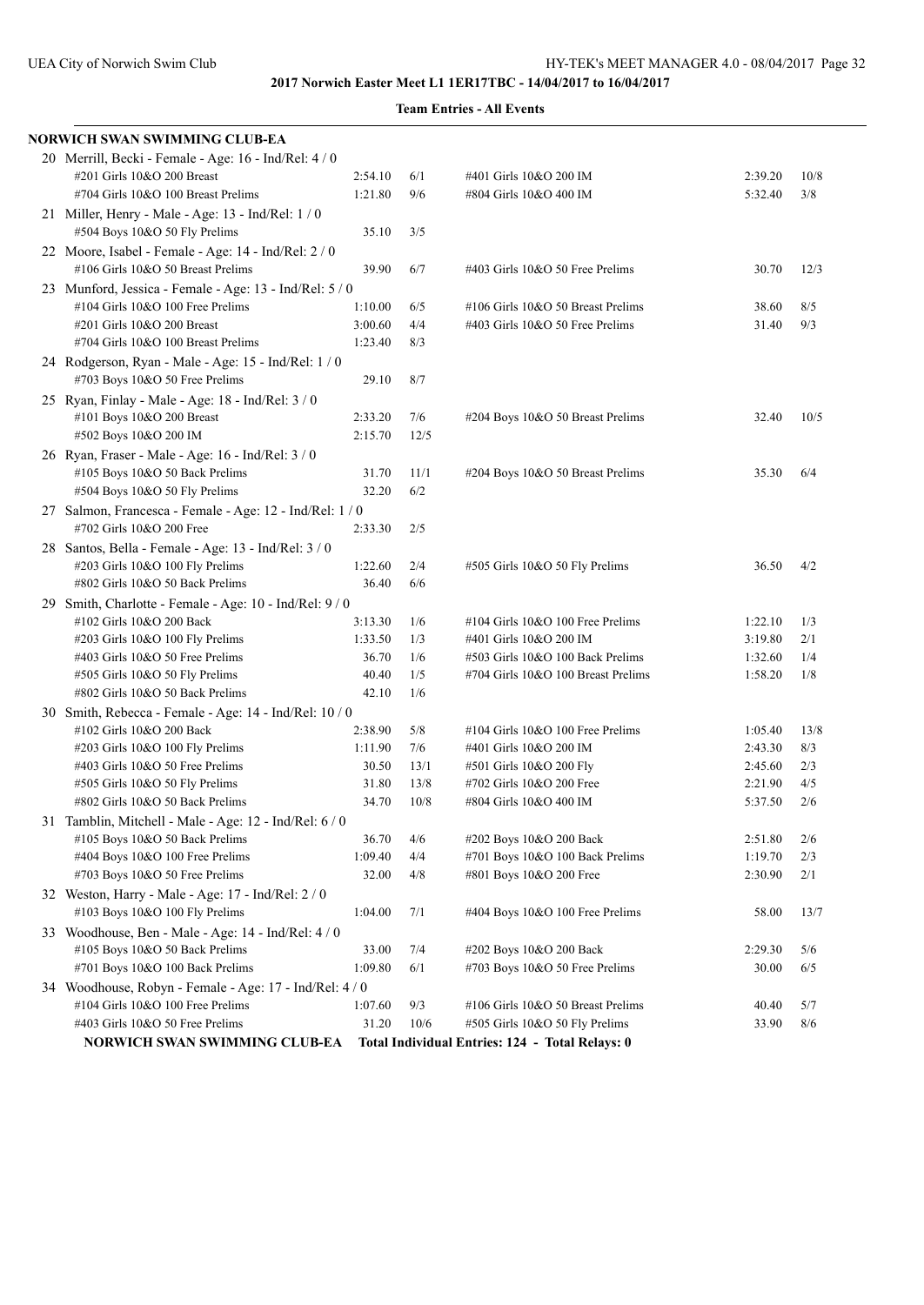| NORWICH SWAN SWIMMING CLUB-EA                                                             |         |      |                                                 |         |      |
|-------------------------------------------------------------------------------------------|---------|------|-------------------------------------------------|---------|------|
| 20 Merrill, Becki - Female - Age: 16 - Ind/Rel: 4 / 0                                     |         |      |                                                 |         |      |
| #201 Girls 10&O 200 Breast                                                                | 2:54.10 | 6/1  | #401 Girls 10&O 200 IM                          | 2:39.20 | 10/8 |
| #704 Girls 10&O 100 Breast Prelims                                                        | 1:21.80 | 9/6  | #804 Girls 10&O 400 IM                          | 5:32.40 | 3/8  |
| 21 Miller, Henry - Male - Age: 13 - Ind/Rel: $1/0$<br>#504 Boys 10&O 50 Fly Prelims       | 35.10   | 3/5  |                                                 |         |      |
| 22 Moore, Isabel - Female - Age: 14 - Ind/Rel: 2 / 0<br>#106 Girls 10&O 50 Breast Prelims | 39.90   | 6/7  | #403 Girls 10&O 50 Free Prelims                 | 30.70   | 12/3 |
| 23 Munford, Jessica - Female - Age: 13 - Ind/Rel: 5 / 0                                   |         |      |                                                 |         |      |
| #104 Girls 10&O 100 Free Prelims                                                          | 1:10.00 | 6/5  | #106 Girls 10&O 50 Breast Prelims               | 38.60   | 8/5  |
| #201 Girls 10&O 200 Breast                                                                | 3:00.60 | 4/4  | #403 Girls 10&O 50 Free Prelims                 | 31.40   | 9/3  |
| #704 Girls 10&O 100 Breast Prelims                                                        | 1:23.40 | 8/3  |                                                 |         |      |
| 24 Rodgerson, Ryan - Male - Age: 15 - Ind/Rel: 1 / 0<br>#703 Boys 10&O 50 Free Prelims    | 29.10   | 8/7  |                                                 |         |      |
| 25 Ryan, Finlay - Male - Age: 18 - Ind/Rel: 3 / 0                                         |         |      |                                                 |         |      |
| #101 Boys 10&O 200 Breast                                                                 | 2:33.20 | 7/6  | #204 Boys 10&O 50 Breast Prelims                | 32.40   | 10/5 |
| #502 Boys 10&O 200 IM                                                                     | 2:15.70 | 12/5 |                                                 |         |      |
| 26 Ryan, Fraser - Male - Age: 16 - Ind/Rel: 3 / 0                                         |         |      |                                                 |         |      |
| #105 Boys 10&O 50 Back Prelims                                                            | 31.70   | 11/1 | #204 Boys 10&O 50 Breast Prelims                | 35.30   | 6/4  |
| #504 Boys 10&O 50 Fly Prelims                                                             | 32.20   | 6/2  |                                                 |         |      |
| 27 Salmon, Francesca - Female - Age: 12 - Ind/Rel: 1 / 0                                  |         |      |                                                 |         |      |
| #702 Girls 10&O 200 Free                                                                  | 2:33.30 | 2/5  |                                                 |         |      |
| 28 Santos, Bella - Female - Age: 13 - Ind/Rel: 3/0                                        |         |      |                                                 |         |      |
| #203 Girls 10&O 100 Fly Prelims                                                           | 1:22.60 | 2/4  | #505 Girls 10&O 50 Fly Prelims                  | 36.50   | 4/2  |
| #802 Girls 10&O 50 Back Prelims                                                           | 36.40   | 6/6  |                                                 |         |      |
| 29 Smith, Charlotte - Female - Age: 10 - Ind/Rel: 9/0                                     |         |      |                                                 |         |      |
| #102 Girls 10&O 200 Back                                                                  | 3:13.30 | 1/6  | #104 Girls 10&O 100 Free Prelims                | 1:22.10 | 1/3  |
| #203 Girls 10&O 100 Fly Prelims                                                           | 1:33.50 | 1/3  | #401 Girls 10&O 200 IM                          | 3:19.80 | 2/1  |
| #403 Girls 10&O 50 Free Prelims                                                           | 36.70   | 1/6  | #503 Girls 10&O 100 Back Prelims                | 1:32.60 | 1/4  |
| #505 Girls 10&O 50 Fly Prelims                                                            | 40.40   | 1/5  | #704 Girls 10&O 100 Breast Prelims              | 1:58.20 | 1/8  |
| #802 Girls 10&O 50 Back Prelims                                                           | 42.10   | 1/6  |                                                 |         |      |
| 30 Smith, Rebecca - Female - Age: 14 - Ind/Rel: 10 / 0                                    |         |      |                                                 |         |      |
| #102 Girls 10&O 200 Back                                                                  | 2:38.90 | 5/8  | #104 Girls 10&O 100 Free Prelims                | 1:05.40 | 13/8 |
| #203 Girls 10&O 100 Fly Prelims                                                           | 1:11.90 | 7/6  | #401 Girls 10&O 200 IM                          | 2:43.30 | 8/3  |
| #403 Girls 10&O 50 Free Prelims                                                           | 30.50   | 13/1 | #501 Girls 10&O 200 Fly                         | 2:45.60 | 2/3  |
| #505 Girls 10&O 50 Fly Prelims                                                            | 31.80   | 13/8 | #702 Girls 10&O 200 Free                        | 2:21.90 | 4/5  |
| #802 Girls 10&O 50 Back Prelims                                                           | 34.70   | 10/8 | #804 Girls 10&O 400 IM                          | 5:37.50 | 2/6  |
| 31 Tamblin, Mitchell - Male - Age: 12 - Ind/Rel: 6 / 0                                    |         |      |                                                 |         |      |
| #105 Boys 10&O 50 Back Prelims                                                            | 36.70   | 4/6  | #202 Boys 10&O 200 Back                         | 2:51.80 | 2/6  |
| #404 Boys 10&O 100 Free Prelims                                                           | 1:09.40 | 4/4  | #701 Boys 10&O 100 Back Prelims                 | 1:19.70 | 2/3  |
| #703 Boys 10&O 50 Free Prelims                                                            | 32.00   | 4/8  | #801 Boys 10&O 200 Free                         | 2:30.90 | 2/1  |
| 32 Weston, Harry - Male - Age: 17 - Ind/Rel: 2/0                                          |         |      |                                                 |         |      |
| #103 Boys 10&O 100 Fly Prelims                                                            | 1:04.00 | 7/1  | $\#404$ Boys 10&O 100 Free Prelims              | 58.00   | 13/7 |
| 33 Woodhouse, Ben - Male - Age: 14 - Ind/Rel: 4 / 0                                       |         |      |                                                 |         |      |
| #105 Boys 10&O 50 Back Prelims                                                            | 33.00   | 7/4  | #202 Boys 10&O 200 Back                         | 2:29.30 | 5/6  |
| #701 Boys 10&O 100 Back Prelims                                                           | 1:09.80 | 6/1  | #703 Boys 10&O 50 Free Prelims                  | 30.00   | 6/5  |
| 34 Woodhouse, Robyn - Female - Age: 17 - Ind/Rel: 4 / 0                                   |         |      |                                                 |         |      |
| #104 Girls 10&O 100 Free Prelims                                                          | 1:07.60 | 9/3  | #106 Girls 10&O 50 Breast Prelims               | 40.40   | 5/7  |
| #403 Girls 10&O 50 Free Prelims                                                           | 31.20   | 10/6 | #505 Girls 10&O 50 Fly Prelims                  | 33.90   | 8/6  |
| NORWICH SWAN SWIMMING CLUB-EA                                                             |         |      | Total Individual Entries: 124 - Total Relays: 0 |         |      |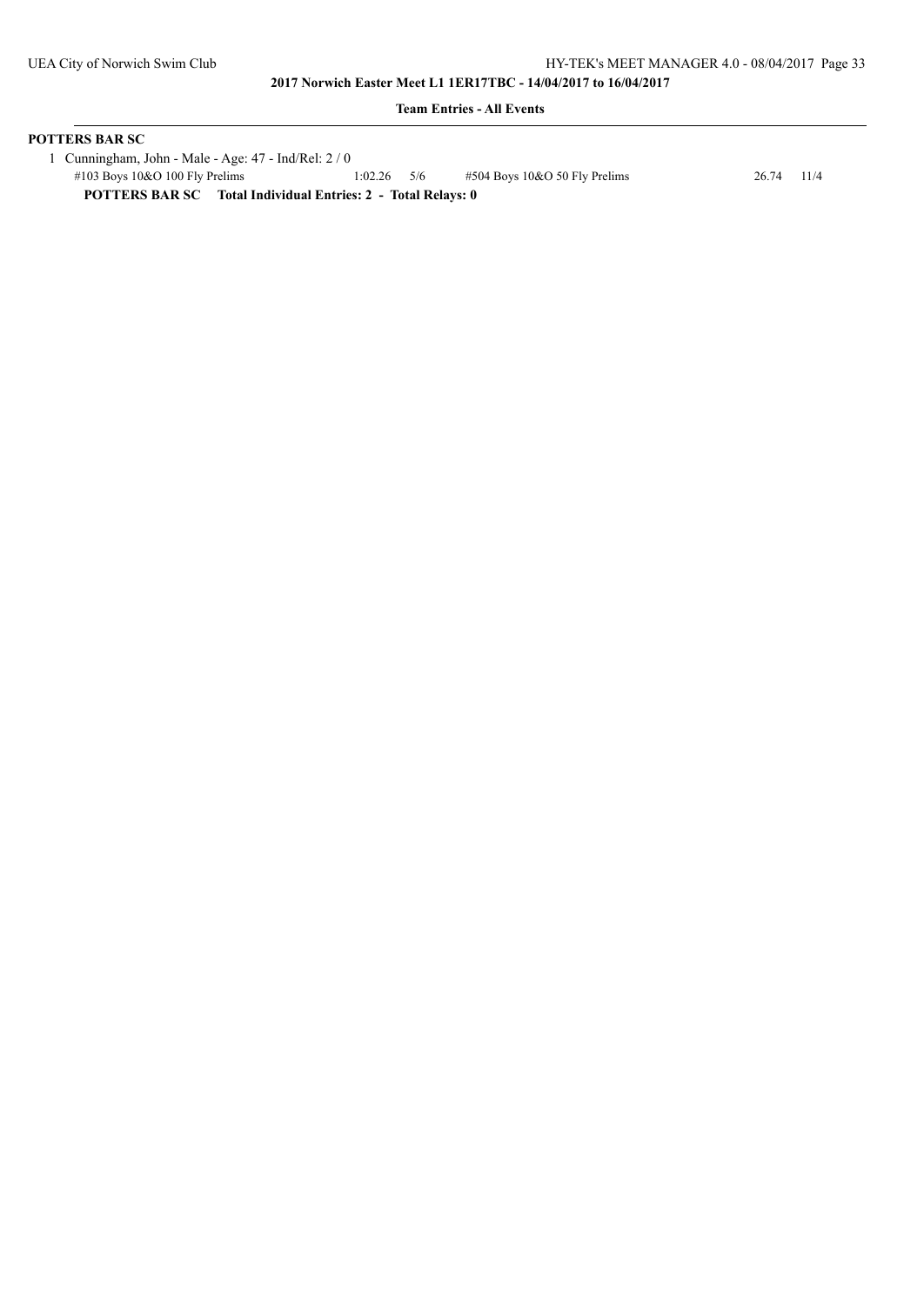### **Team Entries - All Events**

## **POTTERS BAR SC**

 1 Cunningham, John - Male - Age: 47 - Ind/Rel: 2 / 0 #103 Boys 10&O 100 Fly Prelims 1:02.26 5/6 #504 Boys 10&O 50 Fly Prelims 26.74 11/4 **POTTERS BAR SC Total Individual Entries: 2 - Total Relays: 0**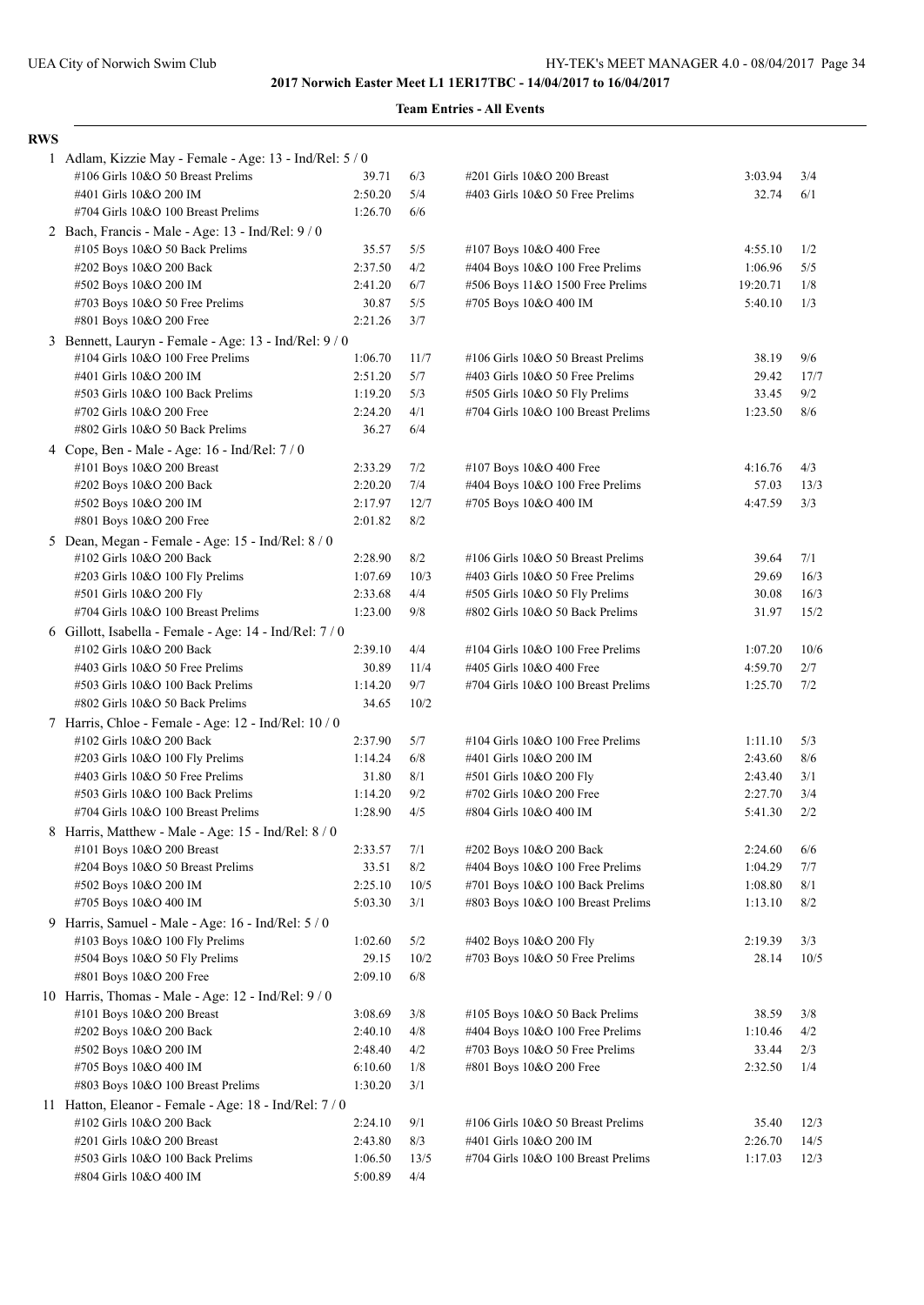|  | <b>Team Entries - All Events</b> |  |  |
|--|----------------------------------|--|--|
|--|----------------------------------|--|--|

| <b>RWS</b> |                                                                        |                    |            |                                                            |                    |            |
|------------|------------------------------------------------------------------------|--------------------|------------|------------------------------------------------------------|--------------------|------------|
|            | 1 Adlam, Kizzie May - Female - Age: 13 - Ind/Rel: 5 / 0                |                    |            |                                                            |                    |            |
|            | #106 Girls 10&O 50 Breast Prelims                                      | 39.71              | 6/3        | #201 Girls 10&O 200 Breast                                 | 3:03.94            | 3/4        |
|            | #401 Girls 10&O 200 IM                                                 | 2:50.20            | 5/4        | #403 Girls 10&O 50 Free Prelims                            | 32.74              | 6/1        |
|            | #704 Girls 10&O 100 Breast Prelims                                     | 1:26.70            | 6/6        |                                                            |                    |            |
|            | 2 Bach, Francis - Male - Age: 13 - Ind/Rel: 9 / 0                      |                    |            |                                                            |                    |            |
|            | #105 Boys 10&O 50 Back Prelims                                         | 35.57              | 5/5        | #107 Boys 10&O 400 Free                                    | 4:55.10            | 1/2        |
|            | #202 Boys 10&O 200 Back                                                | 2:37.50            | 4/2        | #404 Boys 10&O 100 Free Prelims                            | 1:06.96            | 5/5        |
|            | #502 Boys 10&O 200 IM                                                  | 2:41.20            | 6/7        | #506 Boys 11&O 1500 Free Prelims                           | 19:20.71           | 1/8        |
|            | #703 Boys 10&O 50 Free Prelims                                         | 30.87              | 5/5        | #705 Boys 10&O 400 IM                                      | 5:40.10            | 1/3        |
|            | #801 Boys 10&O 200 Free                                                | 2:21.26            | 3/7        |                                                            |                    |            |
|            | 3 Bennett, Lauryn - Female - Age: 13 - Ind/Rel: 9 / 0                  |                    |            |                                                            |                    |            |
|            | #104 Girls 10&O 100 Free Prelims                                       | 1:06.70            | 11/7       | #106 Girls 10&O 50 Breast Prelims                          | 38.19              | 9/6        |
|            | #401 Girls 10&O 200 IM                                                 | 2:51.20            | 5/7        | #403 Girls 10&O 50 Free Prelims                            | 29.42              | 17/7       |
|            | #503 Girls 10&O 100 Back Prelims                                       | 1:19.20            | 5/3        | #505 Girls 10&O 50 Fly Prelims                             | 33.45              | 9/2        |
|            | #702 Girls 10&O 200 Free                                               | 2:24.20            | 4/1        | #704 Girls 10&O 100 Breast Prelims                         | 1:23.50            | 8/6        |
|            | #802 Girls 10&O 50 Back Prelims                                        | 36.27              | 6/4        |                                                            |                    |            |
|            | 4 Cope, Ben - Male - Age: 16 - Ind/Rel: 7 / 0                          |                    |            |                                                            |                    |            |
|            | #101 Boys 10&O 200 Breast                                              | 2:33.29            | 7/2        | #107 Boys 10&O 400 Free                                    | 4:16.76            | 4/3        |
|            | #202 Boys 10&O 200 Back                                                | 2:20.20            | 7/4        | #404 Boys 10&O 100 Free Prelims                            | 57.03              | 13/3       |
|            | #502 Boys 10&O 200 IM                                                  | 2:17.97            | 12/7       | #705 Boys 10&O 400 IM                                      | 4:47.59            | 3/3        |
|            | #801 Boys 10&O 200 Free                                                | 2:01.82            | 8/2        |                                                            |                    |            |
|            | 5 Dean, Megan - Female - Age: 15 - Ind/Rel: 8 / 0                      |                    |            |                                                            |                    |            |
|            | #102 Girls 10&O 200 Back                                               | 2:28.90            | 8/2        | #106 Girls 10&O 50 Breast Prelims                          | 39.64              | 7/1        |
|            | #203 Girls 10&O 100 Fly Prelims                                        | 1:07.69            | 10/3       | #403 Girls 10&O 50 Free Prelims                            | 29.69              | 16/3       |
|            | #501 Girls 10&O 200 Fly                                                | 2:33.68            | 4/4        | #505 Girls 10&O 50 Fly Prelims                             | 30.08              | 16/3       |
|            | #704 Girls 10&O 100 Breast Prelims                                     | 1:23.00            | 9/8        | #802 Girls 10&O 50 Back Prelims                            | 31.97              | 15/2       |
|            | 6 Gillott, Isabella - Female - Age: 14 - Ind/Rel: 7 / 0                |                    |            |                                                            |                    |            |
|            | #102 Girls 10&O 200 Back                                               | 2:39.10            | 4/4        | #104 Girls 10&O 100 Free Prelims                           | 1:07.20            | 10/6       |
|            | #403 Girls 10&O 50 Free Prelims                                        | 30.89              | 11/4       | #405 Girls 10&O 400 Free                                   | 4:59.70            | 2/7        |
|            | #503 Girls 10&O 100 Back Prelims                                       | 1:14.20            | 9/7        | #704 Girls 10&O 100 Breast Prelims                         | 1:25.70            | 7/2        |
|            | #802 Girls 10&O 50 Back Prelims                                        | 34.65              | 10/2       |                                                            |                    |            |
|            | 7 Harris, Chloe - Female - Age: 12 - Ind/Rel: 10 / 0                   |                    |            |                                                            |                    |            |
|            | #102 Girls 10&O 200 Back                                               | 2:37.90            | 5/7        | #104 Girls 10&O 100 Free Prelims                           | 1:11.10            | 5/3        |
|            | #203 Girls 10&O 100 Fly Prelims                                        | 1:14.24            | 6/8        | #401 Girls 10&O 200 IM                                     | 2:43.60            | 8/6        |
|            | #403 Girls 10&O 50 Free Prelims                                        | 31.80              | 8/1<br>9/2 | #501 Girls 10&O 200 Fly                                    | 2:43.40<br>2:27.70 | 3/1<br>3/4 |
|            | #503 Girls 10&O 100 Back Prelims<br>#704 Girls 10&O 100 Breast Prelims | 1:14.20<br>1:28.90 | 4/5        | #702 Girls 10&O 200 Free<br>#804 Girls 10&O 400 IM         | 5:41.30            | 2/2        |
|            |                                                                        |                    |            |                                                            |                    |            |
|            | 8 Harris, Matthew - Male - Age: 15 - Ind/Rel: 8 / 0                    |                    |            |                                                            |                    |            |
|            | #101 Boys 10&O 200 Breast<br>#204 Boys 10&O 50 Breast Prelims          | 2:33.57<br>33.51   | 7/1<br>8/2 | #202 Boys 10&O 200 Back<br>#404 Boys 10&O 100 Free Prelims | 2:24.60<br>1:04.29 | 6/6<br>7/7 |
|            | #502 Boys 10&O 200 IM                                                  | 2:25.10            | 10/5       | #701 Boys 10&O 100 Back Prelims                            | 1:08.80            | 8/1        |
|            | #705 Boys 10&O 400 IM                                                  | 5:03.30            | 3/1        | #803 Boys 10&O 100 Breast Prelims                          | 1:13.10            | 8/2        |
|            | 9 Harris, Samuel - Male - Age: 16 - Ind/Rel: 5 / 0                     |                    |            |                                                            |                    |            |
|            | #103 Boys 10&O 100 Fly Prelims                                         | 1:02.60            | 5/2        | #402 Boys 10&O 200 Fly                                     | 2:19.39            | 3/3        |
|            | #504 Boys 10&O 50 Fly Prelims                                          | 29.15              | 10/2       | #703 Boys 10&O 50 Free Prelims                             | 28.14              | 10/5       |
|            | #801 Boys 10&O 200 Free                                                | 2:09.10            | 6/8        |                                                            |                    |            |
|            | 10 Harris, Thomas - Male - Age: 12 - Ind/Rel: 9 / 0                    |                    |            |                                                            |                    |            |
|            | #101 Boys 10&O 200 Breast                                              | 3:08.69            | 3/8        | #105 Boys 10&O 50 Back Prelims                             | 38.59              | 3/8        |
|            | #202 Boys 10&O 200 Back                                                | 2:40.10            | 4/8        | #404 Boys 10&O 100 Free Prelims                            | 1:10.46            | 4/2        |
|            | #502 Boys 10&O 200 IM                                                  | 2:48.40            | 4/2        | #703 Boys 10&O 50 Free Prelims                             | 33.44              | 2/3        |
|            | #705 Boys 10&O 400 IM                                                  | 6:10.60            | 1/8        | #801 Boys 10&O 200 Free                                    | 2:32.50            | 1/4        |
|            | #803 Boys 10&O 100 Breast Prelims                                      | 1:30.20            | 3/1        |                                                            |                    |            |
|            | 11 Hatton, Eleanor - Female - Age: 18 - Ind/Rel: $7/0$                 |                    |            |                                                            |                    |            |
|            | #102 Girls 10&O 200 Back                                               | 2:24.10            | 9/1        | #106 Girls 10&O 50 Breast Prelims                          | 35.40              | 12/3       |
|            | #201 Girls 10&O 200 Breast                                             | 2:43.80            | 8/3        | #401 Girls 10&O 200 IM                                     | 2:26.70            | 14/5       |
|            | #503 Girls 10&O 100 Back Prelims                                       | 1:06.50            | 13/5       | #704 Girls 10&O 100 Breast Prelims                         | 1:17.03            | 12/3       |
|            | #804 Girls 10&O 400 IM                                                 | 5:00.89            | 4/4        |                                                            |                    |            |
|            |                                                                        |                    |            |                                                            |                    |            |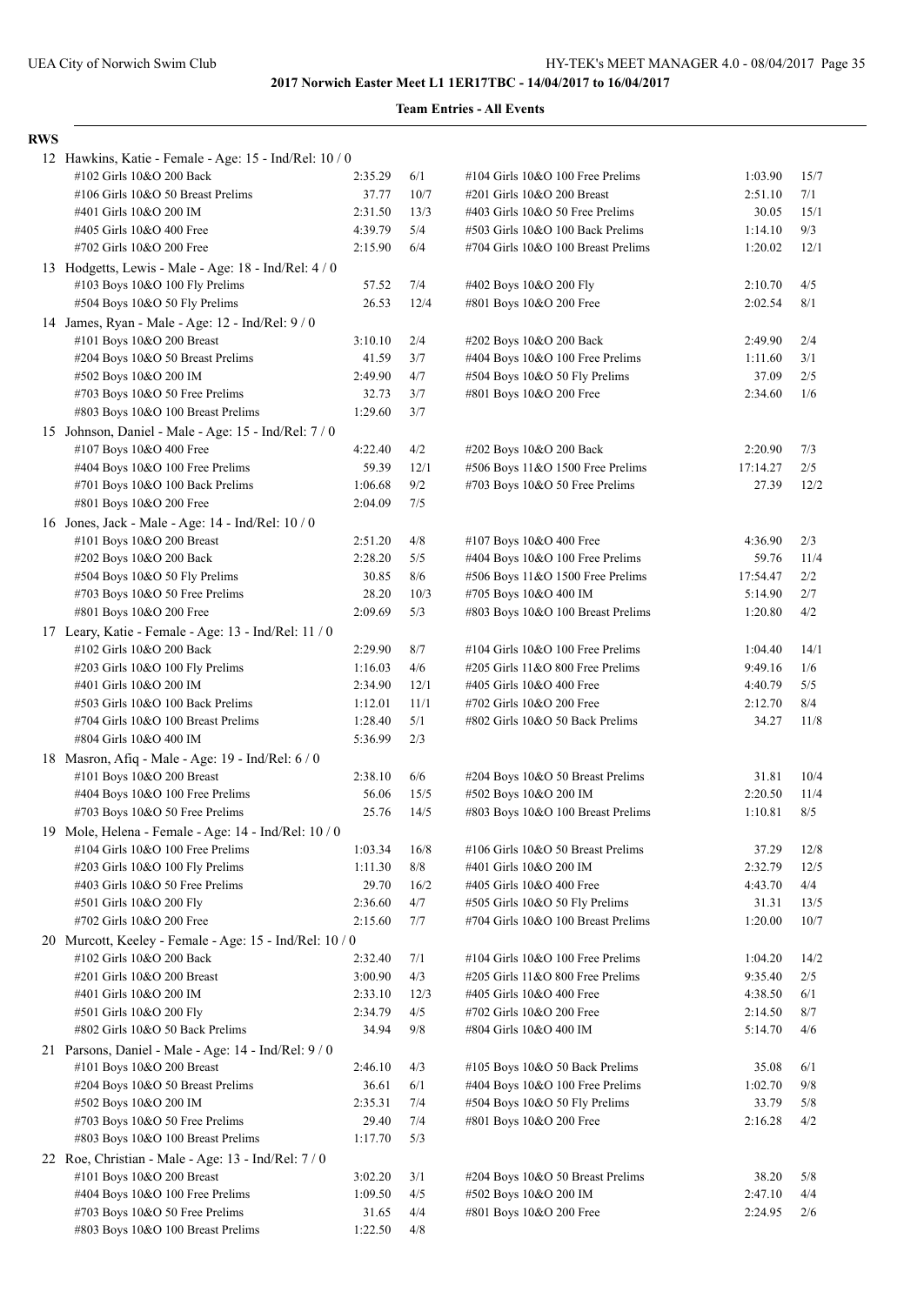# **Team Entries - All Events**

## **RWS**

| 12 Hawkins, Katie - Female - Age: 15 - Ind/Rel: 10 / 0                         |                  |            |                                                                  |                    |            |
|--------------------------------------------------------------------------------|------------------|------------|------------------------------------------------------------------|--------------------|------------|
| #102 Girls 10&O 200 Back                                                       | 2:35.29          | 6/1        | #104 Girls 10&O 100 Free Prelims                                 | 1:03.90            | 15/7       |
| #106 Girls 10&O 50 Breast Prelims                                              | 37.77            | 10/7       | #201 Girls 10&O 200 Breast                                       | 2:51.10            | 7/1        |
| #401 Girls 10&O 200 IM                                                         | 2:31.50          | 13/3       | #403 Girls 10&O 50 Free Prelims                                  | 30.05              | 15/1       |
| #405 Girls 10&O 400 Free                                                       | 4:39.79          | 5/4        | #503 Girls 10&O 100 Back Prelims                                 | 1:14.10            | 9/3        |
| #702 Girls 10&O 200 Free                                                       | 2:15.90          | 6/4        | #704 Girls 10&O 100 Breast Prelims                               | 1:20.02            | 12/1       |
| 13 Hodgetts, Lewis - Male - Age: 18 - Ind/Rel: 4/0                             |                  |            |                                                                  |                    |            |
| #103 Boys 10&O 100 Fly Prelims                                                 | 57.52            | 7/4        | #402 Boys 10&O 200 Fly                                           | 2:10.70            | 4/5        |
| #504 Boys 10&O 50 Fly Prelims                                                  | 26.53            | 12/4       | #801 Boys 10&O 200 Free                                          | 2:02.54            | 8/1        |
| 14 James, Ryan - Male - Age: 12 - Ind/Rel: 9 / 0                               |                  |            |                                                                  |                    |            |
| #101 Boys 10&O 200 Breast                                                      | 3:10.10          | 2/4        | #202 Boys 10&O 200 Back                                          | 2:49.90            | 2/4        |
| #204 Boys 10&O 50 Breast Prelims                                               | 41.59            | 3/7        | #404 Boys 10&O 100 Free Prelims                                  | 1:11.60            | 3/1        |
| #502 Boys 10&O 200 IM                                                          | 2:49.90          | 4/7        | #504 Boys 10&O 50 Fly Prelims                                    | 37.09              | 2/5        |
| #703 Boys 10&O 50 Free Prelims                                                 | 32.73            | 3/7        | #801 Boys 10&O 200 Free                                          | 2:34.60            | 1/6        |
| #803 Boys 10&O 100 Breast Prelims                                              | 1:29.60          | 3/7        |                                                                  |                    |            |
| 15 Johnson, Daniel - Male - Age: 15 - Ind/Rel: 7/0                             |                  |            |                                                                  |                    |            |
| #107 Boys 10&O 400 Free                                                        | 4:22.40          | 4/2        | #202 Boys 10&O 200 Back                                          | 2:20.90            | 7/3        |
| #404 Boys 10&O 100 Free Prelims                                                | 59.39            | 12/1       | #506 Boys 11&O 1500 Free Prelims                                 | 17:14.27           | 2/5        |
| #701 Boys 10&O 100 Back Prelims                                                | 1:06.68          | 9/2        | #703 Boys 10&O 50 Free Prelims                                   | 27.39              | 12/2       |
| #801 Boys 10&O 200 Free                                                        | 2:04.09          | 7/5        |                                                                  |                    |            |
| 16 Jones, Jack - Male - Age: 14 - Ind/Rel: 10 / 0                              |                  |            |                                                                  |                    |            |
| #101 Boys 10&O 200 Breast                                                      | 2:51.20          | 4/8        | #107 Boys 10&O 400 Free                                          | 4:36.90            | 2/3        |
| #202 Boys 10&O 200 Back                                                        | 2:28.20          | 5/5        | #404 Boys 10&O 100 Free Prelims                                  | 59.76              | 11/4       |
| $\#504$ Boys 10&O 50 Fly Prelims                                               | 30.85            | 8/6        | #506 Boys 11&O 1500 Free Prelims                                 | 17:54.47           | 2/2        |
| #703 Boys 10&O 50 Free Prelims                                                 | 28.20            | 10/3       | #705 Boys 10&O 400 IM                                            | 5:14.90            | 2/7        |
| #801 Boys 10&O 200 Free                                                        | 2:09.69          | 5/3        | #803 Boys 10&O 100 Breast Prelims                                | 1:20.80            | 4/2        |
| 17 Leary, Katie - Female - Age: 13 - Ind/Rel: 11 / 0                           |                  |            |                                                                  |                    |            |
| #102 Girls 10&O 200 Back                                                       | 2:29.90          | 8/7        | #104 Girls 10&O 100 Free Prelims                                 | 1:04.40            | 14/1       |
| $\#203$ Girls 10&O 100 Fly Prelims                                             | 1:16.03          | 4/6        | #205 Girls 11&O 800 Free Prelims                                 | 9:49.16            | 1/6        |
| #401 Girls 10&O 200 IM                                                         | 2:34.90          | 12/1       | #405 Girls 10&O 400 Free                                         | 4:40.79            | 5/5        |
| #503 Girls 10&O 100 Back Prelims                                               | 1:12.01          | 11/1       | #702 Girls 10&O 200 Free                                         | 2:12.70            | 8/4        |
| #704 Girls 10&O 100 Breast Prelims                                             | 1:28.40          | 5/1        | #802 Girls 10&O 50 Back Prelims                                  | 34.27              | 11/8       |
| #804 Girls 10&O 400 IM                                                         | 5:36.99          | 2/3        |                                                                  |                    |            |
| 18 Masron, Afiq - Male - Age: 19 - Ind/Rel: 6 / 0                              |                  |            |                                                                  |                    |            |
| #101 Boys 10&O 200 Breast                                                      | 2:38.10          | 6/6        | #204 Boys 10&O 50 Breast Prelims                                 | 31.81              | 10/4       |
| $\#404$ Boys 10&O 100 Free Prelims                                             | 56.06            | 15/5       | #502 Boys 10&O 200 IM                                            | 2:20.50            | 11/4       |
| $\#703$ Boys 10&O 50 Free Prelims                                              | 25.76            | 14/5       | #803 Boys 10&O 100 Breast Prelims                                | 1:10.81            | 8/5        |
| 19 Mole, Helena - Female - Age: 14 - Ind/Rel: 10 / 0                           |                  |            |                                                                  |                    |            |
| #104 Girls 10&O 100 Free Prelims                                               | 1:03.34          | 16/8       | #106 Girls 10&O 50 Breast Prelims                                | 37.29              | 12/8       |
| #203 Girls 10&O 100 Fly Prelims                                                | 1:11.30          | $8/8$      | #401 Girls 10&O 200 IM                                           | 2:32.79            | 12/5       |
| #403 Girls 10&O 50 Free Prelims                                                | 29.70            | 16/2       | #405 Girls 10&O 400 Free                                         | 4:43.70            | 4/4        |
| #501 Girls 10&O 200 Fly                                                        | 2:36.60          | 4/7        | #505 Girls 10&O 50 Fly Prelims                                   | 31.31              | 13/5       |
| #702 Girls 10&O 200 Free                                                       | 2:15.60          | 7/7        | #704 Girls 10&O 100 Breast Prelims                               | 1:20.00            | 10/7       |
| 20 Murcott, Keeley - Female - Age: 15 - Ind/Rel: 10 / 0                        |                  |            |                                                                  |                    |            |
| #102 Girls 10&O 200 Back                                                       | 2:32.40          | 7/1        | #104 Girls 10&O 100 Free Prelims                                 | 1:04.20            | 14/2       |
| #201 Girls 10&O 200 Breast                                                     | 3:00.90          | 4/3        | #205 Girls 11&O 800 Free Prelims                                 | 9:35.40            | 2/5        |
| #401 Girls 10&O 200 IM                                                         | 2:33.10          | 12/3       | #405 Girls 10&O 400 Free<br>#702 Girls 10&O 200 Free             | 4:38.50            | 6/1        |
| #501 Girls 10&O 200 Fly<br>#802 Girls 10&O 50 Back Prelims                     | 2:34.79<br>34.94 | 4/5<br>9/8 | #804 Girls 10&O 400 IM                                           | 2:14.50<br>5:14.70 | 8/7<br>4/6 |
|                                                                                |                  |            |                                                                  |                    |            |
| 21 Parsons, Daniel - Male - Age: 14 - Ind/Rel: 9 / 0                           |                  |            |                                                                  |                    |            |
| #101 Boys 10&O 200 Breast                                                      | 2:46.10          | 4/3        | #105 Boys 10&O 50 Back Prelims                                   | 35.08              | 6/1        |
| #204 Boys 10&O 50 Breast Prelims<br>#502 Boys 10&O 200 IM                      | 36.61<br>2:35.31 | 6/1<br>7/4 | #404 Boys 10&O 100 Free Prelims<br>#504 Boys 10&O 50 Fly Prelims | 1:02.70<br>33.79   | 9/8<br>5/8 |
| #703 Boys 10&O 50 Free Prelims                                                 | 29.40            | 7/4        |                                                                  | 2:16.28            | 4/2        |
| #803 Boys 10&O 100 Breast Prelims                                              | 1:17.70          | 5/3        | #801 Boys 10&O 200 Free                                          |                    |            |
|                                                                                |                  |            |                                                                  |                    |            |
| 22 Roe, Christian - Male - Age: 13 - Ind/Rel: 7/0<br>#101 Boys 10&O 200 Breast | 3:02.20          | 3/1        | #204 Boys 10&O 50 Breast Prelims                                 | 38.20              | 5/8        |
| #404 Boys 10&O 100 Free Prelims                                                | 1:09.50          | 4/5        | #502 Boys 10&O 200 IM                                            | 2:47.10            | 4/4        |
| #703 Boys 10&O 50 Free Prelims                                                 | 31.65            | 4/4        | #801 Boys 10&O 200 Free                                          | 2:24.95            | 2/6        |
| #803 Boys 10&O 100 Breast Prelims                                              | 1:22.50          | 4/8        |                                                                  |                    |            |
|                                                                                |                  |            |                                                                  |                    |            |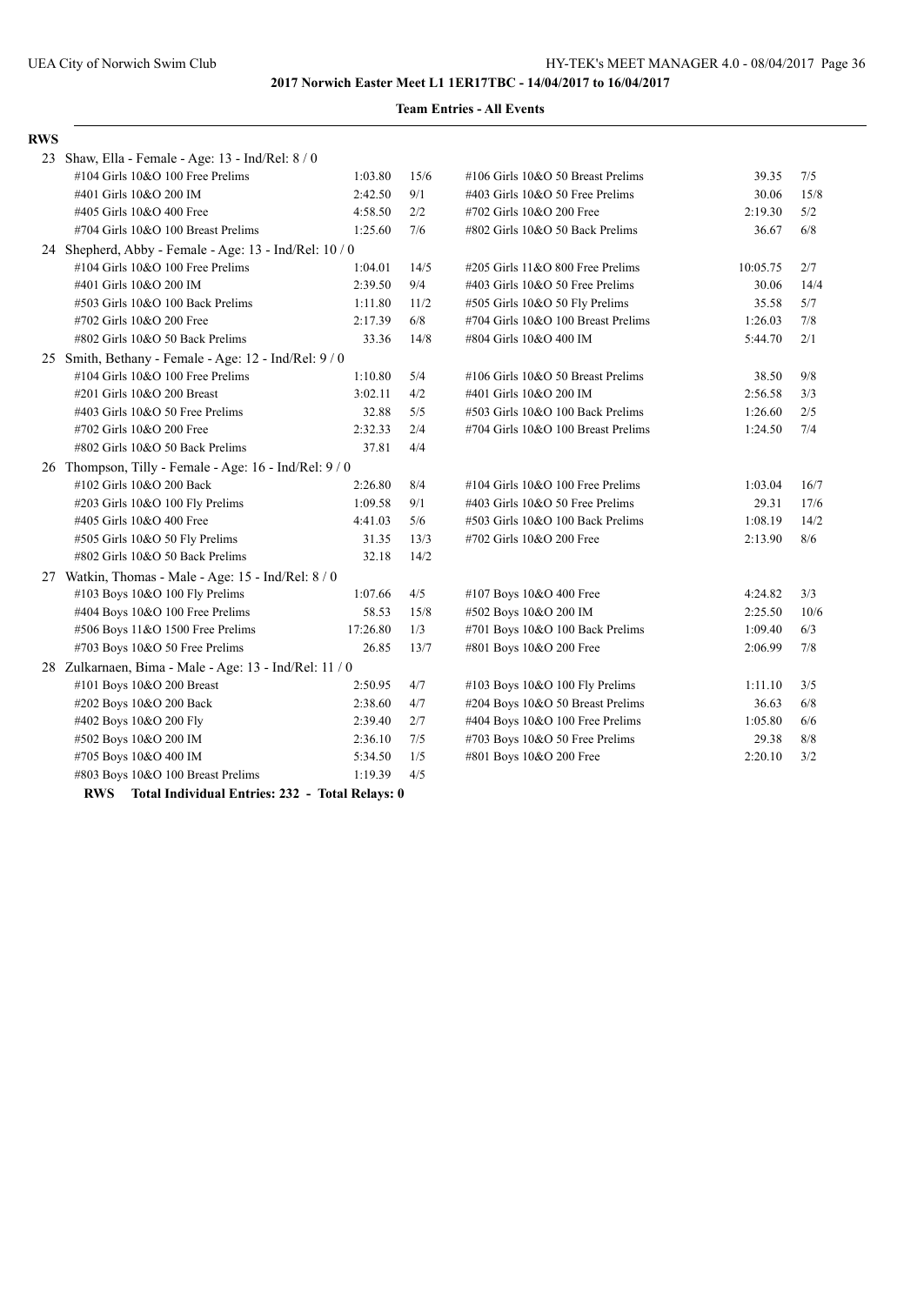| 39.35    | 7/5                         |
|----------|-----------------------------|
| 30.06    | 15/8                        |
| 2:19.30  | 5/2                         |
| 36.67    | 6/8                         |
|          |                             |
| 10:05.75 | 2/7                         |
| 30.06    | 14/4                        |
| 35.58    | 5/7                         |
| 1:26.03  | $7/8$                       |
| 5:44.70  | 2/1                         |
|          |                             |
| 38.50    | 9/8                         |
| 2:56.58  | 3/3                         |
| 1:26.60  | 2/5                         |
| 1:24.50  | 7/4                         |
|          |                             |
|          |                             |
| 1:03.04  | 16/7                        |
| 29.31    | 17/6                        |
| 1:08.19  | 14/2                        |
| 2:13.90  | 8/6                         |
|          |                             |
|          |                             |
| 4:24.82  | 3/3                         |
| 2:25.50  | 10/6                        |
| 1:09.40  | 6/3                         |
| 2:06.99  | 7/8                         |
|          |                             |
| 1:11.10  | 3/5                         |
| 36.63    | 6/8                         |
|          | 6/6                         |
|          | 8/8                         |
|          | 3/2                         |
|          |                             |
|          |                             |
|          | 1:05.80<br>29.38<br>2:20.10 |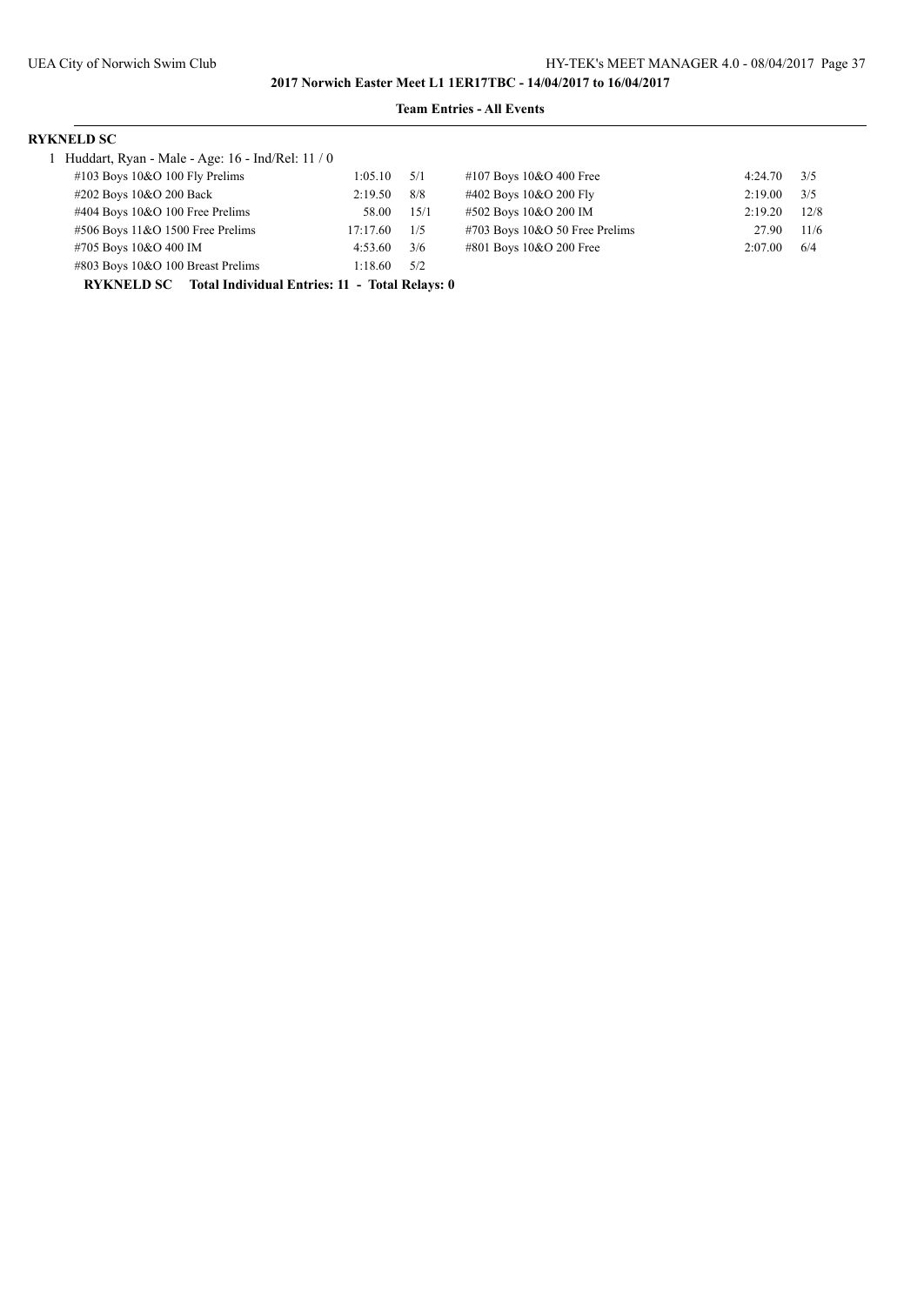# **Team Entries - All Events**

### **RYKNELD SC**

| 1 Huddart, Ryan - Male - Age: $16$ - Ind/Rel: $11/0$             |          |      |                                   |         |      |
|------------------------------------------------------------------|----------|------|-----------------------------------|---------|------|
| $\#103$ Boys 10&O 100 Fly Prelims                                | 1:05.10  | 5/1  | #107 Boys $10&O$ 400 Free         | 4:24.70 | 3/5  |
| #202 Boys 10&O 200 Back                                          | 2:19.50  | 8/8  | #402 Boys 10&O 200 Fly            | 2:19.00 | 3/5  |
| #404 Boys 10&O 100 Free Prelims                                  | 58.00    | 15/1 | #502 Boys 10&O 200 IM             | 2:19.20 | 12/8 |
| $#506$ Boys 11&O 1500 Free Prelims                               | 17:17.60 | 1/5  | $\#703$ Boys 10&O 50 Free Prelims | 27.90   | 11/6 |
| #705 Boys 10&O 400 IM                                            | 4:53.60  | 3/6  | #801 Boys 10&O 200 Free           | 2:07.00 | 6/4  |
| #803 Boys 10&O 100 Breast Prelims                                | 1:18.60  | 5/2  |                                   |         |      |
| <b>RYKNELD SC</b> Total Individual Entries: 11 - Total Relays: 0 |          |      |                                   |         |      |

| #107 Boys 10&O 400 Free        | $4:24.70$ $3/5$ |      |
|--------------------------------|-----------------|------|
| #402 Boys 10&O 200 Fly         | 2:19.00         | 3/5  |
| #502 Boys 10&O 200 IM          | 2:19.20         | 12/8 |
| #703 Boys 10&O 50 Free Prelims | 27.90           | 11/6 |
| #801 Boys 10&O 200 Free        | 2:07.00         | 6/4  |
|                                |                 |      |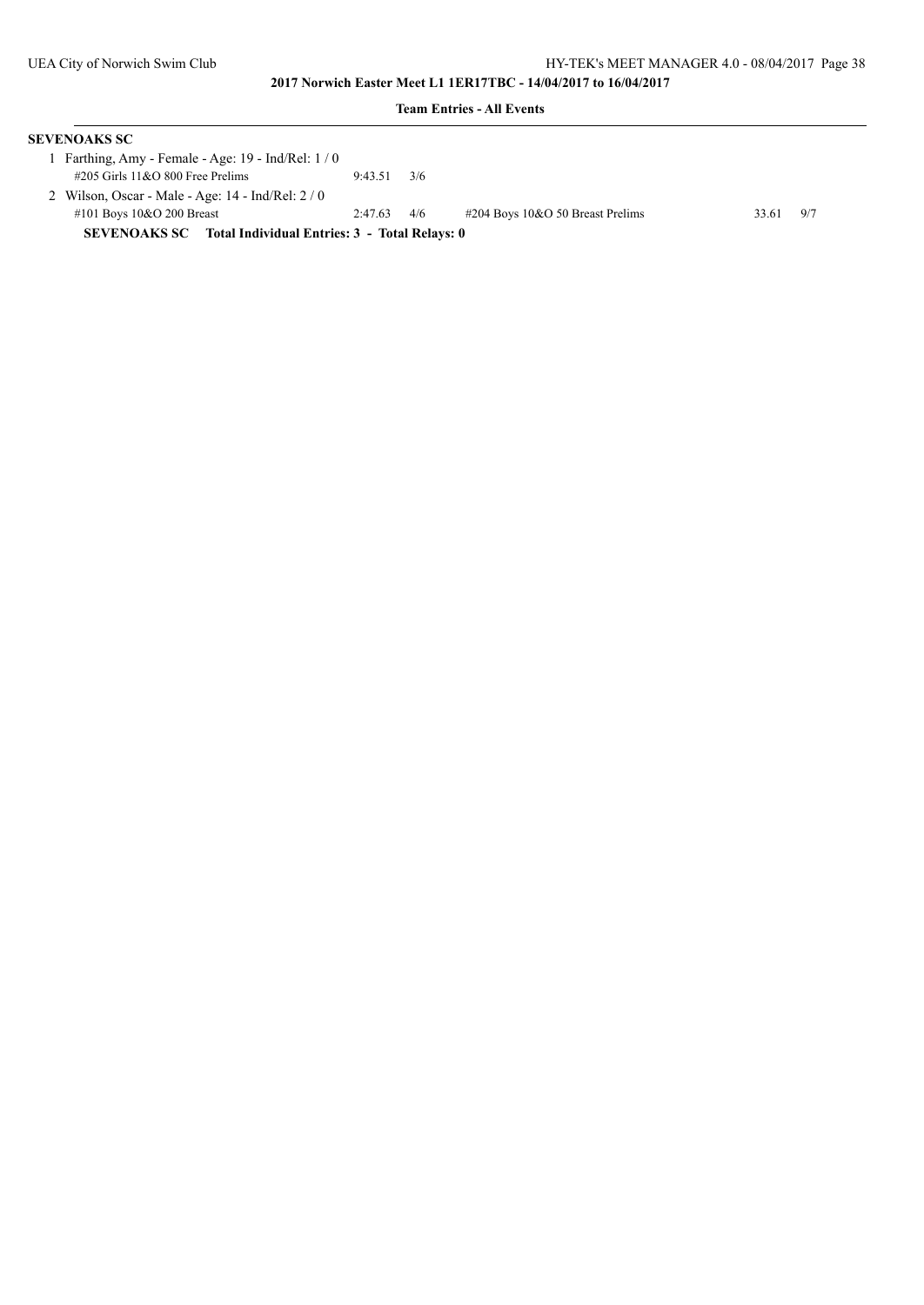| <b>SEVENOAKS SC</b>                                               |         |     |                                     |       |     |
|-------------------------------------------------------------------|---------|-----|-------------------------------------|-------|-----|
| 1 Farthing, Amy - Female - Age: $19$ - Ind/Rel: $1/0$             |         |     |                                     |       |     |
| $\#205$ Girls 11&O 800 Free Prelims                               | 9:43.51 | 3/6 |                                     |       |     |
| 2 Wilson, Oscar - Male - Age: $14$ - Ind/Rel: $2/0$               |         |     |                                     |       |     |
| #101 Boys $10&O$ 200 Breast                                       | 2:47.63 | 4/6 | $\#204$ Boys 10&O 50 Breast Prelims | 33.61 | 9/7 |
| <b>SEVENOAKS SC</b> Total Individual Entries: 3 - Total Relays: 0 |         |     |                                     |       |     |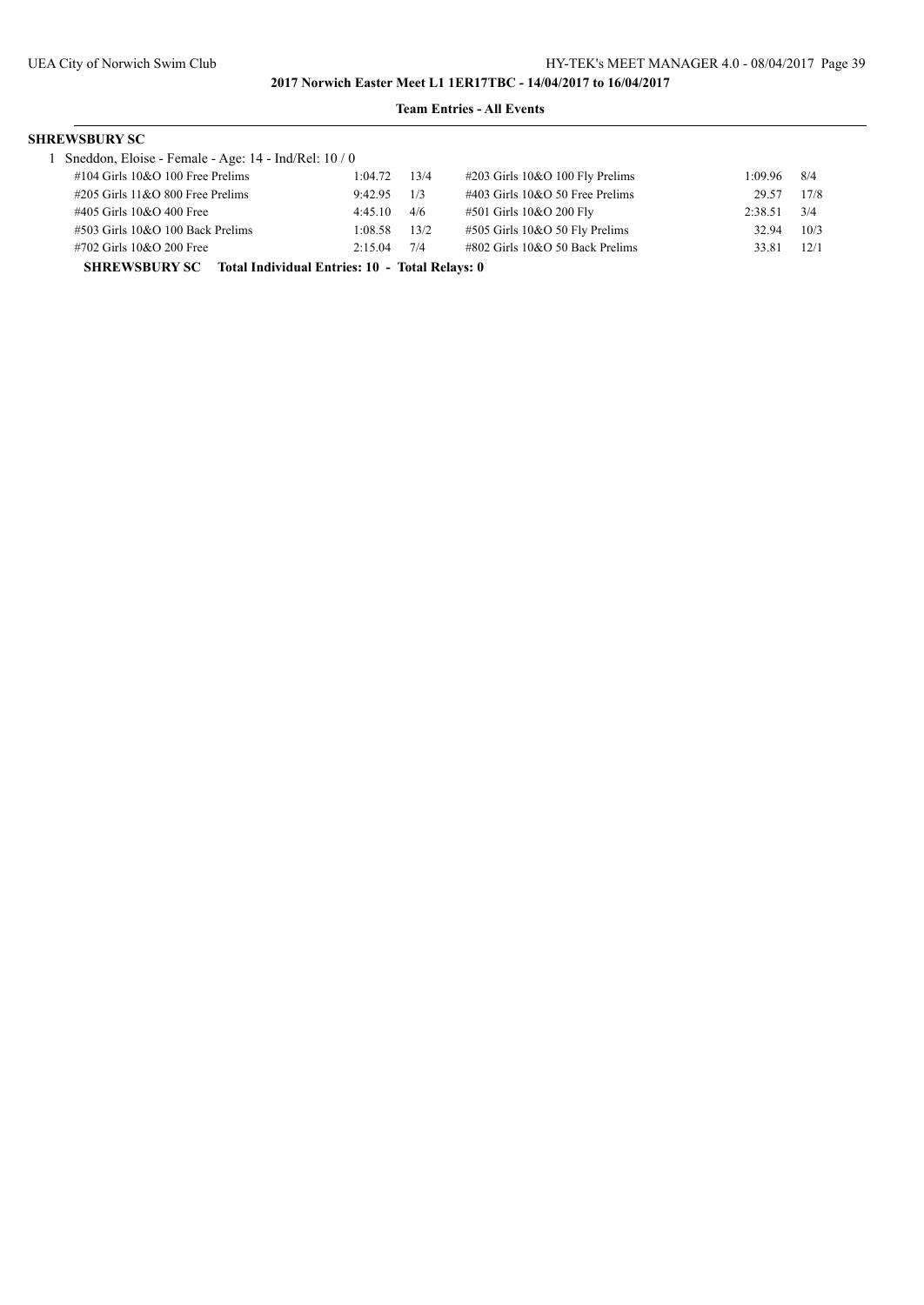### **Team Entries - All Events**

# **SHREWSBURY SC**

|                                                                     | 1 Sneddon, Eloise - Female - Age: 14 - Ind/Rel: 10 / 0 |         |      |                                    |         |       |
|---------------------------------------------------------------------|--------------------------------------------------------|---------|------|------------------------------------|---------|-------|
|                                                                     | $\#104$ Girls 10&O 100 Free Prelims                    | 1:04.72 | 13/4 | $\#203$ Girls 10&O 100 Fly Prelims | 1:09.96 | - 8/4 |
|                                                                     | $\#205$ Girls 11&O 800 Free Prelims                    | 9:42.95 | 1/3  | $\#403$ Girls 10&O 50 Free Prelims | 29.57   | 17/8  |
|                                                                     | #405 Girls 10&O 400 Free                               | 4:45.10 | 4/6  | #501 Girls 10&O 200 Fly            | 2:38.51 | 3/4   |
|                                                                     | $\#503$ Girls 10&O 100 Back Prelims                    | 1:08.58 | 13/2 | #505 Girls 10&O 50 Fly Prelims     | 32.94   | 10/3  |
|                                                                     | #702 Girls 10&O 200 Free                               | 2:15.04 | 7/4  | $\#802$ Girls 10&O 50 Back Prelims | 33.81   | 12/1  |
| <b>SHREWSBURY SC</b> Total Individual Entries: 10 - Total Relays: 0 |                                                        |         |      |                                    |         |       |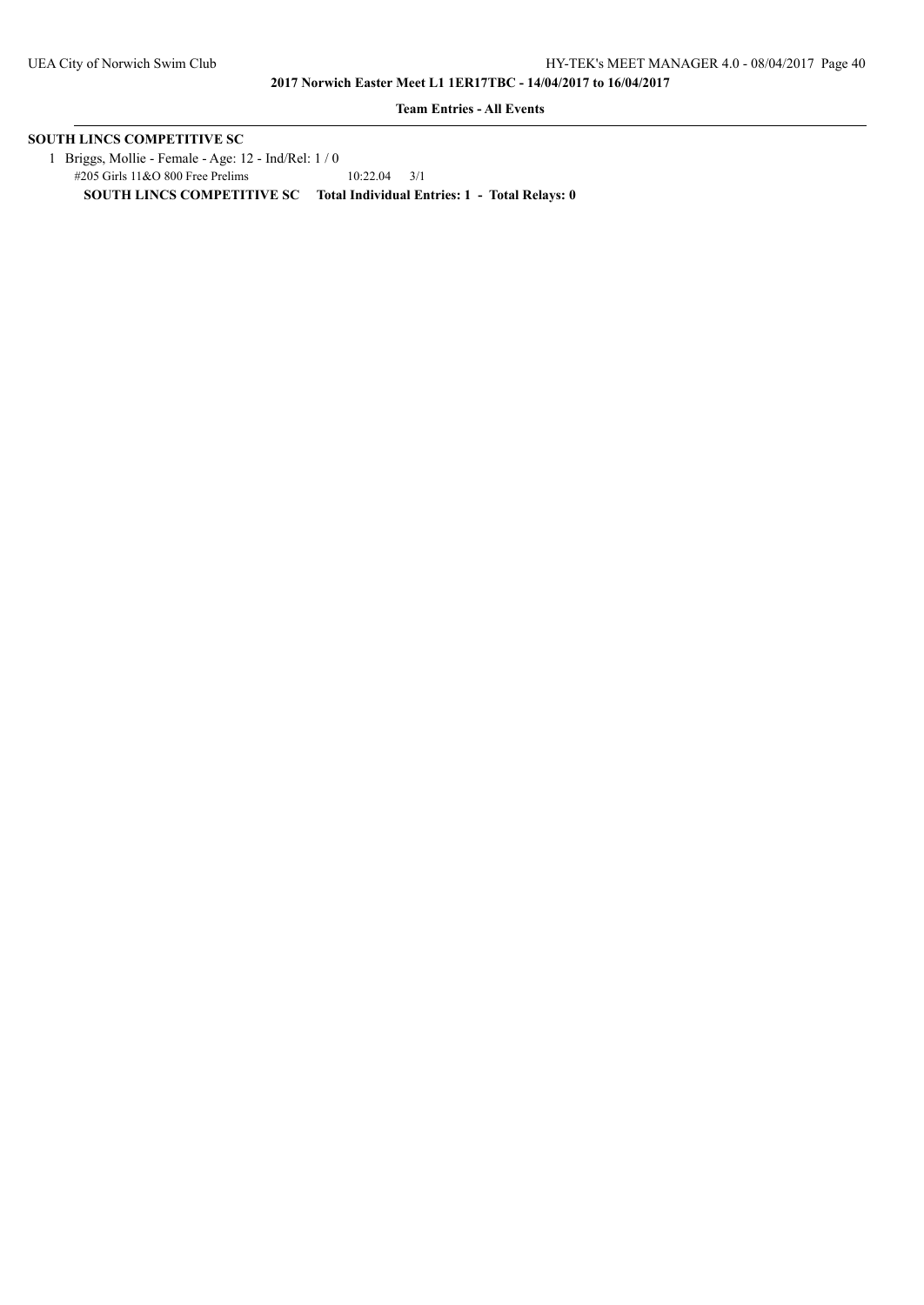**Team Entries - All Events**

# **SOUTH LINCS COMPETITIVE SC**

 1 Briggs, Mollie - Female - Age: 12 - Ind/Rel: 1 / 0 #205 Girls 11&O 800 Free Prelims 10:22.04 3/1 **SOUTH LINCS COMPETITIVE SC Total Individual Entries: 1 - Total Relays: 0**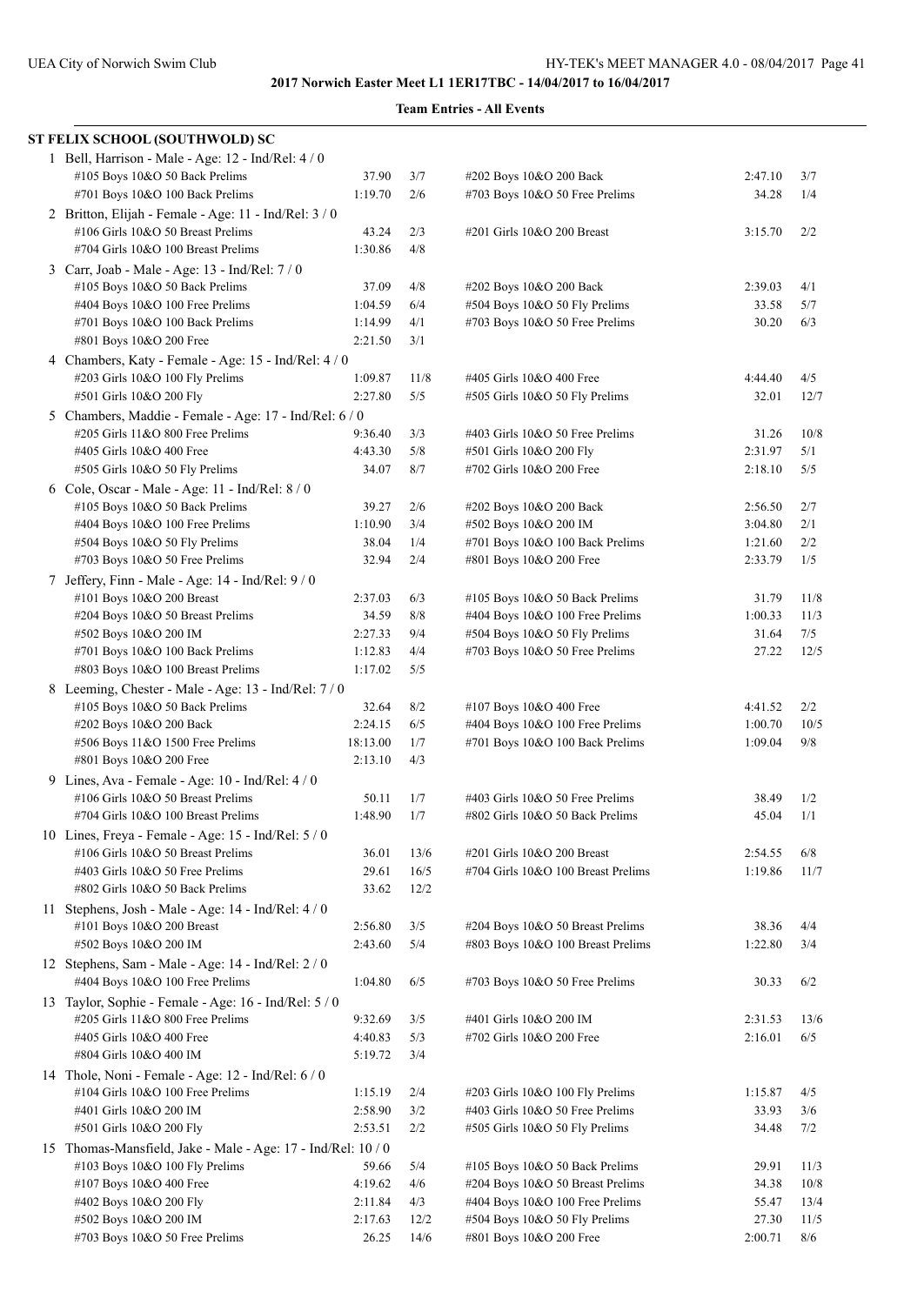| ST FELIX SCHOOL (SOUTHWOLD) SC                               |          |      |                                    |         |      |
|--------------------------------------------------------------|----------|------|------------------------------------|---------|------|
| 1 Bell, Harrison - Male - Age: 12 - Ind/Rel: 4 / 0           |          |      |                                    |         |      |
| #105 Boys 10&O 50 Back Prelims                               | 37.90    | 3/7  | #202 Boys 10&O 200 Back            | 2:47.10 | 3/7  |
| #701 Boys 10&O 100 Back Prelims                              | 1:19.70  | 2/6  | #703 Boys 10&O 50 Free Prelims     | 34.28   | 1/4  |
| 2 Britton, Elijah - Female - Age: 11 - Ind/Rel: 3 / 0        |          |      |                                    |         |      |
| #106 Girls 10&O 50 Breast Prelims                            | 43.24    | 2/3  | #201 Girls 10&O 200 Breast         | 3:15.70 | 2/2  |
| #704 Girls 10&O 100 Breast Prelims                           | 1:30.86  | 4/8  |                                    |         |      |
| 3 Carr, Joab - Male - Age: 13 - Ind/Rel: 7 / 0               |          |      |                                    |         |      |
| #105 Boys 10&O 50 Back Prelims                               | 37.09    | 4/8  | #202 Boys 10&O 200 Back            | 2:39.03 | 4/1  |
| #404 Boys 10&O 100 Free Prelims                              | 1:04.59  | 6/4  | #504 Boys 10&O 50 Fly Prelims      | 33.58   | 5/7  |
| #701 Boys 10&O 100 Back Prelims                              | 1:14.99  | 4/1  | #703 Boys 10&O 50 Free Prelims     | 30.20   | 6/3  |
| #801 Boys 10&O 200 Free                                      | 2:21.50  | 3/1  |                                    |         |      |
| 4 Chambers, Katy - Female - Age: 15 - Ind/Rel: 4 / 0         |          |      |                                    |         |      |
| #203 Girls 10&O 100 Fly Prelims                              | 1:09.87  | 11/8 | #405 Girls 10&O 400 Free           | 4:44.40 | 4/5  |
| #501 Girls 10&O 200 Fly                                      | 2:27.80  | 5/5  | #505 Girls 10&O 50 Fly Prelims     | 32.01   | 12/7 |
| 5 Chambers, Maddie - Female - Age: 17 - Ind/Rel: 6 / 0       |          |      |                                    |         |      |
| #205 Girls 11&O 800 Free Prelims                             | 9:36.40  | 3/3  | #403 Girls 10&O 50 Free Prelims    | 31.26   | 10/8 |
| #405 Girls 10&O 400 Free                                     | 4:43.30  | 5/8  | #501 Girls 10&O 200 Fly            | 2:31.97 | 5/1  |
| #505 Girls 10&O 50 Fly Prelims                               | 34.07    | 8/7  | #702 Girls 10&O 200 Free           | 2:18.10 | 5/5  |
| 6 Cole, Oscar - Male - Age: 11 - Ind/Rel: 8 / 0              |          |      |                                    |         |      |
| #105 Boys 10&O 50 Back Prelims                               | 39.27    | 2/6  | #202 Boys 10&O 200 Back            | 2:56.50 | 2/7  |
| #404 Boys 10&O 100 Free Prelims                              | 1:10.90  | 3/4  | #502 Boys 10&O 200 IM              | 3:04.80 | 2/1  |
| #504 Boys 10&O 50 Fly Prelims                                | 38.04    | 1/4  | #701 Boys 10&O 100 Back Prelims    | 1:21.60 | 2/2  |
| #703 Boys 10&O 50 Free Prelims                               | 32.94    | 2/4  | #801 Boys 10&O 200 Free            | 2:33.79 | 1/5  |
| 7 Jeffery, Finn - Male - Age: 14 - Ind/Rel: 9/0              |          |      |                                    |         |      |
| #101 Boys 10&O 200 Breast                                    | 2:37.03  | 6/3  | #105 Boys 10&O 50 Back Prelims     | 31.79   | 11/8 |
| #204 Boys 10&O 50 Breast Prelims                             | 34.59    | 8/8  | #404 Boys 10&O 100 Free Prelims    | 1:00.33 | 11/3 |
| #502 Boys 10&O 200 IM                                        | 2:27.33  | 9/4  | #504 Boys 10&O 50 Fly Prelims      | 31.64   | 7/5  |
| #701 Boys 10&O 100 Back Prelims                              | 1:12.83  | 4/4  | #703 Boys 10&O 50 Free Prelims     | 27.22   | 12/5 |
| #803 Boys 10&O 100 Breast Prelims                            | 1:17.02  | 5/5  |                                    |         |      |
| 8 Leeming, Chester - Male - Age: 13 - Ind/Rel: 7 / 0         |          |      |                                    |         |      |
| #105 Boys 10&O 50 Back Prelims                               | 32.64    | 8/2  | #107 Boys 10&O 400 Free            | 4:41.52 | 2/2  |
| #202 Boys 10&O 200 Back                                      | 2:24.15  | 6/5  | #404 Boys 10&O 100 Free Prelims    | 1:00.70 | 10/5 |
| #506 Boys 11&O 1500 Free Prelims                             | 18:13.00 | 1/7  | #701 Boys 10&O 100 Back Prelims    | 1:09.04 | 9/8  |
| #801 Boys 10&O 200 Free                                      | 2:13.10  | 4/3  |                                    |         |      |
| 9 Lines, Ava - Female - Age: 10 - Ind/Rel: 4 / 0             |          |      |                                    |         |      |
| #106 Girls 10&O 50 Breast Prelims                            | 50.11    | 1/7  | #403 Girls 10&O 50 Free Prelims    | 38.49   | 1/2  |
| #704 Girls 10&O 100 Breast Prelims                           | 1:48.90  | 1/7  | #802 Girls 10&O 50 Back Prelims    | 45.04   | 1/1  |
| 10 Lines, Freya - Female - Age: 15 - Ind/Rel: 5 / 0          |          |      |                                    |         |      |
| #106 Girls 10&O 50 Breast Prelims                            | 36.01    | 13/6 | #201 Girls 10&O 200 Breast         | 2:54.55 | 6/8  |
| #403 Girls 10&O 50 Free Prelims                              | 29.61    | 16/5 | #704 Girls 10&O 100 Breast Prelims | 1:19.86 | 11/7 |
| #802 Girls 10&O 50 Back Prelims                              | 33.62    | 12/2 |                                    |         |      |
| 11 Stephens, Josh - Male - Age: $14$ - Ind/Rel: $4/0$        |          |      |                                    |         |      |
| #101 Boys 10&O 200 Breast                                    | 2:56.80  | 3/5  | #204 Boys 10&O 50 Breast Prelims   | 38.36   | 4/4  |
| #502 Boys 10&O 200 IM                                        | 2:43.60  | 5/4  | #803 Boys 10&O 100 Breast Prelims  | 1:22.80 | 3/4  |
| 12 Stephens, Sam - Male - Age: 14 - Ind/Rel: 2 / 0           |          |      |                                    |         |      |
| #404 Boys 10&O 100 Free Prelims                              | 1:04.80  | 6/5  | #703 Boys 10&O 50 Free Prelims     | 30.33   | 6/2  |
| 13 Taylor, Sophie - Female - Age: 16 - Ind/Rel: 5 / 0        |          |      |                                    |         |      |
| #205 Girls 11&O 800 Free Prelims                             | 9:32.69  | 3/5  | #401 Girls 10&O 200 IM             | 2:31.53 | 13/6 |
| #405 Girls 10&O 400 Free                                     | 4:40.83  | 5/3  | #702 Girls 10&O 200 Free           | 2:16.01 | 6/5  |
| #804 Girls 10&O 400 IM                                       | 5:19.72  | 3/4  |                                    |         |      |
| 14 Thole, Noni - Female - Age: 12 - Ind/Rel: 6 / 0           |          |      |                                    |         |      |
| #104 Girls 10&O 100 Free Prelims                             | 1:15.19  | 2/4  | #203 Girls 10&O 100 Fly Prelims    | 1:15.87 | 4/5  |
| #401 Girls 10&O 200 IM                                       | 2:58.90  | 3/2  | #403 Girls 10&O 50 Free Prelims    | 33.93   | 3/6  |
| #501 Girls 10&O 200 Fly                                      | 2:53.51  | 2/2  | #505 Girls 10&O 50 Fly Prelims     | 34.48   | 7/2  |
| 15 Thomas-Mansfield, Jake - Male - Age: 17 - Ind/Rel: 10 / 0 |          |      |                                    |         |      |
| #103 Boys 10&O 100 Fly Prelims                               | 59.66    | 5/4  | #105 Boys 10&O 50 Back Prelims     | 29.91   | 11/3 |
| #107 Boys 10&O 400 Free                                      | 4:19.62  | 4/6  | #204 Boys 10&O 50 Breast Prelims   | 34.38   | 10/8 |
| #402 Boys 10&O 200 Fly                                       | 2:11.84  | 4/3  | #404 Boys 10&O 100 Free Prelims    | 55.47   | 13/4 |
| #502 Boys 10&O 200 IM                                        | 2:17.63  | 12/2 | #504 Boys 10&O 50 Fly Prelims      | 27.30   | 11/5 |
| #703 Boys 10&O 50 Free Prelims                               | 26.25    | 14/6 | #801 Boys 10&O 200 Free            | 2:00.71 | 8/6  |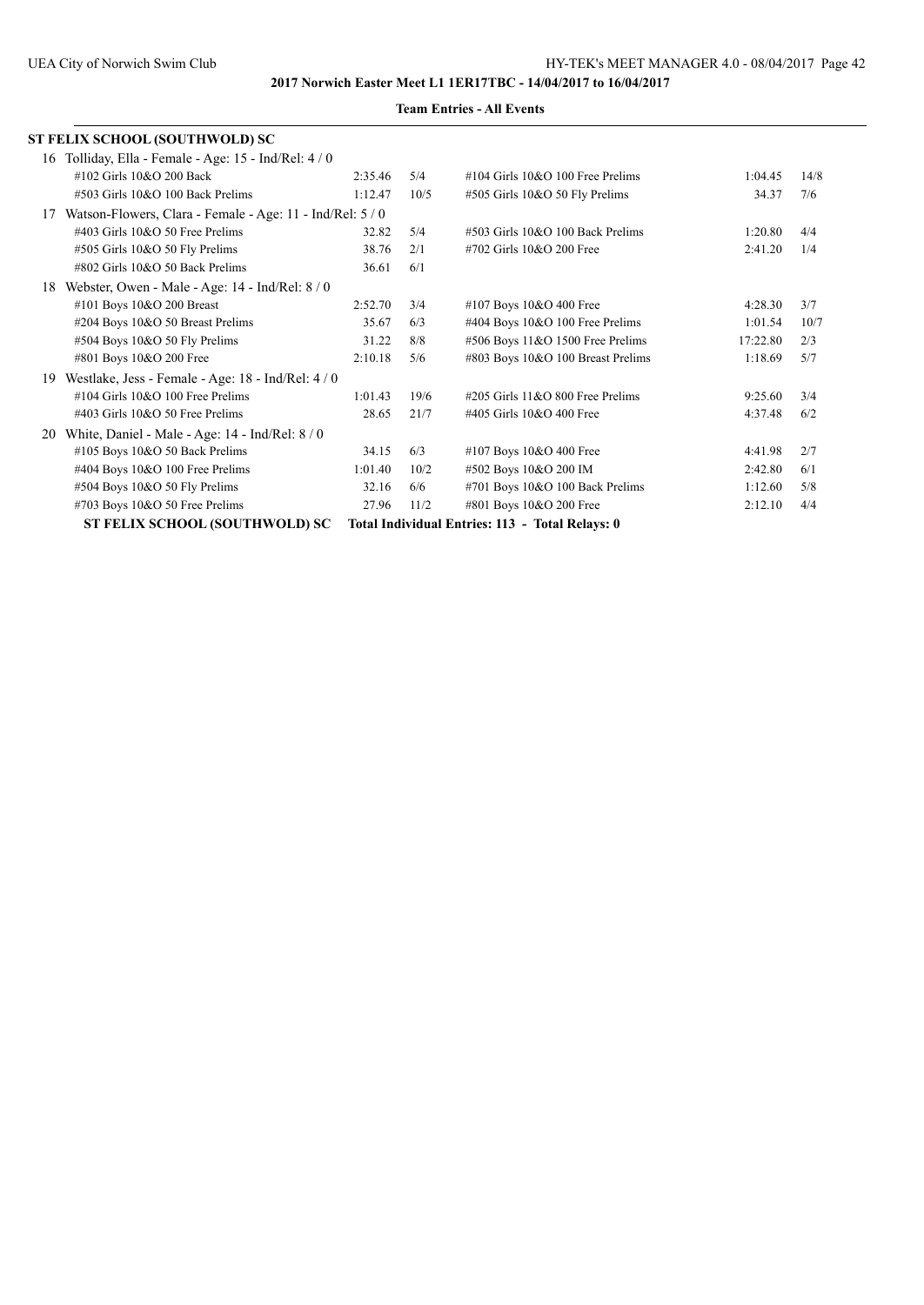|    | <b>ST FELIX SCHOOL (SOUTHWOLD) SC</b>                     |         |      |                                                 |          |      |
|----|-----------------------------------------------------------|---------|------|-------------------------------------------------|----------|------|
|    | 16 Tolliday, Ella - Female - Age: 15 - Ind/Rel: 4 / 0     |         |      |                                                 |          |      |
|    | #102 Girls 10&O 200 Back                                  | 2:35.46 | 5/4  | $\#104$ Girls $10&O$ 100 Free Prelims           | 1:04.45  | 14/8 |
|    | #503 Girls 10&O 100 Back Prelims                          | 1:12.47 | 10/5 | #505 Girls 10&O 50 Fly Prelims                  | 34.37    | 7/6  |
| 17 | Watson-Flowers, Clara - Female - Age: 11 - Ind/Rel: 5 / 0 |         |      |                                                 |          |      |
|    | $\#403$ Girls 10&O 50 Free Prelims                        | 32.82   | 5/4  | $\#503$ Girls 10&O 100 Back Prelims             | 1:20.80  | 4/4  |
|    | #505 Girls 10&O 50 Fly Prelims                            | 38.76   | 2/1  | #702 Girls 10&O 200 Free                        | 2:41.20  | 1/4  |
|    | #802 Girls 10&O 50 Back Prelims                           | 36.61   | 6/1  |                                                 |          |      |
| 18 | Webster, Owen - Male - Age: 14 - Ind/Rel: 8/0             |         |      |                                                 |          |      |
|    | #101 Boys 10&O 200 Breast                                 | 2:52.70 | 3/4  | #107 Boys 10&O 400 Free                         | 4:28.30  | 3/7  |
|    | #204 Boys 10&O 50 Breast Prelims                          | 35.67   | 6/3  | #404 Boys 10&O 100 Free Prelims                 | 1:01.54  | 10/7 |
|    | #504 Boys 10&O 50 Fly Prelims                             | 31.22   | 8/8  | #506 Boys 11&O 1500 Free Prelims                | 17:22.80 | 2/3  |
|    | #801 Boys 10&O 200 Free                                   | 2:10.18 | 5/6  | #803 Boys 10&O 100 Breast Prelims               | 1:18.69  | 5/7  |
|    | Westlake, Jess - Female - Age: 18 - Ind/Rel: 4 / 0        |         |      |                                                 |          |      |
|    | $\#104$ Girls $10&O$ 100 Free Prelims                     | 1:01.43 | 19/6 | $\#205$ Girls 11&O 800 Free Prelims             | 9:25.60  | 3/4  |
|    | $\#403$ Girls 10&O 50 Free Prelims                        | 28.65   | 21/7 | #405 Girls 10&O 400 Free                        | 4:37.48  | 6/2  |
| 20 | White, Daniel - Male - Age: $14$ - Ind/Rel: $8/0$         |         |      |                                                 |          |      |
|    | #105 Boys 10&O 50 Back Prelims                            | 34.15   | 6/3  | #107 Boys 10&O 400 Free                         | 4:41.98  | 2/7  |
|    | #404 Boys 10&O 100 Free Prelims                           | 1:01.40 | 10/2 | #502 Boys 10&O 200 IM                           | 2:42.80  | 6/1  |
|    | #504 Boys 10&O 50 Fly Prelims                             | 32.16   | 6/6  | #701 Boys 10&O 100 Back Prelims                 | 1:12.60  | 5/8  |
|    | #703 Boys 10&O 50 Free Prelims                            | 27.96   | 11/2 | #801 Boys 10&O 200 Free                         | 2:12.10  | 4/4  |
|    | ST FELIX SCHOOL (SOUTHWOLD) SC                            |         |      | Total Individual Entries: 113 - Total Relays: 0 |          |      |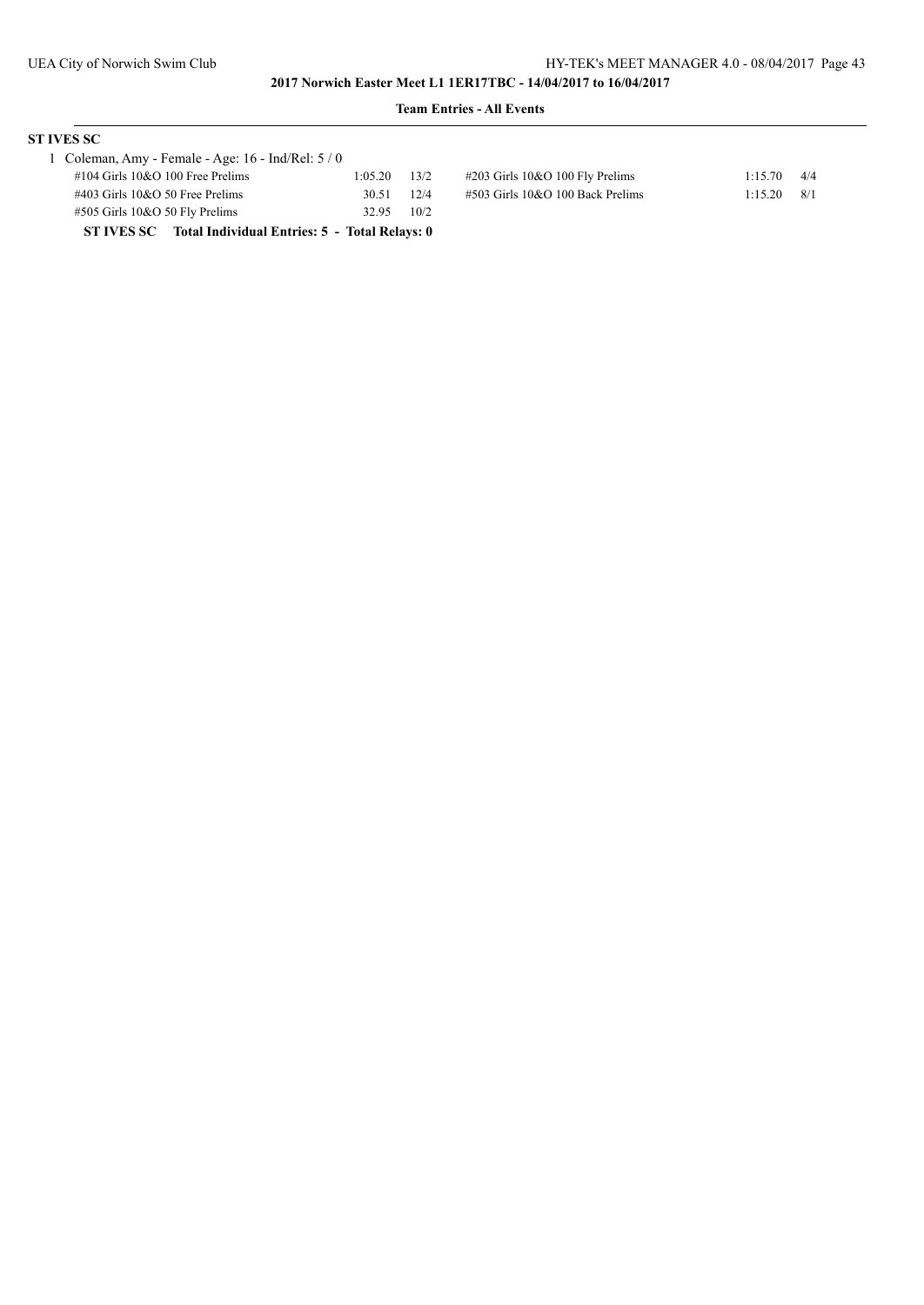# **ST IVES SC**

| 1 Coleman, Amy - Female - Age: $16$ - Ind/Rel: $5/0$     |         |      |
|----------------------------------------------------------|---------|------|
| $\#104$ Girls 10&O 100 Free Prelims                      | 1:05.20 | 13/2 |
| $\#403$ Girls 10&O 50 Free Prelims                       | 30.51   | 12/4 |
| $#505$ Girls 10&O 50 Fly Prelims                         | 32.95   | 10/2 |
| ST IVES SC Total Individual Entries: 5 - Total Relays: 0 |         |      |

| orchan, $\lim_{t \to 0}$ - 1 charge - $\lim_{t \to \infty}$ . 10 - ma/ref. 5 / 0 |                  |                                     |         |      |
|----------------------------------------------------------------------------------|------------------|-------------------------------------|---------|------|
| #104 Girls 10&O 100 Free Prelims                                                 | $1:05.20$ $13/2$ | #203 Girls 10&O 100 Fly Prelims     | 1:15.70 | 4/4  |
| #403 Girls 10&O 50 Free Prelims                                                  | 30.51 12/4       | $\#503$ Girls 10&O 100 Back Prelims | 1:15.20 | -8/1 |
|                                                                                  | $22.07 - 10.02$  |                                     |         |      |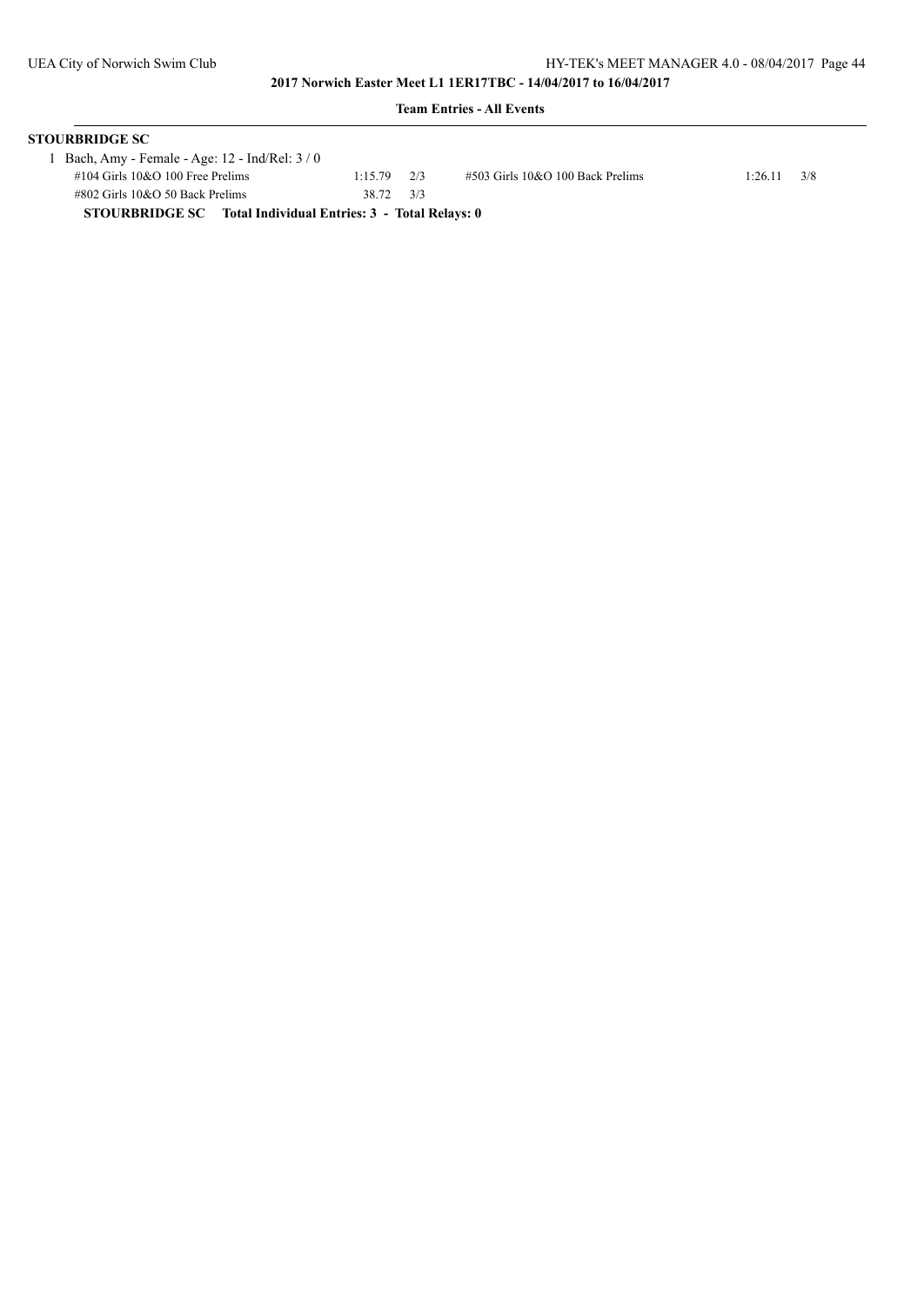| <b>Team Entries - All Events</b>                                    |                 |  |                                     |         |     |  |  |
|---------------------------------------------------------------------|-----------------|--|-------------------------------------|---------|-----|--|--|
| STOURBRIDGE SC                                                      |                 |  |                                     |         |     |  |  |
| 1 Bach, Amy - Female - Age: 12 - Ind/Rel: 3 / 0                     |                 |  |                                     |         |     |  |  |
| $\#104$ Girls $10&O$ 100 Free Prelims                               | $1:15.79$ $2/3$ |  | $\#503$ Girls 10&O 100 Back Prelims | 1:26.11 | 3/8 |  |  |
| $\#802$ Girls 10&O 50 Back Prelims                                  | 38.72 3/3       |  |                                     |         |     |  |  |
| <b>STOURBRIDGE SC</b> Total Individual Entries: 3 - Total Relays: 0 |                 |  |                                     |         |     |  |  |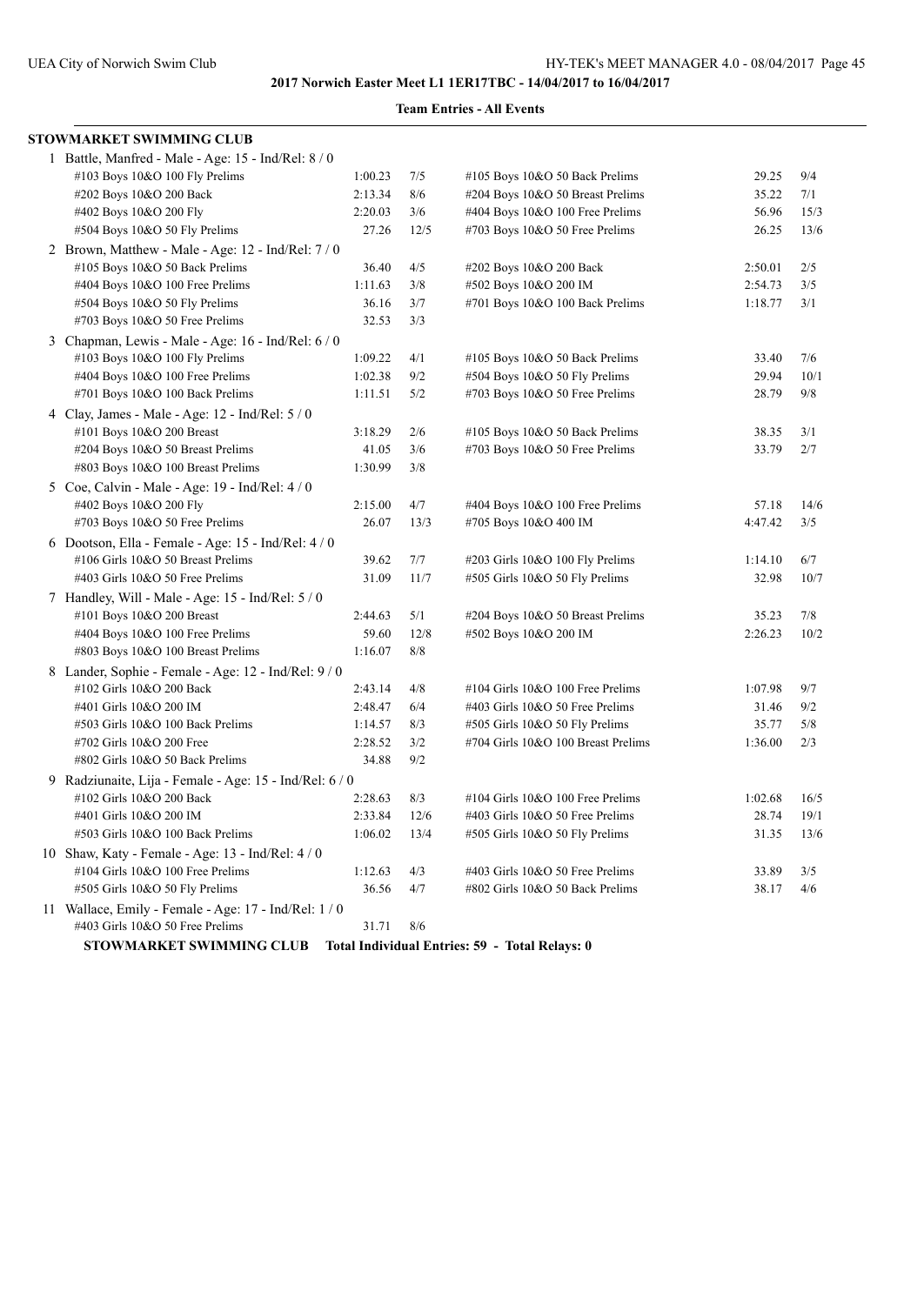# **Team Entries - All Events**

| STOWMARKET SWIMMING CLUB                                |         |      |                                     |         |      |
|---------------------------------------------------------|---------|------|-------------------------------------|---------|------|
| 1 Battle, Manfred - Male - Age: 15 - Ind/Rel: $8/0$     |         |      |                                     |         |      |
| #103 Boys 10&O 100 Fly Prelims                          | 1:00.23 | 7/5  | #105 Boys 10&O 50 Back Prelims      | 29.25   | 9/4  |
| #202 Boys 10&O 200 Back                                 | 2:13.34 | 8/6  | #204 Boys 10&O 50 Breast Prelims    | 35.22   | 7/1  |
| #402 Boys 10&O 200 Fly                                  | 2:20.03 | 3/6  | #404 Boys 10&O 100 Free Prelims     | 56.96   | 15/3 |
| #504 Boys 10&O 50 Fly Prelims                           | 27.26   | 12/5 | $\#703$ Boys 10&O 50 Free Prelims   | 26.25   | 13/6 |
| 2 Brown, Matthew - Male - Age: 12 - Ind/Rel: $7/0$      |         |      |                                     |         |      |
| #105 Boys 10&O 50 Back Prelims                          | 36.40   | 4/5  | #202 Boys 10&O 200 Back             | 2:50.01 | 2/5  |
| #404 Boys 10&O 100 Free Prelims                         | 1:11.63 | 3/8  | #502 Boys 10&O 200 IM               | 2:54.73 | 3/5  |
| #504 Boys 10&O 50 Fly Prelims                           | 36.16   | 3/7  | #701 Boys 10&O 100 Back Prelims     | 1:18.77 | 3/1  |
| #703 Boys 10&O 50 Free Prelims                          | 32.53   | 3/3  |                                     |         |      |
| 3 Chapman, Lewis - Male - Age: 16 - Ind/Rel: 6 / 0      |         |      |                                     |         |      |
| #103 Boys 10&O 100 Fly Prelims                          | 1:09.22 | 4/1  | #105 Boys 10&O 50 Back Prelims      | 33.40   | 7/6  |
| #404 Boys 10&O 100 Free Prelims                         | 1:02.38 | 9/2  | #504 Boys 10&O 50 Fly Prelims       | 29.94   | 10/1 |
| #701 Boys 10&O 100 Back Prelims                         | 1:11.51 | 5/2  | #703 Boys 10&O 50 Free Prelims      | 28.79   | 9/8  |
| 4 Clay, James - Male - Age: $12$ - Ind/Rel: $5/0$       |         |      |                                     |         |      |
| #101 Boys 10&O 200 Breast                               | 3:18.29 | 2/6  | #105 Boys 10&O 50 Back Prelims      | 38.35   | 3/1  |
| #204 Boys 10&O 50 Breast Prelims                        | 41.05   | 3/6  | #703 Boys 10&O 50 Free Prelims      | 33.79   | 2/7  |
| #803 Boys 10&O 100 Breast Prelims                       | 1:30.99 | 3/8  |                                     |         |      |
| 5 Coe, Calvin - Male - Age: 19 - Ind/Rel: 4 / 0         |         |      |                                     |         |      |
| #402 Boys 10&O 200 Fly                                  | 2:15.00 | 4/7  | #404 Boys 10&O 100 Free Prelims     | 57.18   | 14/6 |
| #703 Boys 10&O 50 Free Prelims                          | 26.07   | 13/3 | #705 Boys 10&O 400 IM               | 4:47.42 | 3/5  |
| 6 Dootson, Ella - Female - Age: $15$ - Ind/Rel: $4/0$   |         |      |                                     |         |      |
| #106 Girls 10&O 50 Breast Prelims                       | 39.62   | 7/7  | #203 Girls 10&O 100 Fly Prelims     | 1:14.10 | 6/7  |
| #403 Girls 10&O 50 Free Prelims                         | 31.09   | 11/7 | #505 Girls 10&O 50 Fly Prelims      | 32.98   | 10/7 |
| 7 Handley, Will - Male - Age: 15 - Ind/Rel: 5 / 0       |         |      |                                     |         |      |
| #101 Boys 10&O 200 Breast                               | 2:44.63 | 5/1  | #204 Boys 10&O 50 Breast Prelims    | 35.23   | 7/8  |
| #404 Boys 10&O 100 Free Prelims                         | 59.60   | 12/8 | #502 Boys 10&O 200 IM               | 2:26.23 | 10/2 |
| #803 Boys 10&O 100 Breast Prelims                       | 1:16.07 | 8/8  |                                     |         |      |
| 8 Lander, Sophie - Female - Age: 12 - Ind/Rel: 9/0      |         |      |                                     |         |      |
| #102 Girls 10&O 200 Back                                | 2:43.14 | 4/8  | #104 Girls 10&O 100 Free Prelims    | 1:07.98 | 9/7  |
| #401 Girls 10&O 200 IM                                  | 2:48.47 | 6/4  | #403 Girls 10&O 50 Free Prelims     | 31.46   | 9/2  |
| #503 Girls 10&O 100 Back Prelims                        | 1:14.57 | 8/3  | #505 Girls 10&O 50 Fly Prelims      | 35.77   | 5/8  |
| #702 Girls 10&O 200 Free                                | 2:28.52 | 3/2  | #704 Girls 10&O 100 Breast Prelims  | 1:36.00 | 2/3  |
| #802 Girls 10&O 50 Back Prelims                         | 34.88   | 9/2  |                                     |         |      |
| 9 Radziunaite, Lija - Female - Age: 15 - Ind/Rel: $6/0$ |         |      |                                     |         |      |
| #102 Girls 10&O 200 Back                                | 2:28.63 | 8/3  | $\#104$ Girls 10&O 100 Free Prelims | 1:02.68 | 16/5 |
| #401 Girls 10&O 200 IM                                  | 2:33.84 | 12/6 | #403 Girls 10&O 50 Free Prelims     | 28.74   | 19/1 |
| #503 Girls 10&O 100 Back Prelims                        | 1:06.02 | 13/4 | #505 Girls 10&O 50 Fly Prelims      | 31.35   | 13/6 |
| 10 Shaw, Katy - Female - Age: 13 - Ind/Rel: $4/0$       |         |      |                                     |         |      |
| #104 Girls 10&O 100 Free Prelims                        | 1:12.63 | 4/3  | #403 Girls 10&O 50 Free Prelims     | 33.89   | 3/5  |
| #505 Girls 10&O 50 Fly Prelims                          | 36.56   | 4/7  | #802 Girls 10&O 50 Back Prelims     | 38.17   | 4/6  |
| 11 Wallace, Emily - Female - Age: 17 - Ind/Rel: $1/0$   |         |      |                                     |         |      |
| #403 Girls 10&O 50 Free Prelims                         | 31.71   | 8/6  |                                     |         |      |
|                                                         |         |      |                                     |         |      |

**STOWMARKET SWIMMING CLUB Total Individual Entries: 59 - Total Relays: 0**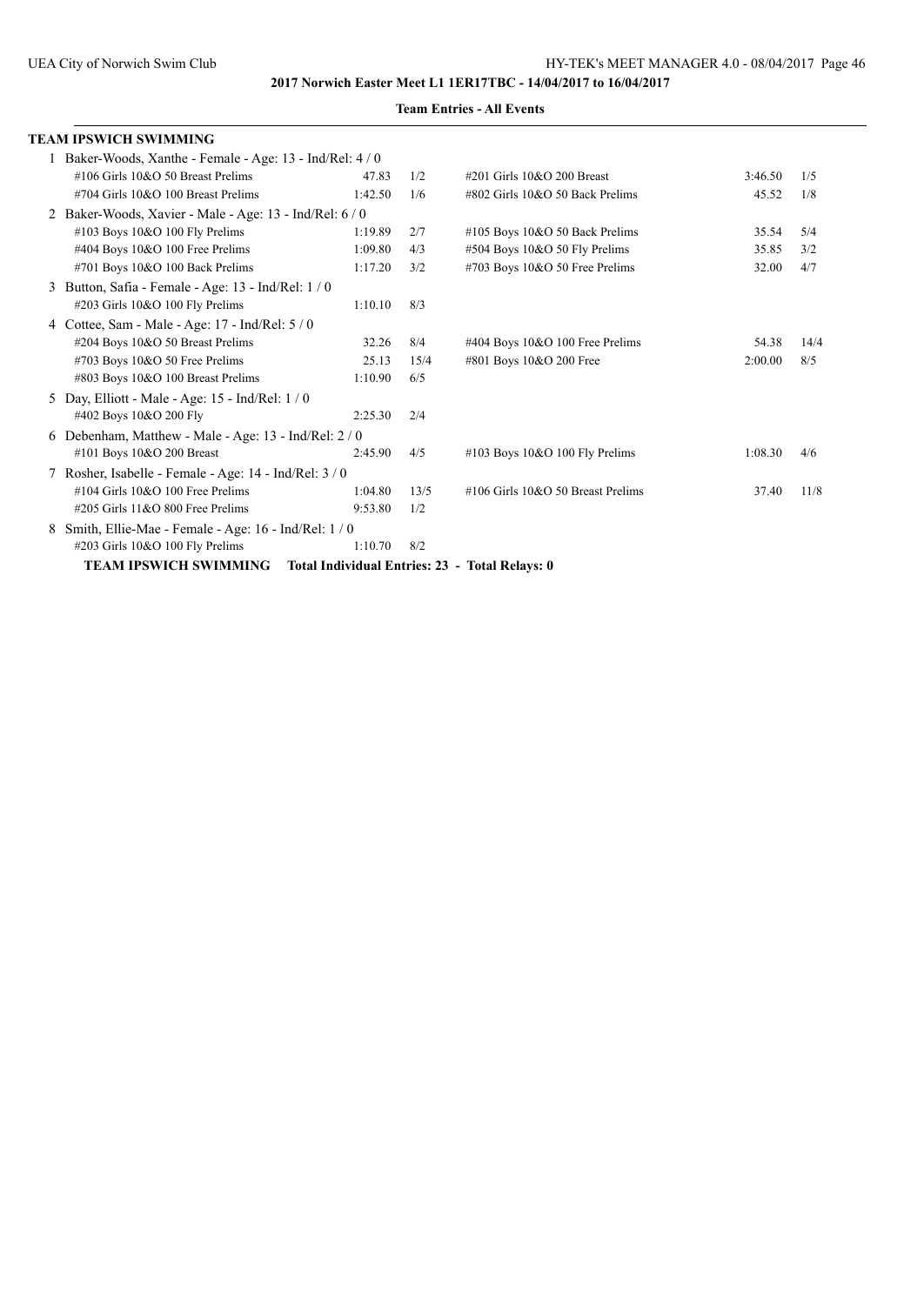|   | TEAM IPSWICH SWIMMING                                     |         |      |                                                |         |      |
|---|-----------------------------------------------------------|---------|------|------------------------------------------------|---------|------|
|   | 1 Baker-Woods, Xanthe - Female - Age: 13 - Ind/Rel: 4 / 0 |         |      |                                                |         |      |
|   | #106 Girls 10&O 50 Breast Prelims                         | 47.83   | 1/2  | $\#201$ Girls 10&O 200 Breast                  | 3:46.50 | 1/5  |
|   | #704 Girls 10&O 100 Breast Prelims                        | 1:42.50 | 1/6  | #802 Girls 10&O 50 Back Prelims                | 45.52   | 1/8  |
|   | 2 Baker-Woods, Xavier - Male - Age: 13 - Ind/Rel: 6 / 0   |         |      |                                                |         |      |
|   | #103 Boys 10&O 100 Fly Prelims                            | 1:19.89 | 2/7  | $\#105$ Boys 10&O 50 Back Prelims              | 35.54   | 5/4  |
|   | #404 Boys 10&O 100 Free Prelims                           | 1:09.80 | 4/3  | #504 Boys 10&O 50 Fly Prelims                  | 35.85   | 3/2  |
|   | #701 Boys 10&O 100 Back Prelims                           | 1:17.20 | 3/2  | $\#703$ Boys 10&O 50 Free Prelims              | 32.00   | 4/7  |
|   | Button, Safia - Female - Age: 13 - Ind/Rel: 1/0           |         |      |                                                |         |      |
|   | #203 Girls 10&O 100 Fly Prelims                           | 1:10.10 | 8/3  |                                                |         |      |
|   | Cottee, Sam - Male - Age: 17 - Ind/Rel: 5 / 0             |         |      |                                                |         |      |
|   | #204 Boys 10&O 50 Breast Prelims                          | 32.26   | 8/4  | #404 Boys 10&O 100 Free Prelims                | 54.38   | 14/4 |
|   | #703 Boys 10&O 50 Free Prelims                            | 25.13   | 15/4 | #801 Boys 10&O 200 Free                        | 2:00.00 | 8/5  |
|   | #803 Boys 10&O 100 Breast Prelims                         | 1:10.90 | 6/5  |                                                |         |      |
|   | 5 Day, Elliott - Male - Age: 15 - Ind/Rel: 1/0            |         |      |                                                |         |      |
|   | #402 Boys 10&O 200 Fly                                    | 2:25.30 | 2/4  |                                                |         |      |
|   | 6 Debenham, Matthew - Male - Age: 13 - Ind/Rel: 2/0       |         |      |                                                |         |      |
|   | #101 Boys 10&O 200 Breast                                 | 2:45.90 | 4/5  | $\#103$ Boys 10&O 100 Fly Prelims              | 1:08.30 | 4/6  |
|   | 7 Rosher, Isabelle - Female - Age: 14 - Ind/Rel: 3/0      |         |      |                                                |         |      |
|   | #104 Girls 10&O 100 Free Prelims                          | 1:04.80 | 13/5 | #106 Girls 10&O 50 Breast Prelims              | 37.40   | 11/8 |
|   | $\#205$ Girls 11&O 800 Free Prelims                       | 9:53.80 | 1/2  |                                                |         |      |
| 8 | Smith, Ellie-Mae - Female - Age: $16$ - Ind/Rel: $1/0$    |         |      |                                                |         |      |
|   | #203 Girls 10&O 100 Fly Prelims                           | 1:10.70 | 8/2  |                                                |         |      |
|   | <b>TEAM IPSWICH SWIMMING</b>                              |         |      | Total Individual Entries: 23 - Total Relays: 0 |         |      |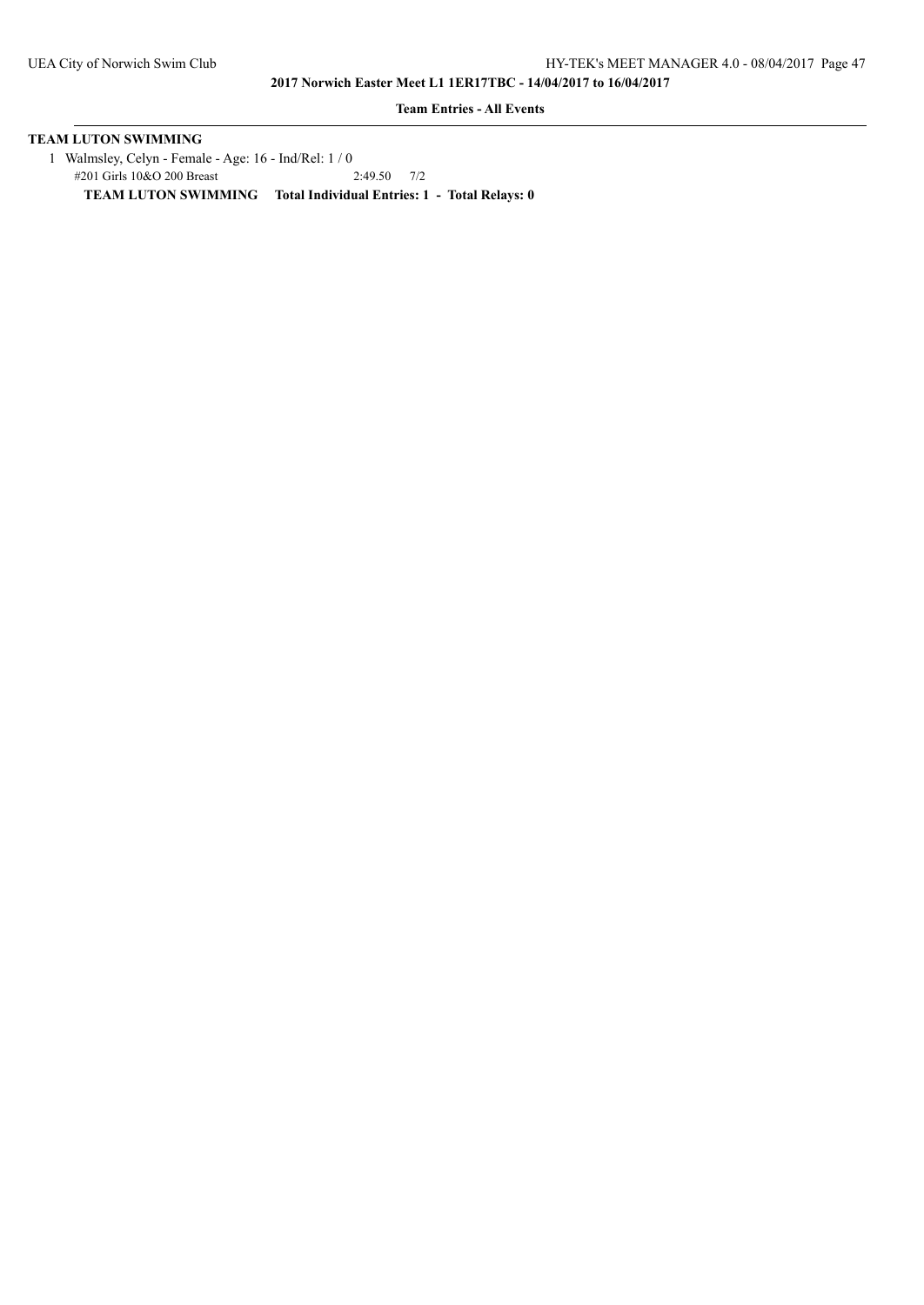**Team Entries - All Events**

# **TEAM LUTON SWIMMING**

1 Walmsley, Celyn - Female - Age: 16 - Ind/Rel: 1 / 0<br>
#201 Girls 10&O 200 Breast 2:49.50 7/2 #201 Girls 10&O 200 Breast **TEAM LUTON SWIMMING Total Individual Entries: 1 - Total Relays: 0**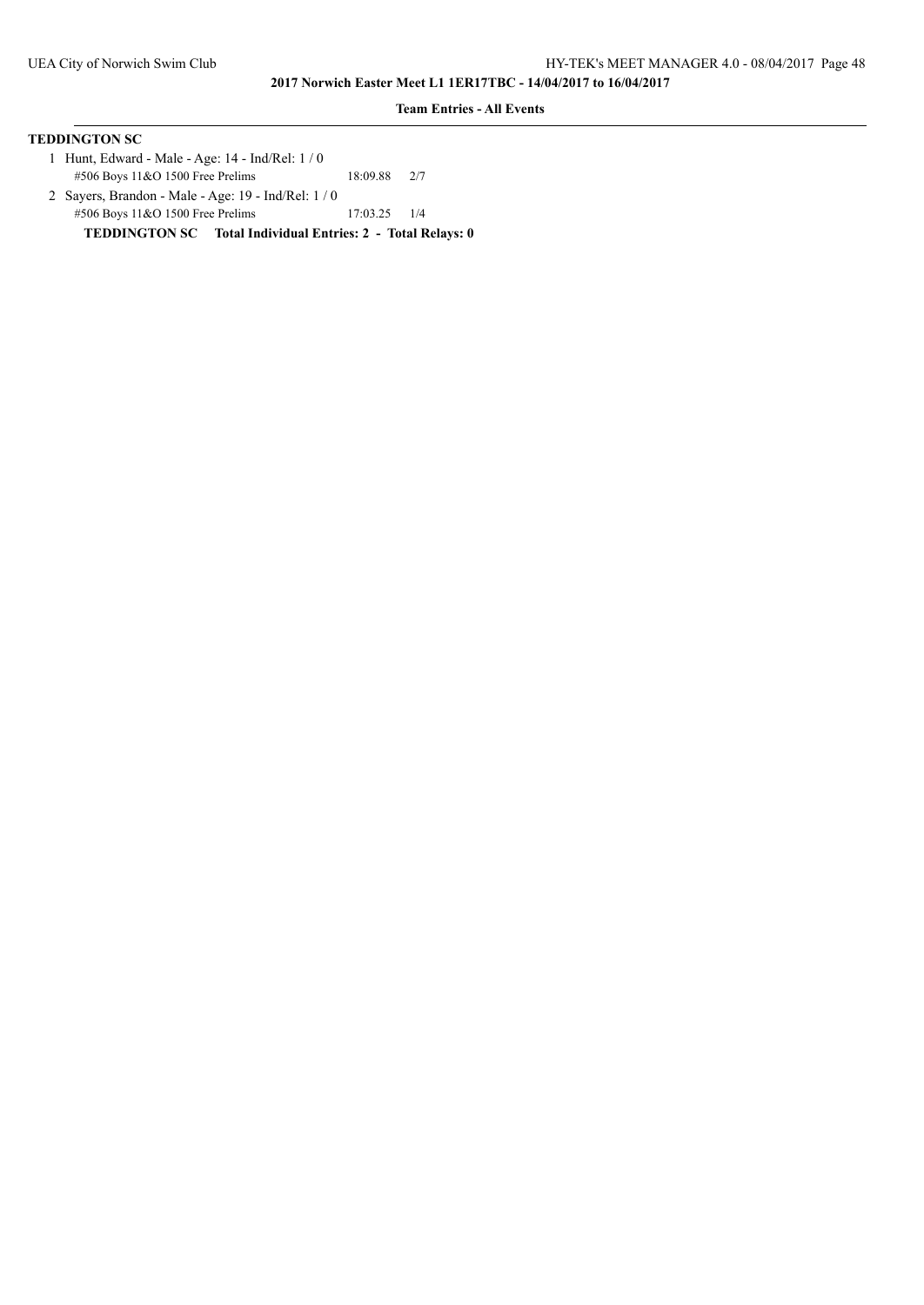### **Team Entries - All Events**

| <b>TEDDINGTON SC</b>                             |          |     |
|--------------------------------------------------|----------|-----|
| 1 Hunt, Edward - Male - Age: 14 - Ind/Rel: 1 / 0 |          |     |
| $\#506$ Boys 11&O 1500 Free Prelims              | 18:09.88 | 2/7 |
|                                                  |          |     |

 2 Sayers, Brandon - Male - Age: 19 - Ind/Rel: 1 / 0 #506 Boys 11&O 1500 Free Prelims 17:03.25 1/4 **TEDDINGTON SC Total Individual Entries: 2 - Total Relays: 0**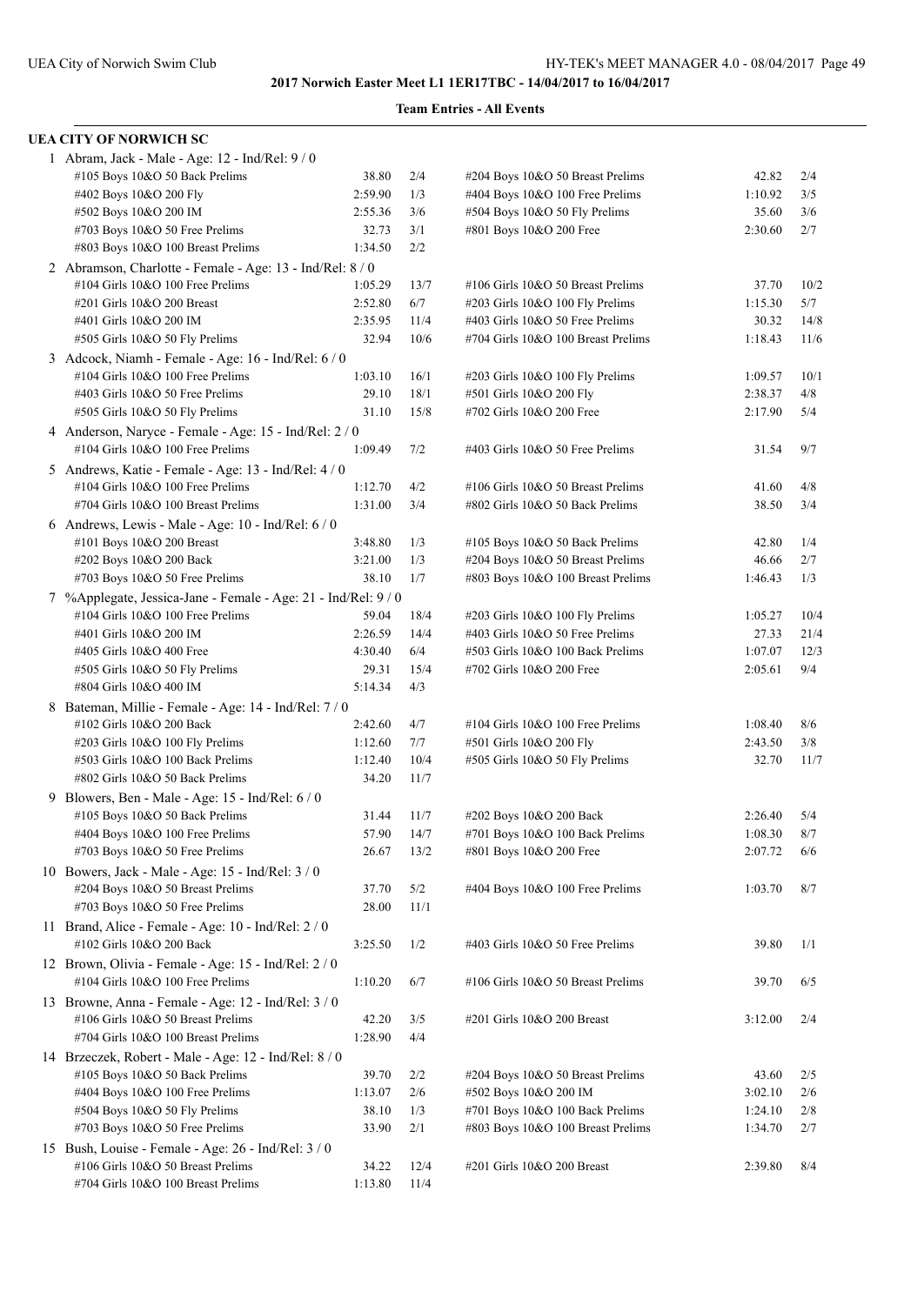| UEA CITY OF NORWICH SC                                                                      |         |      |                                    |         |      |
|---------------------------------------------------------------------------------------------|---------|------|------------------------------------|---------|------|
| 1 Abram, Jack - Male - Age: 12 - Ind/Rel: 9 / 0                                             |         |      |                                    |         |      |
| #105 Boys 10&O 50 Back Prelims                                                              | 38.80   | 2/4  | #204 Boys 10&O 50 Breast Prelims   | 42.82   | 2/4  |
| #402 Boys 10&O 200 Fly                                                                      | 2:59.90 | 1/3  | #404 Boys 10&O 100 Free Prelims    | 1:10.92 | 3/5  |
| #502 Boys 10&O 200 IM                                                                       | 2:55.36 | 3/6  | #504 Boys 10&O 50 Fly Prelims      | 35.60   | 3/6  |
| #703 Boys 10&O 50 Free Prelims                                                              | 32.73   | 3/1  | #801 Boys 10&O 200 Free            | 2:30.60 | 2/7  |
| #803 Boys 10&O 100 Breast Prelims                                                           | 1:34.50 | 2/2  |                                    |         |      |
| 2 Abramson, Charlotte - Female - Age: 13 - Ind/Rel: 8 / 0                                   |         |      |                                    |         |      |
| #104 Girls 10&O 100 Free Prelims                                                            | 1:05.29 | 13/7 | #106 Girls 10&O 50 Breast Prelims  | 37.70   | 10/2 |
| #201 Girls 10&O 200 Breast                                                                  | 2:52.80 | 6/7  | #203 Girls 10&O 100 Fly Prelims    | 1:15.30 | 5/7  |
| #401 Girls 10&O 200 IM                                                                      | 2:35.95 | 11/4 | #403 Girls 10&O 50 Free Prelims    | 30.32   | 14/8 |
| #505 Girls 10&O 50 Fly Prelims                                                              | 32.94   | 10/6 | #704 Girls 10&O 100 Breast Prelims | 1:18.43 | 11/6 |
| 3 Adcock, Niamh - Female - Age: 16 - Ind/Rel: 6 / 0                                         |         |      |                                    |         |      |
| #104 Girls 10&O 100 Free Prelims                                                            | 1:03.10 | 16/1 | #203 Girls 10&O 100 Fly Prelims    | 1:09.57 | 10/1 |
| #403 Girls 10&O 50 Free Prelims                                                             | 29.10   | 18/1 | #501 Girls 10&O 200 Fly            | 2:38.37 | 4/8  |
| #505 Girls 10&O 50 Fly Prelims                                                              | 31.10   | 15/8 | #702 Girls 10&O 200 Free           | 2:17.90 | 5/4  |
|                                                                                             |         |      |                                    |         |      |
| 4 Anderson, Naryce - Female - Age: 15 - Ind/Rel: 2/0<br>$\#104$ Girls 10&O 100 Free Prelims | 1:09.49 | 7/2  | #403 Girls 10&O 50 Free Prelims    | 31.54   | 9/7  |
|                                                                                             |         |      |                                    |         |      |
| 5 Andrews, Katie - Female - Age: 13 - Ind/Rel: 4 / 0                                        |         |      |                                    |         |      |
| #104 Girls 10&O 100 Free Prelims                                                            | 1:12.70 | 4/2  | #106 Girls 10&O 50 Breast Prelims  | 41.60   | 4/8  |
| #704 Girls 10&O 100 Breast Prelims                                                          | 1:31.00 | 3/4  | #802 Girls 10&O 50 Back Prelims    | 38.50   | 3/4  |
| 6 Andrews, Lewis - Male - Age: $10$ - Ind/Rel: $6/0$                                        |         |      |                                    |         |      |
| #101 Boys 10&O 200 Breast                                                                   | 3:48.80 | 1/3  | #105 Boys 10&O 50 Back Prelims     | 42.80   | 1/4  |
| #202 Boys 10&O 200 Back                                                                     | 3:21.00 | 1/3  | #204 Boys 10&O 50 Breast Prelims   | 46.66   | 2/7  |
| #703 Boys 10&O 50 Free Prelims                                                              | 38.10   | 1/7  | #803 Boys 10&O 100 Breast Prelims  | 1:46.43 | 1/3  |
| 7 %Applegate, Jessica-Jane - Female - Age: 21 - Ind/Rel: 9 / 0                              |         |      |                                    |         |      |
| #104 Girls 10&O 100 Free Prelims                                                            | 59.04   | 18/4 | #203 Girls 10&O 100 Fly Prelims    | 1:05.27 | 10/4 |
| #401 Girls 10&O 200 IM                                                                      | 2:26.59 | 14/4 | #403 Girls 10&O 50 Free Prelims    | 27.33   | 21/4 |
| #405 Girls 10&O 400 Free                                                                    | 4:30.40 | 6/4  | #503 Girls 10&O 100 Back Prelims   | 1:07.07 | 12/3 |
| #505 Girls 10&O 50 Fly Prelims                                                              | 29.31   | 15/4 | #702 Girls 10&O 200 Free           | 2:05.61 | 9/4  |
| #804 Girls 10&O 400 IM                                                                      | 5:14.34 | 4/3  |                                    |         |      |
| 8 Bateman, Millie - Female - Age: 14 - Ind/Rel: 7 / 0                                       |         |      |                                    |         |      |
| #102 Girls 10&O 200 Back                                                                    | 2:42.60 | 4/7  | #104 Girls 10&O 100 Free Prelims   | 1:08.40 | 8/6  |
| #203 Girls 10&O 100 Fly Prelims                                                             | 1:12.60 | 7/7  | #501 Girls 10&O 200 Fly            | 2:43.50 | 3/8  |
| #503 Girls 10&O 100 Back Prelims                                                            | 1:12.40 | 10/4 | #505 Girls 10&O 50 Fly Prelims     | 32.70   | 11/7 |
| #802 Girls 10&O 50 Back Prelims                                                             | 34.20   | 11/7 |                                    |         |      |
| 9 Blowers, Ben - Male - Age: 15 - Ind/Rel: 6 / 0                                            |         |      |                                    |         |      |
| #105 Boys 10&O 50 Back Prelims                                                              | 31.44   | 11/7 | #202 Boys 10&O 200 Back            | 2:26.40 | 5/4  |
| #404 Boys 10&O 100 Free Prelims                                                             | 57.90   | 14/7 | #701 Boys 10&O 100 Back Prelims    | 1:08.30 | 8/7  |
| #703 Boys 10&O 50 Free Prelims                                                              | 26.67   | 13/2 | #801 Boys 10&O 200 Free            | 2:07.72 | 6/6  |
| 10 Bowers, Jack - Male - Age: 15 - Ind/Rel: 3 / 0                                           |         |      |                                    |         |      |
| #204 Boys 10&O 50 Breast Prelims                                                            | 37.70   | 5/2  | #404 Boys 10&O 100 Free Prelims    | 1:03.70 | 8/7  |
| #703 Boys 10&O 50 Free Prelims                                                              | 28.00   | 11/1 |                                    |         |      |
| 11 Brand, Alice - Female - Age: 10 - Ind/Rel: 2 / 0                                         |         |      |                                    |         |      |
|                                                                                             |         |      |                                    |         |      |
| #102 Girls 10&O 200 Back                                                                    | 3:25.50 | 1/2  | #403 Girls 10&O 50 Free Prelims    | 39.80   | 1/1  |
| 12 Brown, Olivia - Female - Age: 15 - Ind/Rel: 2/0                                          |         |      |                                    |         |      |
| #104 Girls 10&O 100 Free Prelims                                                            | 1:10.20 | 6/7  | #106 Girls 10&O 50 Breast Prelims  | 39.70   | 6/5  |
| 13 Browne, Anna - Female - Age: 12 - Ind/Rel: 3 / 0                                         |         |      |                                    |         |      |
| #106 Girls 10&O 50 Breast Prelims                                                           | 42.20   | 3/5  | #201 Girls 10&O 200 Breast         | 3:12.00 | 2/4  |
| #704 Girls 10&O 100 Breast Prelims                                                          | 1:28.90 | 4/4  |                                    |         |      |
| 14 Brzeczek, Robert - Male - Age: 12 - Ind/Rel: 8 / 0                                       |         |      |                                    |         |      |
| #105 Boys 10&O 50 Back Prelims                                                              | 39.70   | 2/2  | #204 Boys 10&O 50 Breast Prelims   | 43.60   | 2/5  |
| #404 Boys 10&O 100 Free Prelims                                                             | 1:13.07 | 2/6  | #502 Boys 10&O 200 IM              | 3:02.10 | 2/6  |
| #504 Boys 10&O 50 Fly Prelims                                                               | 38.10   | 1/3  | #701 Boys 10&O 100 Back Prelims    | 1:24.10 | 2/8  |
| #703 Boys 10&O 50 Free Prelims                                                              | 33.90   | 2/1  | #803 Boys 10&O 100 Breast Prelims  | 1:34.70 | 2/7  |
| 15 Bush, Louise - Female - Age: 26 - Ind/Rel: 3 / 0                                         |         |      |                                    |         |      |
| #106 Girls 10&O 50 Breast Prelims                                                           | 34.22   | 12/4 | #201 Girls 10&O 200 Breast         | 2:39.80 | 8/4  |
| #704 Girls 10&O 100 Breast Prelims                                                          | 1:13.80 | 11/4 |                                    |         |      |
|                                                                                             |         |      |                                    |         |      |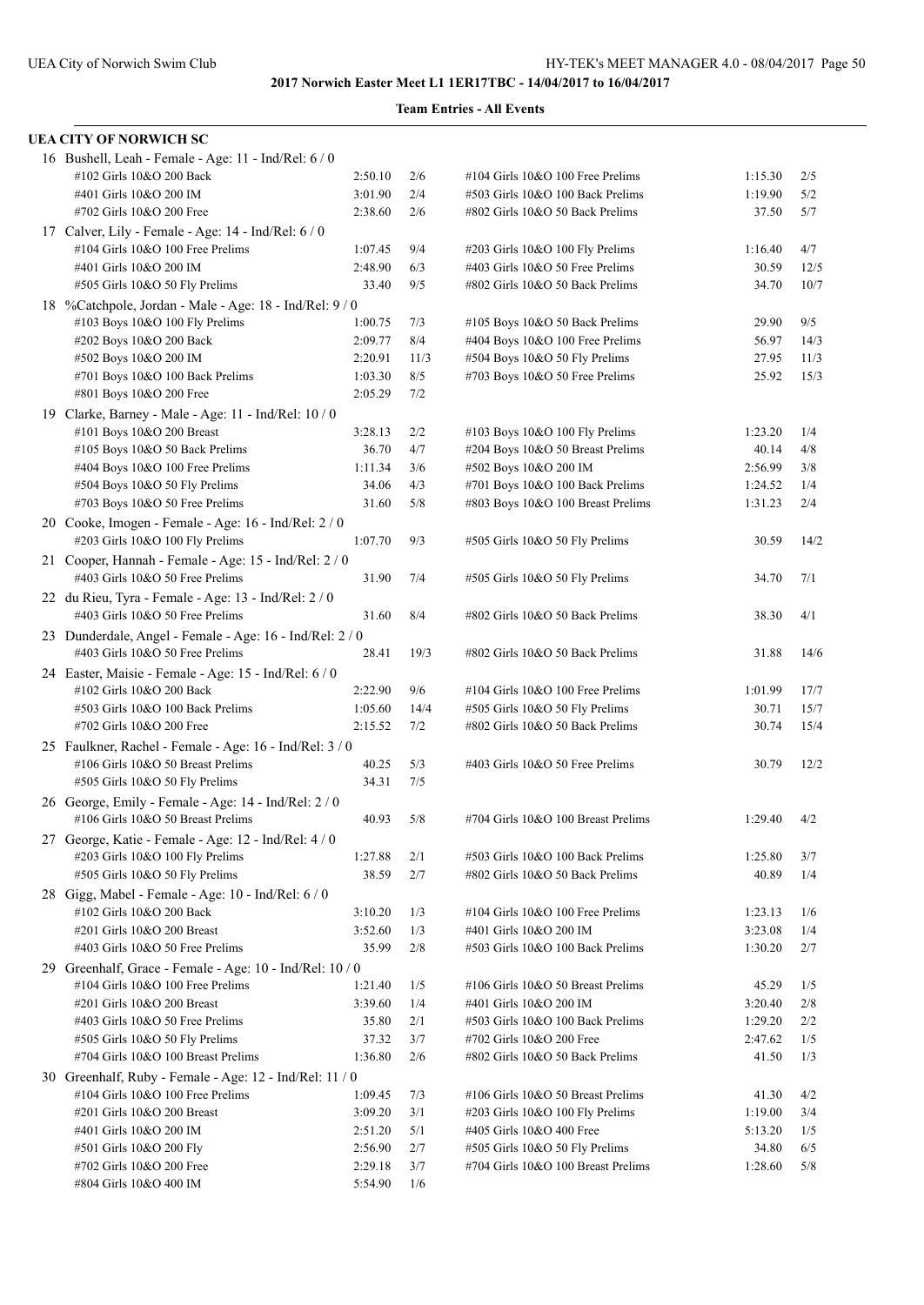| UEA CITY OF NORWICH SC                                                                       |                    |             |                                                                   |                |              |
|----------------------------------------------------------------------------------------------|--------------------|-------------|-------------------------------------------------------------------|----------------|--------------|
| 16 Bushell, Leah - Female - Age: 11 - Ind/Rel: 6 / 0                                         |                    |             |                                                                   |                |              |
| #102 Girls 10&O 200 Back                                                                     | 2:50.10            | 2/6         | #104 Girls 10&O 100 Free Prelims                                  | 1:15.30        | 2/5          |
| #401 Girls 10&O 200 IM                                                                       | 3:01.90            | 2/4         | #503 Girls 10&O 100 Back Prelims                                  | 1:19.90        | 5/2          |
| #702 Girls 10&O 200 Free                                                                     | 2:38.60            | 2/6         | #802 Girls 10&O 50 Back Prelims                                   | 37.50          | 5/7          |
| 17 Calver, Lily - Female - Age: 14 - Ind/Rel: 6 / 0                                          |                    |             |                                                                   |                |              |
| #104 Girls 10&O 100 Free Prelims                                                             | 1:07.45            | 9/4         | #203 Girls 10&O 100 Fly Prelims                                   | 1:16.40        | 4/7          |
| #401 Girls 10&O 200 IM                                                                       | 2:48.90            | 6/3         | #403 Girls 10&O 50 Free Prelims                                   | 30.59          | 12/5         |
| #505 Girls 10&O 50 Fly Prelims                                                               | 33.40              | 9/5         | #802 Girls 10&O 50 Back Prelims                                   | 34.70          | 10/7         |
| 18 %Catchpole, Jordan - Male - Age: 18 - Ind/Rel: 9/0                                        |                    |             |                                                                   |                |              |
| #103 Boys 10&O 100 Fly Prelims                                                               | 1:00.75            | 7/3         | #105 Boys 10&O 50 Back Prelims                                    | 29.90          | 9/5          |
| #202 Boys 10&O 200 Back                                                                      | 2:09.77            | 8/4         | #404 Boys 10&O 100 Free Prelims                                   | 56.97          | 14/3         |
| #502 Boys 10&O 200 IM                                                                        | 2:20.91            | 11/3        | #504 Boys 10&O 50 Fly Prelims                                     | 27.95          | 11/3         |
| #701 Boys 10&O 100 Back Prelims                                                              | 1:03.30            | 8/5         | #703 Boys 10&O 50 Free Prelims                                    | 25.92          | 15/3         |
| #801 Boys 10&O 200 Free                                                                      | 2:05.29            | 7/2         |                                                                   |                |              |
| 19 Clarke, Barney - Male - Age: 11 - Ind/Rel: 10 / 0                                         |                    |             |                                                                   |                |              |
| #101 Boys 10&O 200 Breast                                                                    | 3:28.13            | 2/2         | $\#103$ Boys 10&O 100 Fly Prelims                                 | 1:23.20        | 1/4          |
| $\#105$ Boys 10&O 50 Back Prelims                                                            | 36.70              | 4/7         | #204 Boys 10&O 50 Breast Prelims                                  | 40.14          | 4/8          |
| #404 Boys 10&O 100 Free Prelims                                                              | 1:11.34            | 3/6         | #502 Boys 10&O 200 IM                                             | 2:56.99        | 3/8          |
| #504 Boys 10&O 50 Fly Prelims                                                                | 34.06              | 4/3         | #701 Boys 10&O 100 Back Prelims                                   | 1:24.52        | 1/4          |
| $\#703$ Boys 10&O 50 Free Prelims                                                            | 31.60              | 5/8         | #803 Boys 10&O 100 Breast Prelims                                 | 1:31.23        | 2/4          |
| 20 Cooke, Imogen - Female - Age: 16 - Ind/Rel: 2 / 0                                         |                    |             |                                                                   |                |              |
| #203 Girls 10&O 100 Fly Prelims                                                              | 1:07.70            | 9/3         | #505 Girls 10&O 50 Fly Prelims                                    | 30.59          | 14/2         |
| 21 Cooper, Hannah - Female - Age: 15 - Ind/Rel: 2/0                                          |                    |             |                                                                   |                |              |
| #403 Girls 10&O 50 Free Prelims                                                              | 31.90              | 7/4         | #505 Girls 10&O 50 Fly Prelims                                    | 34.70          | 7/1          |
| 22 du Rieu, Tyra - Female - Age: 13 - Ind/Rel: 2 / 0                                         |                    |             |                                                                   |                |              |
| #403 Girls 10&O 50 Free Prelims                                                              | 31.60              | 8/4         | #802 Girls 10&O 50 Back Prelims                                   | 38.30          | 4/1          |
| 23 Dunderdale, Angel - Female - Age: 16 - Ind/Rel: 2/0                                       |                    |             |                                                                   |                |              |
| #403 Girls 10&O 50 Free Prelims                                                              | 28.41              | 19/3        | #802 Girls 10&O 50 Back Prelims                                   | 31.88          | 14/6         |
| 24 Easter, Maisie - Female - Age: 15 - Ind/Rel: 6 / 0                                        |                    |             |                                                                   |                |              |
| #102 Girls 10&O 200 Back                                                                     | 2:22.90            | 9/6<br>14/4 | #104 Girls 10&O 100 Free Prelims                                  | 1:01.99        | 17/7<br>15/7 |
| #503 Girls 10&O 100 Back Prelims<br>#702 Girls 10&O 200 Free                                 | 1:05.60<br>2:15.52 | 7/2         | #505 Girls 10&O 50 Fly Prelims<br>#802 Girls 10&O 50 Back Prelims | 30.71<br>30.74 | 15/4         |
|                                                                                              |                    |             |                                                                   |                |              |
| 25 Faulkner, Rachel - Female - Age: 16 - Ind/Rel: 3 / 0<br>#106 Girls 10&O 50 Breast Prelims | 40.25              | 5/3         | #403 Girls 10&O 50 Free Prelims                                   | 30.79          | 12/2         |
| #505 Girls 10&O 50 Fly Prelims                                                               | 34.31              | 7/5         |                                                                   |                |              |
|                                                                                              |                    |             |                                                                   |                |              |
| 26 George, Emily - Female - Age: 14 - Ind/Rel: 2 / 0<br>#106 Girls 10&O 50 Breast Prelims    | 40.93              | 5/8         | #704 Girls 10&O 100 Breast Prelims                                | 1:29.40        | 4/2          |
|                                                                                              |                    |             |                                                                   |                |              |
| 27 George, Katie - Female - Age: 12 - Ind/Rel: 4 / 0<br>#203 Girls 10&O 100 Fly Prelims      | 1:27.88            | 2/1         | #503 Girls 10&O 100 Back Prelims                                  | 1:25.80        | 3/7          |
| #505 Girls 10&O 50 Fly Prelims                                                               | 38.59              | 2/7         | #802 Girls 10&O 50 Back Prelims                                   | 40.89          | 1/4          |
| 28 Gigg, Mabel - Female - Age: 10 - Ind/Rel: 6 / 0                                           |                    |             |                                                                   |                |              |
| #102 Girls 10&O 200 Back                                                                     | 3:10.20            | 1/3         | #104 Girls 10&O 100 Free Prelims                                  | 1:23.13        | 1/6          |
| #201 Girls 10&O 200 Breast                                                                   | 3:52.60            | 1/3         | #401 Girls 10&O 200 IM                                            | 3:23.08        | 1/4          |
| #403 Girls 10&O 50 Free Prelims                                                              | 35.99              | 2/8         | #503 Girls 10&O 100 Back Prelims                                  | 1:30.20        | 2/7          |
| 29 Greenhalf, Grace - Female - Age: 10 - Ind/Rel: 10 / 0                                     |                    |             |                                                                   |                |              |
| #104 Girls 10&O 100 Free Prelims                                                             | 1:21.40            | 1/5         | #106 Girls 10&O 50 Breast Prelims                                 | 45.29          | 1/5          |
| #201 Girls 10&O 200 Breast                                                                   | 3:39.60            | 1/4         | #401 Girls 10&O 200 IM                                            | 3:20.40        | 2/8          |
| #403 Girls 10&O 50 Free Prelims                                                              | 35.80              | 2/1         | #503 Girls 10&O 100 Back Prelims                                  | 1:29.20        | 2/2          |
| #505 Girls 10&O 50 Fly Prelims                                                               | 37.32              | 3/7         | #702 Girls 10&O 200 Free                                          | 2:47.62        | 1/5          |
| #704 Girls 10&O 100 Breast Prelims                                                           | 1:36.80            | 2/6         | #802 Girls 10&O 50 Back Prelims                                   | 41.50          | 1/3          |
| 30 Greenhalf, Ruby - Female - Age: 12 - Ind/Rel: 11 / 0                                      |                    |             |                                                                   |                |              |
| #104 Girls 10&O 100 Free Prelims                                                             | 1:09.45            | 7/3         | #106 Girls 10&O 50 Breast Prelims                                 | 41.30          | 4/2          |
| #201 Girls 10&O 200 Breast                                                                   | 3:09.20            | 3/1         | #203 Girls 10&O 100 Fly Prelims                                   | 1:19.00        | 3/4          |
| #401 Girls 10&O 200 IM                                                                       | 2:51.20            | 5/1         | #405 Girls 10&O 400 Free                                          | 5:13.20        | 1/5          |
| #501 Girls 10&O 200 Fly                                                                      | 2:56.90            | 2/7         | #505 Girls 10&O 50 Fly Prelims                                    | 34.80          | 6/5          |
| #702 Girls 10&O 200 Free                                                                     | 2:29.18            | 3/7         | #704 Girls 10&O 100 Breast Prelims                                | 1:28.60        | 5/8          |
| #804 Girls 10&O 400 IM                                                                       | 5:54.90            | 1/6         |                                                                   |                |              |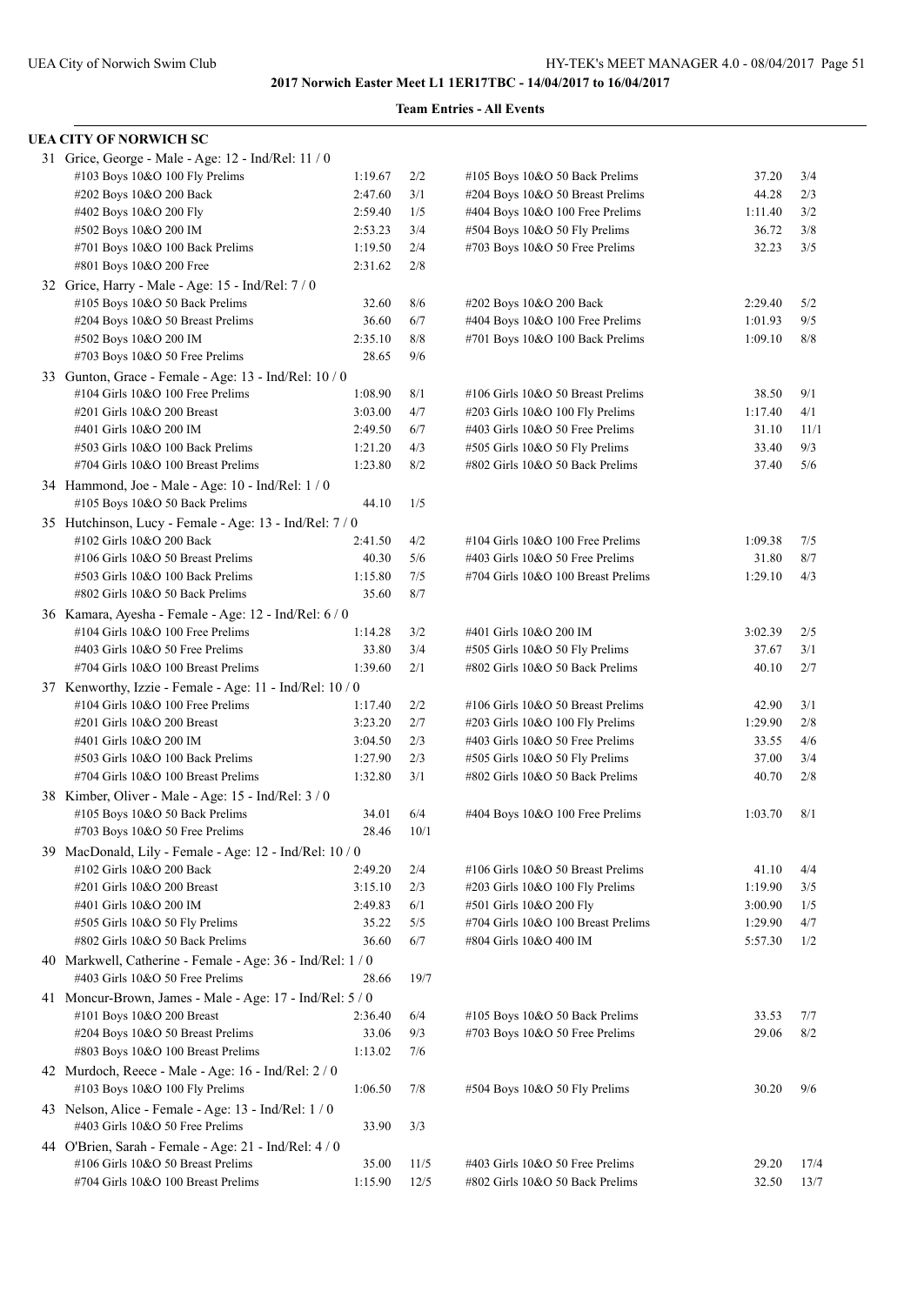| <b>UEA CITY OF NORWICH SC</b>                                                              |         |      |                                    |         |      |
|--------------------------------------------------------------------------------------------|---------|------|------------------------------------|---------|------|
| 31 Grice, George - Male - Age: 12 - Ind/Rel: 11 / 0                                        |         |      |                                    |         |      |
| #103 Boys 10&O 100 Fly Prelims                                                             | 1:19.67 | 2/2  | #105 Boys 10&O 50 Back Prelims     | 37.20   | 3/4  |
| #202 Boys 10&O 200 Back                                                                    | 2:47.60 | 3/1  | #204 Boys 10&O 50 Breast Prelims   | 44.28   | 2/3  |
| #402 Boys 10&O 200 Fly                                                                     | 2:59.40 | 1/5  | #404 Boys 10&O 100 Free Prelims    | 1:11.40 | 3/2  |
| #502 Boys 10&O 200 IM                                                                      | 2:53.23 | 3/4  | #504 Boys 10&O 50 Fly Prelims      | 36.72   | 3/8  |
| #701 Boys 10&O 100 Back Prelims                                                            | 1:19.50 | 2/4  | #703 Boys 10&O 50 Free Prelims     | 32.23   | 3/5  |
| #801 Boys 10&O 200 Free                                                                    | 2:31.62 | 2/8  |                                    |         |      |
| 32 Grice, Harry - Male - Age: 15 - Ind/Rel: 7/0                                            |         |      |                                    |         |      |
| #105 Boys 10&O 50 Back Prelims                                                             | 32.60   | 8/6  | #202 Boys 10&O 200 Back            | 2:29.40 | 5/2  |
| #204 Boys 10&O 50 Breast Prelims                                                           | 36.60   | 6/7  | #404 Boys 10&O 100 Free Prelims    | 1:01.93 | 9/5  |
| #502 Boys 10&O 200 IM                                                                      | 2:35.10 | 8/8  | #701 Boys 10&O 100 Back Prelims    | 1:09.10 | 8/8  |
| #703 Boys 10&O 50 Free Prelims                                                             | 28.65   | 9/6  |                                    |         |      |
| 33 Gunton, Grace - Female - Age: 13 - Ind/Rel: 10 / 0                                      |         |      |                                    |         |      |
| #104 Girls 10&O 100 Free Prelims                                                           | 1:08.90 | 8/1  | #106 Girls 10&O 50 Breast Prelims  | 38.50   | 9/1  |
| #201 Girls 10&O 200 Breast                                                                 | 3:03.00 | 4/7  | #203 Girls 10&O 100 Fly Prelims    | 1:17.40 | 4/1  |
| #401 Girls 10&O 200 IM                                                                     | 2:49.50 | 6/7  | #403 Girls 10&O 50 Free Prelims    | 31.10   | 11/1 |
| #503 Girls 10&O 100 Back Prelims                                                           | 1:21.20 | 4/3  | #505 Girls 10&O 50 Fly Prelims     | 33.40   | 9/3  |
| #704 Girls 10&O 100 Breast Prelims                                                         | 1:23.80 | 8/2  | #802 Girls 10&O 50 Back Prelims    | 37.40   | 5/6  |
| 34 Hammond, Joe - Male - Age: 10 - Ind/Rel: 1 / 0                                          |         |      |                                    |         |      |
| #105 Boys 10&O 50 Back Prelims                                                             | 44.10   | 1/5  |                                    |         |      |
| 35 Hutchinson, Lucy - Female - Age: 13 - Ind/Rel: 7/0                                      |         |      |                                    |         |      |
| #102 Girls 10&O 200 Back                                                                   | 2:41.50 | 4/2  | #104 Girls 10&O 100 Free Prelims   | 1:09.38 | 7/5  |
| #106 Girls 10&O 50 Breast Prelims                                                          | 40.30   | 5/6  | #403 Girls 10&O 50 Free Prelims    | 31.80   | 8/7  |
| #503 Girls 10&O 100 Back Prelims                                                           | 1:15.80 | 7/5  | #704 Girls 10&O 100 Breast Prelims | 1:29.10 | 4/3  |
| #802 Girls 10&O 50 Back Prelims                                                            | 35.60   | 8/7  |                                    |         |      |
|                                                                                            |         |      |                                    |         |      |
| 36 Kamara, Ayesha - Female - Age: 12 - Ind/Rel: 6 / 0                                      |         |      |                                    |         |      |
| #104 Girls 10&O 100 Free Prelims                                                           | 1:14.28 | 3/2  | #401 Girls 10&O 200 IM             | 3:02.39 | 2/5  |
| #403 Girls 10&O 50 Free Prelims                                                            | 33.80   | 3/4  | #505 Girls 10&O 50 Fly Prelims     | 37.67   | 3/1  |
| #704 Girls 10&O 100 Breast Prelims                                                         | 1:39.60 | 2/1  | #802 Girls 10&O 50 Back Prelims    | 40.10   | 2/7  |
| 37 Kenworthy, Izzie - Female - Age: 11 - Ind/Rel: 10 / 0                                   |         |      |                                    |         |      |
| #104 Girls 10&O 100 Free Prelims                                                           | 1:17.40 | 2/2  | #106 Girls 10&O 50 Breast Prelims  | 42.90   | 3/1  |
| #201 Girls 10&O 200 Breast                                                                 | 3:23.20 | 2/7  | #203 Girls 10&O 100 Fly Prelims    | 1:29.90 | 2/8  |
| #401 Girls 10&O 200 IM                                                                     | 3:04.50 | 2/3  | #403 Girls 10&O 50 Free Prelims    | 33.55   | 4/6  |
| #503 Girls 10&O 100 Back Prelims                                                           | 1:27.90 | 2/3  | #505 Girls 10&O 50 Fly Prelims     | 37.00   | 3/4  |
| #704 Girls 10&O 100 Breast Prelims                                                         | 1:32.80 | 3/1  | #802 Girls 10&O 50 Back Prelims    | 40.70   | 2/8  |
| 38 Kimber, Oliver - Male - Age: 15 - Ind/Rel: 3 / 0                                        |         |      |                                    |         |      |
| #105 Boys 10&O 50 Back Prelims                                                             | 34.01   | 6/4  | #404 Boys 10&O 100 Free Prelims    | 1:03.70 | 8/1  |
| #703 Boys 10&O 50 Free Prelims                                                             | 28.46   | 10/1 |                                    |         |      |
| 39 MacDonald, Lily - Female - Age: 12 - Ind/Rel: 10 / 0                                    |         |      |                                    |         |      |
| #102 Girls 10&O 200 Back                                                                   | 2:49.20 | 2/4  | #106 Girls 10&O 50 Breast Prelims  | 41.10   | 4/4  |
| #201 Girls 10&O 200 Breast                                                                 | 3:15.10 | 2/3  | #203 Girls 10&O 100 Fly Prelims    | 1:19.90 | 3/5  |
| #401 Girls 10&O 200 IM                                                                     | 2:49.83 | 6/1  | #501 Girls 10&O 200 Fly            | 3:00.90 | 1/5  |
| #505 Girls 10&O 50 Fly Prelims                                                             | 35.22   | 5/5  | #704 Girls 10&O 100 Breast Prelims | 1:29.90 | 4/7  |
| #802 Girls 10&O 50 Back Prelims                                                            | 36.60   | 6/7  | #804 Girls 10&O 400 IM             | 5:57.30 | 1/2  |
| 40 Markwell, Catherine - Female - Age: 36 - Ind/Rel: 1 / 0                                 |         |      |                                    |         |      |
| #403 Girls 10&O 50 Free Prelims                                                            | 28.66   | 19/7 |                                    |         |      |
| 41 Moncur-Brown, James - Male - Age: 17 - Ind/Rel: 5 / 0                                   |         |      |                                    |         |      |
| #101 Boys 10&O 200 Breast                                                                  | 2:36.40 | 6/4  | #105 Boys 10&O 50 Back Prelims     | 33.53   | 7/7  |
| #204 Boys 10&O 50 Breast Prelims                                                           | 33.06   | 9/3  | #703 Boys 10&O 50 Free Prelims     | 29.06   | 8/2  |
| #803 Boys 10&O 100 Breast Prelims                                                          | 1:13.02 | 7/6  |                                    |         |      |
| 42 Murdoch, Reece - Male - Age: $16$ - Ind/Rel: $2/0$                                      |         |      |                                    |         |      |
| #103 Boys 10&O 100 Fly Prelims                                                             | 1:06.50 | 7/8  | #504 Boys 10&O 50 Fly Prelims      | 30.20   | 9/6  |
| 43 Nelson, Alice - Female - Age: 13 - Ind/Rel: 1/0                                         |         |      |                                    |         |      |
| #403 Girls 10&O 50 Free Prelims                                                            | 33.90   | 3/3  |                                    |         |      |
|                                                                                            |         |      |                                    |         |      |
| 44 O'Brien, Sarah - Female - Age: 21 - Ind/Rel: 4 / 0<br>#106 Girls 10&O 50 Breast Prelims | 35.00   | 11/5 | #403 Girls 10&O 50 Free Prelims    | 29.20   | 17/4 |
| #704 Girls 10&O 100 Breast Prelims                                                         | 1:15.90 | 12/5 | #802 Girls 10&O 50 Back Prelims    | 32.50   | 13/7 |
|                                                                                            |         |      |                                    |         |      |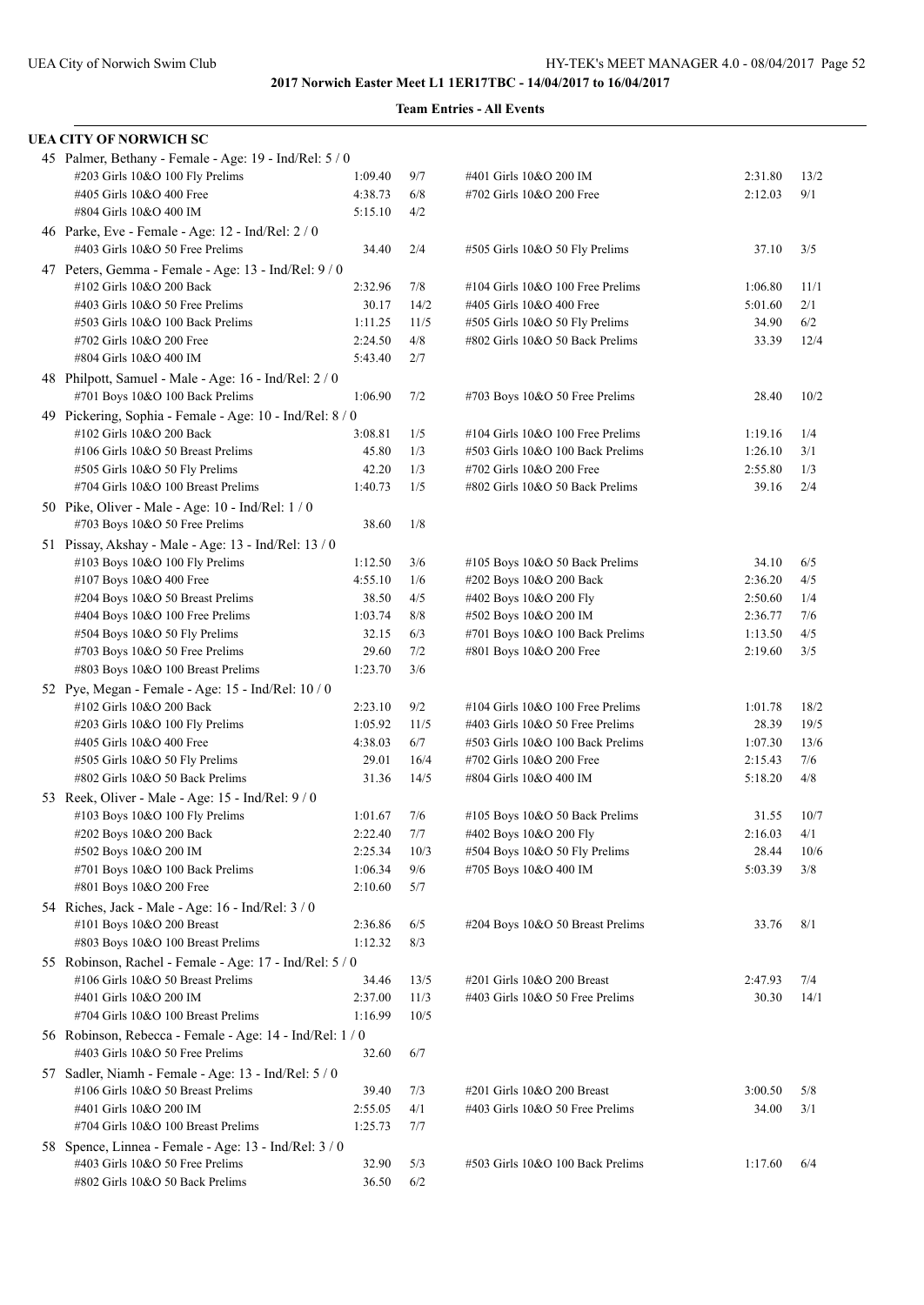| <b>UEA CITY OF NORWICH SC</b>                                                          |                  |            |                                                 |                    |            |
|----------------------------------------------------------------------------------------|------------------|------------|-------------------------------------------------|--------------------|------------|
| 45 Palmer, Bethany - Female - Age: 19 - Ind/Rel: 5 / 0                                 |                  |            |                                                 |                    |            |
| #203 Girls 10&O 100 Fly Prelims                                                        | 1:09.40          | 9/7        | #401 Girls 10&O 200 IM                          | 2:31.80            | 13/2       |
| #405 Girls 10&O 400 Free                                                               | 4:38.73          | 6/8        | #702 Girls 10&O 200 Free                        | 2:12.03            | 9/1        |
| #804 Girls 10&O 400 IM                                                                 | 5:15.10          | 4/2        |                                                 |                    |            |
| 46 Parke, Eve - Female - Age: 12 - Ind/Rel: 2 / 0<br>#403 Girls 10&O 50 Free Prelims   | 34.40            | 2/4        | #505 Girls 10&O 50 Fly Prelims                  | 37.10              | 3/5        |
| 47 Peters, Gemma - Female - Age: 13 - Ind/Rel: 9 / 0                                   |                  |            |                                                 |                    |            |
| #102 Girls 10&O 200 Back                                                               | 2:32.96          | 7/8        | #104 Girls 10&O 100 Free Prelims                | 1:06.80            | 11/1       |
| #403 Girls 10&O 50 Free Prelims                                                        | 30.17            | 14/2       | #405 Girls 10&O 400 Free                        | 5:01.60            | 2/1        |
| #503 Girls 10&O 100 Back Prelims                                                       | 1:11.25          | 11/5       | #505 Girls 10&O 50 Fly Prelims                  | 34.90              | 6/2        |
| #702 Girls 10&O 200 Free                                                               | 2:24.50          | 4/8        | #802 Girls 10&O 50 Back Prelims                 | 33.39              | 12/4       |
| #804 Girls 10&O 400 IM                                                                 | 5:43.40          | 2/7        |                                                 |                    |            |
| 48 Philpott, Samuel - Male - Age: 16 - Ind/Rel: 2 / 0                                  |                  |            |                                                 |                    |            |
| #701 Boys 10&O 100 Back Prelims                                                        | 1:06.90          | 7/2        | #703 Boys 10&O 50 Free Prelims                  | 28.40              | 10/2       |
| 49 Pickering, Sophia - Female - Age: 10 - Ind/Rel: 8 / 0                               |                  |            |                                                 |                    |            |
| #102 Girls 10&O 200 Back                                                               | 3:08.81          | 1/5        | #104 Girls 10&O 100 Free Prelims                | 1:19.16            | 1/4        |
| #106 Girls 10&O 50 Breast Prelims                                                      | 45.80            | 1/3        | #503 Girls 10&O 100 Back Prelims                | 1:26.10            | 3/1        |
| #505 Girls 10&O 50 Fly Prelims                                                         | 42.20            | 1/3        | #702 Girls 10&O 200 Free                        | 2:55.80            | 1/3        |
| #704 Girls 10&O 100 Breast Prelims                                                     | 1:40.73          | 1/5        | #802 Girls 10&O 50 Back Prelims                 | 39.16              | 2/4        |
| 50 Pike, Oliver - Male - Age: 10 - Ind/Rel: 1 / 0                                      |                  |            |                                                 |                    |            |
| #703 Boys 10&O 50 Free Prelims                                                         | 38.60            | 1/8        |                                                 |                    |            |
| 51 Pissay, Akshay - Male - Age: 13 - Ind/Rel: 13 / 0                                   |                  |            |                                                 |                    |            |
| #103 Boys 10&O 100 Fly Prelims                                                         | 1:12.50          | 3/6        | #105 Boys 10&O 50 Back Prelims                  | 34.10              | 6/5        |
| #107 Boys 10&O 400 Free                                                                | 4:55.10          | 1/6        | #202 Boys 10&O 200 Back                         | 2:36.20            | 4/5        |
| #204 Boys 10&O 50 Breast Prelims                                                       | 38.50<br>1:03.74 | 4/5<br>8/8 | #402 Boys 10&O 200 Fly<br>#502 Boys 10&O 200 IM | 2:50.60<br>2:36.77 | 1/4<br>7/6 |
| $\#404$ Boys 10&O 100 Free Prelims<br>$#504$ Boys 10&O 50 Fly Prelims                  | 32.15            | 6/3        | #701 Boys 10&O 100 Back Prelims                 | 1:13.50            | 4/5        |
| $\#703$ Boys 10&O 50 Free Prelims                                                      | 29.60            | 7/2        | #801 Boys 10&O 200 Free                         | 2:19.60            | 3/5        |
| #803 Boys 10&O 100 Breast Prelims                                                      | 1:23.70          | 3/6        |                                                 |                    |            |
| 52 Pye, Megan - Female - Age: 15 - Ind/Rel: 10 / 0                                     |                  |            |                                                 |                    |            |
| #102 Girls 10&O 200 Back                                                               | 2:23.10          | 9/2        | #104 Girls 10&O 100 Free Prelims                | 1:01.78            | 18/2       |
| #203 Girls 10&O 100 Fly Prelims                                                        | 1:05.92          | 11/5       | #403 Girls 10&O 50 Free Prelims                 | 28.39              | 19/5       |
| #405 Girls 10&O 400 Free                                                               | 4:38.03          | 6/7        | #503 Girls 10&O 100 Back Prelims                | 1:07.30            | 13/6       |
| #505 Girls 10&O 50 Fly Prelims                                                         | 29.01            | 16/4       | #702 Girls 10&O 200 Free                        | 2:15.43            | 7/6        |
| #802 Girls 10&O 50 Back Prelims                                                        | 31.36            | 14/5       | #804 Girls 10&O 400 IM                          | 5:18.20            | 4/8        |
| 53 Reek, Oliver - Male - Age: 15 - Ind/Rel: 9 / 0                                      |                  |            |                                                 |                    |            |
| #103 Boys 10&O 100 Fly Prelims                                                         | 1:01.67          | 7/6        | #105 Boys 10&O 50 Back Prelims                  | 31.55              | 10/7       |
| #202 Boys 10&O 200 Back                                                                | 2:22.40          | 7/7        | #402 Boys 10&O 200 Fly                          | 2:16.03            | 4/1        |
| #502 Boys 10&O 200 IM                                                                  | 2:25.34          | 10/3       | #504 Boys 10&O 50 Fly Prelims                   | 28.44              | 10/6       |
| #701 Boys 10&O 100 Back Prelims                                                        | 1:06.34          | 9/6        | #705 Boys 10&O 400 IM                           | 5:03.39            | 3/8        |
| #801 Boys 10&O 200 Free                                                                | 2:10.60          | 5/7        |                                                 |                    |            |
| 54 Riches, Jack - Male - Age: 16 - Ind/Rel: 3 / 0                                      |                  |            |                                                 |                    |            |
| #101 Boys 10&O 200 Breast                                                              | 2:36.86          | 6/5        | #204 Boys 10&O 50 Breast Prelims                | 33.76              | 8/1        |
| #803 Boys 10&O 100 Breast Prelims                                                      | 1:12.32          | 8/3        |                                                 |                    |            |
| 55 Robinson, Rachel - Female - Age: 17 - Ind/Rel: 5 / 0                                |                  |            |                                                 |                    |            |
| #106 Girls 10&O 50 Breast Prelims                                                      | 34.46            | 13/5       | #201 Girls 10&O 200 Breast                      | 2:47.93            | 7/4        |
| #401 Girls 10&O 200 IM                                                                 | 2:37.00          | 11/3       | #403 Girls 10&O 50 Free Prelims                 | 30.30              | 14/1       |
| #704 Girls 10&O 100 Breast Prelims                                                     | 1:16.99          | 10/5       |                                                 |                    |            |
| 56 Robinson, Rebecca - Female - Age: 14 - Ind/Rel: 1 / 0                               |                  |            |                                                 |                    |            |
| #403 Girls 10&O 50 Free Prelims                                                        | 32.60            | 6/7        |                                                 |                    |            |
| 57 Sadler, Niamh - Female - Age: 13 - Ind/Rel: 5 / 0                                   |                  |            |                                                 |                    |            |
| #106 Girls 10&O 50 Breast Prelims                                                      | 39.40            | 7/3        | #201 Girls 10&O 200 Breast                      | 3:00.50            | 5/8        |
| #401 Girls 10&O 200 IM                                                                 | 2:55.05          | 4/1        | #403 Girls 10&O 50 Free Prelims                 | 34.00              | 3/1        |
| #704 Girls 10&O 100 Breast Prelims                                                     | 1:25.73          | 7/7        |                                                 |                    |            |
| 58 Spence, Linnea - Female - Age: 13 - Ind/Rel: 3/0<br>#403 Girls 10&O 50 Free Prelims | 32.90            | 5/3        | #503 Girls 10&O 100 Back Prelims                | 1:17.60            | 6/4        |
| #802 Girls 10&O 50 Back Prelims                                                        | 36.50            | 6/2        |                                                 |                    |            |
|                                                                                        |                  |            |                                                 |                    |            |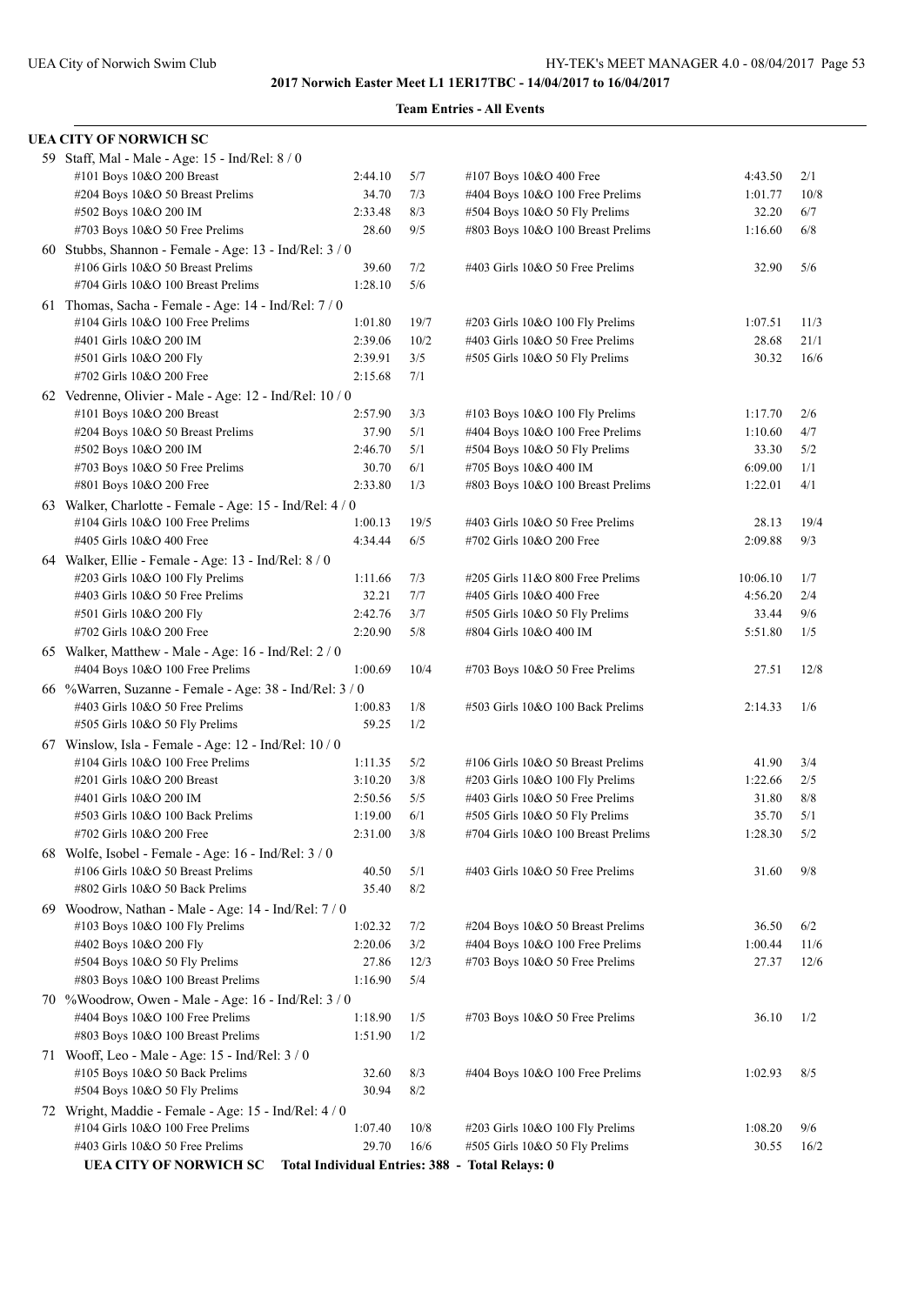| UEA CITY OF NORWICH SC                                   |         |      |                                                 |          |      |
|----------------------------------------------------------|---------|------|-------------------------------------------------|----------|------|
| 59 Staff, Mal - Male - Age: 15 - Ind/Rel: 8 / 0          |         |      |                                                 |          |      |
| #101 Boys 10&O 200 Breast                                | 2:44.10 | 5/7  | #107 Boys 10&O 400 Free                         | 4:43.50  | 2/1  |
| #204 Boys 10&O 50 Breast Prelims                         | 34.70   | 7/3  | #404 Boys 10&O 100 Free Prelims                 | 1:01.77  | 10/8 |
| #502 Boys 10&O 200 IM                                    | 2:33.48 | 8/3  | #504 Boys 10&O 50 Fly Prelims                   | 32.20    | 6/7  |
| #703 Boys 10&O 50 Free Prelims                           | 28.60   | 9/5  | #803 Boys 10&O 100 Breast Prelims               | 1:16.60  | 6/8  |
| 60 Stubbs, Shannon - Female - Age: 13 - Ind/Rel: 3 / 0   |         |      |                                                 |          |      |
| #106 Girls 10&O 50 Breast Prelims                        | 39.60   | 7/2  | #403 Girls 10&O 50 Free Prelims                 | 32.90    | 5/6  |
| #704 Girls 10&O 100 Breast Prelims                       | 1:28.10 | 5/6  |                                                 |          |      |
| 61 Thomas, Sacha - Female - Age: 14 - Ind/Rel: 7 / 0     |         |      |                                                 |          |      |
| #104 Girls 10&O 100 Free Prelims                         | 1:01.80 | 19/7 | #203 Girls 10&O 100 Fly Prelims                 | 1:07.51  | 11/3 |
| #401 Girls 10&O 200 IM                                   | 2:39.06 | 10/2 | #403 Girls 10&O 50 Free Prelims                 | 28.68    | 21/1 |
| #501 Girls 10&O 200 Fly                                  | 2:39.91 | 3/5  | #505 Girls 10&O 50 Fly Prelims                  | 30.32    | 16/6 |
| #702 Girls 10&O 200 Free                                 | 2:15.68 | 7/1  |                                                 |          |      |
| 62 Vedrenne, Olivier - Male - Age: 12 - Ind/Rel: 10 / 0  |         |      |                                                 |          |      |
| #101 Boys 10&O 200 Breast                                | 2:57.90 | 3/3  | #103 Boys 10&O 100 Fly Prelims                  | 1:17.70  | 2/6  |
| #204 Boys 10&O 50 Breast Prelims                         | 37.90   | 5/1  | #404 Boys 10&O 100 Free Prelims                 | 1:10.60  | 4/7  |
| #502 Boys 10&O 200 IM                                    | 2:46.70 | 5/1  | #504 Boys 10&O 50 Fly Prelims                   | 33.30    | 5/2  |
| #703 Boys 10&O 50 Free Prelims                           | 30.70   | 6/1  | #705 Boys 10&O 400 IM                           | 6:09.00  | 1/1  |
| #801 Boys 10&O 200 Free                                  | 2:33.80 | 1/3  | #803 Boys 10&O 100 Breast Prelims               | 1:22.01  | 4/1  |
| 63 Walker, Charlotte - Female - Age: 15 - Ind/Rel: 4 / 0 |         |      |                                                 |          |      |
| #104 Girls 10&O 100 Free Prelims                         | 1:00.13 | 19/5 | #403 Girls 10&O 50 Free Prelims                 | 28.13    | 19/4 |
| #405 Girls 10&O 400 Free                                 | 4:34.44 | 6/5  | #702 Girls 10&O 200 Free                        | 2:09.88  | 9/3  |
| 64 Walker, Ellie - Female - Age: 13 - Ind/Rel: 8 / 0     |         |      |                                                 |          |      |
| #203 Girls 10&O 100 Fly Prelims                          | 1:11.66 | 7/3  | #205 Girls 11&O 800 Free Prelims                | 10:06.10 | 1/7  |
| #403 Girls 10&O 50 Free Prelims                          | 32.21   | 7/7  | #405 Girls 10&O 400 Free                        | 4:56.20  | 2/4  |
| #501 Girls 10&O 200 Fly                                  | 2:42.76 | 3/7  | #505 Girls 10&O 50 Fly Prelims                  | 33.44    | 9/6  |
| #702 Girls 10&O 200 Free                                 | 2:20.90 | 5/8  | #804 Girls 10&O 400 IM                          | 5:51.80  | 1/5  |
| 65 Walker, Matthew - Male - Age: 16 - Ind/Rel: 2 / 0     |         |      |                                                 |          |      |
| #404 Boys 10&O 100 Free Prelims                          | 1:00.69 | 10/4 | #703 Boys 10&O 50 Free Prelims                  | 27.51    | 12/8 |
| 66 %Warren, Suzanne - Female - Age: 38 - Ind/Rel: 3 / 0  |         |      |                                                 |          |      |
| #403 Girls 10&O 50 Free Prelims                          | 1:00.83 | 1/8  | #503 Girls 10&O 100 Back Prelims                | 2:14.33  | 1/6  |
| #505 Girls 10&O 50 Fly Prelims                           | 59.25   | 1/2  |                                                 |          |      |
| 67 Winslow, Isla - Female - Age: 12 - Ind/Rel: 10 / 0    |         |      |                                                 |          |      |
| #104 Girls 10&O 100 Free Prelims                         | 1:11.35 | 5/2  | #106 Girls 10&O 50 Breast Prelims               | 41.90    | 3/4  |
| #201 Girls 10&O 200 Breast                               | 3:10.20 | 3/8  | #203 Girls 10&O 100 Fly Prelims                 | 1:22.66  | 2/5  |
| #401 Girls 10&O 200 IM                                   | 2:50.56 | 5/5  | #403 Girls 10&O 50 Free Prelims                 | 31.80    | 8/8  |
| #503 Girls 10&O 100 Back Prelims                         | 1:19.00 | 6/1  | #505 Girls 10&O 50 Fly Prelims                  | 35.70    | 5/1  |
| #702 Girls 10&O 200 Free                                 | 2:31.00 | 3/8  | #704 Girls 10&O 100 Breast Prelims              | 1:28.30  | 5/2  |
| 68 Wolfe, Isobel - Female - Age: 16 - Ind/Rel: 3 / 0     |         |      |                                                 |          |      |
| #106 Girls 10&O 50 Breast Prelims                        | 40.50   | 5/1  | #403 Girls 10&O 50 Free Prelims                 | 31.60    | 9/8  |
| #802 Girls 10&O 50 Back Prelims                          | 35.40   | 8/2  |                                                 |          |      |
| 69 Woodrow, Nathan - Male - Age: 14 - Ind/Rel: 7 / 0     |         |      |                                                 |          |      |
| #103 Boys 10&O 100 Fly Prelims                           | 1:02.32 | 7/2  | #204 Boys 10&O 50 Breast Prelims                | 36.50    | 6/2  |
| #402 Boys 10&O 200 Fly                                   | 2:20.06 | 3/2  | #404 Boys 10&O 100 Free Prelims                 | 1:00.44  | 11/6 |
| #504 Boys 10&O 50 Fly Prelims                            | 27.86   | 12/3 | #703 Boys 10&O 50 Free Prelims                  | 27.37    | 12/6 |
| #803 Boys 10&O 100 Breast Prelims                        | 1:16.90 | 5/4  |                                                 |          |      |
| 70 % Woodrow, Owen - Male - Age: 16 - Ind/Rel: 3 / 0     |         |      |                                                 |          |      |
| #404 Boys 10&O 100 Free Prelims                          | 1:18.90 | 1/5  | $\#703$ Boys 10&O 50 Free Prelims               | 36.10    | 1/2  |
| #803 Boys 10&O 100 Breast Prelims                        | 1:51.90 | 1/2  |                                                 |          |      |
| 71 Wooff, Leo - Male - Age: 15 - Ind/Rel: 3 / 0          |         |      |                                                 |          |      |
| #105 Boys 10&O 50 Back Prelims                           | 32.60   | 8/3  | #404 Boys 10&O 100 Free Prelims                 | 1:02.93  | 8/5  |
| #504 Boys 10&O 50 Fly Prelims                            | 30.94   | 8/2  |                                                 |          |      |
| 72 Wright, Maddie - Female - Age: 15 - Ind/Rel: 4 / 0    |         |      |                                                 |          |      |
| #104 Girls 10&O 100 Free Prelims                         | 1:07.40 | 10/8 | #203 Girls 10&O 100 Fly Prelims                 | 1:08.20  | 9/6  |
| #403 Girls 10&O 50 Free Prelims                          | 29.70   | 16/6 | #505 Girls 10&O 50 Fly Prelims                  | 30.55    | 16/2 |
| <b>UEA CITY OF NORWICH SC</b>                            |         |      | Total Individual Entries: 388 - Total Relays: 0 |          |      |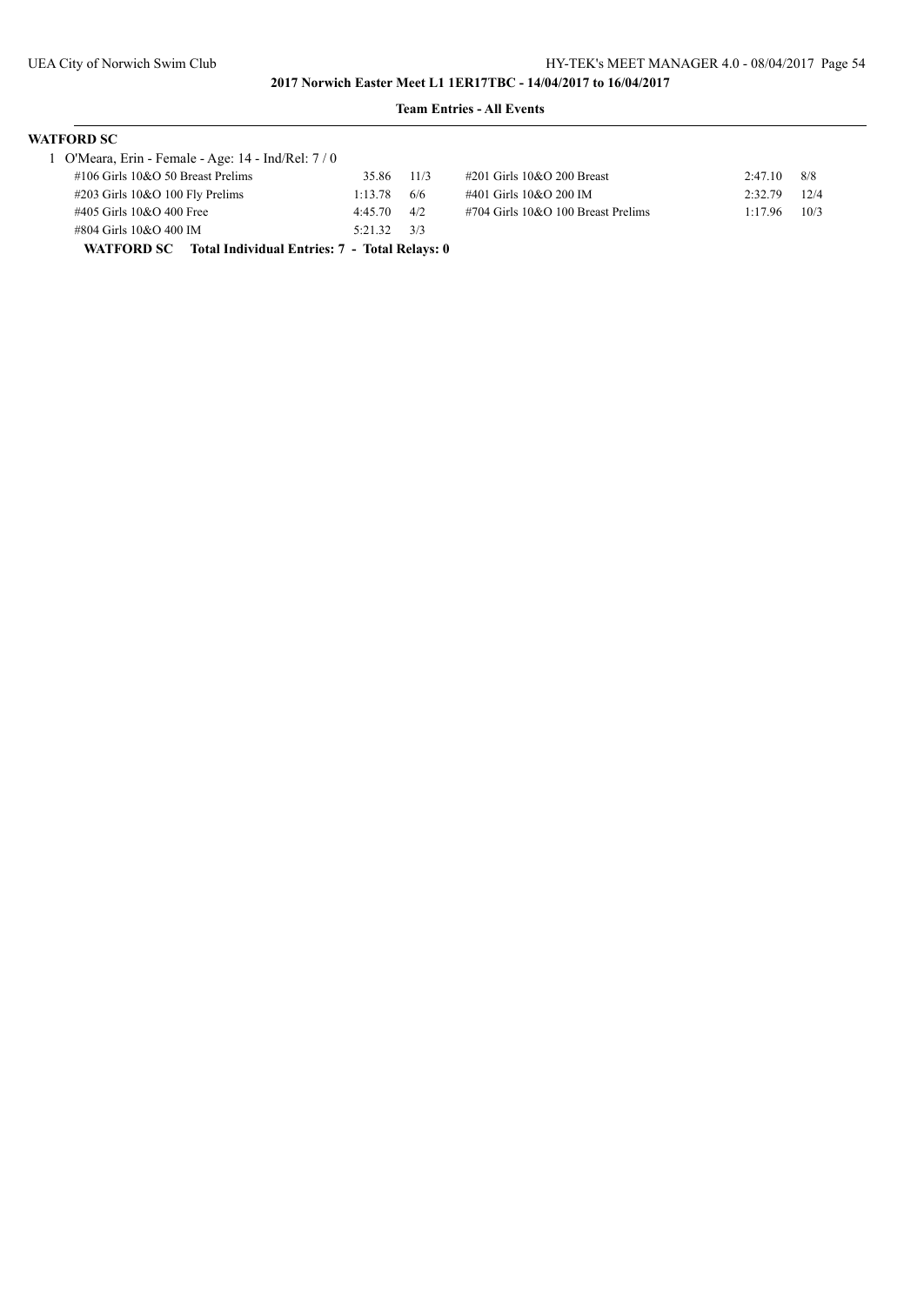| <b>WATFORD SC</b>                                        |         |      |                                    |         |      |
|----------------------------------------------------------|---------|------|------------------------------------|---------|------|
| 1 O'Meara, Erin - Female - Age: 14 - Ind/Rel: 7 / 0      |         |      |                                    |         |      |
| $\#106$ Girls 10&O 50 Breast Prelims                     | 35.86   | 11/3 | #201 Girls 10&O 200 Breast         | 2:47.10 | 8/8  |
| $\#203$ Girls 10&O 100 Fly Prelims                       | 1:13.78 | 6/6  | #401 Girls 10&O 200 IM             | 2:32.79 | 12/4 |
| #405 Girls 10&O 400 Free                                 | 4:45.70 | 4/2  | #704 Girls 10&O 100 Breast Prelims | 1:17.96 | 10/3 |
| #804 Girls 10&O 400 IM                                   | 5:21.32 | 3/3  |                                    |         |      |
| WATFORD SC Total Individual Entries: 7 - Total Relays: 0 |         |      |                                    |         |      |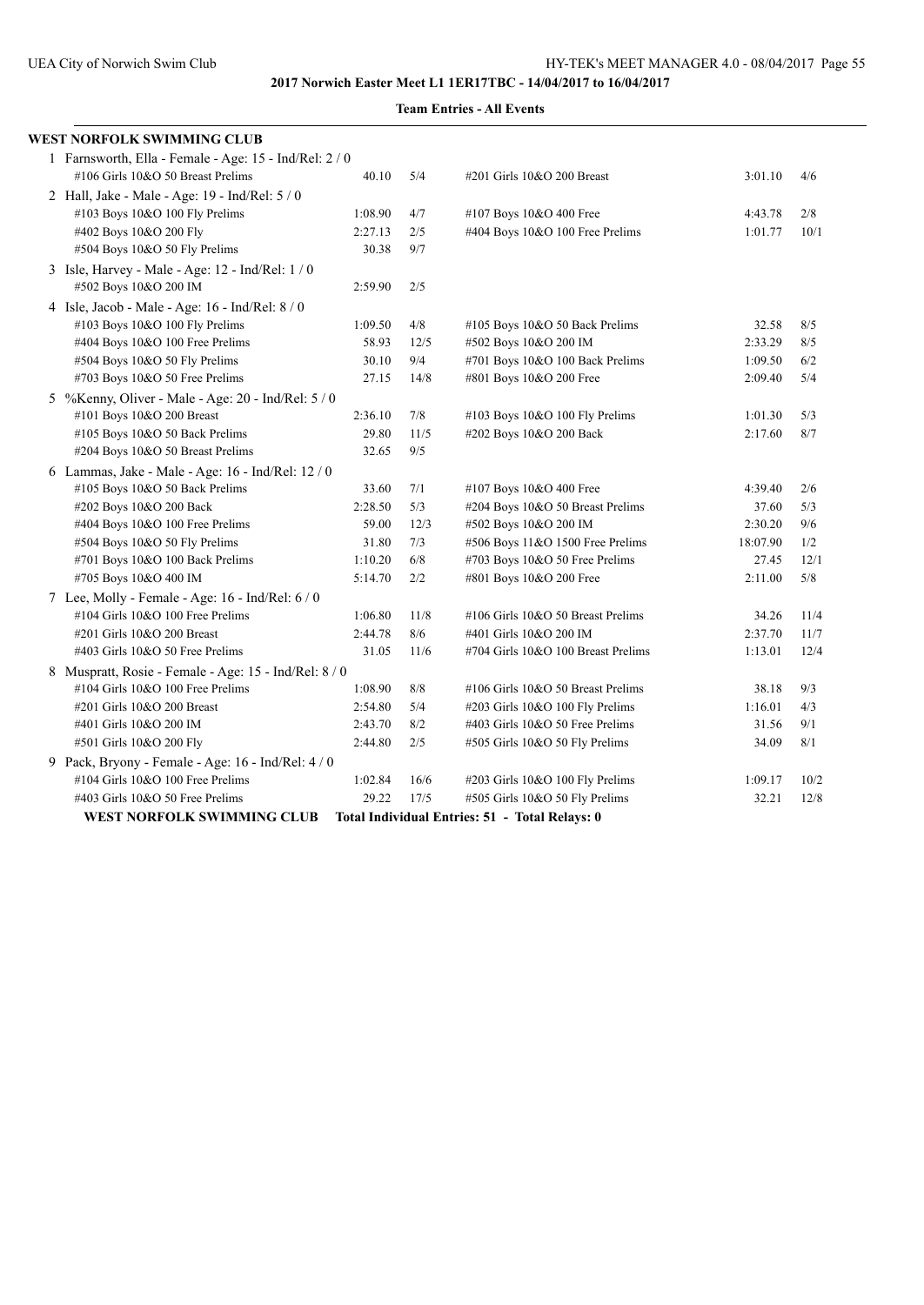| WEST NORFOLK SWIMMING CLUB                             |         |      |                                                |          |      |
|--------------------------------------------------------|---------|------|------------------------------------------------|----------|------|
| 1 Farnsworth, Ella - Female - Age: 15 - Ind/Rel: 2 / 0 |         |      |                                                |          |      |
| #106 Girls 10&O 50 Breast Prelims                      | 40.10   | 5/4  | #201 Girls 10&O 200 Breast                     | 3:01.10  | 4/6  |
| 2 Hall, Jake - Male - Age: 19 - Ind/Rel: 5 / 0         |         |      |                                                |          |      |
| #103 Boys 10&O 100 Fly Prelims                         | 1:08.90 | 4/7  | #107 Boys 10&O 400 Free                        | 4:43.78  | 2/8  |
| #402 Boys 10&O 200 Fly                                 | 2:27.13 | 2/5  | #404 Boys 10&O 100 Free Prelims                | 1:01.77  | 10/1 |
| #504 Boys 10&O 50 Fly Prelims                          | 30.38   | 9/7  |                                                |          |      |
| 3 Isle, Harvey - Male - Age: 12 - Ind/Rel: 1 / 0       |         |      |                                                |          |      |
| #502 Boys 10&O 200 IM                                  | 2:59.90 | 2/5  |                                                |          |      |
| 4 Isle, Jacob - Male - Age: 16 - Ind/Rel: 8 / 0        |         |      |                                                |          |      |
| #103 Boys 10&O 100 Fly Prelims                         | 1:09.50 | 4/8  | #105 Boys 10&O 50 Back Prelims                 | 32.58    | 8/5  |
| #404 Boys 10&O 100 Free Prelims                        | 58.93   | 12/5 | #502 Boys 10&O 200 IM                          | 2:33.29  | 8/5  |
| #504 Boys 10&O 50 Fly Prelims                          | 30.10   | 9/4  | #701 Boys 10&O 100 Back Prelims                | 1:09.50  | 6/2  |
| #703 Boys 10&O 50 Free Prelims                         | 27.15   | 14/8 | #801 Boys 10&O 200 Free                        | 2:09.40  | 5/4  |
| 5 % Kenny, Oliver - Male - Age: 20 - Ind/Rel: 5 / 0    |         |      |                                                |          |      |
| #101 Boys 10&O 200 Breast                              | 2:36.10 | 7/8  | #103 Boys 10&O 100 Fly Prelims                 | 1:01.30  | 5/3  |
| #105 Boys 10&O 50 Back Prelims                         | 29.80   | 11/5 | #202 Boys 10&O 200 Back                        | 2:17.60  | 8/7  |
| #204 Boys 10&O 50 Breast Prelims                       | 32.65   | 9/5  |                                                |          |      |
| 6 Lammas, Jake - Male - Age: 16 - Ind/Rel: 12 / 0      |         |      |                                                |          |      |
| #105 Boys 10&O 50 Back Prelims                         | 33.60   | 7/1  | #107 Boys 10&O 400 Free                        | 4:39.40  | 2/6  |
| #202 Boys 10&O 200 Back                                | 2:28.50 | 5/3  | #204 Boys 10&O 50 Breast Prelims               | 37.60    | 5/3  |
| #404 Boys 10&O 100 Free Prelims                        | 59.00   | 12/3 | #502 Boys 10&O 200 IM                          | 2:30.20  | 9/6  |
| #504 Boys 10&O 50 Fly Prelims                          | 31.80   | 7/3  | #506 Boys 11&O 1500 Free Prelims               | 18:07.90 | 1/2  |
| #701 Boys 10&O 100 Back Prelims                        | 1:10.20 | 6/8  | #703 Boys 10&O 50 Free Prelims                 | 27.45    | 12/1 |
| #705 Boys 10&O 400 IM                                  | 5:14.70 | 2/2  | #801 Boys 10&O 200 Free                        | 2:11.00  | 5/8  |
| 7 Lee, Molly - Female - Age: 16 - Ind/Rel: 6 / 0       |         |      |                                                |          |      |
| #104 Girls 10&O 100 Free Prelims                       | 1:06.80 | 11/8 | #106 Girls 10&O 50 Breast Prelims              | 34.26    | 11/4 |
| #201 Girls 10&O 200 Breast                             | 2:44.78 | 8/6  | #401 Girls 10&O 200 IM                         | 2:37.70  | 11/7 |
| #403 Girls 10&O 50 Free Prelims                        | 31.05   | 11/6 | #704 Girls 10&O 100 Breast Prelims             | 1:13.01  | 12/4 |
| 8 Muspratt, Rosie - Female - Age: 15 - Ind/Rel: 8/0    |         |      |                                                |          |      |
| #104 Girls 10&O 100 Free Prelims                       | 1:08.90 | 8/8  | #106 Girls 10&O 50 Breast Prelims              | 38.18    | 9/3  |
| #201 Girls 10&O 200 Breast                             | 2:54.80 | 5/4  | #203 Girls 10&O 100 Fly Prelims                | 1:16.01  | 4/3  |
| #401 Girls 10&O 200 IM                                 | 2:43.70 | 8/2  | #403 Girls 10&O 50 Free Prelims                | 31.56    | 9/1  |
| #501 Girls 10&O 200 Fly                                | 2:44.80 | 2/5  | #505 Girls 10&O 50 Fly Prelims                 | 34.09    | 8/1  |
| 9 Pack, Bryony - Female - Age: 16 - Ind/Rel: 4/0       |         |      |                                                |          |      |
| #104 Girls 10&O 100 Free Prelims                       | 1:02.84 | 16/6 | #203 Girls 10&O 100 Fly Prelims                | 1:09.17  | 10/2 |
| #403 Girls 10&O 50 Free Prelims                        | 29.22   | 17/5 | #505 Girls 10&O 50 Fly Prelims                 | 32.21    | 12/8 |
| <b>WEST NORFOLK SWIMMING CLUB</b>                      |         |      | Total Individual Entries: 51 - Total Relays: 0 |          |      |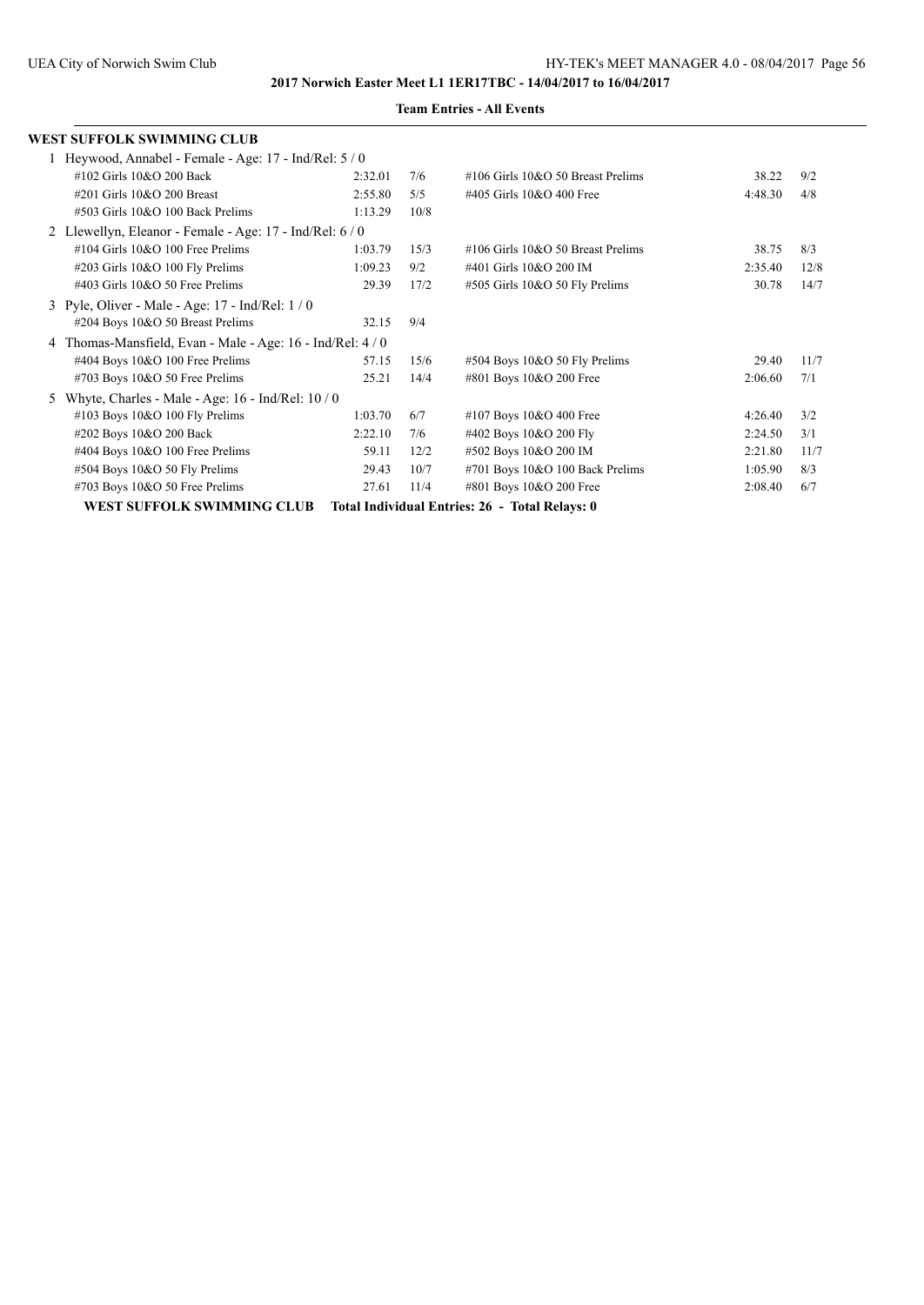| WEST SUFFOLK SWIMMING CLUB                             |         |      |                                                |         |      |
|--------------------------------------------------------|---------|------|------------------------------------------------|---------|------|
| 1 Heywood, Annabel - Female - Age: 17 - Ind/Rel: 5/0   |         |      |                                                |         |      |
| #102 Girls 10&O 200 Back                               | 2:32.01 | 7/6  | $\#106$ Girls $10&O$ 50 Breast Prelims         | 38.22   | 9/2  |
| #201 Girls 10&O 200 Breast                             | 2:55.80 | 5/5  | #405 Girls 10&O 400 Free                       | 4:48.30 | 4/8  |
| #503 Girls 10&O 100 Back Prelims                       | 1:13.29 | 10/8 |                                                |         |      |
| 2 Llewellyn, Eleanor - Female - Age: 17 - Ind/Rel: 6/0 |         |      |                                                |         |      |
| $\#104$ Girls 10&O 100 Free Prelims                    | 1:03.79 | 15/3 | $\#106$ Girls $10&O$ 50 Breast Prelims         | 38.75   | 8/3  |
| #203 Girls 10&O 100 Fly Prelims                        | 1:09.23 | 9/2  | #401 Girls 10&O 200 IM                         | 2:35.40 | 12/8 |
| $\#403$ Girls 10&O 50 Free Prelims                     | 29.39   | 17/2 | #505 Girls 10&O 50 Fly Prelims                 | 30.78   | 14/7 |
| 3 Pyle, Oliver - Male - Age: 17 - Ind/Rel: 1/0         |         |      |                                                |         |      |
| #204 Boys 10&O 50 Breast Prelims                       | 32.15   | 9/4  |                                                |         |      |
| Thomas-Mansfield, Evan - Male - Age: 16 - Ind/Rel: 4/0 |         |      |                                                |         |      |
| #404 Boys 10&O 100 Free Prelims                        | 57.15   | 15/6 | $\#504$ Boys 10&O 50 Fly Prelims               | 29.40   | 11/7 |
| #703 Boys 10&O 50 Free Prelims                         | 25.21   | 14/4 | #801 Boys 10&O 200 Free                        | 2:06.60 | 7/1  |
| Whyte, Charles - Male - Age: 16 - Ind/Rel: 10 / 0      |         |      |                                                |         |      |
| #103 Boys 10&O 100 Fly Prelims                         | 1:03.70 | 6/7  | #107 Boys 10&O 400 Free                        | 4:26.40 | 3/2  |
| #202 Boys 10&O 200 Back                                | 2:22.10 | 7/6  | #402 Boys 10&O 200 Fly                         | 2:24.50 | 3/1  |
| #404 Boys 10&O 100 Free Prelims                        | 59.11   | 12/2 | #502 Boys 10&O 200 IM                          | 2:21.80 | 11/7 |
| #504 Boys 10&O 50 Fly Prelims                          | 29.43   | 10/7 | #701 Boys 10&O 100 Back Prelims                | 1:05.90 | 8/3  |
| #703 Boys 10&O 50 Free Prelims                         | 27.61   | 11/4 | #801 Boys 10&O 200 Free                        | 2:08.40 | 6/7  |
| WEST SUFFOLK SWIMMING CLUB                             |         |      | Total Individual Entries: 26 - Total Relays: 0 |         |      |